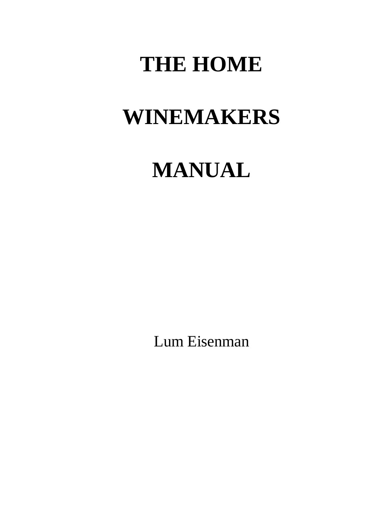# **THE HOME**

# **WINEMAKERS**

# **MANUAL**

Lum Eisenman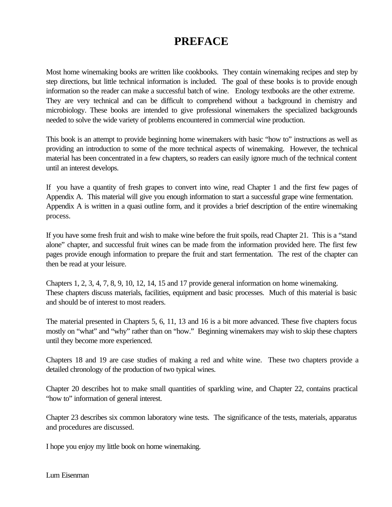# **PREFACE**

Most home winemaking books are written like cookbooks. They contain winemaking recipes and step by step directions, but little technical information is included. The goal of these books is to provide enough information so the reader can make a successful batch of wine. Enology textbooks are the other extreme. They are very technical and can be difficult to comprehend without a background in chemistry and microbiology. These books are intended to give professional winemakers the specialized backgrounds needed to solve the wide variety of problems encountered in commercial wine production.

This book is an attempt to provide beginning home winemakers with basic "how to" instructions as well as providing an introduction to some of the more technical aspects of winemaking. However, the technical material has been concentrated in a few chapters, so readers can easily ignore much of the technical content until an interest develops.

If you have a quantity of fresh grapes to convert into wine, read Chapter 1 and the first few pages of Appendix A. This material will give you enough information to start a successful grape wine fermentation. Appendix A is written in a quasi outline form, and it provides a brief description of the entire winemaking process.

If you have some fresh fruit and wish to make wine before the fruit spoils, read Chapter 21. This is a "stand alone" chapter, and successful fruit wines can be made from the information provided here. The first few pages provide enough information to prepare the fruit and start fermentation. The rest of the chapter can then be read at your leisure.

Chapters 1, 2, 3, 4, 7, 8, 9, 10, 12, 14, 15 and 17 provide general information on home winemaking. These chapters discuss materials, facilities, equipment and basic processes. Much of this material is basic and should be of interest to most readers.

The material presented in Chapters 5, 6, 11, 13 and 16 is a bit more advanced. These five chapters focus mostly on "what" and "why" rather than on "how." Beginning winemakers may wish to skip these chapters until they become more experienced.

Chapters 18 and 19 are case studies of making a red and white wine. These two chapters provide a detailed chronology of the production of two typical wines.

Chapter 20 describes hot to make small quantities of sparkling wine, and Chapter 22, contains practical "how to" information of general interest.

Chapter 23 describes six common laboratory wine tests. The significance of the tests, materials, apparatus and procedures are discussed.

I hope you enjoy my little book on home winemaking.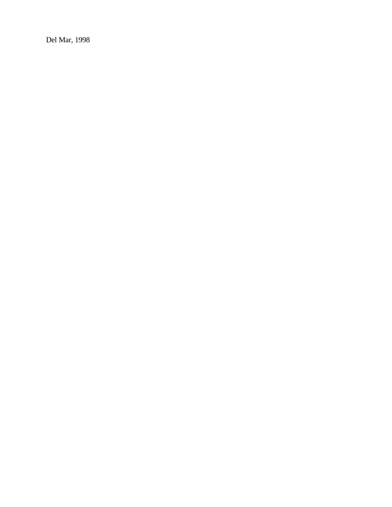Del Mar, 1998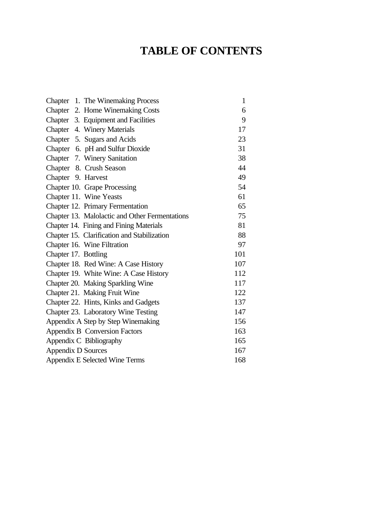# **TABLE OF CONTENTS**

| Chapter 1. The Winemaking Process              | $\mathbf{1}$ |
|------------------------------------------------|--------------|
| Chapter 2. Home Winemaking Costs               | 6            |
| Chapter 3. Equipment and Facilities            | 9            |
| Chapter 4. Winery Materials                    | 17           |
| Chapter 5. Sugars and Acids                    | 23           |
| Chapter 6. pH and Sulfur Dioxide               | 31           |
| Chapter 7. Winery Sanitation                   | 38           |
| Chapter 8. Crush Season                        | 44           |
| Chapter 9. Harvest                             | 49           |
| Chapter 10. Grape Processing                   | 54           |
| Chapter 11. Wine Yeasts                        | 61           |
| Chapter 12. Primary Fermentation               | 65           |
| Chapter 13. Malolactic and Other Fermentations | 75           |
| Chapter 14. Fining and Fining Materials        | 81           |
| Chapter 15. Clarification and Stabilization    | 88           |
| Chapter 16. Wine Filtration                    | 97           |
| Chapter 17. Bottling                           | 101          |
| Chapter 18. Red Wine: A Case History           | 107          |
| Chapter 19. White Wine: A Case History         | 112          |
| Chapter 20. Making Sparkling Wine              | 117          |
| Chapter 21. Making Fruit Wine                  | 122          |
| Chapter 22. Hints, Kinks and Gadgets           | 137          |
| Chapter 23. Laboratory Wine Testing            | 147          |
| Appendix A Step by Step Winemaking             | 156          |
| Appendix B Conversion Factors                  | 163          |
| Appendix C Bibliography                        | 165          |
| Appendix D Sources                             | 167          |
| Appendix E Selected Wine Terms                 | 168          |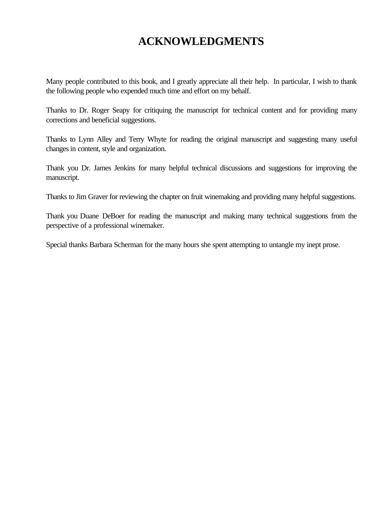# **ACKNOWLEDGMENTS**

Many people contributed to this book, and I greatly appreciate all their help. In particular, I wish to thank the following people who expended much time and effort on my behalf.

Thanks to Dr. Roger Seapy for critiquing the manuscript for technical content and for providing many corrections and beneficial suggestions.

Thanks to Lynn Alley and Terry Whyte for reading the original manuscript and suggesting many useful changes in content, style and organization.

Thank you Dr. James Jenkins for many helpful technical discussions and suggestions for improving the manuscript.

Thanks to Jim Graver for reviewing the chapter on fruit winemaking and providing many helpful suggestions.

Thank you Duane DeBoer for reading the manuscript and making many technical suggestions from the perspective of a professional winemaker.

Special thanks Barbara Scherman for the many hours she spent attempting to untangle my inept prose.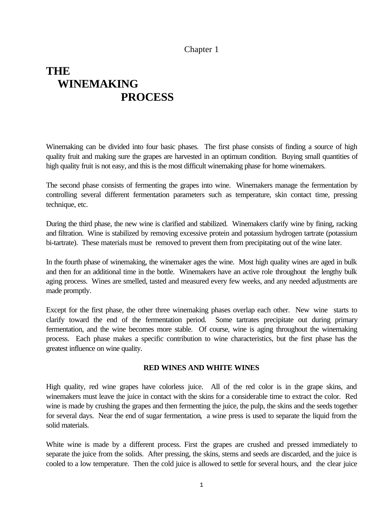# Chapter 1

# <span id="page-5-0"></span>**THE WINEMAKING PROCESS**

Winemaking can be divided into four basic phases. The first phase consists of finding a source of high quality fruit and making sure the grapes are harvested in an optimum condition. Buying small quantities of high quality fruit is not easy, and this is the most difficult winemaking phase for home winemakers.

The second phase consists of fermenting the grapes into wine. Winemakers manage the fermentation by controlling several different fermentation parameters such as temperature, skin contact time, pressing technique, etc.

During the third phase, the new wine is clarified and stabilized. Winemakers clarify wine by fining, racking and filtration. Wine is stabilized by removing excessive protein and potassium hydrogen tartrate (potassium bi-tartrate). These materials must be removed to prevent them from precipitating out of the wine later.

In the fourth phase of winemaking, the winemaker ages the wine. Most high quality wines are aged in bulk and then for an additional time in the bottle. Winemakers have an active role throughout the lengthy bulk aging process. Wines are smelled, tasted and measured every few weeks, and any needed adjustments are made promptly.

Except for the first phase, the other three winemaking phases overlap each other. New wine starts to clarify toward the end of the fermentation period. Some tartrates precipitate out during primary fermentation, and the wine becomes more stable. Of course, wine is aging throughout the winemaking process. Each phase makes a specific contribution to wine characteristics, but the first phase has the greatest influence on wine quality.

# **RED WINES AND WHITE WINES**

High quality, red wine grapes have colorless juice. All of the red color is in the grape skins, and winemakers must leave the juice in contact with the skins for a considerable time to extract the color. Red wine is made by crushing the grapes and then fermenting the juice, the pulp, the skins and the seeds together for several days. Near the end of sugar fermentation, a wine press is used to separate the liquid from the solid materials.

White wine is made by a different process. First the grapes are crushed and pressed immediately to separate the juice from the solids. After pressing, the skins, stems and seeds are discarded, and the juice is cooled to a low temperature. Then the cold juice is allowed to settle for several hours, and the clear juice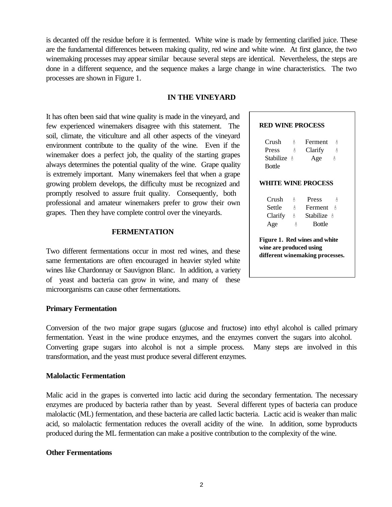is decanted off the residue before it is fermented. White wine is made by fermenting clarified juice. These are the fundamental differences between making quality, red wine and white wine. At first glance, the two winemaking processes may appear similar because several steps are identical. Nevertheless, the steps are done in a different sequence, and the sequence makes a large change in wine characteristics. The two processes are shown in Figure 1.

#### **IN THE VINEYARD**

It has often been said that wine quality is made in the vineyard, and few experienced winemakers disagree with this statement. The soil, climate, the viticulture and all other aspects of the vineyard environment contribute to the quality of the wine. Even if the winemaker does a perfect job, the quality of the starting grapes always determines the potential quality of the wine. Grape quality is extremely important. Many winemakers feel that when a grape growing problem develops, the difficulty must be recognized and promptly resolved to assure fruit quality. Consequently, both professional and amateur winemakers prefer to grow their own grapes. Then they have complete control over the vineyards.

#### **FERMENTATION**

Two different fermentations occur in most red wines, and these same fermentations are often encouraged in heavier styled white wines like Chardonnay or Sauvignon Blanc. In addition, a variety of yeast and bacteria can grow in wine, and many of these microorganisms can cause other fermentations.

#### **Primary Fermentation**

Conversion of the two major grape sugars (glucose and fructose) into ethyl alcohol is called primary fermentation. Yeast in the wine produce enzymes, and the enzymes convert the sugars into alcohol. Converting grape sugars into alcohol is not a simple process. Many steps are involved in this transformation, and the yeast must produce several different enzymes.

#### **Malolactic Fermentation**

Malic acid in the grapes is converted into lactic acid during the secondary fermentation. The necessary enzymes are produced by bacteria rather than by yeast. Several different types of bacteria can produce malolactic (ML) fermentation, and these bacteria are called lactic bacteria. Lactic acid is weaker than malic acid, so malolactic fermentation reduces the overall acidity of the wine. In addition, some byproducts produced during the ML fermentation can make a positive contribution to the complexity of the wine.

#### **Other Fermentations**

#### **RED WINE PROCESS**

| Crush<br>Press<br><b>Stabilize</b> &<br><b>Bottle</b> | Å<br>Å | Ferment<br>Å<br>Clarify<br>Å<br>Age<br>Å                         |
|-------------------------------------------------------|--------|------------------------------------------------------------------|
|                                                       |        | <b>WHITE WINE PROCESS</b>                                        |
| Crush                                                 | Å      | Press<br>Å                                                       |
| Settle                                                | Å      | Ferment<br>Å                                                     |
| Clarify                                               | Å      | <b>Stabilize</b> &                                               |
| Age                                                   | Å      | <b>Bottle</b>                                                    |
| wine are produced using                               |        | Figure 1. Red wines and white<br>different winemaking processes. |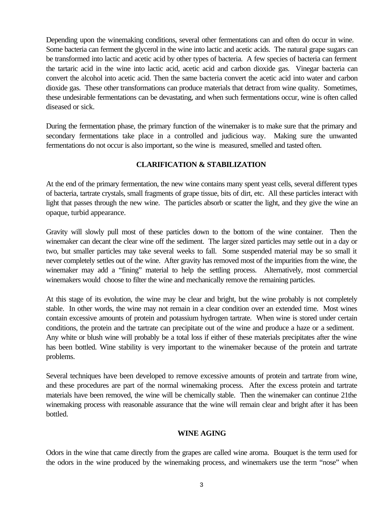Depending upon the winemaking conditions, several other fermentations can and often do occur in wine. Some bacteria can ferment the glycerol in the wine into lactic and acetic acids. The natural grape sugars can be transformed into lactic and acetic acid by other types of bacteria. A few species of bacteria can ferment the tartaric acid in the wine into lactic acid, acetic acid and carbon dioxide gas. Vinegar bacteria can convert the alcohol into acetic acid. Then the same bacteria convert the acetic acid into water and carbon dioxide gas. These other transformations can produce materials that detract from wine quality. Sometimes, these undesirable fermentations can be devastating, and when such fermentations occur, wine is often called diseased or sick.

During the fermentation phase, the primary function of the winemaker is to make sure that the primary and secondary fermentations take place in a controlled and judicious way. Making sure the unwanted fermentations do not occur is also important, so the wine is measured, smelled and tasted often.

# **CLARIFICATION & STABILIZATION**

At the end of the primary fermentation, the new wine contains many spent yeast cells, several different types of bacteria, tartrate crystals, small fragments of grape tissue, bits of dirt, etc. All these particles interact with light that passes through the new wine. The particles absorb or scatter the light, and they give the wine an opaque, turbid appearance.

Gravity will slowly pull most of these particles down to the bottom of the wine container. Then the winemaker can decant the clear wine off the sediment. The larger sized particles may settle out in a day or two, but smaller particles may take several weeks to fall. Some suspended material may be so small it never completely settles out of the wine. After gravity has removed most of the impurities from the wine, the winemaker may add a "fining" material to help the settling process. Alternatively, most commercial winemakers would choose to filter the wine and mechanically remove the remaining particles.

At this stage of its evolution, the wine may be clear and bright, but the wine probably is not completely stable. In other words, the wine may not remain in a clear condition over an extended time. Most wines contain excessive amounts of protein and potassium hydrogen tartrate. When wine is stored under certain conditions, the protein and the tartrate can precipitate out of the wine and produce a haze or a sediment. Any white or blush wine will probably be a total loss if either of these materials precipitates after the wine has been bottled. Wine stability is very important to the winemaker because of the protein and tartrate problems.

Several techniques have been developed to remove excessive amounts of protein and tartrate from wine, and these procedures are part of the normal winemaking process. After the excess protein and tartrate materials have been removed, the wine will be chemically stable. Then the winemaker can continue 21the winemaking process with reasonable assurance that the wine will remain clear and bright after it has been bottled.

# **WINE AGING**

Odors in the wine that came directly from the grapes are called wine aroma. Bouquet is the term used for the odors in the wine produced by the winemaking process, and winemakers use the term "nose" when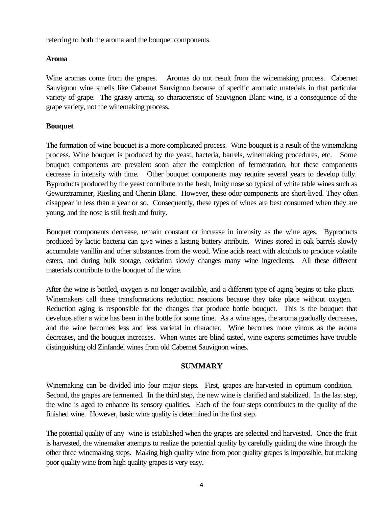referring to both the aroma and the bouquet components.

# **Aroma**

Wine aromas come from the grapes. Aromas do not result from the winemaking process. Cabernet Sauvignon wine smells like Cabernet Sauvignon because of specific aromatic materials in that particular variety of grape. The grassy aroma, so characteristic of Sauvignon Blanc wine, is a consequence of the grape variety, not the winemaking process.

# **Bouquet**

The formation of wine bouquet is a more complicated process. Wine bouquet is a result of the winemaking process. Wine bouquet is produced by the yeast, bacteria, barrels, winemaking procedures, etc. Some bouquet components are prevalent soon after the completion of fermentation, but these components decrease in intensity with time. Other bouquet components may require several years to develop fully. Byproducts produced by the yeast contribute to the fresh, fruity nose so typical of white table wines such as Gewurztraminer, Riesling and Chenin Blanc. However, these odor components are short-lived. They often disappear in less than a year or so. Consequently, these types of wines are best consumed when they are young, and the nose is still fresh and fruity.

Bouquet components decrease, remain constant or increase in intensity as the wine ages. Byproducts produced by lactic bacteria can give wines a lasting buttery attribute. Wines stored in oak barrels slowly accumulate vanillin and other substances from the wood. Wine acids react with alcohols to produce volatile esters, and during bulk storage, oxidation slowly changes many wine ingredients. All these different materials contribute to the bouquet of the wine.

After the wine is bottled, oxygen is no longer available, and a different type of aging begins to take place. Winemakers call these transformations reduction reactions because they take place without oxygen. Reduction aging is responsible for the changes that produce bottle bouquet. This is the bouquet that develops after a wine has been in the bottle for some time. As a wine ages, the aroma gradually decreases, and the wine becomes less and less varietal in character. Wine becomes more vinous as the aroma decreases, and the bouquet increases. When wines are blind tasted, wine experts sometimes have trouble distinguishing old Zinfandel wines from old Cabernet Sauvignon wines.

# **SUMMARY**

Winemaking can be divided into four major steps. First, grapes are harvested in optimum condition. Second, the grapes are fermented. In the third step, the new wine is clarified and stabilized. In the last step, the wine is aged to enhance its sensory qualities. Each of the four steps contributes to the quality of the finished wine. However, basic wine quality is determined in the first step.

The potential quality of any wine is established when the grapes are selected and harvested. Once the fruit is harvested, the winemaker attempts to realize the potential quality by carefully guiding the wine through the other three winemaking steps. Making high quality wine from poor quality grapes is impossible, but making poor quality wine from high quality grapes is very easy.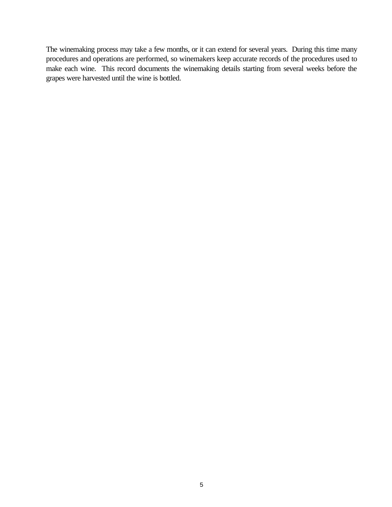The winemaking process may take a few months, or it can extend for several years. During this time many procedures and operations are performed, so winemakers keep accurate records of the procedures used to make each wine. This record documents the winemaking details starting from several weeks before the grapes were harvested until the wine is bottled.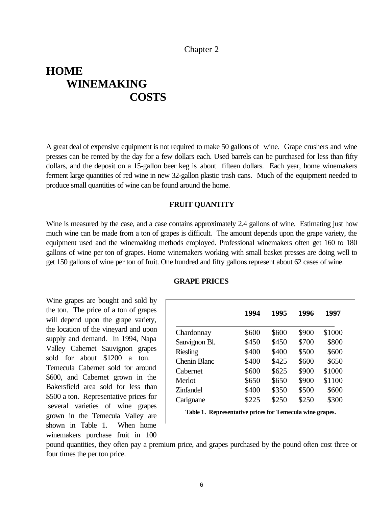#### Chapter 2

# <span id="page-10-0"></span>**HOME WINEMAKING COSTS**

A great deal of expensive equipment is not required to make 50 gallons of wine. Grape crushers and wine presses can be rented by the day for a few dollars each. Used barrels can be purchased for less than fifty dollars, and the deposit on a 15-gallon beer keg is about fifteen dollars. Each year, home winemakers ferment large quantities of red wine in new 32-gallon plastic trash cans. Much of the equipment needed to produce small quantities of wine can be found around the home.

#### **FRUIT QUANTITY**

Wine is measured by the case, and a case contains approximately 2.4 gallons of wine. Estimating just how much wine can be made from a ton of grapes is difficult. The amount depends upon the grape variety, the equipment used and the winemaking methods employed. Professional winemakers often get 160 to 180 gallons of wine per ton of grapes. Home winemakers working with small basket presses are doing well to get 150 gallons of wine per ton of fruit. One hundred and fifty gallons represent about 62 cases of wine.

Wine grapes are bought and sold by the ton. The price of a ton of grapes will depend upon the grape variety, the location of the vineyard and upon supply and demand. In 1994, Napa Valley Cabernet Sauvignon grapes sold for about \$1200 a ton. Temecula Cabernet sold for around \$600, and Cabernet grown in the Bakersfield area sold for less than \$500 a ton. Representative prices for several varieties of wine grapes grown in the Temecula Valley are shown in Table 1. When home winemakers purchase fruit in 100

|                     | 1994  | 1995  | 1996  | 1997   |
|---------------------|-------|-------|-------|--------|
| Chardonnay          | \$600 | \$600 | \$900 | \$1000 |
| Sauvignon Bl.       | \$450 | \$450 | \$700 | \$800  |
| <b>Riesling</b>     | \$400 | \$400 | \$500 | \$600  |
| <b>Chenin Blanc</b> | \$400 | \$425 | \$600 | \$650  |
| Cabernet            | \$600 | \$625 | \$900 | \$1000 |
| Merlot              | \$650 | \$650 | \$900 | \$1100 |
|                     |       |       |       |        |

#### **GRAPE PRICES**

**Table 1. Representative prices for Temecula wine grapes.**

Zinfandel \$400 \$350 \$500 \$600 Carignane \$225 \$250 \$250 \$300

pound quantities, they often pay a premium price, and grapes purchased by the pound often cost three or four times the per ton price.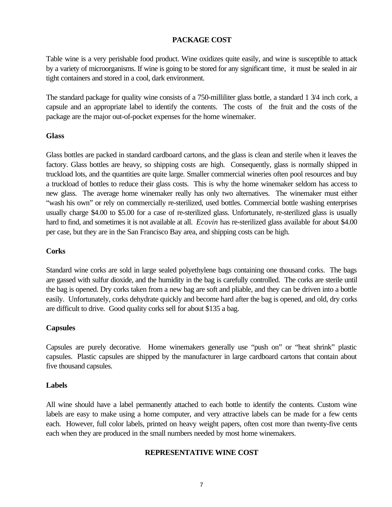# **PACKAGE COST**

Table wine is a very perishable food product. Wine oxidizes quite easily, and wine is susceptible to attack by a variety of microorganisms. If wine is going to be stored for any significant time, it must be sealed in air tight containers and stored in a cool, dark environment.

The standard package for quality wine consists of a 750-milliliter glass bottle, a standard 1 3/4 inch cork, a capsule and an appropriate label to identify the contents. The costs of the fruit and the costs of the package are the major out-of-pocket expenses for the home winemaker.

# **Glass**

Glass bottles are packed in standard cardboard cartons, and the glass is clean and sterile when it leaves the factory. Glass bottles are heavy, so shipping costs are high. Consequently, glass is normally shipped in truckload lots, and the quantities are quite large. Smaller commercial wineries often pool resources and buy a truckload of bottles to reduce their glass costs. This is why the home winemaker seldom has access to new glass. The average home winemaker really has only two alternatives. The winemaker must either "wash his own" or rely on commercially re-sterilized, used bottles. Commercial bottle washing enterprises usually charge \$4.00 to \$5.00 for a case of re-sterilized glass. Unfortunately, re-sterilized glass is usually hard to find, and sometimes it is not available at all. *Ecovin* has re-sterilized glass available for about \$4.00 per case, but they are in the San Francisco Bay area, and shipping costs can be high.

# **Corks**

Standard wine corks are sold in large sealed polyethylene bags containing one thousand corks. The bags are gassed with sulfur dioxide, and the humidity in the bag is carefully controlled. The corks are sterile until the bag is opened. Dry corks taken from a new bag are soft and pliable, and they can be driven into a bottle easily. Unfortunately, corks dehydrate quickly and become hard after the bag is opened, and old, dry corks are difficult to drive. Good quality corks sell for about \$135 a bag.

# **Capsules**

Capsules are purely decorative. Home winemakers generally use "push on" or "heat shrink" plastic capsules. Plastic capsules are shipped by the manufacturer in large cardboard cartons that contain about five thousand capsules.

# **Labels**

All wine should have a label permanently attached to each bottle to identify the contents. Custom wine labels are easy to make using a home computer, and very attractive labels can be made for a few cents each. However, full color labels, printed on heavy weight papers, often cost more than twenty-five cents each when they are produced in the small numbers needed by most home winemakers.

# **REPRESENTATIVE WINE COST**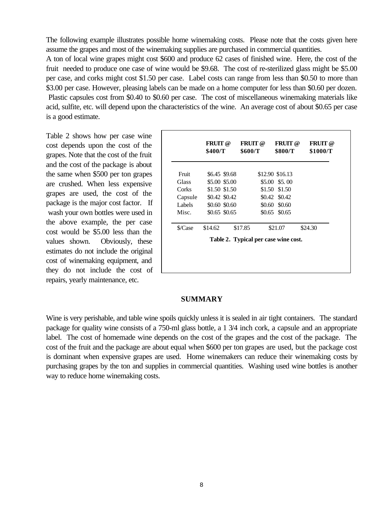The following example illustrates possible home winemaking costs. Please note that the costs given here assume the grapes and most of the winemaking supplies are purchased in commercial quantities.

A ton of local wine grapes might cost \$600 and produce 62 cases of finished wine. Here, the cost of the fruit needed to produce one case of wine would be \$9.68. The cost of re-sterilized glass might be \$5.00 per case, and corks might cost \$1.50 per case. Label costs can range from less than \$0.50 to more than \$3.00 per case. However, pleasing labels can be made on a home computer for less than \$0.60 per dozen. Plastic capsules cost from \$0.40 to \$0.60 per case. The cost of miscellaneous winemaking materials like acid, sulfite, etc. will depend upon the characteristics of the wine. An average cost of about \$0.65 per case is a good estimate.

Table 2 shows how per case wine cost depends upon the cost of the grapes. Note that the cost of the fruit and the cost of the package is about the same when \$500 per ton grapes are crushed. When less expensive grapes are used, the cost of the package is the major cost factor. If wash your own bottles were used in the above example, the per case cost would be \$5.00 less than the values shown. Obviously, these estimates do not include the original cost of winemaking equipment, and they do not include the cost of repairs, yearly maintenance, etc.

|         | <b>FRUIT</b> @<br>\$400/T | <b>FRUIT</b> @<br>\$600/T |        | <b>FRUIT</b> @<br>\$800/T            | <b>FRUIT</b> @<br>\$1000/T |
|---------|---------------------------|---------------------------|--------|--------------------------------------|----------------------------|
| Fruit   | \$6.45 \$9.68             |                           |        | \$12.90 \$16.13                      |                            |
| Glass   | \$5.00 \$5.00             |                           |        | \$5.00 \$5.00                        |                            |
| Corks   | \$1.50 \$1.50             |                           | \$1.50 | \$1.50                               |                            |
| Capsule | \$0.42 \$0.42             |                           |        | \$0.42 \$0.42                        |                            |
| Labels  | \$0.60 \$0.60             |                           | \$0.60 | \$0.60                               |                            |
| Misc.   | \$0.65 \$0.65             |                           | \$0.65 | \$0.65                               |                            |
| \$/Case | \$14.62                   | \$17.85                   |        | \$21.07                              | \$24.30                    |
|         |                           |                           |        | Table 2. Typical per case wine cost. |                            |

#### **SUMMARY**

Wine is very perishable, and table wine spoils quickly unless it is sealed in air tight containers. The standard package for quality wine consists of a 750-ml glass bottle, a 1 3/4 inch cork, a capsule and an appropriate label. The cost of homemade wine depends on the cost of the grapes and the cost of the package. The cost of the fruit and the package are about equal when \$600 per ton grapes are used, but the package cost is dominant when expensive grapes are used. Home winemakers can reduce their winemaking costs by purchasing grapes by the ton and supplies in commercial quantities. Washing used wine bottles is another way to reduce home winemaking costs.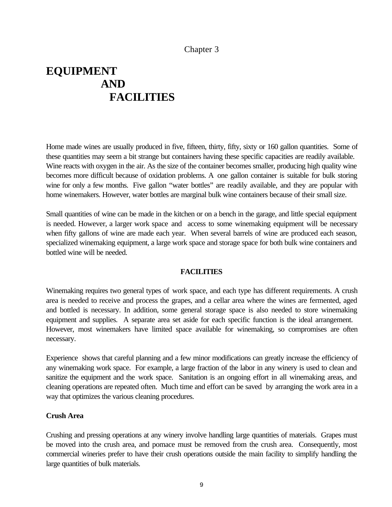# Chapter 3

# <span id="page-13-0"></span>**EQUIPMENT AND FACILITIES**

Home made wines are usually produced in five, fifteen, thirty, fifty, sixty or 160 gallon quantities. Some of these quantities may seem a bit strange but containers having these specific capacities are readily available. Wine reacts with oxygen in the air. As the size of the container becomes smaller, producing high quality wine becomes more difficult because of oxidation problems. A one gallon container is suitable for bulk storing wine for only a few months. Five gallon "water bottles" are readily available, and they are popular with home winemakers. However, water bottles are marginal bulk wine containers because of their small size.

Small quantities of wine can be made in the kitchen or on a bench in the garage, and little special equipment is needed. However, a larger work space and access to some winemaking equipment will be necessary when fifty gallons of wine are made each year. When several barrels of wine are produced each season, specialized winemaking equipment, a large work space and storage space for both bulk wine containers and bottled wine will be needed.

# **FACILITIES**

Winemaking requires two general types of work space, and each type has different requirements. A crush area is needed to receive and process the grapes, and a cellar area where the wines are fermented, aged and bottled is necessary. In addition, some general storage space is also needed to store winemaking equipment and supplies. A separate area set aside for each specific function is the ideal arrangement. However, most winemakers have limited space available for winemaking, so compromises are often necessary.

Experience shows that careful planning and a few minor modifications can greatly increase the efficiency of any winemaking work space. For example, a large fraction of the labor in any winery is used to clean and sanitize the equipment and the work space. Sanitation is an ongoing effort in all winemaking areas, and cleaning operations are repeated often. Much time and effort can be saved by arranging the work area in a way that optimizes the various cleaning procedures.

#### **Crush Area**

Crushing and pressing operations at any winery involve handling large quantities of materials. Grapes must be moved into the crush area, and pomace must be removed from the crush area. Consequently, most commercial wineries prefer to have their crush operations outside the main facility to simplify handling the large quantities of bulk materials.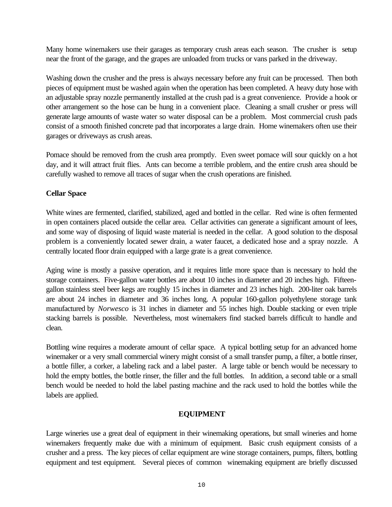Many home winemakers use their garages as temporary crush areas each season. The crusher is setup near the front of the garage, and the grapes are unloaded from trucks or vans parked in the driveway.

Washing down the crusher and the press is always necessary before any fruit can be processed. Then both pieces of equipment must be washed again when the operation has been completed. A heavy duty hose with an adjustable spray nozzle permanently installed at the crush pad is a great convenience. Provide a hook or other arrangement so the hose can be hung in a convenient place. Cleaning a small crusher or press will generate large amounts of waste water so water disposal can be a problem. Most commercial crush pads consist of a smooth finished concrete pad that incorporates a large drain. Home winemakers often use their garages or driveways as crush areas.

Pomace should be removed from the crush area promptly. Even sweet pomace will sour quickly on a hot day, and it will attract fruit flies. Ants can become a terrible problem, and the entire crush area should be carefully washed to remove all traces of sugar when the crush operations are finished.

# **Cellar Space**

White wines are fermented, clarified, stabilized, aged and bottled in the cellar. Red wine is often fermented in open containers placed outside the cellar area. Cellar activities can generate a significant amount of lees, and some way of disposing of liquid waste material is needed in the cellar. A good solution to the disposal problem is a conveniently located sewer drain, a water faucet, a dedicated hose and a spray nozzle. A centrally located floor drain equipped with a large grate is a great convenience.

Aging wine is mostly a passive operation, and it requires little more space than is necessary to hold the storage containers. Five-gallon water bottles are about 10 inches in diameter and 20 inches high. Fifteengallon stainless steel beer kegs are roughly 15 inches in diameter and 23 inches high. 200-liter oak barrels are about 24 inches in diameter and 36 inches long. A popular 160-gallon polyethylene storage tank manufactured by *Norwesco* is 31 inches in diameter and 55 inches high. Double stacking or even triple stacking barrels is possible. Nevertheless, most winemakers find stacked barrels difficult to handle and clean.

Bottling wine requires a moderate amount of cellar space. A typical bottling setup for an advanced home winemaker or a very small commercial winery might consist of a small transfer pump, a filter, a bottle rinser, a bottle filler, a corker, a labeling rack and a label paster. A large table or bench would be necessary to hold the empty bottles, the bottle rinser, the filler and the full bottles. In addition, a second table or a small bench would be needed to hold the label pasting machine and the rack used to hold the bottles while the labels are applied.

# **EQUIPMENT**

Large wineries use a great deal of equipment in their winemaking operations, but small wineries and home winemakers frequently make due with a minimum of equipment. Basic crush equipment consists of a crusher and a press. The key pieces of cellar equipment are wine storage containers, pumps, filters, bottling equipment and test equipment. Several pieces of common winemaking equipment are briefly discussed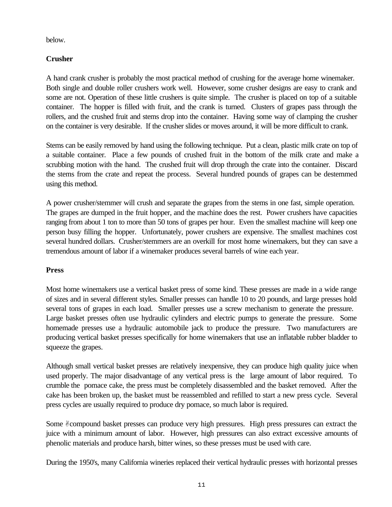below.

# **Crusher**

A hand crank crusher is probably the most practical method of crushing for the average home winemaker. Both single and double roller crushers work well. However, some crusher designs are easy to crank and some are not. Operation of these little crushers is quite simple. The crusher is placed on top of a suitable container. The hopper is filled with fruit, and the crank is turned. Clusters of grapes pass through the rollers, and the crushed fruit and stems drop into the container. Having some way of clamping the crusher on the container is very desirable. If the crusher slides or moves around, it will be more difficult to crank.

Stems can be easily removed by hand using the following technique. Put a clean, plastic milk crate on top of a suitable container. Place a few pounds of crushed fruit in the bottom of the milk crate and make a scrubbing motion with the hand. The crushed fruit will drop through the crate into the container. Discard the stems from the crate and repeat the process. Several hundred pounds of grapes can be destemmed using this method.

A power crusher/stemmer will crush and separate the grapes from the stems in one fast, simple operation. The grapes are dumped in the fruit hopper, and the machine does the rest. Power crushers have capacities ranging from about 1 ton to more than 50 tons of grapes per hour. Even the smallest machine will keep one person busy filling the hopper. Unfortunately, power crushers are expensive. The smallest machines cost several hundred dollars. Crusher/stemmers are an overkill for most home winemakers, but they can save a tremendous amount of labor if a winemaker produces several barrels of wine each year.

# **Press**

Most home winemakers use a vertical basket press of some kind. These presses are made in a wide range of sizes and in several different styles. Smaller presses can handle 10 to 20 pounds, and large presses hold several tons of grapes in each load. Smaller presses use a screw mechanism to generate the pressure. Large basket presses often use hydraulic cylinders and electric pumps to generate the pressure. Some homemade presses use a hydraulic automobile jack to produce the pressure. Two manufacturers are producing vertical basket presses specifically for home winemakers that use an inflatable rubber bladder to squeeze the grapes.

Although small vertical basket presses are relatively inexpensive, they can produce high quality juice when used properly. The major disadvantage of any vertical press is the large amount of labor required. To crumble the pomace cake, the press must be completely disassembled and the basket removed. After the cake has been broken up, the basket must be reassembled and refilled to start a new press cycle. Several press cycles are usually required to produce dry pomace, so much labor is required.

Some Compound basket presses can produce very high pressures. High pressures can extract the juice with a minimum amount of labor. However, high pressures can also extract excessive amounts of phenolic materials and produce harsh, bitter wines, so these presses must be used with care.

During the 1950's, many California wineries replaced their vertical hydraulic presses with horizontal presses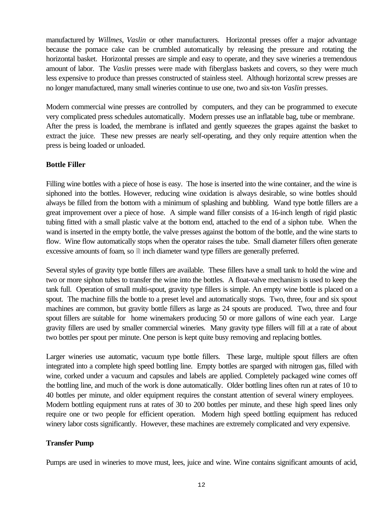manufactured by *Willmes*, *Vaslin* or other manufacturers. Horizontal presses offer a major advantage because the pomace cake can be crumbled automatically by releasing the pressure and rotating the horizontal basket. Horizontal presses are simple and easy to operate, and they save wineries a tremendous amount of labor. The *Vaslin* presses were made with fiberglass baskets and covers, so they were much less expensive to produce than presses constructed of stainless steel. Although horizontal screw presses are no longer manufactured, many small wineries continue to use one, two and six-ton *Vaslin* presses.

Modern commercial wine presses are controlled by computers, and they can be programmed to execute very complicated press schedules automatically. Modern presses use an inflatable bag, tube or membrane. After the press is loaded, the membrane is inflated and gently squeezes the grapes against the basket to extract the juice. These new presses are nearly self-operating, and they only require attention when the press is being loaded or unloaded.

# **Bottle Filler**

Filling wine bottles with a piece of hose is easy. The hose is inserted into the wine container, and the wine is siphoned into the bottles. However, reducing wine oxidation is always desirable, so wine bottles should always be filled from the bottom with a minimum of splashing and bubbling. Wand type bottle fillers are a great improvement over a piece of hose. A simple wand filler consists of a 16-inch length of rigid plastic tubing fitted with a small plastic valve at the bottom end, attached to the end of a siphon tube. When the wand is inserted in the empty bottle, the valve presses against the bottom of the bottle, and the wine starts to flow. Wine flow automatically stops when the operator raises the tube. Small diameter fillers often generate excessive amounts of foam, so  $\mathbb{B}$  inch diameter wand type fillers are generally preferred.

Several styles of gravity type bottle fillers are available. These fillers have a small tank to hold the wine and two or more siphon tubes to transfer the wine into the bottles. A float-valve mechanism is used to keep the tank full. Operation of small multi-spout, gravity type fillers is simple. An empty wine bottle is placed on a spout. The machine fills the bottle to a preset level and automatically stops. Two, three, four and six spout machines are common, but gravity bottle fillers as large as 24 spouts are produced. Two, three and four spout fillers are suitable for home winemakers producing 50 or more gallons of wine each year. Large gravity fillers are used by smaller commercial wineries. Many gravity type fillers will fill at a rate of about two bottles per spout per minute. One person is kept quite busy removing and replacing bottles.

Larger wineries use automatic, vacuum type bottle fillers. These large, multiple spout fillers are often integrated into a complete high speed bottling line. Empty bottles are sparged with nitrogen gas, filled with wine, corked under a vacuum and capsules and labels are applied. Completely packaged wine comes off the bottling line, and much of the work is done automatically. Older bottling lines often run at rates of 10 to 40 bottles per minute, and older equipment requires the constant attention of several winery employees. Modern bottling equipment runs at rates of 30 to 200 bottles per minute, and these high speed lines only require one or two people for efficient operation. Modern high speed bottling equipment has reduced winery labor costs significantly. However, these machines are extremely complicated and very expensive.

# **Transfer Pump**

Pumps are used in wineries to move must, lees, juice and wine. Wine contains significant amounts of acid,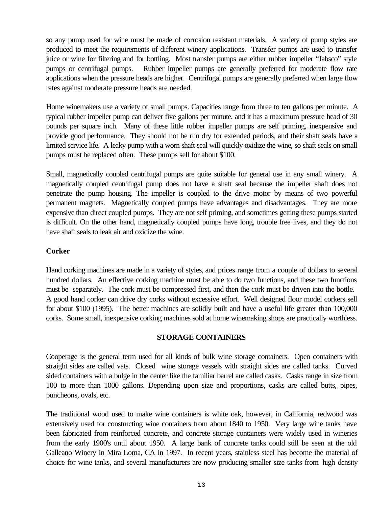so any pump used for wine must be made of corrosion resistant materials. A variety of pump styles are produced to meet the requirements of different winery applications. Transfer pumps are used to transfer juice or wine for filtering and for bottling. Most transfer pumps are either rubber impeller "Jabsco" style pumps or centrifugal pumps. Rubber impeller pumps are generally preferred for moderate flow rate applications when the pressure heads are higher. Centrifugal pumps are generally preferred when large flow rates against moderate pressure heads are needed.

Home winemakers use a variety of small pumps. Capacities range from three to ten gallons per minute. A typical rubber impeller pump can deliver five gallons per minute, and it has a maximum pressure head of 30 pounds per square inch. Many of these little rubber impeller pumps are self priming, inexpensive and provide good performance. They should not be run dry for extended periods, and their shaft seals have a limited service life. A leaky pump with a worn shaft seal will quickly oxidize the wine, so shaft seals on small pumps must be replaced often. These pumps sell for about \$100.

Small, magnetically coupled centrifugal pumps are quite suitable for general use in any small winery. A magnetically coupled centrifugal pump does not have a shaft seal because the impeller shaft does not penetrate the pump housing. The impeller is coupled to the drive motor by means of two powerful permanent magnets. Magnetically coupled pumps have advantages and disadvantages. They are more expensive than direct coupled pumps. They are not self priming, and sometimes getting these pumps started is difficult. On the other hand, magnetically coupled pumps have long, trouble free lives, and they do not have shaft seals to leak air and oxidize the wine.

# **Corker**

Hand corking machines are made in a variety of styles, and prices range from a couple of dollars to several hundred dollars. An effective corking machine must be able to do two functions, and these two functions must be separately. The cork must be compressed first, and then the cork must be driven into the bottle. A good hand corker can drive dry corks without excessive effort. Well designed floor model corkers sell for about \$100 (1995). The better machines are solidly built and have a useful life greater than 100,000 corks. Some small, inexpensive corking machines sold at home winemaking shops are practically worthless.

# **STORAGE CONTAINERS**

Cooperage is the general term used for all kinds of bulk wine storage containers. Open containers with straight sides are called vats. Closed wine storage vessels with straight sides are called tanks. Curved sided containers with a bulge in the center like the familiar barrel are called casks. Casks range in size from 100 to more than 1000 gallons. Depending upon size and proportions, casks are called butts, pipes, puncheons, ovals, etc.

The traditional wood used to make wine containers is white oak, however, in California, redwood was extensively used for constructing wine containers from about 1840 to 1950. Very large wine tanks have been fabricated from reinforced concrete, and concrete storage containers were widely used in wineries from the early 1900's until about 1950. A large bank of concrete tanks could still be seen at the old Galleano Winery in Mira Loma, CA in 1997. In recent years, stainless steel has become the material of choice for wine tanks, and several manufacturers are now producing smaller size tanks from high density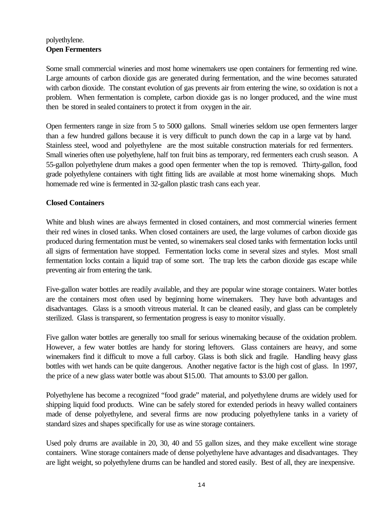# polyethylene. **Open Fermenters**

Some small commercial wineries and most home winemakers use open containers for fermenting red wine. Large amounts of carbon dioxide gas are generated during fermentation, and the wine becomes saturated with carbon dioxide. The constant evolution of gas prevents air from entering the wine, so oxidation is not a problem. When fermentation is complete, carbon dioxide gas is no longer produced, and the wine must then be stored in sealed containers to protect it from oxygen in the air.

Open fermenters range in size from 5 to 5000 gallons. Small wineries seldom use open fermenters larger than a few hundred gallons because it is very difficult to punch down the cap in a large vat by hand. Stainless steel, wood and polyethylene are the most suitable construction materials for red fermenters. Small wineries often use polyethylene, half ton fruit bins as temporary, red fermenters each crush season. A 55-gallon polyethylene drum makes a good open fermenter when the top is removed. Thirty-gallon, food grade polyethylene containers with tight fitting lids are available at most home winemaking shops. Much homemade red wine is fermented in 32-gallon plastic trash cans each year.

# **Closed Containers**

White and blush wines are always fermented in closed containers, and most commercial wineries ferment their red wines in closed tanks. When closed containers are used, the large volumes of carbon dioxide gas produced during fermentation must be vented, so winemakers seal closed tanks with fermentation locks until all signs of fermentation have stopped. Fermentation locks come in several sizes and styles. Most small fermentation locks contain a liquid trap of some sort. The trap lets the carbon dioxide gas escape while preventing air from entering the tank.

Five-gallon water bottles are readily available, and they are popular wine storage containers. Water bottles are the containers most often used by beginning home winemakers. They have both advantages and disadvantages. Glass is a smooth vitreous material. It can be cleaned easily, and glass can be completely sterilized. Glass is transparent, so fermentation progress is easy to monitor visually.

Five gallon water bottles are generally too small for serious winemaking because of the oxidation problem. However, a few water bottles are handy for storing leftovers. Glass containers are heavy, and some winemakers find it difficult to move a full carboy. Glass is both slick and fragile. Handling heavy glass bottles with wet hands can be quite dangerous. Another negative factor is the high cost of glass. In 1997, the price of a new glass water bottle was about \$15.00. That amounts to \$3.00 per gallon.

Polyethylene has become a recognized "food grade" material, and polyethylene drums are widely used for shipping liquid food products. Wine can be safely stored for extended periods in heavy walled containers made of dense polyethylene, and several firms are now producing polyethylene tanks in a variety of standard sizes and shapes specifically for use as wine storage containers.

Used poly drums are available in 20, 30, 40 and 55 gallon sizes, and they make excellent wine storage containers. Wine storage containers made of dense polyethylene have advantages and disadvantages. They are light weight, so polyethylene drums can be handled and stored easily. Best of all, they are inexpensive.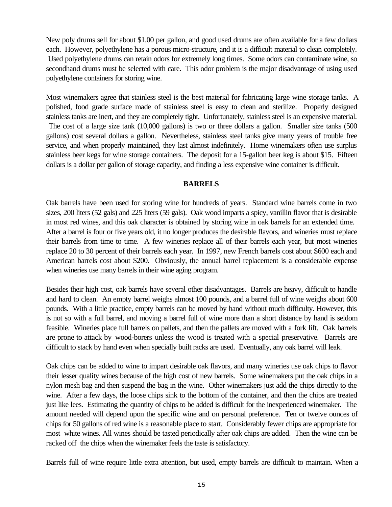New poly drums sell for about \$1.00 per gallon, and good used drums are often available for a few dollars each. However, polyethylene has a porous micro-structure, and it is a difficult material to clean completely. Used polyethylene drums can retain odors for extremely long times. Some odors can contaminate wine, so secondhand drums must be selected with care. This odor problem is the major disadvantage of using used polyethylene containers for storing wine.

Most winemakers agree that stainless steel is the best material for fabricating large wine storage tanks. A polished, food grade surface made of stainless steel is easy to clean and sterilize. Properly designed stainless tanks are inert, and they are completely tight. Unfortunately, stainless steel is an expensive material. The cost of a large size tank (10,000 gallons) is two or three dollars a gallon. Smaller size tanks (500 gallons) cost several dollars a gallon. Nevertheless, stainless steel tanks give many years of trouble free service, and when properly maintained, they last almost indefinitely. Home winemakers often use surplus stainless beer kegs for wine storage containers. The deposit for a 15-gallon beer keg is about \$15. Fifteen dollars is a dollar per gallon of storage capacity, and finding a less expensive wine container is difficult.

#### **BARRELS**

Oak barrels have been used for storing wine for hundreds of years. Standard wine barrels come in two sizes, 200 liters (52 gals) and 225 liters (59 gals). Oak wood imparts a spicy, vanillin flavor that is desirable in most red wines, and this oak character is obtained by storing wine in oak barrels for an extended time. After a barrel is four or five years old, it no longer produces the desirable flavors, and wineries must replace their barrels from time to time. A few wineries replace all of their barrels each year, but most wineries replace 20 to 30 percent of their barrels each year. In 1997, new French barrels cost about \$600 each and American barrels cost about \$200. Obviously, the annual barrel replacement is a considerable expense when wineries use many barrels in their wine aging program.

Besides their high cost, oak barrels have several other disadvantages. Barrels are heavy, difficult to handle and hard to clean. An empty barrel weighs almost 100 pounds, and a barrel full of wine weighs about 600 pounds. With a little practice, empty barrels can be moved by hand without much difficulty. However, this is not so with a full barrel, and moving a barrel full of wine more than a short distance by hand is seldom feasible. Wineries place full barrels on pallets, and then the pallets are moved with a fork lift. Oak barrels are prone to attack by wood-borers unless the wood is treated with a special preservative. Barrels are difficult to stack by hand even when specially built racks are used. Eventually, any oak barrel will leak.

Oak chips can be added to wine to impart desirable oak flavors, and many wineries use oak chips to flavor their lesser quality wines because of the high cost of new barrels. Some winemakers put the oak chips in a nylon mesh bag and then suspend the bag in the wine. Other winemakers just add the chips directly to the wine. After a few days, the loose chips sink to the bottom of the container, and then the chips are treated just like lees. Estimating the quantity of chips to be added is difficult for the inexperienced winemaker. The amount needed will depend upon the specific wine and on personal preference. Ten or twelve ounces of chips for 50 gallons of red wine is a reasonable place to start. Considerably fewer chips are appropriate for most white wines. All wines should be tasted periodically after oak chips are added. Then the wine can be racked off the chips when the winemaker feels the taste is satisfactory.

Barrels full of wine require little extra attention, but used, empty barrels are difficult to maintain. When a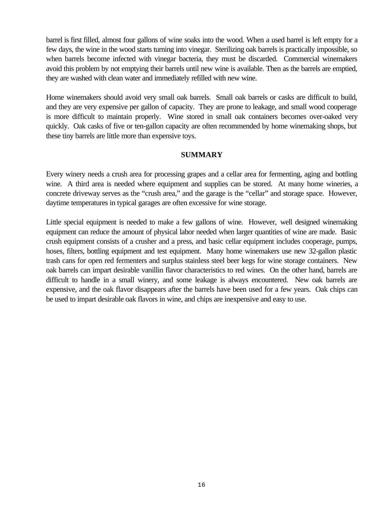barrel is first filled, almost four gallons of wine soaks into the wood. When a used barrel is left empty for a few days, the wine in the wood starts turning into vinegar. Sterilizing oak barrels is practically impossible, so when barrels become infected with vinegar bacteria, they must be discarded. Commercial winemakers avoid this problem by not emptying their barrels until new wine is available. Then as the barrels are emptied, they are washed with clean water and immediately refilled with new wine.

Home winemakers should avoid very small oak barrels. Small oak barrels or casks are difficult to build, and they are very expensive per gallon of capacity. They are prone to leakage, and small wood cooperage is more difficult to maintain properly. Wine stored in small oak containers becomes over-oaked very quickly. Oak casks of five or ten-gallon capacity are often recommended by home winemaking shops, but these tiny barrels are little more than expensive toys.

# **SUMMARY**

Every winery needs a crush area for processing grapes and a cellar area for fermenting, aging and bottling wine. A third area is needed where equipment and supplies can be stored. At many home wineries, a concrete driveway serves as the "crush area," and the garage is the "cellar" and storage space. However, daytime temperatures in typical garages are often excessive for wine storage.

Little special equipment is needed to make a few gallons of wine. However, well designed winemaking equipment can reduce the amount of physical labor needed when larger quantities of wine are made. Basic crush equipment consists of a crusher and a press, and basic cellar equipment includes cooperage, pumps, hoses, filters, bottling equipment and test equipment. Many home winemakers use new 32-gallon plastic trash cans for open red fermenters and surplus stainless steel beer kegs for wine storage containers. New oak barrels can impart desirable vanillin flavor characteristics to red wines. On the other hand, barrels are difficult to handle in a small winery, and some leakage is always encountered. New oak barrels are expensive, and the oak flavor disappears after the barrels have been used for a few years. Oak chips can be used to impart desirable oak flavors in wine, and chips are inexpensive and easy to use.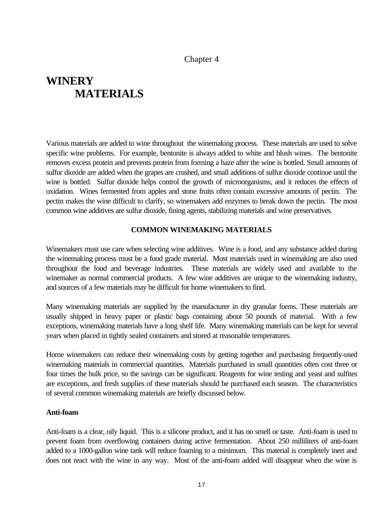# Chapter 4

# <span id="page-21-0"></span>**WINERY MATERIALS**

Various materials are added to wine throughout the winemaking process. These materials are used to solve specific wine problems. For example, bentonite is always added to white and blush wines. The bentonite removes excess protein and prevents protein from forming a haze after the wine is bottled. Small amounts of sulfur dioxide are added when the grapes are crushed, and small additions of sulfur dioxide continue until the wine is bottled. Sulfur dioxide helps control the growth of microorganisms, and it reduces the effects of oxidation. Wines fermented from apples and stone fruits often contain excessive amounts of pectin. The pectin makes the wine difficult to clarify, so winemakers add enzymes to break down the pectin. The most common wine additives are sulfur dioxide, fining agents, stabilizing materials and wine preservatives.

# **COMMON WINEMAKING MATERIALS**

Winemakers must use care when selecting wine additives. Wine is a food, and any substance added during the winemaking process must be a food grade material. Most materials used in winemaking are also used throughout the food and beverage industries. These materials are widely used and available to the winemaker as normal commercial products. A few wine additives are unique to the winemaking industry, and sources of a few materials may be difficult for home winemakers to find.

Many winemaking materials are supplied by the manufacturer in dry granular forms. These materials are usually shipped in heavy paper or plastic bags containing about 50 pounds of material. With a few exceptions, winemaking materials have a long shelf life. Many winemaking materials can be kept for several years when placed in tightly sealed containers and stored at reasonable temperatures.

Home winemakers can reduce their winemaking costs by getting together and purchasing frequently-used winemaking materials in commercial quantities. Materials purchased in small quantities often cost three or four times the bulk price, so the savings can be significant. Reagents for wine testing and yeast and sulfites are exceptions, and fresh supplies of these materials should be purchased each season. The characteristics of several common winemaking materials are briefly discussed below.

#### **Anti-foam**

Anti-foam is a clear, oily liquid. This is a silicone product, and it has no smell or taste. Anti-foam is used to prevent foam from overflowing containers during active fermentation. About 250 milliliters of anti-foam added to a 1000-gallon wine tank will reduce foaming to a minimum. This material is completely inert and does not react with the wine in any way. Most of the anti-foam added will disappear when the wine is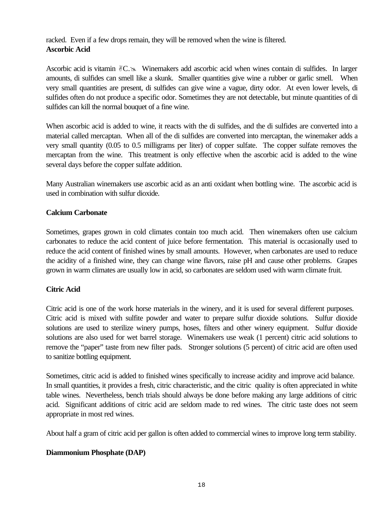racked. Even if a few drops remain, they will be removed when the wine is filtered. **Ascorbic Acid**

Ascorbic acid is vitamin  $\mathscr{C} \simeq$  Winemakers add ascorbic acid when wines contain di sulfides. In larger amounts, di sulfides can smell like a skunk. Smaller quantities give wine a rubber or garlic smell. When very small quantities are present, di sulfides can give wine a vague, dirty odor. At even lower levels, di sulfides often do not produce a specific odor. Sometimes they are not detectable, but minute quantities of di sulfides can kill the normal bouquet of a fine wine.

When ascorbic acid is added to wine, it reacts with the di sulfides, and the di sulfides are converted into a material called mercaptan. When all of the di sulfides are converted into mercaptan, the winemaker adds a very small quantity (0.05 to 0.5 milligrams per liter) of copper sulfate. The copper sulfate removes the mercaptan from the wine. This treatment is only effective when the ascorbic acid is added to the wine several days before the copper sulfate addition.

Many Australian winemakers use ascorbic acid as an anti oxidant when bottling wine. The ascorbic acid is used in combination with sulfur dioxide.

# **Calcium Carbonate**

Sometimes, grapes grown in cold climates contain too much acid. Then winemakers often use calcium carbonates to reduce the acid content of juice before fermentation. This material is occasionally used to reduce the acid content of finished wines by small amounts. However, when carbonates are used to reduce the acidity of a finished wine, they can change wine flavors, raise pH and cause other problems. Grapes grown in warm climates are usually low in acid, so carbonates are seldom used with warm climate fruit.

# **Citric Acid**

Citric acid is one of the work horse materials in the winery, and it is used for several different purposes. Citric acid is mixed with sulfite powder and water to prepare sulfur dioxide solutions. Sulfur dioxide solutions are used to sterilize winery pumps, hoses, filters and other winery equipment. Sulfur dioxide solutions are also used for wet barrel storage. Winemakers use weak (1 percent) citric acid solutions to remove the "paper" taste from new filter pads. Stronger solutions (5 percent) of citric acid are often used to sanitize bottling equipment.

Sometimes, citric acid is added to finished wines specifically to increase acidity and improve acid balance. In small quantities, it provides a fresh, citric characteristic, and the citric quality is often appreciated in white table wines. Nevertheless, bench trials should always be done before making any large additions of citric acid. Significant additions of citric acid are seldom made to red wines. The citric taste does not seem appropriate in most red wines.

About half a gram of citric acid per gallon is often added to commercial wines to improve long term stability.

# **Diammonium Phosphate (DAP)**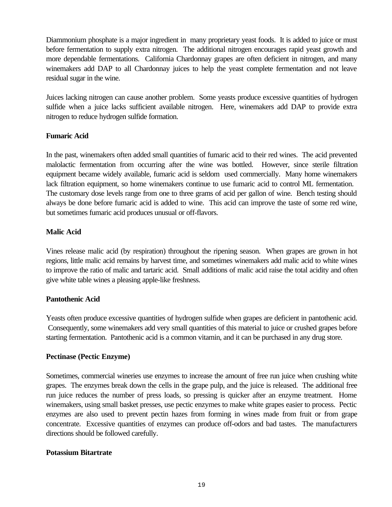Diammonium phosphate is a major ingredient in many proprietary yeast foods. It is added to juice or must before fermentation to supply extra nitrogen. The additional nitrogen encourages rapid yeast growth and more dependable fermentations. California Chardonnay grapes are often deficient in nitrogen, and many winemakers add DAP to all Chardonnay juices to help the yeast complete fermentation and not leave residual sugar in the wine.

Juices lacking nitrogen can cause another problem. Some yeasts produce excessive quantities of hydrogen sulfide when a juice lacks sufficient available nitrogen. Here, winemakers add DAP to provide extra nitrogen to reduce hydrogen sulfide formation.

# **Fumaric Acid**

In the past, winemakers often added small quantities of fumaric acid to their red wines. The acid prevented malolactic fermentation from occurring after the wine was bottled. However, since sterile filtration equipment became widely available, fumaric acid is seldom used commercially. Many home winemakers lack filtration equipment, so home winemakers continue to use fumaric acid to control ML fermentation. The customary dose levels range from one to three grams of acid per gallon of wine. Bench testing should always be done before fumaric acid is added to wine. This acid can improve the taste of some red wine, but sometimes fumaric acid produces unusual or off-flavors.

# **Malic Acid**

Vines release malic acid (by respiration) throughout the ripening season. When grapes are grown in hot regions, little malic acid remains by harvest time, and sometimes winemakers add malic acid to white wines to improve the ratio of malic and tartaric acid. Small additions of malic acid raise the total acidity and often give white table wines a pleasing apple-like freshness.

# **Pantothenic Acid**

Yeasts often produce excessive quantities of hydrogen sulfide when grapes are deficient in pantothenic acid. Consequently, some winemakers add very small quantities of this material to juice or crushed grapes before starting fermentation. Pantothenic acid is a common vitamin, and it can be purchased in any drug store.

# **Pectinase (Pectic Enzyme)**

Sometimes, commercial wineries use enzymes to increase the amount of free run juice when crushing white grapes. The enzymes break down the cells in the grape pulp, and the juice is released. The additional free run juice reduces the number of press loads, so pressing is quicker after an enzyme treatment. Home winemakers, using small basket presses, use pectic enzymes to make white grapes easier to process. Pectic enzymes are also used to prevent pectin hazes from forming in wines made from fruit or from grape concentrate. Excessive quantities of enzymes can produce off-odors and bad tastes. The manufacturers directions should be followed carefully.

# **Potassium Bitartrate**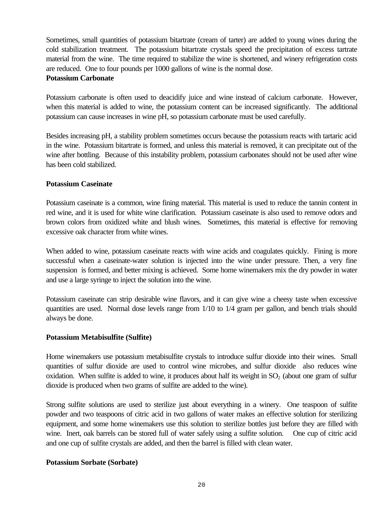Sometimes, small quantities of potassium bitartrate (cream of tarter) are added to young wines during the cold stabilization treatment. The potassium bitartrate crystals speed the precipitation of excess tartrate material from the wine. The time required to stabilize the wine is shortened, and winery refrigeration costs are reduced. One to four pounds per 1000 gallons of wine is the normal dose.

#### **Potassium Carbonate**

Potassium carbonate is often used to deacidify juice and wine instead of calcium carbonate. However, when this material is added to wine, the potassium content can be increased significantly. The additional potassium can cause increases in wine pH, so potassium carbonate must be used carefully.

Besides increasing pH, a stability problem sometimes occurs because the potassium reacts with tartaric acid in the wine. Potassium bitartrate is formed, and unless this material is removed, it can precipitate out of the wine after bottling. Because of this instability problem, potassium carbonates should not be used after wine has been cold stabilized.

# **Potassium Caseinate**

Potassium caseinate is a common, wine fining material. This material is used to reduce the tannin content in red wine, and it is used for white wine clarification. Potassium caseinate is also used to remove odors and brown colors from oxidized white and blush wines. Sometimes, this material is effective for removing excessive oak character from white wines.

When added to wine, potassium caseinate reacts with wine acids and coagulates quickly. Fining is more successful when a caseinate-water solution is injected into the wine under pressure. Then, a very fine suspension is formed, and better mixing is achieved. Some home winemakers mix the dry powder in water and use a large syringe to inject the solution into the wine.

Potassium caseinate can strip desirable wine flavors, and it can give wine a cheesy taste when excessive quantities are used. Normal dose levels range from 1/10 to 1/4 gram per gallon, and bench trials should always be done.

# **Potassium Metabisulfite (Sulfite)**

Home winemakers use potassium metabisulfite crystals to introduce sulfur dioxide into their wines. Small quantities of sulfur dioxide are used to control wine microbes, and sulfur dioxide also reduces wine oxidation. When sulfite is added to wine, it produces about half its weight in  $SO<sub>2</sub>$  (about one gram of sulfur dioxide is produced when two grams of sulfite are added to the wine).

Strong sulfite solutions are used to sterilize just about everything in a winery. One teaspoon of sulfite powder and two teaspoons of citric acid in two gallons of water makes an effective solution for sterilizing equipment, and some home winemakers use this solution to sterilize bottles just before they are filled with wine. Inert, oak barrels can be stored full of water safely using a sulfite solution. One cup of citric acid and one cup of sulfite crystals are added, and then the barrel is filled with clean water.

# **Potassium Sorbate (Sorbate)**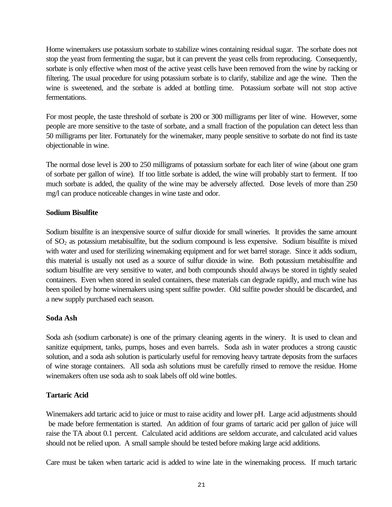Home winemakers use potassium sorbate to stabilize wines containing residual sugar. The sorbate does not stop the yeast from fermenting the sugar, but it can prevent the yeast cells from reproducing. Consequently, sorbate is only effective when most of the active yeast cells have been removed from the wine by racking or filtering. The usual procedure for using potassium sorbate is to clarify, stabilize and age the wine. Then the wine is sweetened, and the sorbate is added at bottling time. Potassium sorbate will not stop active fermentations.

For most people, the taste threshold of sorbate is 200 or 300 milligrams per liter of wine. However, some people are more sensitive to the taste of sorbate, and a small fraction of the population can detect less than 50 milligrams per liter. Fortunately for the winemaker, many people sensitive to sorbate do not find its taste objectionable in wine.

The normal dose level is 200 to 250 milligrams of potassium sorbate for each liter of wine (about one gram of sorbate per gallon of wine). If too little sorbate is added, the wine will probably start to ferment. If too much sorbate is added, the quality of the wine may be adversely affected. Dose levels of more than 250 mg/l can produce noticeable changes in wine taste and odor.

# **Sodium Bisulfite**

Sodium bisulfite is an inexpensive source of sulfur dioxide for small wineries. It provides the same amount of SO2 as potassium metabisulfite, but the sodium compound is less expensive. Sodium bisulfite is mixed with water and used for sterilizing winemaking equipment and for wet barrel storage. Since it adds sodium, this material is usually not used as a source of sulfur dioxide in wine. Both potassium metabisulfite and sodium bisulfite are very sensitive to water, and both compounds should always be stored in tightly sealed containers. Even when stored in sealed containers, these materials can degrade rapidly, and much wine has been spoiled by home winemakers using spent sulfite powder. Old sulfite powder should be discarded, and a new supply purchased each season.

# **Soda Ash**

Soda ash (sodium carbonate) is one of the primary cleaning agents in the winery. It is used to clean and sanitize equipment, tanks, pumps, hoses and even barrels. Soda ash in water produces a strong caustic solution, and a soda ash solution is particularly useful for removing heavy tartrate deposits from the surfaces of wine storage containers. All soda ash solutions must be carefully rinsed to remove the residue. Home winemakers often use soda ash to soak labels off old wine bottles.

# **Tartaric Acid**

Winemakers add tartaric acid to juice or must to raise acidity and lower pH. Large acid adjustments should be made before fermentation is started. An addition of four grams of tartaric acid per gallon of juice will raise the TA about 0.1 percent. Calculated acid additions are seldom accurate, and calculated acid values should not be relied upon. A small sample should be tested before making large acid additions.

Care must be taken when tartaric acid is added to wine late in the winemaking process. If much tartaric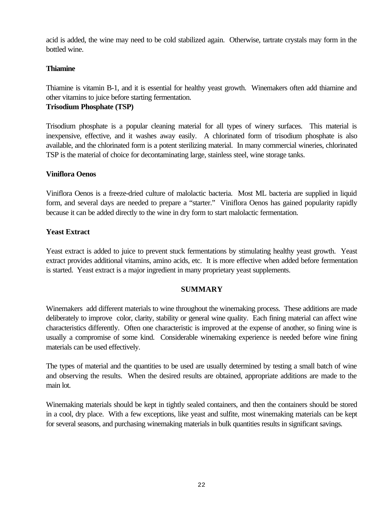acid is added, the wine may need to be cold stabilized again. Otherwise, tartrate crystals may form in the bottled wine.

# **Thiamine**

Thiamine is vitamin B-1, and it is essential for healthy yeast growth. Winemakers often add thiamine and other vitamins to juice before starting fermentation.

# **Trisodium Phosphate (TSP)**

Trisodium phosphate is a popular cleaning material for all types of winery surfaces. This material is inexpensive, effective, and it washes away easily. A chlorinated form of trisodium phosphate is also available, and the chlorinated form is a potent sterilizing material. In many commercial wineries, chlorinated TSP is the material of choice for decontaminating large, stainless steel, wine storage tanks.

# **Viniflora Oenos**

Viniflora Oenos is a freeze-dried culture of malolactic bacteria. Most ML bacteria are supplied in liquid form, and several days are needed to prepare a "starter." Viniflora Oenos has gained popularity rapidly because it can be added directly to the wine in dry form to start malolactic fermentation.

# **Yeast Extract**

Yeast extract is added to juice to prevent stuck fermentations by stimulating healthy yeast growth. Yeast extract provides additional vitamins, amino acids, etc. It is more effective when added before fermentation is started. Yeast extract is a major ingredient in many proprietary yeast supplements.

# **SUMMARY**

Winemakers add different materials to wine throughout the winemaking process. These additions are made deliberately to improve color, clarity, stability or general wine quality. Each fining material can affect wine characteristics differently. Often one characteristic is improved at the expense of another, so fining wine is usually a compromise of some kind. Considerable winemaking experience is needed before wine fining materials can be used effectively.

The types of material and the quantities to be used are usually determined by testing a small batch of wine and observing the results. When the desired results are obtained, appropriate additions are made to the main lot.

Winemaking materials should be kept in tightly sealed containers, and then the containers should be stored in a cool, dry place. With a few exceptions, like yeast and sulfite, most winemaking materials can be kept for several seasons, and purchasing winemaking materials in bulk quantities results in significant savings.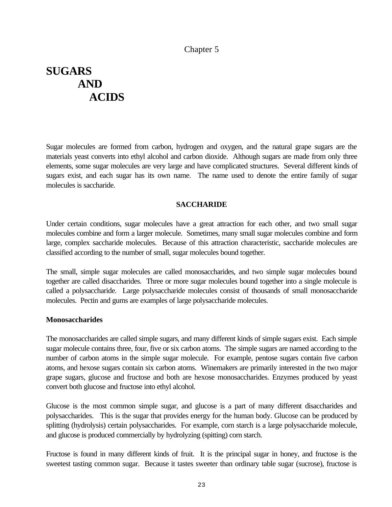# Chapter 5

# <span id="page-27-0"></span>**SUGARS AND ACIDS**

Sugar molecules are formed from carbon, hydrogen and oxygen, and the natural grape sugars are the materials yeast converts into ethyl alcohol and carbon dioxide. Although sugars are made from only three elements, some sugar molecules are very large and have complicated structures. Several different kinds of sugars exist, and each sugar has its own name. The name used to denote the entire family of sugar molecules is saccharide.

#### **SACCHARIDE**

Under certain conditions, sugar molecules have a great attraction for each other, and two small sugar molecules combine and form a larger molecule. Sometimes, many small sugar molecules combine and form large, complex saccharide molecules. Because of this attraction characteristic, saccharide molecules are classified according to the number of small, sugar molecules bound together.

The small, simple sugar molecules are called monosaccharides, and two simple sugar molecules bound together are called disaccharides. Three or more sugar molecules bound together into a single molecule is called a polysaccharide. Large polysaccharide molecules consist of thousands of small monosaccharide molecules. Pectin and gums are examples of large polysaccharide molecules.

#### **Monosaccharides**

The monosaccharides are called simple sugars, and many different kinds of simple sugars exist. Each simple sugar molecule contains three, four, five or six carbon atoms. The simple sugars are named according to the number of carbon atoms in the simple sugar molecule. For example, pentose sugars contain five carbon atoms, and hexose sugars contain six carbon atoms. Winemakers are primarily interested in the two major grape sugars, glucose and fructose and both are hexose monosaccharides. Enzymes produced by yeast convert both glucose and fructose into ethyl alcohol.

Glucose is the most common simple sugar, and glucose is a part of many different disaccharides and polysaccharides. This is the sugar that provides energy for the human body. Glucose can be produced by splitting (hydrolysis) certain polysaccharides. For example, corn starch is a large polysaccharide molecule, and glucose is produced commercially by hydrolyzing (spitting) corn starch.

Fructose is found in many different kinds of fruit. It is the principal sugar in honey, and fructose is the sweetest tasting common sugar. Because it tastes sweeter than ordinary table sugar (sucrose), fructose is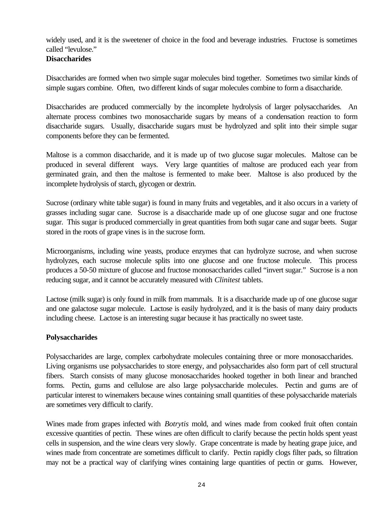widely used, and it is the sweetener of choice in the food and beverage industries. Fructose is sometimes called "levulose."

# **Disaccharides**

Disaccharides are formed when two simple sugar molecules bind together. Sometimes two similar kinds of simple sugars combine. Often, two different kinds of sugar molecules combine to form a disaccharide.

Disaccharides are produced commercially by the incomplete hydrolysis of larger polysaccharides. An alternate process combines two monosaccharide sugars by means of a condensation reaction to form disaccharide sugars. Usually, disaccharide sugars must be hydrolyzed and split into their simple sugar components before they can be fermented.

Maltose is a common disaccharide, and it is made up of two glucose sugar molecules. Maltose can be produced in several different ways. Very large quantities of maltose are produced each year from germinated grain, and then the maltose is fermented to make beer. Maltose is also produced by the incomplete hydrolysis of starch, glycogen or dextrin.

Sucrose (ordinary white table sugar) is found in many fruits and vegetables, and it also occurs in a variety of grasses including sugar cane. Sucrose is a disaccharide made up of one glucose sugar and one fructose sugar. This sugar is produced commercially in great quantities from both sugar cane and sugar beets. Sugar stored in the roots of grape vines is in the sucrose form.

Microorganisms, including wine yeasts, produce enzymes that can hydrolyze sucrose, and when sucrose hydrolyzes, each sucrose molecule splits into one glucose and one fructose molecule. This process produces a 50-50 mixture of glucose and fructose monosaccharides called "invert sugar." Sucrose is a non reducing sugar, and it cannot be accurately measured with *Clinitest* tablets.

Lactose (milk sugar) is only found in milk from mammals. It is a disaccharide made up of one glucose sugar and one galactose sugar molecule. Lactose is easily hydrolyzed, and it is the basis of many dairy products including cheese. Lactose is an interesting sugar because it has practically no sweet taste.

# **Polysaccharides**

Polysaccharides are large, complex carbohydrate molecules containing three or more monosaccharides. Living organisms use polysaccharides to store energy, and polysaccharides also form part of cell structural fibers. Starch consists of many glucose monosaccharides hooked together in both linear and branched forms. Pectin, gums and cellulose are also large polysaccharide molecules. Pectin and gums are of particular interest to winemakers because wines containing small quantities of these polysaccharide materials are sometimes very difficult to clarify.

Wines made from grapes infected with *Botrytis* mold, and wines made from cooked fruit often contain excessive quantities of pectin. These wines are often difficult to clarify because the pectin holds spent yeast cells in suspension, and the wine clears very slowly. Grape concentrate is made by heating grape juice, and wines made from concentrate are sometimes difficult to clarify. Pectin rapidly clogs filter pads, so filtration may not be a practical way of clarifying wines containing large quantities of pectin or gums. However,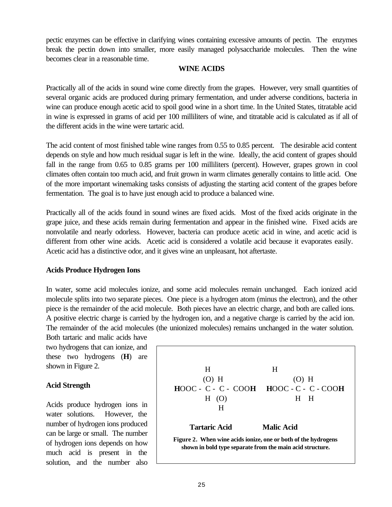pectic enzymes can be effective in clarifying wines containing excessive amounts of pectin. The enzymes break the pectin down into smaller, more easily managed polysaccharide molecules. Then the wine becomes clear in a reasonable time.

#### **WINE ACIDS**

Practically all of the acids in sound wine come directly from the grapes. However, very small quantities of several organic acids are produced during primary fermentation, and under adverse conditions, bacteria in wine can produce enough acetic acid to spoil good wine in a short time. In the United States, titratable acid in wine is expressed in grams of acid per 100 milliliters of wine, and titratable acid is calculated as if all of the different acids in the wine were tartaric acid.

The acid content of most finished table wine ranges from 0.55 to 0.85 percent. The desirable acid content depends on style and how much residual sugar is left in the wine. Ideally, the acid content of grapes should fall in the range from 0.65 to 0.85 grams per 100 milliliters (percent). However, grapes grown in cool climates often contain too much acid, and fruit grown in warm climates generally contains to little acid. One of the more important winemaking tasks consists of adjusting the starting acid content of the grapes before fermentation. The goal is to have just enough acid to produce a balanced wine.

Practically all of the acids found in sound wines are fixed acids. Most of the fixed acids originate in the grape juice, and these acids remain during fermentation and appear in the finished wine. Fixed acids are nonvolatile and nearly odorless. However, bacteria can produce acetic acid in wine, and acetic acid is different from other wine acids. Acetic acid is considered a volatile acid because it evaporates easily. Acetic acid has a distinctive odor, and it gives wine an unpleasant, hot aftertaste.

# **Acids Produce Hydrogen Ions**

In water, some acid molecules ionize, and some acid molecules remain unchanged. Each ionized acid molecule splits into two separate pieces. One piece is a hydrogen atom (minus the electron), and the other piece is the remainder of the acid molecule. Both pieces have an electric charge, and both are called ions. A positive electric charge is carried by the hydrogen ion, and a negative charge is carried by the acid ion. The remainder of the acid molecules (the unionized molecules) remains unchanged in the water solution.

Both tartaric and malic acids have two hydrogens that can ionize, and these two hydrogens (**H**) are shown in Figure 2.

# **Acid Strength**

Acids produce hydrogen ions in water solutions. However, the number of hydrogen ions produced can be large or small. The number of hydrogen ions depends on how much acid is present in the solution, and the number also

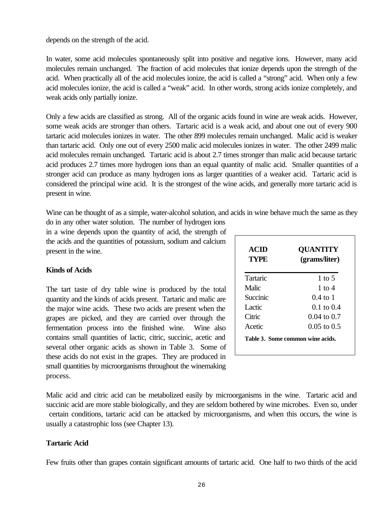depends on the strength of the acid.

In water, some acid molecules spontaneously split into positive and negative ions. However, many acid molecules remain unchanged. The fraction of acid molecules that ionize depends upon the strength of the acid. When practically all of the acid molecules ionize, the acid is called a "strong" acid. When only a few acid molecules ionize, the acid is called a "weak" acid. In other words, strong acids ionize completely, and weak acids only partially ionize.

Only a few acids are classified as strong. All of the organic acids found in wine are weak acids. However, some weak acids are stronger than others. Tartaric acid is a weak acid, and about one out of every 900 tartaric acid molecules ionizes in water. The other 899 molecules remain unchanged. Malic acid is weaker than tartaric acid. Only one out of every 2500 malic acid molecules ionizes in water. The other 2499 malic acid molecules remain unchanged. Tartaric acid is about 2.7 times stronger than malic acid because tartaric acid produces 2.7 times more hydrogen ions than an equal quantity of malic acid. Smaller quantities of a stronger acid can produce as many hydrogen ions as larger quantities of a weaker acid. Tartaric acid is considered the principal wine acid. It is the strongest of the wine acids, and generally more tartaric acid is present in wine.

Wine can be thought of as a simple, water-alcohol solution, and acids in wine behave much the same as they

do in any other water solution. The number of hydrogen ions in a wine depends upon the quantity of acid, the strength of the acids and the quantities of potassium, sodium and calcium present in the wine.

# **Kinds of Acids**

The tart taste of dry table wine is produced by the total quantity and the kinds of acids present. Tartaric and malic are the major wine acids. These two acids are present when the grapes are picked, and they are carried over through the fermentation process into the finished wine. Wine also contains small quantities of lactic, citric, succinic, acetic and several other organic acids as shown in Table 3. Some of these acids do not exist in the grapes. They are produced in small quantities by microorganisms throughout the winemaking process.

| ACID<br><b>TYPE</b> | <b>QUANTITY</b><br>(grams/liter) |
|---------------------|----------------------------------|
| Tartaric            | 1 to 5                           |
| Malic               | 1 to $4$                         |
| Succinic            | $0.4$ to 1                       |
| Lactic              | $0.1$ to $0.4$                   |
| Citric              | $0.04$ to $0.7$                  |
| Acetic              | $0.05$ to $0.5$                  |

Malic acid and citric acid can be metabolized easily by microorganisms in the wine. Tartaric acid and succinic acid are more stable biologically, and they are seldom bothered by wine microbes. Even so, under certain conditions, tartaric acid can be attacked by microorganisms, and when this occurs, the wine is usually a catastrophic loss (see Chapter 13).

# **Tartaric Acid**

Few fruits other than grapes contain significant amounts of tartaric acid. One half to two thirds of the acid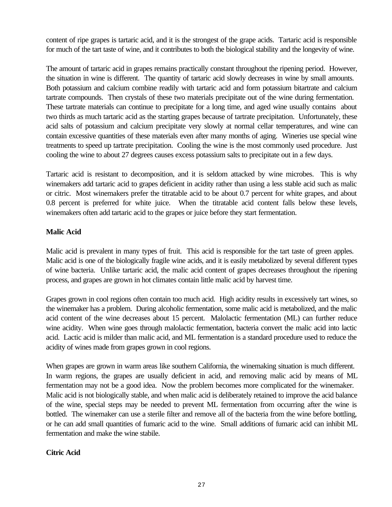content of ripe grapes is tartaric acid, and it is the strongest of the grape acids. Tartaric acid is responsible for much of the tart taste of wine, and it contributes to both the biological stability and the longevity of wine.

The amount of tartaric acid in grapes remains practically constant throughout the ripening period. However, the situation in wine is different. The quantity of tartaric acid slowly decreases in wine by small amounts. Both potassium and calcium combine readily with tartaric acid and form potassium bitartrate and calcium tartrate compounds. Then crystals of these two materials precipitate out of the wine during fermentation. These tartrate materials can continue to precipitate for a long time, and aged wine usually contains about two thirds as much tartaric acid as the starting grapes because of tartrate precipitation. Unfortunately, these acid salts of potassium and calcium precipitate very slowly at normal cellar temperatures, and wine can contain excessive quantities of these materials even after many months of aging. Wineries use special wine treatments to speed up tartrate precipitation. Cooling the wine is the most commonly used procedure. Just cooling the wine to about 27 degrees causes excess potassium salts to precipitate out in a few days.

Tartaric acid is resistant to decomposition, and it is seldom attacked by wine microbes. This is why winemakers add tartaric acid to grapes deficient in acidity rather than using a less stable acid such as malic or citric. Most winemakers prefer the titratable acid to be about 0.7 percent for white grapes, and about 0.8 percent is preferred for white juice. When the titratable acid content falls below these levels, winemakers often add tartaric acid to the grapes or juice before they start fermentation.

# **Malic Acid**

Malic acid is prevalent in many types of fruit. This acid is responsible for the tart taste of green apples. Malic acid is one of the biologically fragile wine acids, and it is easily metabolized by several different types of wine bacteria. Unlike tartaric acid, the malic acid content of grapes decreases throughout the ripening process, and grapes are grown in hot climates contain little malic acid by harvest time.

Grapes grown in cool regions often contain too much acid. High acidity results in excessively tart wines, so the winemaker has a problem. During alcoholic fermentation, some malic acid is metabolized, and the malic acid content of the wine decreases about 15 percent. Malolactic fermentation (ML) can further reduce wine acidity. When wine goes through malolactic fermentation, bacteria convert the malic acid into lactic acid. Lactic acid is milder than malic acid, and ML fermentation is a standard procedure used to reduce the acidity of wines made from grapes grown in cool regions.

When grapes are grown in warm areas like southern California, the winemaking situation is much different. In warm regions, the grapes are usually deficient in acid, and removing malic acid by means of ML fermentation may not be a good idea. Now the problem becomes more complicated for the winemaker. Malic acid is not biologically stable, and when malic acid is deliberately retained to improve the acid balance of the wine, special steps may be needed to prevent ML fermentation from occurring after the wine is bottled. The winemaker can use a sterile filter and remove all of the bacteria from the wine before bottling, or he can add small quantities of fumaric acid to the wine. Small additions of fumaric acid can inhibit ML fermentation and make the wine stabile.

# **Citric Acid**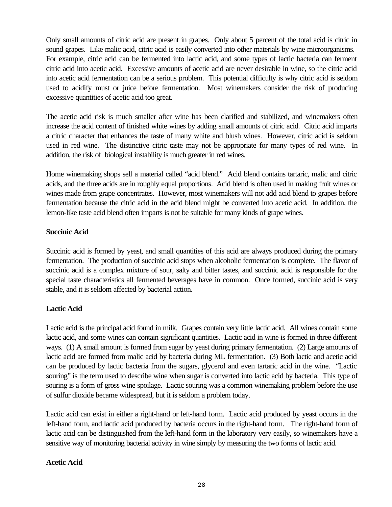Only small amounts of citric acid are present in grapes. Only about 5 percent of the total acid is citric in sound grapes. Like malic acid, citric acid is easily converted into other materials by wine microorganisms. For example, citric acid can be fermented into lactic acid, and some types of lactic bacteria can ferment citric acid into acetic acid. Excessive amounts of acetic acid are never desirable in wine, so the citric acid into acetic acid fermentation can be a serious problem. This potential difficulty is why citric acid is seldom used to acidify must or juice before fermentation. Most winemakers consider the risk of producing excessive quantities of acetic acid too great.

The acetic acid risk is much smaller after wine has been clarified and stabilized, and winemakers often increase the acid content of finished white wines by adding small amounts of citric acid. Citric acid imparts a citric character that enhances the taste of many white and blush wines. However, citric acid is seldom used in red wine. The distinctive citric taste may not be appropriate for many types of red wine. In addition, the risk of biological instability is much greater in red wines.

Home winemaking shops sell a material called "acid blend." Acid blend contains tartaric, malic and citric acids, and the three acids are in roughly equal proportions. Acid blend is often used in making fruit wines or wines made from grape concentrates. However, most winemakers will not add acid blend to grapes before fermentation because the citric acid in the acid blend might be converted into acetic acid. In addition, the lemon-like taste acid blend often imparts is not be suitable for many kinds of grape wines.

# **Succinic Acid**

Succinic acid is formed by yeast, and small quantities of this acid are always produced during the primary fermentation. The production of succinic acid stops when alcoholic fermentation is complete. The flavor of succinic acid is a complex mixture of sour, salty and bitter tastes, and succinic acid is responsible for the special taste characteristics all fermented beverages have in common. Once formed, succinic acid is very stable, and it is seldom affected by bacterial action.

# **Lactic Acid**

Lactic acid is the principal acid found in milk. Grapes contain very little lactic acid. All wines contain some lactic acid, and some wines can contain significant quantities. Lactic acid in wine is formed in three different ways. (1) A small amount is formed from sugar by yeast during primary fermentation. (2) Large amounts of lactic acid are formed from malic acid by bacteria during ML fermentation. (3) Both lactic and acetic acid can be produced by lactic bacteria from the sugars, glycerol and even tartaric acid in the wine. "Lactic souring" is the term used to describe wine when sugar is converted into lactic acid by bacteria. This type of souring is a form of gross wine spoilage. Lactic souring was a common winemaking problem before the use of sulfur dioxide became widespread, but it is seldom a problem today.

Lactic acid can exist in either a right-hand or left-hand form. Lactic acid produced by yeast occurs in the left-hand form, and lactic acid produced by bacteria occurs in the right-hand form. The right-hand form of lactic acid can be distinguished from the left-hand form in the laboratory very easily, so winemakers have a sensitive way of monitoring bacterial activity in wine simply by measuring the two forms of lactic acid.

# **Acetic Acid**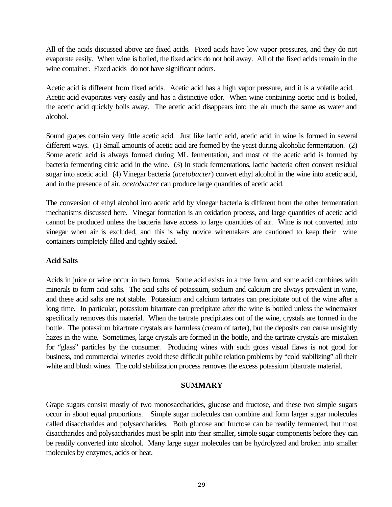All of the acids discussed above are fixed acids. Fixed acids have low vapor pressures, and they do not evaporate easily. When wine is boiled, the fixed acids do not boil away. All of the fixed acids remain in the wine container. Fixed acids do not have significant odors.

Acetic acid is different from fixed acids. Acetic acid has a high vapor pressure, and it is a volatile acid. Acetic acid evaporates very easily and has a distinctive odor. When wine containing acetic acid is boiled, the acetic acid quickly boils away. The acetic acid disappears into the air much the same as water and alcohol.

Sound grapes contain very little acetic acid. Just like lactic acid, acetic acid in wine is formed in several different ways. (1) Small amounts of acetic acid are formed by the yeast during alcoholic fermentation. (2) Some acetic acid is always formed during ML fermentation, and most of the acetic acid is formed by bacteria fermenting citric acid in the wine. (3) In stuck fermentations, lactic bacteria often convert residual sugar into acetic acid. (4) Vinegar bacteria (*acetobacter*) convert ethyl alcohol in the wine into acetic acid, and in the presence of air, *acetobacter* can produce large quantities of acetic acid.

The conversion of ethyl alcohol into acetic acid by vinegar bacteria is different from the other fermentation mechanisms discussed here. Vinegar formation is an oxidation process, and large quantities of acetic acid cannot be produced unless the bacteria have access to large quantities of air. Wine is not converted into vinegar when air is excluded, and this is why novice winemakers are cautioned to keep their wine containers completely filled and tightly sealed.

# **Acid Salts**

Acids in juice or wine occur in two forms. Some acid exists in a free form, and some acid combines with minerals to form acid salts. The acid salts of potassium, sodium and calcium are always prevalent in wine, and these acid salts are not stable. Potassium and calcium tartrates can precipitate out of the wine after a long time. In particular, potassium bitartrate can precipitate after the wine is bottled unless the winemaker specifically removes this material. When the tartrate precipitates out of the wine, crystals are formed in the bottle. The potassium bitartrate crystals are harmless (cream of tarter), but the deposits can cause unsightly hazes in the wine. Sometimes, large crystals are formed in the bottle, and the tartrate crystals are mistaken for "glass" particles by the consumer. Producing wines with such gross visual flaws is not good for business, and commercial wineries avoid these difficult public relation problems by "cold stabilizing" all their white and blush wines. The cold stabilization process removes the excess potassium bitartrate material.

# **SUMMARY**

Grape sugars consist mostly of two monosaccharides, glucose and fructose, and these two simple sugars occur in about equal proportions. Simple sugar molecules can combine and form larger sugar molecules called disaccharides and polysaccharides. Both glucose and fructose can be readily fermented, but most disaccharides and polysaccharides must be split into their smaller, simple sugar components before they can be readily converted into alcohol. Many large sugar molecules can be hydrolyzed and broken into smaller molecules by enzymes, acids or heat.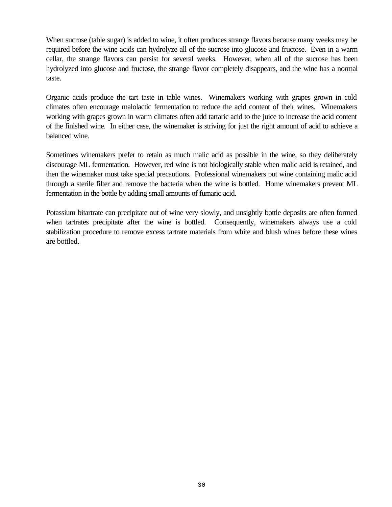When sucrose (table sugar) is added to wine, it often produces strange flavors because many weeks may be required before the wine acids can hydrolyze all of the sucrose into glucose and fructose. Even in a warm cellar, the strange flavors can persist for several weeks. However, when all of the sucrose has been hydrolyzed into glucose and fructose, the strange flavor completely disappears, and the wine has a normal taste.

Organic acids produce the tart taste in table wines. Winemakers working with grapes grown in cold climates often encourage malolactic fermentation to reduce the acid content of their wines. Winemakers working with grapes grown in warm climates often add tartaric acid to the juice to increase the acid content of the finished wine. In either case, the winemaker is striving for just the right amount of acid to achieve a balanced wine.

Sometimes winemakers prefer to retain as much malic acid as possible in the wine, so they deliberately discourage ML fermentation. However, red wine is not biologically stable when malic acid is retained, and then the winemaker must take special precautions. Professional winemakers put wine containing malic acid through a sterile filter and remove the bacteria when the wine is bottled. Home winemakers prevent ML fermentation in the bottle by adding small amounts of fumaric acid.

Potassium bitartrate can precipitate out of wine very slowly, and unsightly bottle deposits are often formed when tartrates precipitate after the wine is bottled. Consequently, winemakers always use a cold stabilization procedure to remove excess tartrate materials from white and blush wines before these wines are bottled.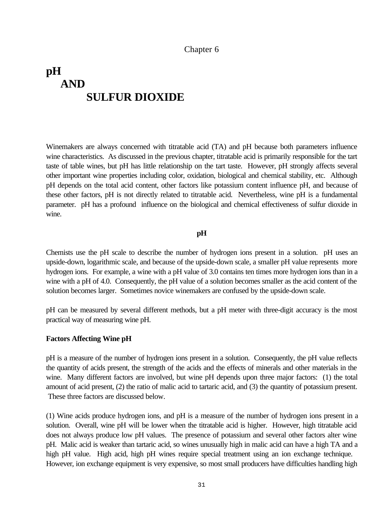# <span id="page-35-0"></span>**pH AND SULFUR DIOXIDE**

Winemakers are always concerned with titratable acid (TA) and pH because both parameters influence wine characteristics. As discussed in the previous chapter, titratable acid is primarily responsible for the tart taste of table wines, but pH has little relationship on the tart taste. However, pH strongly affects several other important wine properties including color, oxidation, biological and chemical stability, etc. Although pH depends on the total acid content, other factors like potassium content influence pH, and because of these other factors, pH is not directly related to titratable acid. Nevertheless, wine pH is a fundamental parameter. pH has a profound influence on the biological and chemical effectiveness of sulfur dioxide in wine.

#### **pH**

Chemists use the pH scale to describe the number of hydrogen ions present in a solution. pH uses an upside-down, logarithmic scale, and because of the upside-down scale, a smaller pH value represents more hydrogen ions. For example, a wine with a pH value of 3.0 contains ten times more hydrogen ions than in a wine with a pH of 4.0. Consequently, the pH value of a solution becomes smaller as the acid content of the solution becomes larger. Sometimes novice winemakers are confused by the upside-down scale.

pH can be measured by several different methods, but a pH meter with three-digit accuracy is the most practical way of measuring wine pH.

#### **Factors Affecting Wine pH**

pH is a measure of the number of hydrogen ions present in a solution. Consequently, the pH value reflects the quantity of acids present, the strength of the acids and the effects of minerals and other materials in the wine. Many different factors are involved, but wine pH depends upon three major factors: (1) the total amount of acid present, (2) the ratio of malic acid to tartaric acid, and (3) the quantity of potassium present. These three factors are discussed below.

(1) Wine acids produce hydrogen ions, and pH is a measure of the number of hydrogen ions present in a solution. Overall, wine pH will be lower when the titratable acid is higher. However, high titratable acid does not always produce low pH values. The presence of potassium and several other factors alter wine pH. Malic acid is weaker than tartaric acid, so wines unusually high in malic acid can have a high TA and a high pH value. High acid, high pH wines require special treatment using an ion exchange technique. However, ion exchange equipment is very expensive, so most small producers have difficulties handling high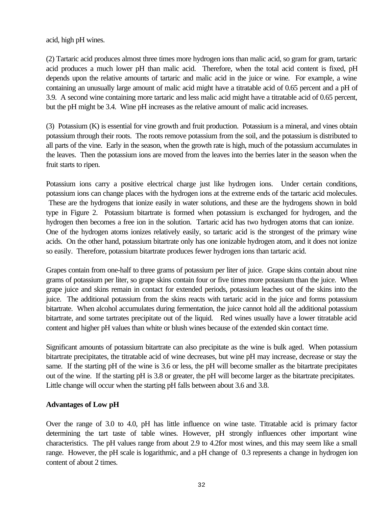acid, high pH wines.

(2) Tartaric acid produces almost three times more hydrogen ions than malic acid, so gram for gram, tartaric acid produces a much lower pH than malic acid. Therefore, when the total acid content is fixed, pH depends upon the relative amounts of tartaric and malic acid in the juice or wine. For example, a wine containing an unusually large amount of malic acid might have a titratable acid of 0.65 percent and a pH of 3.9. A second wine containing more tartaric and less malic acid might have a titratable acid of 0.65 percent, but the pH might be 3.4. Wine pH increases as the relative amount of malic acid increases.

(3) Potassium (K) is essential for vine growth and fruit production. Potassium is a mineral, and vines obtain potassium through their roots. The roots remove potassium from the soil, and the potassium is distributed to all parts of the vine. Early in the season, when the growth rate is high, much of the potassium accumulates in the leaves. Then the potassium ions are moved from the leaves into the berries later in the season when the fruit starts to ripen.

Potassium ions carry a positive electrical charge just like hydrogen ions. Under certain conditions, potassium ions can change places with the hydrogen ions at the extreme ends of the tartaric acid molecules. These are the hydrogens that ionize easily in water solutions, and these are the hydrogens shown in bold type in Figure 2. Potassium bitartrate is formed when potassium is exchanged for hydrogen, and the hydrogen then becomes a free ion in the solution. Tartaric acid has two hydrogen atoms that can ionize. One of the hydrogen atoms ionizes relatively easily, so tartaric acid is the strongest of the primary wine acids. On the other hand, potassium bitartrate only has one ionizable hydrogen atom, and it does not ionize so easily. Therefore, potassium bitartrate produces fewer hydrogen ions than tartaric acid.

Grapes contain from one-half to three grams of potassium per liter of juice. Grape skins contain about nine grams of potassium per liter, so grape skins contain four or five times more potassium than the juice. When grape juice and skins remain in contact for extended periods, potassium leaches out of the skins into the juice. The additional potassium from the skins reacts with tartaric acid in the juice and forms potassium bitartrate. When alcohol accumulates during fermentation, the juice cannot hold all the additional potassium bitartrate, and some tartrates precipitate out of the liquid. Red wines usually have a lower titratable acid content and higher pH values than white or blush wines because of the extended skin contact time.

Significant amounts of potassium bitartrate can also precipitate as the wine is bulk aged. When potassium bitartrate precipitates, the titratable acid of wine decreases, but wine pH may increase, decrease or stay the same. If the starting pH of the wine is 3.6 or less, the pH will become smaller as the bitartrate precipitates out of the wine. If the starting pH is 3.8 or greater, the pH will become larger as the bitartrate precipitates. Little change will occur when the starting pH falls between about 3.6 and 3.8.

#### **Advantages of Low pH**

Over the range of 3.0 to 4.0, pH has little influence on wine taste. Titratable acid is primary factor determining the tart taste of table wines. However, pH strongly influences other important wine characteristics. The pH values range from about 2.9 to 4.2for most wines, and this may seem like a small range. However, the pH scale is logarithmic, and a pH change of 0.3 represents a change in hydrogen ion content of about 2 times.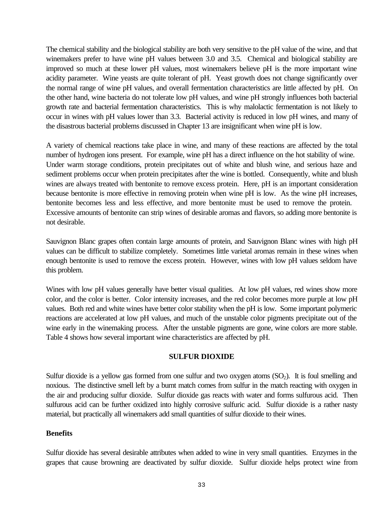The chemical stability and the biological stability are both very sensitive to the pH value of the wine, and that winemakers prefer to have wine pH values between 3.0 and 3.5. Chemical and biological stability are improved so much at these lower pH values, most winemakers believe pH is the more important wine acidity parameter. Wine yeasts are quite tolerant of pH. Yeast growth does not change significantly over the normal range of wine pH values, and overall fermentation characteristics are little affected by pH. On the other hand, wine bacteria do not tolerate low pH values, and wine pH strongly influences both bacterial growth rate and bacterial fermentation characteristics. This is why malolactic fermentation is not likely to occur in wines with pH values lower than 3.3. Bacterial activity is reduced in low pH wines, and many of the disastrous bacterial problems discussed in Chapter 13 are insignificant when wine pH is low.

A variety of chemical reactions take place in wine, and many of these reactions are affected by the total number of hydrogen ions present. For example, wine pH has a direct influence on the hot stability of wine. Under warm storage conditions, protein precipitates out of white and blush wine, and serious haze and sediment problems occur when protein precipitates after the wine is bottled. Consequently, white and blush wines are always treated with bentonite to remove excess protein. Here, pH is an important consideration because bentonite is more effective in removing protein when wine pH is low. As the wine pH increases, bentonite becomes less and less effective, and more bentonite must be used to remove the protein. Excessive amounts of bentonite can strip wines of desirable aromas and flavors, so adding more bentonite is not desirable.

Sauvignon Blanc grapes often contain large amounts of protein, and Sauvignon Blanc wines with high pH values can be difficult to stabilize completely. Sometimes little varietal aromas remain in these wines when enough bentonite is used to remove the excess protein. However, wines with low pH values seldom have this problem.

Wines with low pH values generally have better visual qualities. At low pH values, red wines show more color, and the color is better. Color intensity increases, and the red color becomes more purple at low pH values. Both red and white wines have better color stability when the pH is low. Some important polymeric reactions are accelerated at low pH values, and much of the unstable color pigments precipitate out of the wine early in the winemaking process. After the unstable pigments are gone, wine colors are more stable. Table 4 shows how several important wine characteristics are affected by pH.

#### **SULFUR DIOXIDE**

Sulfur dioxide is a yellow gas formed from one sulfur and two oxygen atoms  $(SO<sub>2</sub>)$ . It is foul smelling and noxious. The distinctive smell left by a burnt match comes from sulfur in the match reacting with oxygen in the air and producing sulfur dioxide. Sulfur dioxide gas reacts with water and forms sulfurous acid. Then sulfurous acid can be further oxidized into highly corrosive sulfuric acid. Sulfur dioxide is a rather nasty material, but practically all winemakers add small quantities of sulfur dioxide to their wines.

#### **Benefits**

Sulfur dioxide has several desirable attributes when added to wine in very small quantities. Enzymes in the grapes that cause browning are deactivated by sulfur dioxide. Sulfur dioxide helps protect wine from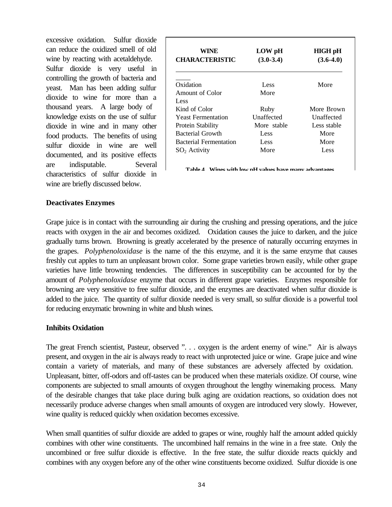excessive oxidation. Sulfur dioxide can reduce the oxidized smell of old wine by reacting with acetaldehyde. Sulfur dioxide is very useful in controlling the growth of bacteria and yeast. Man has been adding sulfur dioxide to wine for more than a thousand years. A large body of knowledge exists on the use of sulfur dioxide in wine and in many other food products. The benefits of using sulfur dioxide in wine are well documented, and its positive effects are indisputable. Several characteristics of sulfur dioxide in wine are briefly discussed below.

| WINE<br><b>CHARACTERISTIC</b> | LOW pH<br>$(3.0-3.4)$ | <b>HIGH pH</b><br>$(3.6-4.0)$ |  |
|-------------------------------|-----------------------|-------------------------------|--|
| Oxidation                     | Less                  | More                          |  |
| Amount of Color               | More                  |                               |  |
| Less                          |                       |                               |  |
| Kind of Color                 | Ruby                  | More Brown                    |  |
| <b>Yeast Fermentation</b>     | <b>Unaffected</b>     | <b>Unaffected</b>             |  |
| <b>Protein Stability</b>      | More stable           | Less stable                   |  |
| Bacterial Growth              | Less                  | More                          |  |
| <b>Bacterial Fermentation</b> | Less                  | More                          |  |
| $SO2$ Activity                | More                  | Less                          |  |
|                               |                       |                               |  |

**Table 4. Wines with low pH values have many advantages.**

#### **Deactivates Enzymes**

Grape juice is in contact with the surrounding air during the crushing and pressing operations, and the juice reacts with oxygen in the air and becomes oxidized. Oxidation causes the juice to darken, and the juice gradually turns brown. Browning is greatly accelerated by the presence of naturally occurring enzymes in the grapes. *Polyphenoloxidase* is the name of the this enzyme, and it is the same enzyme that causes freshly cut apples to turn an unpleasant brown color. Some grape varieties brown easily, while other grape varieties have little browning tendencies. The differences in susceptibility can be accounted for by the amount of *Polyphenoloxidase* enzyme that occurs in different grape varieties. Enzymes responsible for browning are very sensitive to free sulfur dioxide, and the enzymes are deactivated when sulfur dioxide is added to the juice. The quantity of sulfur dioxide needed is very small, so sulfur dioxide is a powerful tool for reducing enzymatic browning in white and blush wines.

#### **Inhibits Oxidation**

The great French scientist, Pasteur, observed ". . . oxygen is the ardent enemy of wine." Air is always present, and oxygen in the air is always ready to react with unprotected juice or wine. Grape juice and wine contain a variety of materials, and many of these substances are adversely affected by oxidation. Unpleasant, bitter, off-odors and off-tastes can be produced when these materials oxidize. Of course, wine components are subjected to small amounts of oxygen throughout the lengthy winemaking process. Many of the desirable changes that take place during bulk aging are oxidation reactions, so oxidation does not necessarily produce adverse changes when small amounts of oxygen are introduced very slowly. However, wine quality is reduced quickly when oxidation becomes excessive.

When small quantities of sulfur dioxide are added to grapes or wine, roughly half the amount added quickly combines with other wine constituents. The uncombined half remains in the wine in a free state. Only the uncombined or free sulfur dioxide is effective. In the free state, the sulfur dioxide reacts quickly and combines with any oxygen before any of the other wine constituents become oxidized. Sulfur dioxide is one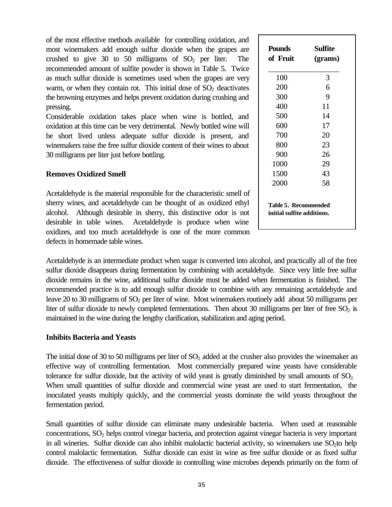of the most effective methods available for controlling oxidation, and most winemakers add enough sulfur dioxide when the grapes are crushed to give 30 to 50 milligrams of  $SO_2$  per liter. The recommended amount of sulfite powder is shown in Table 5. Twice as much sulfur dioxide is sometimes used when the grapes are very warm, or when they contain rot. This initial dose of  $SO<sub>2</sub>$  deactivates the browning enzymes and helps prevent oxidation during crushing and pressing.

Considerable oxidation takes place when wine is bottled, and oxidation at this time can be very detrimental. Newly bottled wine will be short lived unless adequate sulfur dioxide is present, and winemakers raise the free sulfur dioxide content of their wines to about 30 milligrams per liter just before bottling.

## **Removes Oxidized Smell**

Acetaldehyde is the material responsible for the characteristic smell of sherry wines, and acetaldehyde can be thought of as oxidized ethyl alcohol. Although desirable in sherry, this distinctive odor is not desirable in table wines. Acetaldehyde is produce when wine oxidizes, and too much acetaldehyde is one of the more common defects in homemade table wines.

| <b>Pounds</b><br>of Fruit                                 | <b>Sulfite</b><br>(grams) |  |
|-----------------------------------------------------------|---------------------------|--|
| 100                                                       | 3                         |  |
| 200                                                       | 6                         |  |
| 300                                                       | 9                         |  |
| 400                                                       | 11                        |  |
| 500                                                       | 14                        |  |
| 600                                                       | 17                        |  |
| 700                                                       | 20                        |  |
| 800                                                       | 23                        |  |
| 900                                                       | 26                        |  |
| 1000                                                      | 29                        |  |
| 1500                                                      | 43                        |  |
| 2000                                                      | 58                        |  |
| <b>Table 5. Recommended</b><br>initial sulfite additions. |                           |  |

Acetaldehyde is an intermediate product when sugar is converted into alcohol, and practically all of the free sulfur dioxide disappears during fermentation by combining with acetaldehyde. Since very little free sulfur dioxide remains in the wine, additional sulfur dioxide must be added when fermentation is finished. The recommended practice is to add enough sulfur dioxide to combine with any remaining acetaldehyde and leave 20 to 30 milligrams of  $SO_2$  per liter of wine. Most winemakers routinely add about 50 milligrams per liter of sulfur dioxide to newly completed fermentations. Then about 30 milligrams per liter of free  $SO_2$  is maintained in the wine during the lengthy clarification, stabilization and aging period.

#### **Inhibits Bacteria and Yeasts**

The initial dose of 30 to 50 milligrams per liter of  $SO<sub>2</sub>$  added at the crusher also provides the winemaker an effective way of controlling fermentation. Most commercially prepared wine yeasts have considerable tolerance for sulfur dioxide, but the activity of wild yeast is greatly diminished by small amounts of  $SO_2$ . When small quantities of sulfur dioxide and commercial wine yeast are used to start fermentation, the inoculated yeasts multiply quickly, and the commercial yeasts dominate the wild yeasts throughout the fermentation period.

Small quantities of sulfur dioxide can eliminate many undesirable bacteria. When used at reasonable concentrations,  $SO<sub>2</sub>$  helps control vinegar bacteria, and protection against vinegar bacteria is very important in all wineries. Sulfur dioxide can also inhibit malolactic bacterial activity, so winemakers use  $SO_2$ to help control malolactic fermentation. Sulfur dioxide can exist in wine as free sulfur dioxide or as fixed sulfur dioxide. The effectiveness of sulfur dioxide in controlling wine microbes depends primarily on the form of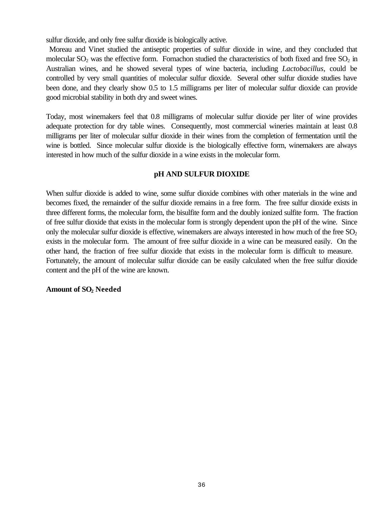sulfur dioxide, and only free sulfur dioxide is biologically active.

 Moreau and Vinet studied the antiseptic properties of sulfur dioxide in wine, and they concluded that molecular  $SO_2$  was the effective form. Fornachon studied the characteristics of both fixed and free  $SO_2$  in Australian wines, and he showed several types of wine bacteria, including *Lactobacillus*, could be controlled by very small quantities of molecular sulfur dioxide. Several other sulfur dioxide studies have been done, and they clearly show 0.5 to 1.5 milligrams per liter of molecular sulfur dioxide can provide good microbial stability in both dry and sweet wines.

Today, most winemakers feel that 0.8 milligrams of molecular sulfur dioxide per liter of wine provides adequate protection for dry table wines. Consequently, most commercial wineries maintain at least 0.8 milligrams per liter of molecular sulfur dioxide in their wines from the completion of fermentation until the wine is bottled. Since molecular sulfur dioxide is the biologically effective form, winemakers are always interested in how much of the sulfur dioxide in a wine exists in the molecular form.

## **pH AND SULFUR DIOXIDE**

When sulfur dioxide is added to wine, some sulfur dioxide combines with other materials in the wine and becomes fixed, the remainder of the sulfur dioxide remains in a free form. The free sulfur dioxide exists in three different forms, the molecular form, the bisulfite form and the doubly ionized sulfite form. The fraction of free sulfur dioxide that exists in the molecular form is strongly dependent upon the pH of the wine. Since only the molecular sulfur dioxide is effective, winemakers are always interested in how much of the free  $SO_2$ exists in the molecular form. The amount of free sulfur dioxide in a wine can be measured easily. On the other hand, the fraction of free sulfur dioxide that exists in the molecular form is difficult to measure. Fortunately, the amount of molecular sulfur dioxide can be easily calculated when the free sulfur dioxide content and the pH of the wine are known.

#### **Amount of SO2 Needed**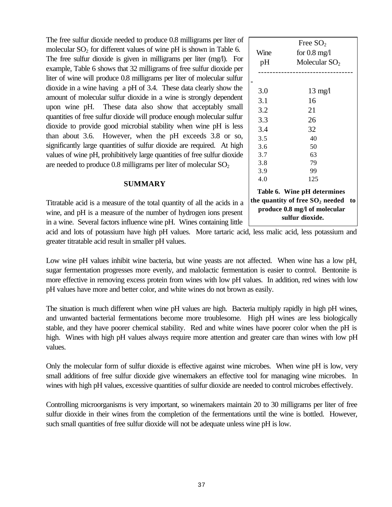| The free sulfur dioxide needed to produce 0.8 milligrams per liter of    |
|--------------------------------------------------------------------------|
| molecular $SO_2$ for different values of wine pH is shown in Table 6.    |
| The free sulfur dioxide is given in milligrams per liter (mg/l). For     |
| example, Table 6 shows that 32 milligrams of free sulfur dioxide per     |
| liter of wine will produce 0.8 milligrams per liter of molecular sulfur  |
| dioxide in a wine having a pH of 3.4. These data clearly show the        |
| amount of molecular sulfur dioxide in a wine is strongly dependent       |
| upon wine pH. These data also show that acceptably small                 |
| quantities of free sulfur dioxide will produce enough molecular sulfur   |
| dioxide to provide good microbial stability when wine pH is less         |
| than about 3.6. However, when the pH exceeds 3.8 or so,                  |
| significantly large quantities of sulfur dioxide are required. At high   |
| values of wine pH, prohibitively large quantities of free sulfur dioxide |
| are needed to produce 0.8 milligrams per liter of molecular $SO_2$       |

#### **SUMMARY**

Titratable acid is a measure of the total quantity of all the acids in a wine, and pH is a measure of the number of hydrogen ions present in a wine. Several factors influence wine pH. Wines containing little

acid and lots of potassium have high pH values. More tartaric acid, less malic acid, less potassium and greater titratable acid result in smaller pH values.

Low wine pH values inhibit wine bacteria, but wine yeasts are not affected. When wine has a low pH, sugar fermentation progresses more evenly, and malolactic fermentation is easier to control. Bentonite is more effective in removing excess protein from wines with low pH values. In addition, red wines with low pH values have more and better color, and white wines do not brown as easily.

The situation is much different when wine pH values are high. Bacteria multiply rapidly in high pH wines, and unwanted bacterial fermentations become more troublesome. High pH wines are less biologically stable, and they have poorer chemical stability. Red and white wines have poorer color when the pH is high. Wines with high pH values always require more attention and greater care than wines with low pH values.

Only the molecular form of sulfur dioxide is effective against wine microbes. When wine pH is low, very small additions of free sulfur dioxide give winemakers an effective tool for managing wine microbes. In wines with high pH values, excessive quantities of sulfur dioxide are needed to control microbes effectively.

Controlling microorganisms is very important, so winemakers maintain 20 to 30 milligrams per liter of free sulfur dioxide in their wines from the completion of the fermentations until the wine is bottled. However, such small quantities of free sulfur dioxide will not be adequate unless wine pH is low.

| ì |     | Table 6. Wine pH determines<br>the quantity of free $SO_2$ needed to<br>produce 0.8 mg/l of molecular<br>sulfur dioxide. |  |
|---|-----|--------------------------------------------------------------------------------------------------------------------------|--|
|   | 4.0 | 125                                                                                                                      |  |
|   | 3.9 | 99                                                                                                                       |  |
|   | 3.8 | 79                                                                                                                       |  |
| ć | 3.7 | 63                                                                                                                       |  |
| ı | 3.6 | 50                                                                                                                       |  |
| , | 3.5 | 40                                                                                                                       |  |
| š | 3.4 | 32                                                                                                                       |  |
|   | 3.3 | 26                                                                                                                       |  |

Free  $SO<sub>2</sub>$ 

Wine for 0.8 mg/l  $pH$  Molecular SO<sub>2</sub> ---------------------------------

 3.0 13 mg/l 3.1 16 3.2 21

-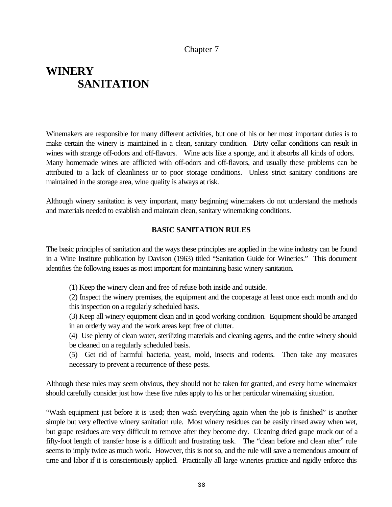## Chapter 7

## **WINERY SANITATION**

Winemakers are responsible for many different activities, but one of his or her most important duties is to make certain the winery is maintained in a clean, sanitary condition. Dirty cellar conditions can result in wines with strange off-odors and off-flavors. Wine acts like a sponge, and it absorbs all kinds of odors. Many homemade wines are afflicted with off-odors and off-flavors, and usually these problems can be attributed to a lack of cleanliness or to poor storage conditions. Unless strict sanitary conditions are maintained in the storage area, wine quality is always at risk.

Although winery sanitation is very important, many beginning winemakers do not understand the methods and materials needed to establish and maintain clean, sanitary winemaking conditions.

#### **BASIC SANITATION RULES**

The basic principles of sanitation and the ways these principles are applied in the wine industry can be found in a Wine Institute publication by Davison (1963) titled "Sanitation Guide for Wineries." This document identifies the following issues as most important for maintaining basic winery sanitation.

(1) Keep the winery clean and free of refuse both inside and outside.

(2) Inspect the winery premises, the equipment and the cooperage at least once each month and do this inspection on a regularly scheduled basis.

(3) Keep all winery equipment clean and in good working condition. Equipment should be arranged in an orderly way and the work areas kept free of clutter.

(4) Use plenty of clean water, sterilizing materials and cleaning agents, and the entire winery should be cleaned on a regularly scheduled basis.

(5) Get rid of harmful bacteria, yeast, mold, insects and rodents. Then take any measures necessary to prevent a recurrence of these pests.

Although these rules may seem obvious, they should not be taken for granted, and every home winemaker should carefully consider just how these five rules apply to his or her particular winemaking situation.

"Wash equipment just before it is used; then wash everything again when the job is finished" is another simple but very effective winery sanitation rule. Most winery residues can be easily rinsed away when wet, but grape residues are very difficult to remove after they become dry. Cleaning dried grape muck out of a fifty-foot length of transfer hose is a difficult and frustrating task. The "clean before and clean after" rule seems to imply twice as much work. However, this is not so, and the rule will save a tremendous amount of time and labor if it is conscientiously applied. Practically all large wineries practice and rigidly enforce this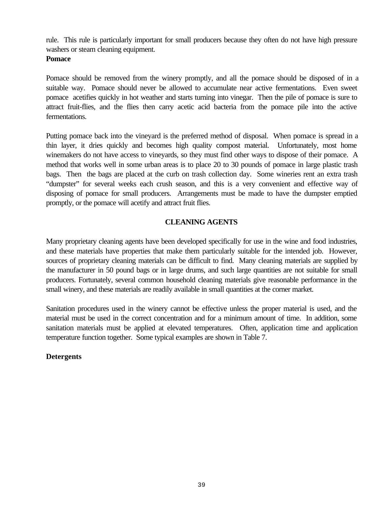rule. This rule is particularly important for small producers because they often do not have high pressure washers or steam cleaning equipment.

#### **Pomace**

Pomace should be removed from the winery promptly, and all the pomace should be disposed of in a suitable way. Pomace should never be allowed to accumulate near active fermentations. Even sweet pomace acetifies quickly in hot weather and starts turning into vinegar. Then the pile of pomace is sure to attract fruit-flies, and the flies then carry acetic acid bacteria from the pomace pile into the active fermentations.

Putting pomace back into the vineyard is the preferred method of disposal. When pomace is spread in a thin layer, it dries quickly and becomes high quality compost material. Unfortunately, most home winemakers do not have access to vineyards, so they must find other ways to dispose of their pomace. A method that works well in some urban areas is to place 20 to 30 pounds of pomace in large plastic trash bags. Then the bags are placed at the curb on trash collection day. Some wineries rent an extra trash "dumpster" for several weeks each crush season, and this is a very convenient and effective way of disposing of pomace for small producers. Arrangements must be made to have the dumpster emptied promptly, or the pomace will acetify and attract fruit flies.

## **CLEANING AGENTS**

Many proprietary cleaning agents have been developed specifically for use in the wine and food industries, and these materials have properties that make them particularly suitable for the intended job. However, sources of proprietary cleaning materials can be difficult to find. Many cleaning materials are supplied by the manufacturer in 50 pound bags or in large drums, and such large quantities are not suitable for small producers. Fortunately, several common household cleaning materials give reasonable performance in the small winery, and these materials are readily available in small quantities at the corner market.

Sanitation procedures used in the winery cannot be effective unless the proper material is used, and the material must be used in the correct concentration and for a minimum amount of time. In addition, some sanitation materials must be applied at elevated temperatures. Often, application time and application temperature function together. Some typical examples are shown in Table 7.

## **Detergents**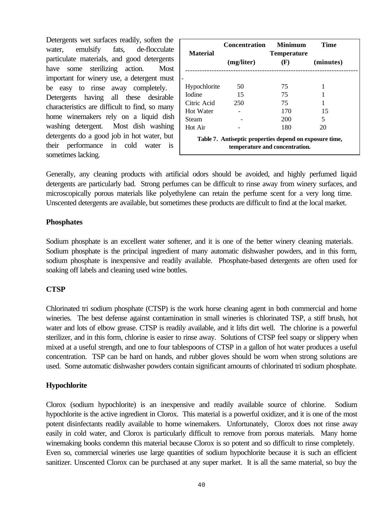Detergents wet surfaces readily, soften the water, emulsify fats, de-flocculate particulate materials, and good detergents have some sterilizing action. Most important for winery use, a detergent must be easy to rinse away completely. Detergents having all these desirable characteristics are difficult to find, so many home winemakers rely on a liquid dish washing detergent. Most dish washing detergents do a good job in hot water, but their performance in cold water is sometimes lacking.

|                                                                                           | <b>Concentration</b> | <b>Minimum</b>            | Time      |  |  |
|-------------------------------------------------------------------------------------------|----------------------|---------------------------|-----------|--|--|
| <b>Material</b>                                                                           | (mg/liter)           | <b>Temperature</b><br>(F) | (minutes) |  |  |
|                                                                                           |                      |                           |           |  |  |
| Hypochlorite                                                                              | 50                   | 75                        |           |  |  |
| <b>Iodine</b>                                                                             | 15                   | 75                        |           |  |  |
| Citric Acid                                                                               | 250                  | 75                        |           |  |  |
| <b>Hot Water</b>                                                                          |                      | 170                       | 15        |  |  |
| Steam                                                                                     |                      | 200                       | 5         |  |  |
| Hot Air                                                                                   |                      | 180                       | 20        |  |  |
| Table 7. Antiseptic properties depend on exposure time,<br>temperature and concentration. |                      |                           |           |  |  |

Generally, any cleaning products with artificial odors should be avoided, and highly perfumed liquid detergents are particularly bad. Strong perfumes can be difficult to rinse away from winery surfaces, and microscopically porous materials like polyethylene can retain the perfume scent for a very long time. Unscented detergents are available, but sometimes these products are difficult to find at the local market.

#### **Phosphates**

Sodium phosphate is an excellent water softener, and it is one of the better winery cleaning materials. Sodium phosphate is the principal ingredient of many automatic dishwasher powders, and in this form, sodium phosphate is inexpensive and readily available. Phosphate-based detergents are often used for soaking off labels and cleaning used wine bottles.

#### **CTSP**

Chlorinated tri sodium phosphate (CTSP) is the work horse cleaning agent in both commercial and home wineries. The best defense against contamination in small wineries is chlorinated TSP, a stiff brush, hot water and lots of elbow grease. CTSP is readily available, and it lifts dirt well. The chlorine is a powerful sterilizer, and in this form, chlorine is easier to rinse away. Solutions of CTSP feel soapy or slippery when mixed at a useful strength, and one to four tablespoons of CTSP in a gallon of hot water produces a useful concentration. TSP can be hard on hands, and rubber gloves should be worn when strong solutions are used. Some automatic dishwasher powders contain significant amounts of chlorinated tri sodium phosphate.

#### **Hypochlorite**

Clorox (sodium hypochlorite) is an inexpensive and readily available source of chlorine. Sodium hypochlorite is the active ingredient in Clorox. This material is a powerful oxidizer, and it is one of the most potent disinfectants readily available to home winemakers. Unfortunately, Clorox does not rinse away easily in cold water, and Clorox is particularly difficult to remove from porous materials. Many home winemaking books condemn this material because Clorox is so potent and so difficult to rinse completely. Even so, commercial wineries use large quantities of sodium hypochlorite because it is such an efficient sanitizer. Unscented Clorox can be purchased at any super market. It is all the same material, so buy the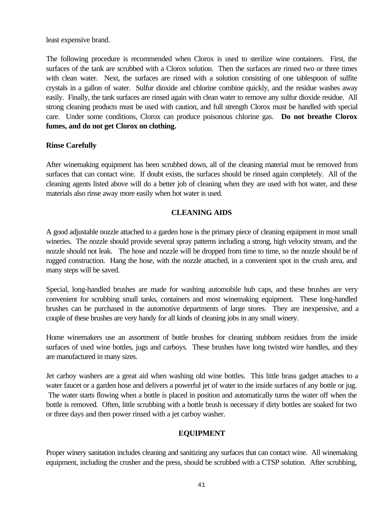least expensive brand.

The following procedure is recommended when Clorox is used to sterilize wine containers. First, the surfaces of the tank are scrubbed with a Clorox solution. Then the surfaces are rinsed two or three times with clean water. Next, the surfaces are rinsed with a solution consisting of one tablespoon of sulfite crystals in a gallon of water. Sulfur dioxide and chlorine combine quickly, and the residue washes away easily. Finally, the tank surfaces are rinsed again with clean water to remove any sulfur dioxide residue. All strong cleaning products must be used with caution, and full strength Clorox must be handled with special care. Under some conditions, Clorox can produce poisonous chlorine gas. **Do not breathe Clorox fumes, and do not get Clorox on clothing.**

## **Rinse Carefully**

After winemaking equipment has been scrubbed down, all of the cleaning material must be removed from surfaces that can contact wine. If doubt exists, the surfaces should be rinsed again completely. All of the cleaning agents listed above will do a better job of cleaning when they are used with hot water, and these materials also rinse away more easily when hot water is used.

## **CLEANING AIDS**

A good adjustable nozzle attached to a garden hose is the primary piece of cleaning equipment in most small wineries. The nozzle should provide several spray patterns including a strong, high velocity stream, and the nozzle should not leak. The hose and nozzle will be dropped from time to time, so the nozzle should be of rugged construction. Hang the hose, with the nozzle attached, in a convenient spot in the crush area, and many steps will be saved.

Special, long-handled brushes are made for washing automobile hub caps, and these brushes are very convenient for scrubbing small tanks, containers and most winemaking equipment. These long-handled brushes can be purchased in the automotive departments of large stores. They are inexpensive, and a couple of these brushes are very handy for all kinds of cleaning jobs in any small winery.

Home winemakers use an assortment of bottle brushes for cleaning stubborn residues from the inside surfaces of used wine bottles, jugs and carboys. These brushes have long twisted wire handles, and they are manufactured in many sizes.

Jet carboy washers are a great aid when washing old wine bottles. This little brass gadget attaches to a water faucet or a garden hose and delivers a powerful jet of water to the inside surfaces of any bottle or jug. The water starts flowing when a bottle is placed in position and automatically turns the water off when the bottle is removed. Often, little scrubbing with a bottle brush is necessary if dirty bottles are soaked for two or three days and then power rinsed with a jet carboy washer.

## **EQUIPMENT**

Proper winery sanitation includes cleaning and sanitizing any surfaces that can contact wine. All winemaking equipment, including the crusher and the press, should be scrubbed with a CTSP solution. After scrubbing,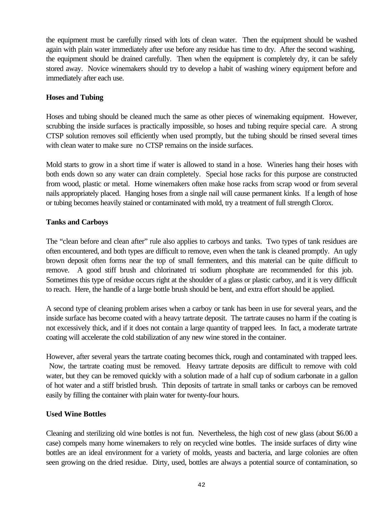the equipment must be carefully rinsed with lots of clean water. Then the equipment should be washed again with plain water immediately after use before any residue has time to dry. After the second washing, the equipment should be drained carefully. Then when the equipment is completely dry, it can be safely stored away. Novice winemakers should try to develop a habit of washing winery equipment before and immediately after each use.

### **Hoses and Tubing**

Hoses and tubing should be cleaned much the same as other pieces of winemaking equipment. However, scrubbing the inside surfaces is practically impossible, so hoses and tubing require special care. A strong CTSP solution removes soil efficiently when used promptly, but the tubing should be rinsed several times with clean water to make sure no CTSP remains on the inside surfaces.

Mold starts to grow in a short time if water is allowed to stand in a hose. Wineries hang their hoses with both ends down so any water can drain completely. Special hose racks for this purpose are constructed from wood, plastic or metal. Home winemakers often make hose racks from scrap wood or from several nails appropriately placed. Hanging hoses from a single nail will cause permanent kinks. If a length of hose or tubing becomes heavily stained or contaminated with mold, try a treatment of full strength Clorox.

## **Tanks and Carboys**

The "clean before and clean after" rule also applies to carboys and tanks. Two types of tank residues are often encountered, and both types are difficult to remove, even when the tank is cleaned promptly. An ugly brown deposit often forms near the top of small fermenters, and this material can be quite difficult to remove. A good stiff brush and chlorinated tri sodium phosphate are recommended for this job. Sometimes this type of residue occurs right at the shoulder of a glass or plastic carboy, and it is very difficult to reach. Here, the handle of a large bottle brush should be bent, and extra effort should be applied.

A second type of cleaning problem arises when a carboy or tank has been in use for several years, and the inside surface has become coated with a heavy tartrate deposit. The tartrate causes no harm if the coating is not excessively thick, and if it does not contain a large quantity of trapped lees. In fact, a moderate tartrate coating will accelerate the cold stabilization of any new wine stored in the container.

However, after several years the tartrate coating becomes thick, rough and contaminated with trapped lees. Now, the tartrate coating must be removed. Heavy tartrate deposits are difficult to remove with cold water, but they can be removed quickly with a solution made of a half cup of sodium carbonate in a gallon of hot water and a stiff bristled brush. Thin deposits of tartrate in small tanks or carboys can be removed easily by filling the container with plain water for twenty-four hours.

#### **Used Wine Bottles**

Cleaning and sterilizing old wine bottles is not fun. Nevertheless, the high cost of new glass (about \$6.00 a case) compels many home winemakers to rely on recycled wine bottles. The inside surfaces of dirty wine bottles are an ideal environment for a variety of molds, yeasts and bacteria, and large colonies are often seen growing on the dried residue. Dirty, used, bottles are always a potential source of contamination, so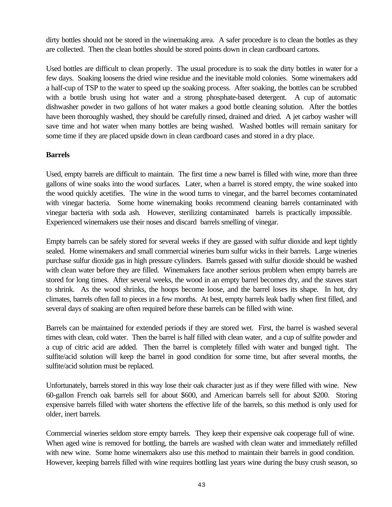dirty bottles should not be stored in the winemaking area. A safer procedure is to clean the bottles as they are collected. Then the clean bottles should be stored points down in clean cardboard cartons.

Used bottles are difficult to clean properly. The usual procedure is to soak the dirty bottles in water for a few days. Soaking loosens the dried wine residue and the inevitable mold colonies. Some winemakers add a half-cup of TSP to the water to speed up the soaking process. After soaking, the bottles can be scrubbed with a bottle brush using hot water and a strong phosphate-based detergent. A cup of automatic dishwasher powder in two gallons of hot water makes a good bottle cleaning solution. After the bottles have been thoroughly washed, they should be carefully rinsed, drained and dried. A jet carboy washer will save time and hot water when many bottles are being washed. Washed bottles will remain sanitary for some time if they are placed upside down in clean cardboard cases and stored in a dry place.

## **Barrels**

Used, empty barrels are difficult to maintain. The first time a new barrel is filled with wine, more than three gallons of wine soaks into the wood surfaces. Later, when a barrel is stored empty, the wine soaked into the wood quickly acetifies. The wine in the wood turns to vinegar, and the barrel becomes contaminated with vinegar bacteria. Some home winemaking books recommend cleaning barrels contaminated with vinegar bacteria with soda ash. However, sterilizing contaminated barrels is practically impossible. Experienced winemakers use their noses and discard barrels smelling of vinegar.

Empty barrels can be safely stored for several weeks if they are gassed with sulfur dioxide and kept tightly sealed. Home winemakers and small commercial wineries burn sulfur wicks in their barrels. Large wineries purchase sulfur dioxide gas in high pressure cylinders. Barrels gassed with sulfur dioxide should be washed with clean water before they are filled. Winemakers face another serious problem when empty barrels are stored for long times. After several weeks, the wood in an empty barrel becomes dry, and the staves start to shrink. As the wood shrinks, the hoops become loose, and the barrel loses its shape. In hot, dry climates, barrels often fall to pieces in a few months. At best, empty barrels leak badly when first filled, and several days of soaking are often required before these barrels can be filled with wine.

Barrels can be maintained for extended periods if they are stored wet. First, the barrel is washed several times with clean, cold water. Then the barrel is half filled with clean water, and a cup of sulfite powder and a cup of citric acid are added. Then the barrel is completely filled with water and bunged tight. The sulfite/acid solution will keep the barrel in good condition for some time, but after several months, the sulfite/acid solution must be replaced.

Unfortunately, barrels stored in this way lose their oak character just as if they were filled with wine. New 60-gallon French oak barrels sell for about \$600, and American barrels sell for about \$200. Storing expensive barrels filled with water shortens the effective life of the barrels, so this method is only used for older, inert barrels.

Commercial wineries seldom store empty barrels. They keep their expensive oak cooperage full of wine. When aged wine is removed for bottling, the barrels are washed with clean water and immediately refilled with new wine. Some home winemakers also use this method to maintain their barrels in good condition. However, keeping barrels filled with wine requires bottling last years wine during the busy crush season, so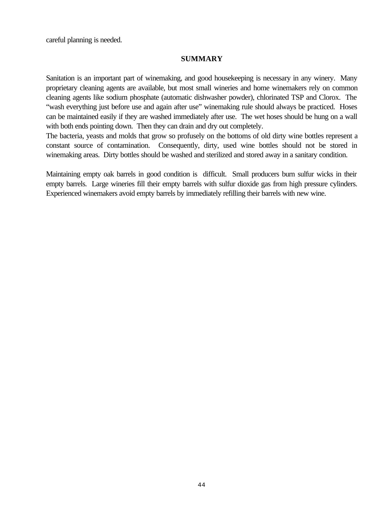careful planning is needed.

#### **SUMMARY**

Sanitation is an important part of winemaking, and good housekeeping is necessary in any winery. Many proprietary cleaning agents are available, but most small wineries and home winemakers rely on common cleaning agents like sodium phosphate (automatic dishwasher powder), chlorinated TSP and Clorox. The "wash everything just before use and again after use" winemaking rule should always be practiced. Hoses can be maintained easily if they are washed immediately after use. The wet hoses should be hung on a wall with both ends pointing down. Then they can drain and dry out completely.

The bacteria, yeasts and molds that grow so profusely on the bottoms of old dirty wine bottles represent a constant source of contamination. Consequently, dirty, used wine bottles should not be stored in winemaking areas. Dirty bottles should be washed and sterilized and stored away in a sanitary condition.

Maintaining empty oak barrels in good condition is difficult. Small producers burn sulfur wicks in their empty barrels. Large wineries fill their empty barrels with sulfur dioxide gas from high pressure cylinders. Experienced winemakers avoid empty barrels by immediately refilling their barrels with new wine.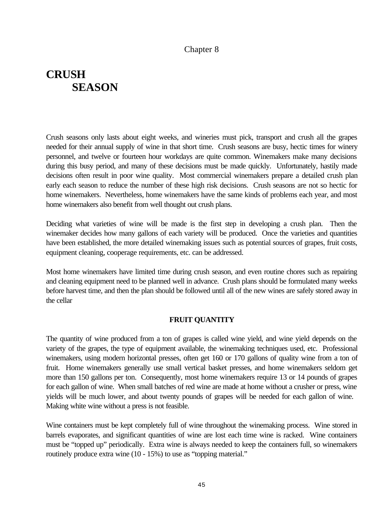## Chapter 8

# **CRUSH SEASON**

Crush seasons only lasts about eight weeks, and wineries must pick, transport and crush all the grapes needed for their annual supply of wine in that short time. Crush seasons are busy, hectic times for winery personnel, and twelve or fourteen hour workdays are quite common. Winemakers make many decisions during this busy period, and many of these decisions must be made quickly. Unfortunately, hastily made decisions often result in poor wine quality. Most commercial winemakers prepare a detailed crush plan early each season to reduce the number of these high risk decisions. Crush seasons are not so hectic for home winemakers. Nevertheless, home winemakers have the same kinds of problems each year, and most home winemakers also benefit from well thought out crush plans.

Deciding what varieties of wine will be made is the first step in developing a crush plan. Then the winemaker decides how many gallons of each variety will be produced. Once the varieties and quantities have been established, the more detailed winemaking issues such as potential sources of grapes, fruit costs, equipment cleaning, cooperage requirements, etc. can be addressed.

Most home winemakers have limited time during crush season, and even routine chores such as repairing and cleaning equipment need to be planned well in advance. Crush plans should be formulated many weeks before harvest time, and then the plan should be followed until all of the new wines are safely stored away in the cellar

#### **FRUIT QUANTITY**

The quantity of wine produced from a ton of grapes is called wine yield, and wine yield depends on the variety of the grapes, the type of equipment available, the winemaking techniques used, etc. Professional winemakers, using modern horizontal presses, often get 160 or 170 gallons of quality wine from a ton of fruit. Home winemakers generally use small vertical basket presses, and home winemakers seldom get more than 150 gallons per ton. Consequently, most home winemakers require 13 or 14 pounds of grapes for each gallon of wine. When small batches of red wine are made at home without a crusher or press, wine yields will be much lower, and about twenty pounds of grapes will be needed for each gallon of wine. Making white wine without a press is not feasible.

Wine containers must be kept completely full of wine throughout the winemaking process. Wine stored in barrels evaporates, and significant quantities of wine are lost each time wine is racked. Wine containers must be "topped up" periodically. Extra wine is always needed to keep the containers full, so winemakers routinely produce extra wine (10 - 15%) to use as "topping material."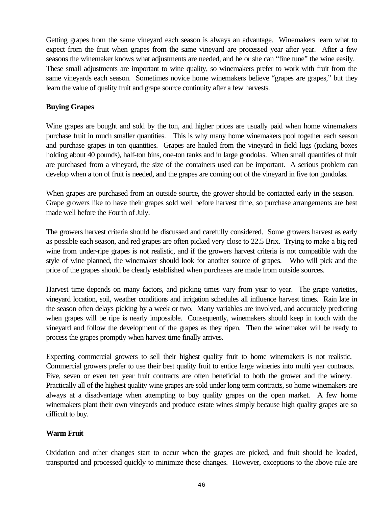Getting grapes from the same vineyard each season is always an advantage. Winemakers learn what to expect from the fruit when grapes from the same vineyard are processed year after year. After a few seasons the winemaker knows what adjustments are needed, and he or she can "fine tune" the wine easily. These small adjustments are important to wine quality, so winemakers prefer to work with fruit from the same vineyards each season. Sometimes novice home winemakers believe "grapes are grapes," but they learn the value of quality fruit and grape source continuity after a few harvests.

## **Buying Grapes**

Wine grapes are bought and sold by the ton, and higher prices are usually paid when home winemakers purchase fruit in much smaller quantities. This is why many home winemakers pool together each season and purchase grapes in ton quantities. Grapes are hauled from the vineyard in field lugs (picking boxes holding about 40 pounds), half-ton bins, one-ton tanks and in large gondolas. When small quantities of fruit are purchased from a vineyard, the size of the containers used can be important. A serious problem can develop when a ton of fruit is needed, and the grapes are coming out of the vineyard in five ton gondolas.

When grapes are purchased from an outside source, the grower should be contacted early in the season. Grape growers like to have their grapes sold well before harvest time, so purchase arrangements are best made well before the Fourth of July.

The growers harvest criteria should be discussed and carefully considered. Some growers harvest as early as possible each season, and red grapes are often picked very close to 22.5 Brix. Trying to make a big red wine from under-ripe grapes is not realistic, and if the growers harvest criteria is not compatible with the style of wine planned, the winemaker should look for another source of grapes. Who will pick and the price of the grapes should be clearly established when purchases are made from outside sources.

Harvest time depends on many factors, and picking times vary from year to year. The grape varieties, vineyard location, soil, weather conditions and irrigation schedules all influence harvest times. Rain late in the season often delays picking by a week or two. Many variables are involved, and accurately predicting when grapes will be ripe is nearly impossible. Consequently, winemakers should keep in touch with the vineyard and follow the development of the grapes as they ripen. Then the winemaker will be ready to process the grapes promptly when harvest time finally arrives.

Expecting commercial growers to sell their highest quality fruit to home winemakers is not realistic. Commercial growers prefer to use their best quality fruit to entice large wineries into multi year contracts. Five, seven or even ten year fruit contracts are often beneficial to both the grower and the winery. Practically all of the highest quality wine grapes are sold under long term contracts, so home winemakers are always at a disadvantage when attempting to buy quality grapes on the open market. A few home winemakers plant their own vineyards and produce estate wines simply because high quality grapes are so difficult to buy.

## **Warm Fruit**

Oxidation and other changes start to occur when the grapes are picked, and fruit should be loaded, transported and processed quickly to minimize these changes. However, exceptions to the above rule are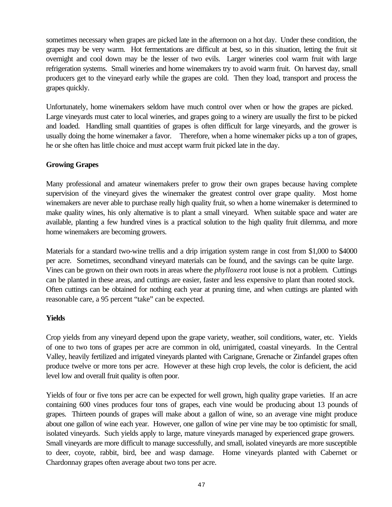sometimes necessary when grapes are picked late in the afternoon on a hot day. Under these condition, the grapes may be very warm. Hot fermentations are difficult at best, so in this situation, letting the fruit sit overnight and cool down may be the lesser of two evils. Larger wineries cool warm fruit with large refrigeration systems. Small wineries and home winemakers try to avoid warm fruit. On harvest day, small producers get to the vineyard early while the grapes are cold. Then they load, transport and process the grapes quickly.

Unfortunately, home winemakers seldom have much control over when or how the grapes are picked. Large vineyards must cater to local wineries, and grapes going to a winery are usually the first to be picked and loaded. Handling small quantities of grapes is often difficult for large vineyards, and the grower is usually doing the home winemaker a favor. Therefore, when a home winemaker picks up a ton of grapes, he or she often has little choice and must accept warm fruit picked late in the day.

## **Growing Grapes**

Many professional and amateur winemakers prefer to grow their own grapes because having complete supervision of the vineyard gives the winemaker the greatest control over grape quality. Most home winemakers are never able to purchase really high quality fruit, so when a home winemaker is determined to make quality wines, his only alternative is to plant a small vineyard. When suitable space and water are available, planting a few hundred vines is a practical solution to the high quality fruit dilemma, and more home winemakers are becoming growers.

Materials for a standard two-wine trellis and a drip irrigation system range in cost from \$1,000 to \$4000 per acre. Sometimes, secondhand vineyard materials can be found, and the savings can be quite large. Vines can be grown on their own roots in areas where the *phylloxera* root louse is not a problem. Cuttings can be planted in these areas, and cuttings are easier, faster and less expensive to plant than rooted stock. Often cuttings can be obtained for nothing each year at pruning time, and when cuttings are planted with reasonable care, a 95 percent "take" can be expected.

#### **Yields**

Crop yields from any vineyard depend upon the grape variety, weather, soil conditions, water, etc. Yields of one to two tons of grapes per acre are common in old, unirrigated, coastal vineyards. In the Central Valley, heavily fertilized and irrigated vineyards planted with Carignane, Grenache or Zinfandel grapes often produce twelve or more tons per acre. However at these high crop levels, the color is deficient, the acid level low and overall fruit quality is often poor.

Yields of four or five tons per acre can be expected for well grown, high quality grape varieties. If an acre containing 600 vines produces four tons of grapes, each vine would be producing about 13 pounds of grapes. Thirteen pounds of grapes will make about a gallon of wine, so an average vine might produce about one gallon of wine each year. However, one gallon of wine per vine may be too optimistic for small, isolated vineyards. Such yields apply to large, mature vineyards managed by experienced grape growers. Small vineyards are more difficult to manage successfully, and small, isolated vineyards are more susceptible to deer, coyote, rabbit, bird, bee and wasp damage. Home vineyards planted with Cabernet or Chardonnay grapes often average about two tons per acre.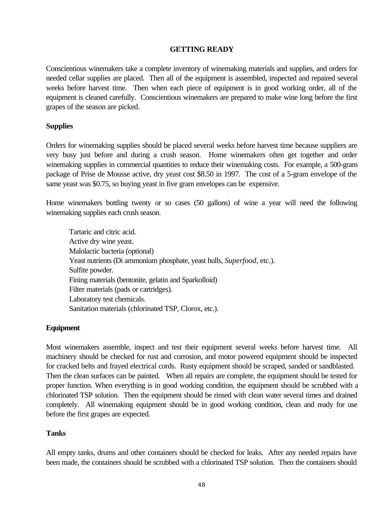## **GETTING READY**

Conscientious winemakers take a complete inventory of winemaking materials and supplies, and orders for needed cellar supplies are placed. Then all of the equipment is assembled, inspected and repaired several weeks before harvest time. Then when each piece of equipment is in good working order, all of the equipment is cleaned carefully. Conscientious winemakers are prepared to make wine long before the first grapes of the season are picked.

#### **Supplies**

Orders for winemaking supplies should be placed several weeks before harvest time because suppliers are very busy just before and during a crush season. Home winemakers often get together and order winemaking supplies in commercial quantities to reduce their winemaking costs. For example, a 500-gram package of Prise de Mousse active, dry yeast cost \$8.50 in 1997. The cost of a 5-gram envelope of the same yeast was \$0.75, so buying yeast in five gram envelopes can be expensive.

Home winemakers bottling twenty or so cases (50 gallons) of wine a year will need the following winemaking supplies each crush season.

Tartaric and citric acid. Active dry wine yeast. Malolactic bacteria (optional) Yeast nutrients (Di ammonium phosphate, yeast hulls, *Superfood*, etc.). Sulfite powder. Fining materials (bentonite, gelatin and Sparkolloid) Filter materials (pads or cartridges). Laboratory test chemicals. Sanitation materials (chlorinated TSP, Clorox, etc.).

#### **Equipment**

Most winemakers assemble, inspect and test their equipment several weeks before harvest time. All machinery should be checked for rust and corrosion, and motor powered equipment should be inspected for cracked belts and frayed electrical cords. Rusty equipment should be scraped, sanded or sandblasted. Then the clean surfaces can be painted. When all repairs are complete, the equipment should be tested for proper function. When everything is in good working condition, the equipment should be scrubbed with a chlorinated TSP solution. Then the equipment should be rinsed with clean water several times and drained completely. All winemaking equipment should be in good working condition, clean and ready for use before the first grapes are expected.

#### **Tanks**

All empty tanks, drums and other containers should be checked for leaks. After any needed repairs have been made, the containers should be scrubbed with a chlorinated TSP solution. Then the containers should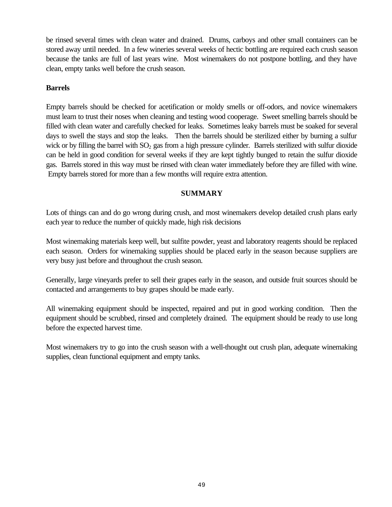be rinsed several times with clean water and drained. Drums, carboys and other small containers can be stored away until needed. In a few wineries several weeks of hectic bottling are required each crush season because the tanks are full of last years wine. Most winemakers do not postpone bottling, and they have clean, empty tanks well before the crush season.

## **Barrels**

Empty barrels should be checked for acetification or moldy smells or off-odors, and novice winemakers must learn to trust their noses when cleaning and testing wood cooperage. Sweet smelling barrels should be filled with clean water and carefully checked for leaks. Sometimes leaky barrels must be soaked for several days to swell the stays and stop the leaks. Then the barrels should be sterilized either by burning a sulfur wick or by filling the barrel with  $SO<sub>2</sub>$  gas from a high pressure cylinder. Barrels sterilized with sulfur dioxide can be held in good condition for several weeks if they are kept tightly bunged to retain the sulfur dioxide gas. Barrels stored in this way must be rinsed with clean water immediately before they are filled with wine. Empty barrels stored for more than a few months will require extra attention.

## **SUMMARY**

Lots of things can and do go wrong during crush, and most winemakers develop detailed crush plans early each year to reduce the number of quickly made, high risk decisions

Most winemaking materials keep well, but sulfite powder, yeast and laboratory reagents should be replaced each season. Orders for winemaking supplies should be placed early in the season because suppliers are very busy just before and throughout the crush season.

Generally, large vineyards prefer to sell their grapes early in the season, and outside fruit sources should be contacted and arrangements to buy grapes should be made early.

All winemaking equipment should be inspected, repaired and put in good working condition. Then the equipment should be scrubbed, rinsed and completely drained. The equipment should be ready to use long before the expected harvest time.

Most winemakers try to go into the crush season with a well-thought out crush plan, adequate winemaking supplies, clean functional equipment and empty tanks.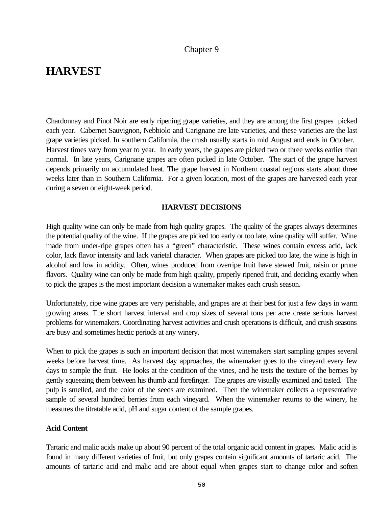## Chapter 9

## **HARVEST**

Chardonnay and Pinot Noir are early ripening grape varieties, and they are among the first grapes picked each year. Cabernet Sauvignon, Nebbiolo and Carignane are late varieties, and these varieties are the last grape varieties picked. In southern California, the crush usually starts in mid August and ends in October. Harvest times vary from year to year. In early years, the grapes are picked two or three weeks earlier than normal. In late years, Carignane grapes are often picked in late October. The start of the grape harvest depends primarily on accumulated heat. The grape harvest in Northern coastal regions starts about three weeks later than in Southern California. For a given location, most of the grapes are harvested each year during a seven or eight-week period.

#### **HARVEST DECISIONS**

High quality wine can only be made from high quality grapes. The quality of the grapes always determines the potential quality of the wine. If the grapes are picked too early or too late, wine quality will suffer. Wine made from under-ripe grapes often has a "green" characteristic. These wines contain excess acid, lack color, lack flavor intensity and lack varietal character. When grapes are picked too late, the wine is high in alcohol and low in acidity. Often, wines produced from overripe fruit have stewed fruit, raisin or prune flavors. Quality wine can only be made from high quality, properly ripened fruit, and deciding exactly when to pick the grapes is the most important decision a winemaker makes each crush season.

Unfortunately, ripe wine grapes are very perishable, and grapes are at their best for just a few days in warm growing areas. The short harvest interval and crop sizes of several tons per acre create serious harvest problems for winemakers. Coordinating harvest activities and crush operations is difficult, and crush seasons are busy and sometimes hectic periods at any winery.

When to pick the grapes is such an important decision that most winemakers start sampling grapes several weeks before harvest time. As harvest day approaches, the winemaker goes to the vineyard every few days to sample the fruit. He looks at the condition of the vines, and he tests the texture of the berries by gently squeezing them between his thumb and forefinger. The grapes are visually examined and tasted. The pulp is smelled, and the color of the seeds are examined. Then the winemaker collects a representative sample of several hundred berries from each vineyard. When the winemaker returns to the winery, he measures the titratable acid, pH and sugar content of the sample grapes.

#### **Acid Content**

Tartaric and malic acids make up about 90 percent of the total organic acid content in grapes. Malic acid is found in many different varieties of fruit, but only grapes contain significant amounts of tartaric acid. The amounts of tartaric acid and malic acid are about equal when grapes start to change color and soften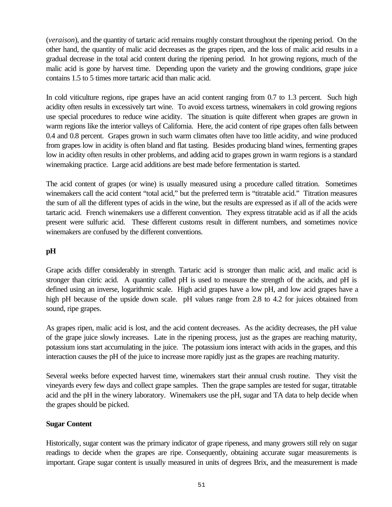(*veraison*), and the quantity of tartaric acid remains roughly constant throughout the ripening period. On the other hand, the quantity of malic acid decreases as the grapes ripen, and the loss of malic acid results in a gradual decrease in the total acid content during the ripening period. In hot growing regions, much of the malic acid is gone by harvest time. Depending upon the variety and the growing conditions, grape juice contains 1.5 to 5 times more tartaric acid than malic acid.

In cold viticulture regions, ripe grapes have an acid content ranging from 0.7 to 1.3 percent. Such high acidity often results in excessively tart wine. To avoid excess tartness, winemakers in cold growing regions use special procedures to reduce wine acidity. The situation is quite different when grapes are grown in warm regions like the interior valleys of California. Here, the acid content of ripe grapes often falls between 0.4 and 0.8 percent. Grapes grown in such warm climates often have too little acidity, and wine produced from grapes low in acidity is often bland and flat tasting. Besides producing bland wines, fermenting grapes low in acidity often results in other problems, and adding acid to grapes grown in warm regions is a standard winemaking practice. Large acid additions are best made before fermentation is started.

The acid content of grapes (or wine) is usually measured using a procedure called titration. Sometimes winemakers call the acid content "total acid," but the preferred term is "titratable acid." Titration measures the sum of all the different types of acids in the wine, but the results are expressed as if all of the acids were tartaric acid. French winemakers use a different convention. They express titratable acid as if all the acids present were sulfuric acid. These different customs result in different numbers, and sometimes novice winemakers are confused by the different conventions.

## **pH**

Grape acids differ considerably in strength. Tartaric acid is stronger than malic acid, and malic acid is stronger than citric acid. A quantity called pH is used to measure the strength of the acids, and pH is defined using an inverse, logarithmic scale. High acid grapes have a low pH, and low acid grapes have a high pH because of the upside down scale. pH values range from 2.8 to 4.2 for juices obtained from sound, ripe grapes.

As grapes ripen, malic acid is lost, and the acid content decreases. As the acidity decreases, the pH value of the grape juice slowly increases. Late in the ripening process, just as the grapes are reaching maturity, potassium ions start accumulating in the juice. The potassium ions interact with acids in the grapes, and this interaction causes the pH of the juice to increase more rapidly just as the grapes are reaching maturity.

Several weeks before expected harvest time, winemakers start their annual crush routine. They visit the vineyards every few days and collect grape samples. Then the grape samples are tested for sugar, titratable acid and the pH in the winery laboratory. Winemakers use the pH, sugar and TA data to help decide when the grapes should be picked.

#### **Sugar Content**

Historically, sugar content was the primary indicator of grape ripeness, and many growers still rely on sugar readings to decide when the grapes are ripe. Consequently, obtaining accurate sugar measurements is important. Grape sugar content is usually measured in units of degrees Brix, and the measurement is made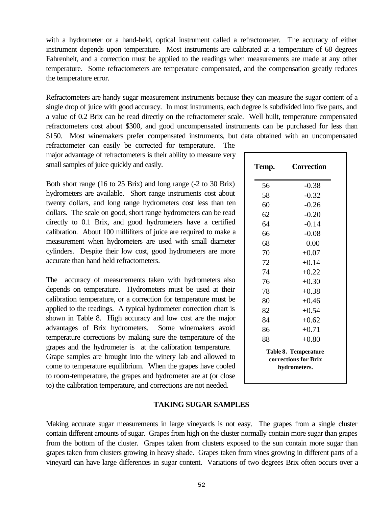with a hydrometer or a hand-held, optical instrument called a refractometer. The accuracy of either instrument depends upon temperature. Most instruments are calibrated at a temperature of 68 degrees Fahrenheit, and a correction must be applied to the readings when measurements are made at any other temperature. Some refractometers are temperature compensated, and the compensation greatly reduces the temperature error.

Refractometers are handy sugar measurement instruments because they can measure the sugar content of a single drop of juice with good accuracy. In most instruments, each degree is subdivided into five parts, and a value of 0.2 Brix can be read directly on the refractometer scale. Well built, temperature compensated refractometers cost about \$300, and good uncompensated instruments can be purchased for less than \$150. Most winemakers prefer compensated instruments, but data obtained with an uncompensated refractometer can easily be corrected for temperature. The

major advantage of refractometers is their ability to measure very small samples of juice quickly and easily.

Both short range (16 to 25 Brix) and long range (-2 to 30 Brix) hydrometers are available. Short range instruments cost about twenty dollars, and long range hydrometers cost less than ten dollars. The scale on good, short range hydrometers can be read directly to 0.1 Brix, and good hydrometers have a certified calibration. About 100 milliliters of juice are required to make a measurement when hydrometers are used with small diameter cylinders. Despite their low cost, good hydrometers are more accurate than hand held refractometers.

The accuracy of measurements taken with hydrometers also depends on temperature. Hydrometers must be used at their calibration temperature, or a correction for temperature must be applied to the readings. A typical hydrometer correction chart is shown in Table 8. High accuracy and low cost are the major advantages of Brix hydrometers. Some winemakers avoid temperature corrections by making sure the temperature of the grapes and the hydrometer is at the calibration temperature. Grape samples are brought into the winery lab and allowed to come to temperature equilibrium. When the grapes have cooled to room-temperature, the grapes and hydrometer are at (or close to) the calibration temperature, and corrections are not needed.

| Temp.                                                               | <b>Correction</b> |  |
|---------------------------------------------------------------------|-------------------|--|
| 56                                                                  | $-0.38$           |  |
| 58                                                                  | $-0.32$           |  |
| 60                                                                  | $-0.26$           |  |
| 62                                                                  | $-0.20$           |  |
| 64                                                                  | $-0.14$           |  |
| 66                                                                  | $-0.08$           |  |
| 68                                                                  | 0.00              |  |
| 70                                                                  | $+0.07$           |  |
| 72                                                                  | $+0.14$           |  |
| 74                                                                  | $+0.22$           |  |
| 76                                                                  | $+0.30$           |  |
| 78                                                                  | $+0.38$           |  |
| 80                                                                  | $+0.46$           |  |
| 82                                                                  | $+0.54$           |  |
| 84                                                                  | $+0.62$           |  |
| 86                                                                  | $+0.71$           |  |
| 88                                                                  | $+0.80$           |  |
| <b>Table 8. Temperature</b><br>corrections for Brix<br>hydrometers. |                   |  |

#### **TAKING SUGAR SAMPLES**

Making accurate sugar measurements in large vineyards is not easy. The grapes from a single cluster contain different amounts of sugar. Grapes from high on the cluster normally contain more sugar than grapes from the bottom of the cluster. Grapes taken from clusters exposed to the sun contain more sugar than grapes taken from clusters growing in heavy shade. Grapes taken from vines growing in different parts of a vineyard can have large differences in sugar content. Variations of two degrees Brix often occurs over a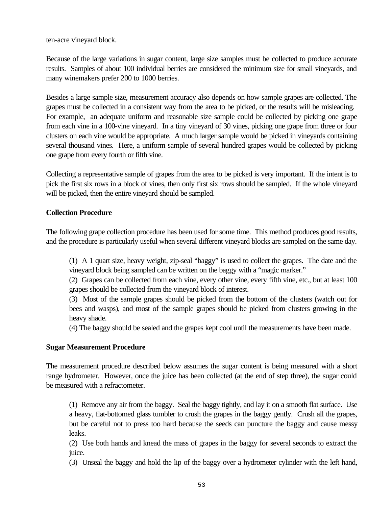ten-acre vineyard block.

Because of the large variations in sugar content, large size samples must be collected to produce accurate results. Samples of about 100 individual berries are considered the minimum size for small vineyards, and many winemakers prefer 200 to 1000 berries.

Besides a large sample size, measurement accuracy also depends on how sample grapes are collected. The grapes must be collected in a consistent way from the area to be picked, or the results will be misleading. For example, an adequate uniform and reasonable size sample could be collected by picking one grape from each vine in a 100-vine vineyard. In a tiny vineyard of 30 vines, picking one grape from three or four clusters on each vine would be appropriate. A much larger sample would be picked in vineyards containing several thousand vines. Here, a uniform sample of several hundred grapes would be collected by picking one grape from every fourth or fifth vine.

Collecting a representative sample of grapes from the area to be picked is very important. If the intent is to pick the first six rows in a block of vines, then only first six rows should be sampled. If the whole vineyard will be picked, then the entire vineyard should be sampled.

## **Collection Procedure**

The following grape collection procedure has been used for some time. This method produces good results, and the procedure is particularly useful when several different vineyard blocks are sampled on the same day.

(1) A 1 quart size, heavy weight, zip-seal "baggy" is used to collect the grapes. The date and the vineyard block being sampled can be written on the baggy with a "magic marker."

(2) Grapes can be collected from each vine, every other vine, every fifth vine, etc., but at least 100 grapes should be collected from the vineyard block of interest.

(3) Most of the sample grapes should be picked from the bottom of the clusters (watch out for bees and wasps), and most of the sample grapes should be picked from clusters growing in the heavy shade.

(4) The baggy should be sealed and the grapes kept cool until the measurements have been made.

## **Sugar Measurement Procedure**

The measurement procedure described below assumes the sugar content is being measured with a short range hydrometer. However, once the juice has been collected (at the end of step three), the sugar could be measured with a refractometer.

(1) Remove any air from the baggy. Seal the baggy tightly, and lay it on a smooth flat surface. Use a heavy, flat-bottomed glass tumbler to crush the grapes in the baggy gently. Crush all the grapes, but be careful not to press too hard because the seeds can puncture the baggy and cause messy leaks.

(2) Use both hands and knead the mass of grapes in the baggy for several seconds to extract the juice.

(3) Unseal the baggy and hold the lip of the baggy over a hydrometer cylinder with the left hand,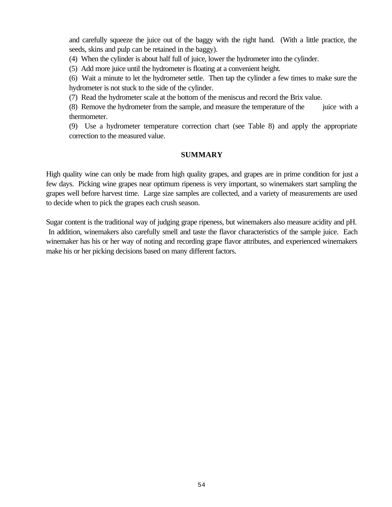and carefully squeeze the juice out of the baggy with the right hand. (With a little practice, the seeds, skins and pulp can be retained in the baggy).

(4) When the cylinder is about half full of juice, lower the hydrometer into the cylinder.

(5) Add more juice until the hydrometer is floating at a convenient height.

(6) Wait a minute to let the hydrometer settle. Then tap the cylinder a few times to make sure the hydrometer is not stuck to the side of the cylinder.

(7) Read the hydrometer scale at the bottom of the meniscus and record the Brix value.

(8) Remove the hydrometer from the sample, and measure the temperature of the juice with a thermometer.

(9) Use a hydrometer temperature correction chart (see Table 8) and apply the appropriate correction to the measured value.

#### **SUMMARY**

High quality wine can only be made from high quality grapes, and grapes are in prime condition for just a few days. Picking wine grapes near optimum ripeness is very important, so winemakers start sampling the grapes well before harvest time. Large size samples are collected, and a variety of measurements are used to decide when to pick the grapes each crush season.

Sugar content is the traditional way of judging grape ripeness, but winemakers also measure acidity and pH. In addition, winemakers also carefully smell and taste the flavor characteristics of the sample juice. Each winemaker has his or her way of noting and recording grape flavor attributes, and experienced winemakers make his or her picking decisions based on many different factors.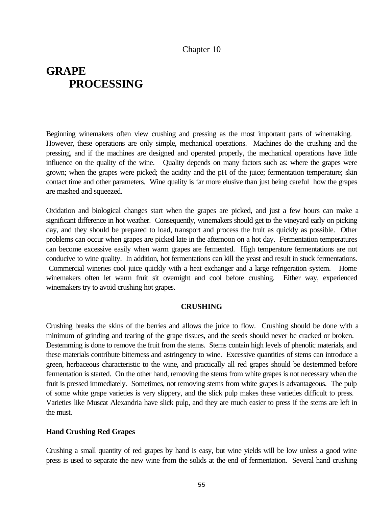## Chapter 10

# **GRAPE PROCESSING**

Beginning winemakers often view crushing and pressing as the most important parts of winemaking. However, these operations are only simple, mechanical operations. Machines do the crushing and the pressing, and if the machines are designed and operated properly, the mechanical operations have little influence on the quality of the wine. Quality depends on many factors such as: where the grapes were grown; when the grapes were picked; the acidity and the pH of the juice; fermentation temperature; skin contact time and other parameters. Wine quality is far more elusive than just being careful how the grapes are mashed and squeezed.

Oxidation and biological changes start when the grapes are picked, and just a few hours can make a significant difference in hot weather. Consequently, winemakers should get to the vineyard early on picking day, and they should be prepared to load, transport and process the fruit as quickly as possible. Other problems can occur when grapes are picked late in the afternoon on a hot day. Fermentation temperatures can become excessive easily when warm grapes are fermented. High temperature fermentations are not conducive to wine quality. In addition, hot fermentations can kill the yeast and result in stuck fermentations. Commercial wineries cool juice quickly with a heat exchanger and a large refrigeration system. Home winemakers often let warm fruit sit overnight and cool before crushing. Either way, experienced winemakers try to avoid crushing hot grapes.

#### **CRUSHING**

Crushing breaks the skins of the berries and allows the juice to flow. Crushing should be done with a minimum of grinding and tearing of the grape tissues, and the seeds should never be cracked or broken. Destemming is done to remove the fruit from the stems. Stems contain high levels of phenolic materials, and these materials contribute bitterness and astringency to wine. Excessive quantities of stems can introduce a green, herbaceous characteristic to the wine, and practically all red grapes should be destemmed before fermentation is started. On the other hand, removing the stems from white grapes is not necessary when the fruit is pressed immediately. Sometimes, not removing stems from white grapes is advantageous. The pulp of some white grape varieties is very slippery, and the slick pulp makes these varieties difficult to press. Varieties like Muscat Alexandria have slick pulp, and they are much easier to press if the stems are left in the must.

#### **Hand Crushing Red Grapes**

Crushing a small quantity of red grapes by hand is easy, but wine yields will be low unless a good wine press is used to separate the new wine from the solids at the end of fermentation. Several hand crushing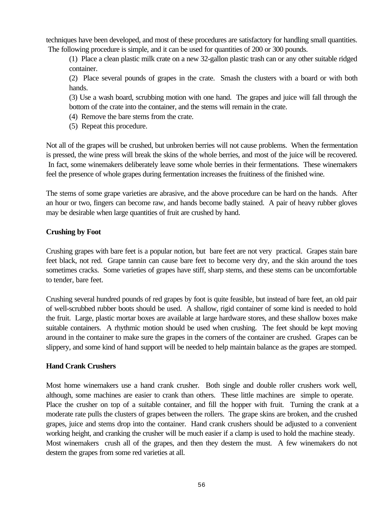techniques have been developed, and most of these procedures are satisfactory for handling small quantities. The following procedure is simple, and it can be used for quantities of 200 or 300 pounds.

(1) Place a clean plastic milk crate on a new 32-gallon plastic trash can or any other suitable ridged container.

(2) Place several pounds of grapes in the crate. Smash the clusters with a board or with both hands.

(3) Use a wash board, scrubbing motion with one hand. The grapes and juice will fall through the bottom of the crate into the container, and the stems will remain in the crate.

- (4) Remove the bare stems from the crate.
- (5) Repeat this procedure.

Not all of the grapes will be crushed, but unbroken berries will not cause problems. When the fermentation is pressed, the wine press will break the skins of the whole berries, and most of the juice will be recovered. In fact, some winemakers deliberately leave some whole berries in their fermentations. These winemakers feel the presence of whole grapes during fermentation increases the fruitiness of the finished wine.

The stems of some grape varieties are abrasive, and the above procedure can be hard on the hands. After an hour or two, fingers can become raw, and hands become badly stained. A pair of heavy rubber gloves may be desirable when large quantities of fruit are crushed by hand.

## **Crushing by Foot**

Crushing grapes with bare feet is a popular notion, but bare feet are not very practical. Grapes stain bare feet black, not red. Grape tannin can cause bare feet to become very dry, and the skin around the toes sometimes cracks. Some varieties of grapes have stiff, sharp stems, and these stems can be uncomfortable to tender, bare feet.

Crushing several hundred pounds of red grapes by foot is quite feasible, but instead of bare feet, an old pair of well-scrubbed rubber boots should be used. A shallow, rigid container of some kind is needed to hold the fruit. Large, plastic mortar boxes are available at large hardware stores, and these shallow boxes make suitable containers. A rhythmic motion should be used when crushing. The feet should be kept moving around in the container to make sure the grapes in the corners of the container are crushed. Grapes can be slippery, and some kind of hand support will be needed to help maintain balance as the grapes are stomped.

#### **Hand Crank Crushers**

Most home winemakers use a hand crank crusher. Both single and double roller crushers work well, although, some machines are easier to crank than others. These little machines are simple to operate. Place the crusher on top of a suitable container, and fill the hopper with fruit. Turning the crank at a moderate rate pulls the clusters of grapes between the rollers. The grape skins are broken, and the crushed grapes, juice and stems drop into the container. Hand crank crushers should be adjusted to a convenient working height, and cranking the crusher will be much easier if a clamp is used to hold the machine steady. Most winemakers crush all of the grapes, and then they destem the must. A few winemakers do not destem the grapes from some red varieties at all.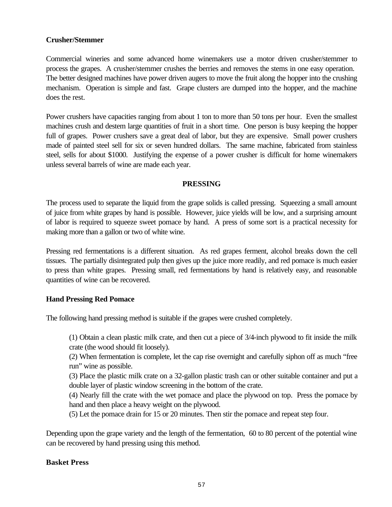## **Crusher/Stemmer**

Commercial wineries and some advanced home winemakers use a motor driven crusher/stemmer to process the grapes. A crusher/stemmer crushes the berries and removes the stems in one easy operation. The better designed machines have power driven augers to move the fruit along the hopper into the crushing mechanism. Operation is simple and fast. Grape clusters are dumped into the hopper, and the machine does the rest.

Power crushers have capacities ranging from about 1 ton to more than 50 tons per hour. Even the smallest machines crush and destem large quantities of fruit in a short time. One person is busy keeping the hopper full of grapes. Power crushers save a great deal of labor, but they are expensive. Small power crushers made of painted steel sell for six or seven hundred dollars. The same machine, fabricated from stainless steel, sells for about \$1000. Justifying the expense of a power crusher is difficult for home winemakers unless several barrels of wine are made each year.

#### **PRESSING**

The process used to separate the liquid from the grape solids is called pressing. Squeezing a small amount of juice from white grapes by hand is possible. However, juice yields will be low, and a surprising amount of labor is required to squeeze sweet pomace by hand. A press of some sort is a practical necessity for making more than a gallon or two of white wine.

Pressing red fermentations is a different situation. As red grapes ferment, alcohol breaks down the cell tissues. The partially disintegrated pulp then gives up the juice more readily, and red pomace is much easier to press than white grapes. Pressing small, red fermentations by hand is relatively easy, and reasonable quantities of wine can be recovered.

#### **Hand Pressing Red Pomace**

The following hand pressing method is suitable if the grapes were crushed completely.

(1) Obtain a clean plastic milk crate, and then cut a piece of 3/4-inch plywood to fit inside the milk crate (the wood should fit loosely).

(2) When fermentation is complete, let the cap rise overnight and carefully siphon off as much "free run" wine as possible.

(3) Place the plastic milk crate on a 32-gallon plastic trash can or other suitable container and put a double layer of plastic window screening in the bottom of the crate.

(4) Nearly fill the crate with the wet pomace and place the plywood on top. Press the pomace by hand and then place a heavy weight on the plywood.

(5) Let the pomace drain for 15 or 20 minutes. Then stir the pomace and repeat step four.

Depending upon the grape variety and the length of the fermentation, 60 to 80 percent of the potential wine can be recovered by hand pressing using this method.

#### **Basket Press**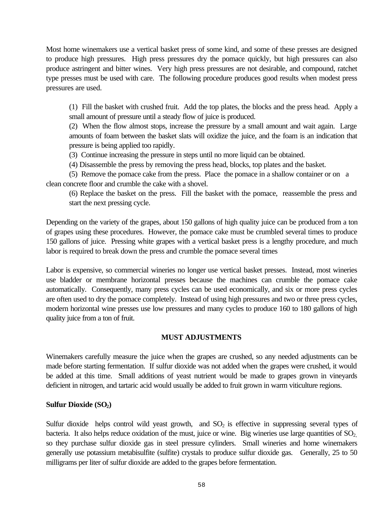Most home winemakers use a vertical basket press of some kind, and some of these presses are designed to produce high pressures. High press pressures dry the pomace quickly, but high pressures can also produce astringent and bitter wines. Very high press pressures are not desirable, and compound, ratchet type presses must be used with care. The following procedure produces good results when modest press pressures are used.

(1) Fill the basket with crushed fruit. Add the top plates, the blocks and the press head. Apply a small amount of pressure until a steady flow of juice is produced.

(2) When the flow almost stops, increase the pressure by a small amount and wait again. Large amounts of foam between the basket slats will oxidize the juice, and the foam is an indication that pressure is being applied too rapidly.

(3) Continue increasing the pressure in steps until no more liquid can be obtained.

(4) Disassemble the press by removing the press head, blocks, top plates and the basket.

(5) Remove the pomace cake from the press. Place the pomace in a shallow container or on a clean concrete floor and crumble the cake with a shovel.

(6) Replace the basket on the press. Fill the basket with the pomace, reassemble the press and start the next pressing cycle.

Depending on the variety of the grapes, about 150 gallons of high quality juice can be produced from a ton of grapes using these procedures. However, the pomace cake must be crumbled several times to produce 150 gallons of juice. Pressing white grapes with a vertical basket press is a lengthy procedure, and much labor is required to break down the press and crumble the pomace several times

Labor is expensive, so commercial wineries no longer use vertical basket presses. Instead, most wineries use bladder or membrane horizontal presses because the machines can crumble the pomace cake automatically. Consequently, many press cycles can be used economically, and six or more press cycles are often used to dry the pomace completely. Instead of using high pressures and two or three press cycles, modern horizontal wine presses use low pressures and many cycles to produce 160 to 180 gallons of high quality juice from a ton of fruit.

#### **MUST ADJUSTMENTS**

Winemakers carefully measure the juice when the grapes are crushed, so any needed adjustments can be made before starting fermentation. If sulfur dioxide was not added when the grapes were crushed, it would be added at this time. Small additions of yeast nutrient would be made to grapes grown in vineyards deficient in nitrogen, and tartaric acid would usually be added to fruit grown in warm viticulture regions.

#### **Sulfur Dioxide (SO2)**

Sulfur dioxide helps control wild yeast growth, and  $SO<sub>2</sub>$  is effective in suppressing several types of bacteria. It also helps reduce oxidation of the must, juice or wine. Big wineries use large quantities of  $SO<sub>2</sub>$ , so they purchase sulfur dioxide gas in steel pressure cylinders. Small wineries and home winemakers generally use potassium metabisulfite (sulfite) crystals to produce sulfur dioxide gas. Generally, 25 to 50 milligrams per liter of sulfur dioxide are added to the grapes before fermentation.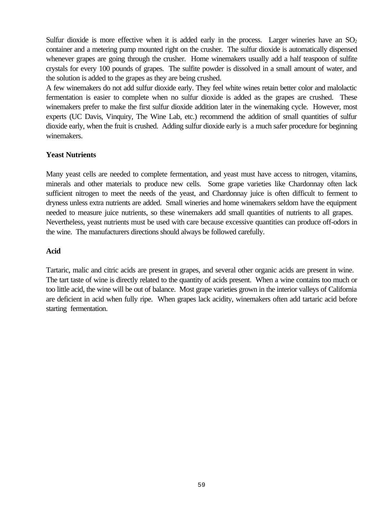Sulfur dioxide is more effective when it is added early in the process. Larger wineries have an  $SO<sub>2</sub>$ container and a metering pump mounted right on the crusher. The sulfur dioxide is automatically dispensed whenever grapes are going through the crusher. Home winemakers usually add a half teaspoon of sulfite crystals for every 100 pounds of grapes. The sulfite powder is dissolved in a small amount of water, and the solution is added to the grapes as they are being crushed.

A few winemakers do not add sulfur dioxide early. They feel white wines retain better color and malolactic fermentation is easier to complete when no sulfur dioxide is added as the grapes are crushed. These winemakers prefer to make the first sulfur dioxide addition later in the winemaking cycle. However, most experts (UC Davis, Vinquiry, The Wine Lab, etc.) recommend the addition of small quantities of sulfur dioxide early, when the fruit is crushed. Adding sulfur dioxide early is a much safer procedure for beginning winemakers.

#### **Yeast Nutrients**

Many yeast cells are needed to complete fermentation, and yeast must have access to nitrogen, vitamins, minerals and other materials to produce new cells. Some grape varieties like Chardonnay often lack sufficient nitrogen to meet the needs of the yeast, and Chardonnay juice is often difficult to ferment to dryness unless extra nutrients are added. Small wineries and home winemakers seldom have the equipment needed to measure juice nutrients, so these winemakers add small quantities of nutrients to all grapes. Nevertheless, yeast nutrients must be used with care because excessive quantities can produce off-odors in the wine. The manufacturers directions should always be followed carefully.

#### **Acid**

Tartaric, malic and citric acids are present in grapes, and several other organic acids are present in wine. The tart taste of wine is directly related to the quantity of acids present. When a wine contains too much or too little acid, the wine will be out of balance. Most grape varieties grown in the interior valleys of California are deficient in acid when fully ripe. When grapes lack acidity, winemakers often add tartaric acid before starting fermentation.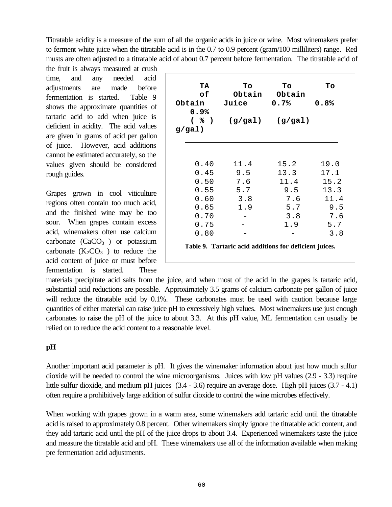Titratable acidity is a measure of the sum of all the organic acids in juice or wine. Most winemakers prefer to ferment white juice when the titratable acid is in the 0.7 to 0.9 percent (gram/100 milliliters) range. Red musts are often adjusted to a titratable acid of about 0.7 percent before fermentation. The titratable acid of

the fruit is always measured at crush time, and any needed acid adjustments are made before fermentation is started. Table 9 shows the approximate quantities of tartaric acid to add when juice is deficient in acidity. The acid values are given in grams of acid per gallon of juice. However, acid additions cannot be estimated accurately, so the values given should be considered rough guides.

Grapes grown in cool viticulture regions often contain too much acid, and the finished wine may be too sour. When grapes contain excess acid, winemakers often use calcium carbonate  $(CaCO<sub>3</sub>)$  or potassium carbonate  $(K_2CO_3)$  to reduce the acid content of juice or must before fermentation is started. These

| TA<br>оf<br>Obtain<br>0.9%<br>( % ) | To<br>Obtain<br>Juice<br>(g/gal)                       | To<br>Obtain<br>0.7%<br>(g/gal) | To<br>0.8% |
|-------------------------------------|--------------------------------------------------------|---------------------------------|------------|
| $g/gal$ )                           |                                                        |                                 |            |
|                                     |                                                        |                                 |            |
| 0.40                                | 11.4                                                   | 15.2                            | 19.0       |
| 0.45                                | 9.5                                                    | 13.3                            | 17.1       |
| 0.50                                | 7.6                                                    | 11.4                            | 15.2       |
| 0.55                                | 5.7                                                    | 9.5                             | 13.3       |
| 0.60                                | 3.8                                                    | 7.6                             | 11.4       |
| 0.65                                | 1.9                                                    | 5.7                             | 9.5        |
| 0.70                                |                                                        | 3.8                             | 7.6        |
| 0.75                                |                                                        | 1.9                             | 5.7        |
| 0.80                                |                                                        |                                 | 3.8        |
|                                     | Table 9. Tartaric acid additions for deficient juices. |                                 |            |

materials precipitate acid salts from the juice, and when most of the acid in the grapes is tartaric acid, substantial acid reductions are possible. Approximately 3.5 grams of calcium carbonate per gallon of juice will reduce the titratable acid by 0.1%. These carbonates must be used with caution because large quantities of either material can raise juice pH to excessively high values. Most winemakers use just enough carbonates to raise the pH of the juice to about 3.3. At this pH value, ML fermentation can usually be relied on to reduce the acid content to a reasonable level.

## **pH**

Another important acid parameter is pH. It gives the winemaker information about just how much sulfur dioxide will be needed to control the wine microorganisms. Juices with low pH values (2.9 - 3.3) require little sulfur dioxide, and medium pH juices (3.4 - 3.6) require an average dose. High pH juices (3.7 - 4.1) often require a prohibitively large addition of sulfur dioxide to control the wine microbes effectively.

When working with grapes grown in a warm area, some winemakers add tartaric acid until the titratable acid is raised to approximately 0.8 percent. Other winemakers simply ignore the titratable acid content, and they add tartaric acid until the pH of the juice drops to about 3.4. Experienced winemakers taste the juice and measure the titratable acid and pH. These winemakers use all of the information available when making pre fermentation acid adjustments.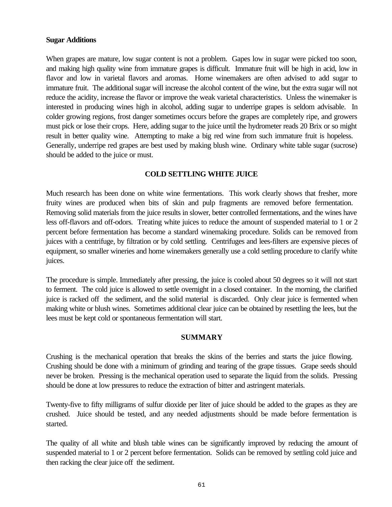#### **Sugar Additions**

When grapes are mature, low sugar content is not a problem. Gapes low in sugar were picked too soon, and making high quality wine from immature grapes is difficult. Immature fruit will be high in acid, low in flavor and low in varietal flavors and aromas. Home winemakers are often advised to add sugar to immature fruit. The additional sugar will increase the alcohol content of the wine, but the extra sugar will not reduce the acidity, increase the flavor or improve the weak varietal characteristics. Unless the winemaker is interested in producing wines high in alcohol, adding sugar to underripe grapes is seldom advisable. In colder growing regions, frost danger sometimes occurs before the grapes are completely ripe, and growers must pick or lose their crops. Here, adding sugar to the juice until the hydrometer reads 20 Brix or so might result in better quality wine. Attempting to make a big red wine from such immature fruit is hopeless. Generally, underripe red grapes are best used by making blush wine. Ordinary white table sugar (sucrose) should be added to the juice or must.

## **COLD SETTLING WHITE JUICE**

Much research has been done on white wine fermentations. This work clearly shows that fresher, more fruity wines are produced when bits of skin and pulp fragments are removed before fermentation. Removing solid materials from the juice results in slower, better controlled fermentations, and the wines have less off-flavors and off-odors. Treating white juices to reduce the amount of suspended material to 1 or 2 percent before fermentation has become a standard winemaking procedure. Solids can be removed from juices with a centrifuge, by filtration or by cold settling. Centrifuges and lees-filters are expensive pieces of equipment, so smaller wineries and home winemakers generally use a cold settling procedure to clarify white juices.

The procedure is simple. Immediately after pressing, the juice is cooled about 50 degrees so it will not start to ferment. The cold juice is allowed to settle overnight in a closed container. In the morning, the clarified juice is racked off the sediment, and the solid material is discarded. Only clear juice is fermented when making white or blush wines. Sometimes additional clear juice can be obtained by resettling the lees, but the lees must be kept cold or spontaneous fermentation will start.

#### **SUMMARY**

Crushing is the mechanical operation that breaks the skins of the berries and starts the juice flowing. Crushing should be done with a minimum of grinding and tearing of the grape tissues. Grape seeds should never be broken. Pressing is the mechanical operation used to separate the liquid from the solids. Pressing should be done at low pressures to reduce the extraction of bitter and astringent materials.

Twenty-five to fifty milligrams of sulfur dioxide per liter of juice should be added to the grapes as they are crushed. Juice should be tested, and any needed adjustments should be made before fermentation is started.

The quality of all white and blush table wines can be significantly improved by reducing the amount of suspended material to 1 or 2 percent before fermentation. Solids can be removed by settling cold juice and then racking the clear juice off the sediment.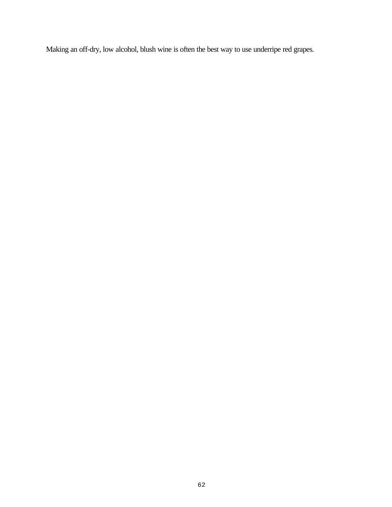Making an off-dry, low alcohol, blush wine is often the best way to use underripe red grapes.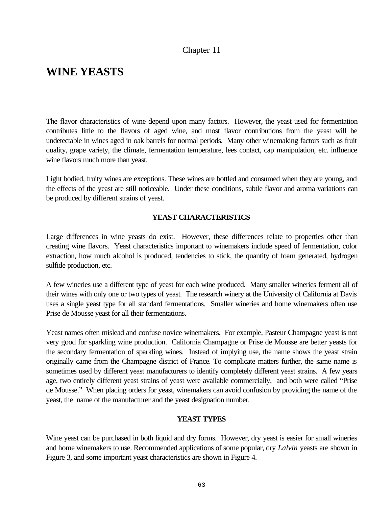## Chapter 11

## **WINE YEASTS**

The flavor characteristics of wine depend upon many factors. However, the yeast used for fermentation contributes little to the flavors of aged wine, and most flavor contributions from the yeast will be undetectable in wines aged in oak barrels for normal periods. Many other winemaking factors such as fruit quality, grape variety, the climate, fermentation temperature, lees contact, cap manipulation, etc. influence wine flavors much more than yeast.

Light bodied, fruity wines are exceptions. These wines are bottled and consumed when they are young, and the effects of the yeast are still noticeable. Under these conditions, subtle flavor and aroma variations can be produced by different strains of yeast.

#### **YEAST CHARACTERISTICS**

Large differences in wine yeasts do exist. However, these differences relate to properties other than creating wine flavors. Yeast characteristics important to winemakers include speed of fermentation, color extraction, how much alcohol is produced, tendencies to stick, the quantity of foam generated, hydrogen sulfide production, etc.

A few wineries use a different type of yeast for each wine produced. Many smaller wineries ferment all of their wines with only one or two types of yeast. The research winery at the University of California at Davis uses a single yeast type for all standard fermentations. Smaller wineries and home winemakers often use Prise de Mousse yeast for all their fermentations.

Yeast names often mislead and confuse novice winemakers. For example, Pasteur Champagne yeast is not very good for sparkling wine production. California Champagne or Prise de Mousse are better yeasts for the secondary fermentation of sparkling wines. Instead of implying use, the name shows the yeast strain originally came from the Champagne district of France. To complicate matters further, the same name is sometimes used by different yeast manufacturers to identify completely different yeast strains. A few years age, two entirely different yeast strains of yeast were available commercially, and both were called "Prise de Mousse." When placing orders for yeast, winemakers can avoid confusion by providing the name of the yeast, the name of the manufacturer and the yeast designation number.

#### **YEAST TYPES**

Wine yeast can be purchased in both liquid and dry forms. However, dry yeast is easier for small wineries and home winemakers to use. Recommended applications of some popular, dry *Lalvin* yeasts are shown in Figure 3, and some important yeast characteristics are shown in Figure 4.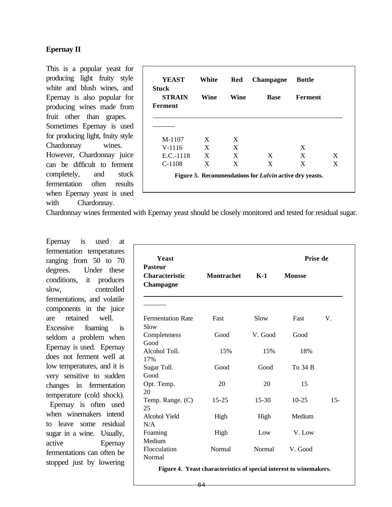## **Epernay II**

This is a popular yeast for producing light fruity style white and blush wines, and Epernay is also popular for producing wines made from fruit other than grapes. Sometimes Epernay is used for producing light, fruity style Chardonnay wines. However, Chardonnay juice can be difficult to ferment completely, and stuck fermentation often results when Epernay yeast is used with Chardonnay.

| <b>YEAST</b>                             | White | <b>Red</b> | Champagne   | <b>Bottle</b> |   |
|------------------------------------------|-------|------------|-------------|---------------|---|
| <b>Stuck</b><br><b>STRAIN</b><br>Ferment | Wine  | Wine       | <b>Base</b> | Ferment       |   |
|                                          |       |            |             |               |   |
| $M-1107$                                 | X     | X          |             |               |   |
| $V-1116$                                 | X     | X          |             | X             |   |
| $E.C.-1118$                              | X     | X          | X           | X             | X |
|                                          | X     | X          | X           | X             | X |

Chardonnay wines fermented with Epernay yeast should be closely monitored and tested for residual sugar.

Epernay is used at fermentation temperatures ranging from 50 to 70 degrees. Under these conditions, it produces slow, controlled fermentations, and volatile components in the juice are retained well. Excessive foaming is seldom a problem when Epernay is used. Epernay does not ferment well at low temperatures, and it is very sensitive to sudden changes in fermentation temperature (cold shock). Epernay is often used when winemakers intend

to leave some residual sugar in a wine. Usually, active Epernay fermentations can often be stopped just by lowering

| <b>Yeast</b><br><b>Pasteur</b>            |                   | Prise de  |               |        |
|-------------------------------------------|-------------------|-----------|---------------|--------|
| <b>Characteristic</b><br><b>Champagne</b> | <b>Montrachet</b> | $K-1$     | <b>Mousse</b> |        |
|                                           |                   |           |               |        |
| <b>Fermentation Rate</b><br>Slow          | Fast              | Slow      | Fast          | V.     |
| Completeness<br>Good                      | Good              | V. Good   | Good          |        |
| Alcohol Toll.<br>17%                      | 15%               | 15%       | 18%           |        |
| Sugar Toll.<br>Good                       | Good              | Good      | To 34 B       |        |
| Opt. Temp.<br>20                          | 20                | 20        | 15            |        |
| Temp. Range. (C)<br>25                    | $15 - 25$         | $15 - 30$ | $10-25$       | $15 -$ |
| Alcohol Yield<br>N/A                      | High              | High      | Medium        |        |
| Foaming<br>Medium                         | High              | Low       | V. Low        |        |
| Flocculation<br>Normal                    | Normal            | Normal    | V. Good       |        |

**Figure 4. Yeast characteristics of special interest to winemakers.**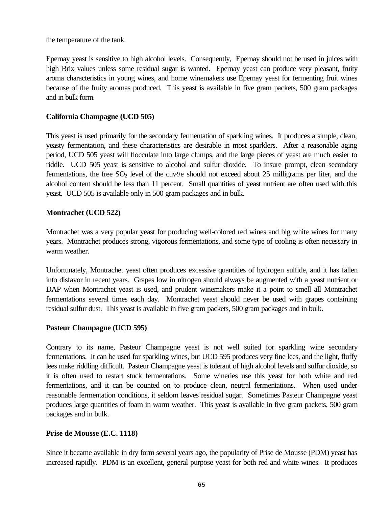the temperature of the tank.

Epernay yeast is sensitive to high alcohol levels. Consequently, Epernay should not be used in juices with high Brix values unless some residual sugar is wanted. Epernay yeast can produce very pleasant, fruity aroma characteristics in young wines, and home winemakers use Epernay yeast for fermenting fruit wines because of the fruity aromas produced. This yeast is available in five gram packets, 500 gram packages and in bulk form.

## **California Champagne (UCD 505)**

This yeast is used primarily for the secondary fermentation of sparkling wines. It produces a simple, clean, yeasty fermentation, and these characteristics are desirable in most sparklers. After a reasonable aging period, UCD 505 yeast will flocculate into large clumps, and the large pieces of yeast are much easier to riddle. UCD 505 yeast is sensitive to alcohol and sulfur dioxide. To insure prompt, clean secondary fermentations, the free  $SO<sub>2</sub>$  level of the cuv $\vartheta$ e should not exceed about 25 milligrams per liter, and the alcohol content should be less than 11 percent. Small quantities of yeast nutrient are often used with this yeast. UCD 505 is available only in 500 gram packages and in bulk.

#### **Montrachet (UCD 522)**

Montrachet was a very popular yeast for producing well-colored red wines and big white wines for many years. Montrachet produces strong, vigorous fermentations, and some type of cooling is often necessary in warm weather.

Unfortunately, Montrachet yeast often produces excessive quantities of hydrogen sulfide, and it has fallen into disfavor in recent years.Grapes low in nitrogen should always be augmented with a yeast nutrient or DAP when Montrachet yeast is used, and prudent winemakers make it a point to smell all Montrachet fermentations several times each day. Montrachet yeast should never be used with grapes containing residual sulfur dust. This yeast is available in five gram packets, 500 gram packages and in bulk.

#### **Pasteur Champagne (UCD 595)**

Contrary to its name, Pasteur Champagne yeast is not well suited for sparkling wine secondary fermentations. It can be used for sparkling wines, but UCD 595 produces very fine lees, and the light, fluffy lees make riddling difficult. Pasteur Champagne yeast is tolerant of high alcohol levels and sulfur dioxide, so it is often used to restart stuck fermentations. Some wineries use this yeast for both white and red fermentations, and it can be counted on to produce clean, neutral fermentations. When used under reasonable fermentation conditions, it seldom leaves residual sugar. Sometimes Pasteur Champagne yeast produces large quantities of foam in warm weather. This yeast is available in five gram packets, 500 gram packages and in bulk.

#### **Prise de Mousse (E.C. 1118)**

Since it became available in dry form several years ago, the popularity of Prise de Mousse (PDM) yeast has increased rapidly. PDM is an excellent, general purpose yeast for both red and white wines. It produces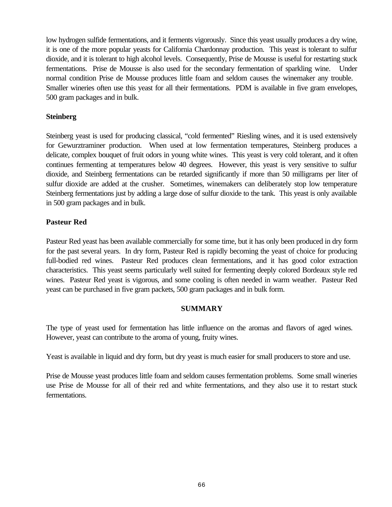low hydrogen sulfide fermentations, and it ferments vigorously. Since this yeast usually produces a dry wine, it is one of the more popular yeasts for California Chardonnay production. This yeast is tolerant to sulfur dioxide, and it is tolerant to high alcohol levels. Consequently, Prise de Mousse is useful for restarting stuck fermentations. Prise de Mousse is also used for the secondary fermentation of sparkling wine. Under normal condition Prise de Mousse produces little foam and seldom causes the winemaker any trouble. Smaller wineries often use this yeast for all their fermentations. PDM is available in five gram envelopes, 500 gram packages and in bulk.

## **Steinberg**

Steinberg yeast is used for producing classical, "cold fermented" Riesling wines, and it is used extensively for Gewurztraminer production. When used at low fermentation temperatures, Steinberg produces a delicate, complex bouquet of fruit odors in young white wines. This yeast is very cold tolerant, and it often continues fermenting at temperatures below 40 degrees. However, this yeast is very sensitive to sulfur dioxide, and Steinberg fermentations can be retarded significantly if more than 50 milligrams per liter of sulfur dioxide are added at the crusher. Sometimes, winemakers can deliberately stop low temperature Steinberg fermentations just by adding a large dose of sulfur dioxide to the tank. This yeast is only available in 500 gram packages and in bulk.

## **Pasteur Red**

Pasteur Red yeast has been available commercially for some time, but it has only been produced in dry form for the past several years. In dry form, Pasteur Red is rapidly becoming the yeast of choice for producing full-bodied red wines. Pasteur Red produces clean fermentations, and it has good color extraction characteristics. This yeast seems particularly well suited for fermenting deeply colored Bordeaux style red wines. Pasteur Red yeast is vigorous, and some cooling is often needed in warm weather. Pasteur Red yeast can be purchased in five gram packets, 500 gram packages and in bulk form.

#### **SUMMARY**

The type of yeast used for fermentation has little influence on the aromas and flavors of aged wines. However, yeast can contribute to the aroma of young, fruity wines.

Yeast is available in liquid and dry form, but dry yeast is much easier for small producers to store and use.

Prise de Mousse yeast produces little foam and seldom causes fermentation problems. Some small wineries use Prise de Mousse for all of their red and white fermentations, and they also use it to restart stuck fermentations.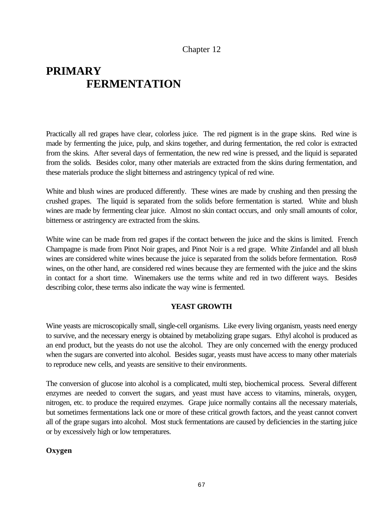## Chapter 12

# **PRIMARY FERMENTATION**

Practically all red grapes have clear, colorless juice. The red pigment is in the grape skins. Red wine is made by fermenting the juice, pulp, and skins together, and during fermentation, the red color is extracted from the skins. After several days of fermentation, the new red wine is pressed, and the liquid is separated from the solids. Besides color, many other materials are extracted from the skins during fermentation, and these materials produce the slight bitterness and astringency typical of red wine.

White and blush wines are produced differently. These wines are made by crushing and then pressing the crushed grapes. The liquid is separated from the solids before fermentation is started. White and blush wines are made by fermenting clear juice. Almost no skin contact occurs, and only small amounts of color, bitterness or astringency are extracted from the skins.

White wine can be made from red grapes if the contact between the juice and the skins is limited. French Champagne is made from Pinot Noir grapes, and Pinot Noir is a red grape. White Zinfandel and all blush wines are considered white wines because the juice is separated from the solids before fermentation. Ros $\vartheta$ wines, on the other hand, are considered red wines because they are fermented with the juice and the skins in contact for a short time. Winemakers use the terms white and red in two different ways. Besides describing color, these terms also indicate the way wine is fermented.

## **YEAST GROWTH**

Wine yeasts are microscopically small, single-cell organisms. Like every living organism, yeasts need energy to survive, and the necessary energy is obtained by metabolizing grape sugars. Ethyl alcohol is produced as an end product, but the yeasts do not use the alcohol. They are only concerned with the energy produced when the sugars are converted into alcohol. Besides sugar, yeasts must have access to many other materials to reproduce new cells, and yeasts are sensitive to their environments.

The conversion of glucose into alcohol is a complicated, multi step, biochemical process. Several different enzymes are needed to convert the sugars, and yeast must have access to vitamins, minerals, oxygen, nitrogen, etc. to produce the required enzymes. Grape juice normally contains all the necessary materials, but sometimes fermentations lack one or more of these critical growth factors, and the yeast cannot convert all of the grape sugars into alcohol. Most stuck fermentations are caused by deficiencies in the starting juice or by excessively high or low temperatures.

## **Oxygen**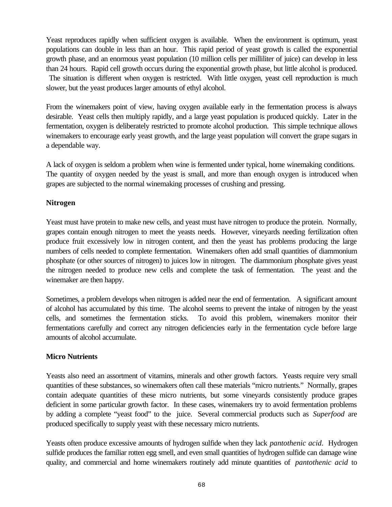Yeast reproduces rapidly when sufficient oxygen is available. When the environment is optimum, yeast populations can double in less than an hour. This rapid period of yeast growth is called the exponential growth phase, and an enormous yeast population (10 million cells per milliliter of juice) can develop in less than 24 hours. Rapid cell growth occurs during the exponential growth phase, but little alcohol is produced.

 The situation is different when oxygen is restricted. With little oxygen, yeast cell reproduction is much slower, but the yeast produces larger amounts of ethyl alcohol.

From the winemakers point of view, having oxygen available early in the fermentation process is always desirable. Yeast cells then multiply rapidly, and a large yeast population is produced quickly. Later in the fermentation, oxygen is deliberately restricted to promote alcohol production. This simple technique allows winemakers to encourage early yeast growth, and the large yeast population will convert the grape sugars in a dependable way.

A lack of oxygen is seldom a problem when wine is fermented under typical, home winemaking conditions. The quantity of oxygen needed by the yeast is small, and more than enough oxygen is introduced when grapes are subjected to the normal winemaking processes of crushing and pressing.

## **Nitrogen**

Yeast must have protein to make new cells, and yeast must have nitrogen to produce the protein. Normally, grapes contain enough nitrogen to meet the yeasts needs. However, vineyards needing fertilization often produce fruit excessively low in nitrogen content, and then the yeast has problems producing the large numbers of cells needed to complete fermentation. Winemakers often add small quantities of diammonium phosphate (or other sources of nitrogen) to juices low in nitrogen. The diammonium phosphate gives yeast the nitrogen needed to produce new cells and complete the task of fermentation. The yeast and the winemaker are then happy.

Sometimes, a problem develops when nitrogen is added near the end of fermentation. A significant amount of alcohol has accumulated by this time. The alcohol seems to prevent the intake of nitrogen by the yeast cells, and sometimes the fermentation sticks. To avoid this problem, winemakers monitor their fermentations carefully and correct any nitrogen deficiencies early in the fermentation cycle before large amounts of alcohol accumulate.

# **Micro Nutrients**

Yeasts also need an assortment of vitamins, minerals and other growth factors. Yeasts require very small quantities of these substances, so winemakers often call these materials "micro nutrients." Normally, grapes contain adequate quantities of these micro nutrients, but some vineyards consistently produce grapes deficient in some particular growth factor. In these cases, winemakers try to avoid fermentation problems by adding a complete "yeast food" to the juice. Several commercial products such as *Superfood* are produced specifically to supply yeast with these necessary micro nutrients.

Yeasts often produce excessive amounts of hydrogen sulfide when they lack *pantothenic acid*. Hydrogen sulfide produces the familiar rotten egg smell, and even small quantities of hydrogen sulfide can damage wine quality, and commercial and home winemakers routinely add minute quantities of *pantothenic acid* to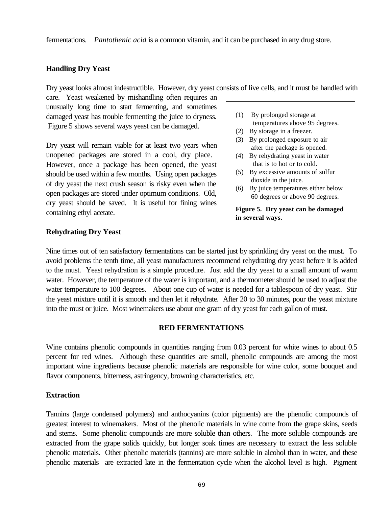fermentations. *Pantothenic acid* is a common vitamin, and it can be purchased in any drug store.

## **Handling Dry Yeast**

Dry yeast looks almost indestructible. However, dry yeast consists of live cells, and it must be handled with

care. Yeast weakened by mishandling often requires an unusually long time to start fermenting, and sometimes damaged yeast has trouble fermenting the juice to dryness. Figure 5 shows several ways yeast can be damaged.

Dry yeast will remain viable for at least two years when unopened packages are stored in a cool, dry place. However, once a package has been opened, the yeast should be used within a few months. Using open packages of dry yeast the next crush season is risky even when the open packages are stored under optimum conditions. Old, dry yeast should be saved. It is useful for fining wines containing ethyl acetate.

#### **Rehydrating Dry Yeast**

(1) By prolonged storage at temperatures above 95 degrees.

- (2) By storage in a freezer.
- (3) By prolonged exposure to air after the package is opened.
- (4) By rehydrating yeast in water that is to hot or to cold.
- (5) By excessive amounts of sulfur dioxide in the juice.
- (6) By juice temperatures either below 60 degrees or above 90 degrees.

**Figure 5. Dry yeast can be damaged in several ways.**

Nine times out of ten satisfactory fermentations can be started just by sprinkling dry yeast on the must. To avoid problems the tenth time, all yeast manufacturers recommend rehydrating dry yeast before it is added to the must. Yeast rehydration is a simple procedure. Just add the dry yeast to a small amount of warm water. However, the temperature of the water is important, and a thermometer should be used to adjust the water temperature to 100 degrees. About one cup of water is needed for a tablespoon of dry yeast. Stir the yeast mixture until it is smooth and then let it rehydrate. After 20 to 30 minutes, pour the yeast mixture into the must or juice. Most winemakers use about one gram of dry yeast for each gallon of must.

#### **RED FERMENTATIONS**

Wine contains phenolic compounds in quantities ranging from 0.03 percent for white wines to about 0.5 percent for red wines. Although these quantities are small, phenolic compounds are among the most important wine ingredients because phenolic materials are responsible for wine color, some bouquet and flavor components, bitterness, astringency, browning characteristics, etc.

#### **Extraction**

Tannins (large condensed polymers) and anthocyanins (color pigments) are the phenolic compounds of greatest interest to winemakers. Most of the phenolic materials in wine come from the grape skins, seeds and stems. Some phenolic compounds are more soluble than others. The more soluble compounds are extracted from the grape solids quickly, but longer soak times are necessary to extract the less soluble phenolic materials. Other phenolic materials (tannins) are more soluble in alcohol than in water, and these phenolic materials are extracted late in the fermentation cycle when the alcohol level is high. Pigment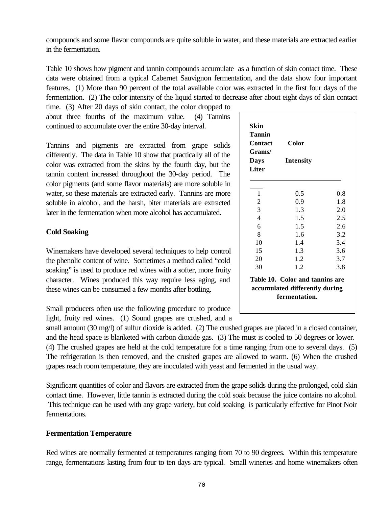compounds and some flavor compounds are quite soluble in water, and these materials are extracted earlier in the fermentation.

Table 10 shows how pigment and tannin compounds accumulate as a function of skin contact time. These data were obtained from a typical Cabernet Sauvignon fermentation, and the data show four important features. (1) More than 90 percent of the total available color was extracted in the first four days of the fermentation. (2) The color intensity of the liquid started to decrease after about eight days of skin contact

time. (3) After 20 days of skin contact, the color dropped to about three fourths of the maximum value. (4) Tannins continued to accumulate over the entire 30-day interval.

Tannins and pigments are extracted from grape solids differently. The data in Table 10 show that practically all of the color was extracted from the skins by the fourth day, but the tannin content increased throughout the 30-day period. The color pigments (and some flavor materials) are more soluble in water, so these materials are extracted early. Tannins are more soluble in alcohol, and the harsh, biter materials are extracted later in the fermentation when more alcohol has accumulated.

# **Cold Soaking**

Winemakers have developed several techniques to help control the phenolic content of wine. Sometimes a method called "cold soaking" is used to produce red wines with a softer, more fruity character. Wines produced this way require less aging, and these wines can be consumed a few months after bottling.

Small producers often use the following procedure to produce light, fruity red wines. (1) Sound grapes are crushed, and a

small amount (30 mg/l) of sulfur dioxide is added. (2) The crushed grapes are placed in a closed container, and the head space is blanketed with carbon dioxide gas. (3) The must is cooled to 50 degrees or lower. (4) The crushed grapes are held at the cold temperature for a time ranging from one to several days. (5) The refrigeration is then removed, and the crushed grapes are allowed to warm. (6) When the crushed grapes reach room temperature, they are inoculated with yeast and fermented in the usual way.

Significant quantities of color and flavors are extracted from the grape solids during the prolonged, cold skin contact time. However, little tannin is extracted during the cold soak because the juice contains no alcohol. This technique can be used with any grape variety, but cold soaking is particularly effective for Pinot Noir fermentations.

## **Fermentation Temperature**

Red wines are normally fermented at temperatures ranging from 70 to 90 degrees. Within this temperature range, fermentations lasting from four to ten days are typical. Small wineries and home winemakers often

| Tannin<br><b>Contact</b> | Color                                                                              |     |
|--------------------------|------------------------------------------------------------------------------------|-----|
| Grams/                   |                                                                                    |     |
| <b>Days</b>              | Intensity                                                                          |     |
| <b>Liter</b>             |                                                                                    |     |
|                          |                                                                                    |     |
| 1                        | 0.5                                                                                | 0.8 |
| $\overline{2}$           | 0.9                                                                                | 1.8 |
| 3                        | 1.3                                                                                | 2.0 |
| $\overline{4}$           | 1.5                                                                                | 2.5 |
| 6                        | 1.5                                                                                | 2.6 |
| 8                        | 1.6                                                                                | 3.2 |
| 10                       | 1.4                                                                                | 3.4 |
| 15                       | 1.3                                                                                | 3.6 |
| 20                       | 1.2                                                                                | 3.7 |
| 30                       | 1.2                                                                                | 3.8 |
|                          | Table 10. Color and tannins are<br>accumulated differently during<br>fermentation. |     |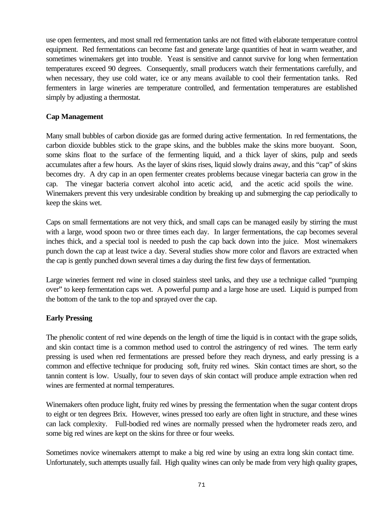use open fermenters, and most small red fermentation tanks are not fitted with elaborate temperature control equipment. Red fermentations can become fast and generate large quantities of heat in warm weather, and sometimes winemakers get into trouble. Yeast is sensitive and cannot survive for long when fermentation temperatures exceed 90 degrees. Consequently, small producers watch their fermentations carefully, and when necessary, they use cold water, ice or any means available to cool their fermentation tanks. Red fermenters in large wineries are temperature controlled, and fermentation temperatures are established simply by adjusting a thermostat.

# **Cap Management**

Many small bubbles of carbon dioxide gas are formed during active fermentation. In red fermentations, the carbon dioxide bubbles stick to the grape skins, and the bubbles make the skins more buoyant. Soon, some skins float to the surface of the fermenting liquid, and a thick layer of skins, pulp and seeds accumulates after a few hours. As the layer of skins rises, liquid slowly drains away, and this "cap" of skins becomes dry. A dry cap in an open fermenter creates problems because vinegar bacteria can grow in the cap. The vinegar bacteria convert alcohol into acetic acid, and the acetic acid spoils the wine. Winemakers prevent this very undesirable condition by breaking up and submerging the cap periodically to keep the skins wet.

Caps on small fermentations are not very thick, and small caps can be managed easily by stirring the must with a large, wood spoon two or three times each day. In larger fermentations, the cap becomes several inches thick, and a special tool is needed to push the cap back down into the juice. Most winemakers punch down the cap at least twice a day. Several studies show more color and flavors are extracted when the cap is gently punched down several times a day during the first few days of fermentation.

Large wineries ferment red wine in closed stainless steel tanks, and they use a technique called "pumping over" to keep fermentation caps wet. A powerful pump and a large hose are used. Liquid is pumped from the bottom of the tank to the top and sprayed over the cap.

## **Early Pressing**

The phenolic content of red wine depends on the length of time the liquid is in contact with the grape solids, and skin contact time is a common method used to control the astringency of red wines. The term early pressing is used when red fermentations are pressed before they reach dryness, and early pressing is a common and effective technique for producing soft, fruity red wines. Skin contact times are short, so the tannin content is low. Usually, four to seven days of skin contact will produce ample extraction when red wines are fermented at normal temperatures.

Winemakers often produce light, fruity red wines by pressing the fermentation when the sugar content drops to eight or ten degrees Brix. However, wines pressed too early are often light in structure, and these wines can lack complexity. Full-bodied red wines are normally pressed when the hydrometer reads zero, and some big red wines are kept on the skins for three or four weeks.

Sometimes novice winemakers attempt to make a big red wine by using an extra long skin contact time. Unfortunately, such attempts usually fail. High quality wines can only be made from very high quality grapes,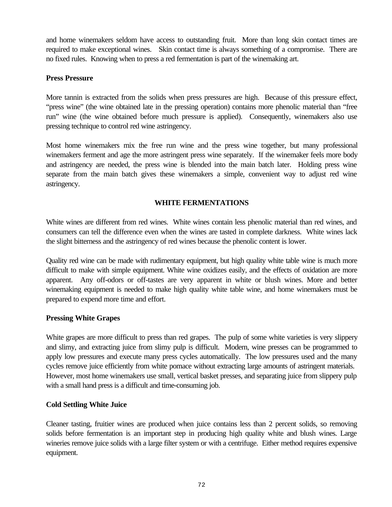and home winemakers seldom have access to outstanding fruit. More than long skin contact times are required to make exceptional wines. Skin contact time is always something of a compromise. There are no fixed rules. Knowing when to press a red fermentation is part of the winemaking art.

## **Press Pressure**

More tannin is extracted from the solids when press pressures are high. Because of this pressure effect, "press wine" (the wine obtained late in the pressing operation) contains more phenolic material than "free run" wine (the wine obtained before much pressure is applied). Consequently, winemakers also use pressing technique to control red wine astringency.

Most home winemakers mix the free run wine and the press wine together, but many professional winemakers ferment and age the more astringent press wine separately. If the winemaker feels more body and astringency are needed, the press wine is blended into the main batch later. Holding press wine separate from the main batch gives these winemakers a simple, convenient way to adjust red wine astringency.

# **WHITE FERMENTATIONS**

White wines are different from red wines. White wines contain less phenolic material than red wines, and consumers can tell the difference even when the wines are tasted in complete darkness. White wines lack the slight bitterness and the astringency of red wines because the phenolic content is lower.

Quality red wine can be made with rudimentary equipment, but high quality white table wine is much more difficult to make with simple equipment. White wine oxidizes easily, and the effects of oxidation are more apparent. Any off-odors or off-tastes are very apparent in white or blush wines. More and better winemaking equipment is needed to make high quality white table wine, and home winemakers must be prepared to expend more time and effort.

## **Pressing White Grapes**

White grapes are more difficult to press than red grapes. The pulp of some white varieties is very slippery and slimy, and extracting juice from slimy pulp is difficult. Modern, wine presses can be programmed to apply low pressures and execute many press cycles automatically. The low pressures used and the many cycles remove juice efficiently from white pomace without extracting large amounts of astringent materials. However, most home winemakers use small, vertical basket presses, and separating juice from slippery pulp with a small hand press is a difficult and time-consuming job.

## **Cold Settling White Juice**

Cleaner tasting, fruitier wines are produced when juice contains less than 2 percent solids, so removing solids before fermentation is an important step in producing high quality white and blush wines. Large wineries remove juice solids with a large filter system or with a centrifuge. Either method requires expensive equipment.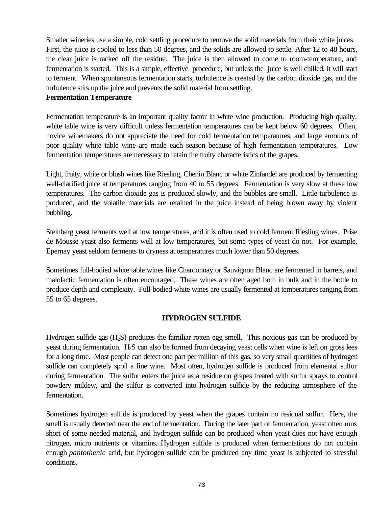Smaller wineries use a simple, cold settling procedure to remove the solid materials from their white juices. First, the juice is cooled to less than 50 degrees, and the solids are allowed to settle. After 12 to 48 hours, the clear juice is racked off the residue. The juice is then allowed to come to room-temperature, and fermentation is started. This is a simple, effective procedure, but unless the juice is well chilled, it will start to ferment. When spontaneous fermentation starts, turbulence is created by the carbon dioxide gas, and the turbulence stirs up the juice and prevents the solid material from settling.

#### **Fermentation Temperature**

Fermentation temperature is an important quality factor in white wine production. Producing high quality, white table wine is very difficult unless fermentation temperatures can be kept below 60 degrees. Often, novice winemakers do not appreciate the need for cold fermentation temperatures, and large amounts of poor quality white table wine are made each season because of high fermentation temperatures. Low fermentation temperatures are necessary to retain the fruity characteristics of the grapes.

Light, fruity, white or blush wines like Riesling, Chenin Blanc or white Zinfandel are produced by fermenting well-clarified juice at temperatures ranging from 40 to 55 degrees. Fermentation is very slow at these low temperatures. The carbon dioxide gas is produced slowly, and the bubbles are small. Little turbulence is produced, and the volatile materials are retained in the juice instead of being blown away by violent bubbling.

Steinberg yeast ferments well at low temperatures, and it is often used to cold ferment Riesling wines. Prise de Mousse yeast also ferments well at low temperatures, but some types of yeast do not. For example, Epernay yeast seldom ferments to dryness at temperatures much lower than 50 degrees.

Sometimes full-bodied white table wines like Chardonnay or Sauvignon Blanc are fermented in barrels, and malolactic fermentation is often encouraged. These wines are often aged both in bulk and in the bottle to produce depth and complexity. Full-bodied white wines are usually fermented at temperatures ranging from 55 to 65 degrees.

## **HYDROGEN SULFIDE**

Hydrogen sulfide gas (H2S) produces the familiar rotten egg smell. This noxious gas can be produced by yeast during fermentation. H<sub>2</sub>S can also be formed from decaying yeast cells when wine is left on gross lees for a long time. Most people can detect one part per million of this gas, so very small quantities of hydrogen sulfide can completely spoil a fine wine. Most often, hydrogen sulfide is produced from elemental sulfur during fermentation. The sulfur enters the juice as a residue on grapes treated with sulfur sprays to control powdery mildew, and the sulfur is converted into hydrogen sulfide by the reducing atmosphere of the fermentation.

Sometimes hydrogen sulfide is produced by yeast when the grapes contain no residual sulfur. Here, the smell is usually detected near the end of fermentation. During the later part of fermentation, yeast often runs short of some needed material, and hydrogen sulfide can be produced when yeast does not have enough nitrogen, micro nutrients or vitamins. Hydrogen sulfide is produced when fermentations do not contain enough *pantothenic* acid, but hydrogen sulfide can be produced any time yeast is subjected to stressful conditions.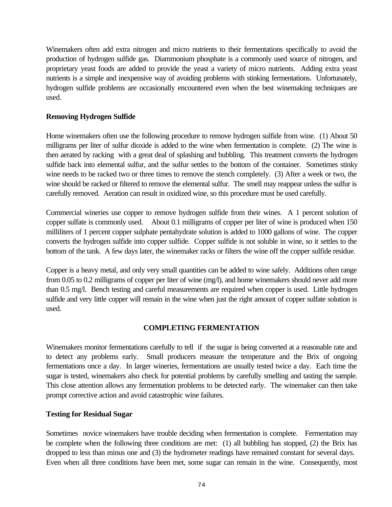Winemakers often add extra nitrogen and micro nutrients to their fermentations specifically to avoid the production of hydrogen sulfide gas. Diammonium phosphate is a commonly used source of nitrogen, and proprietary yeast foods are added to provide the yeast a variety of micro nutrients. Adding extra yeast nutrients is a simple and inexpensive way of avoiding problems with stinking fermentations. Unfortunately, hydrogen sulfide problems are occasionally encountered even when the best winemaking techniques are used.

# **Removing Hydrogen Sulfide**

Home winemakers often use the following procedure to remove hydrogen sulfide from wine. (1) About 50 milligrams per liter of sulfur dioxide is added to the wine when fermentation is complete. (2) The wine is then aerated by racking with a great deal of splashing and bubbling. This treatment converts the hydrogen sulfide back into elemental sulfur, and the sulfur settles to the bottom of the container. Sometimes stinky wine needs to be racked two or three times to remove the stench completely. (3) After a week or two, the wine should be racked or filtered to remove the elemental sulfur. The smell may reappear unless the sulfur is carefully removed. Aeration can result in oxidized wine, so this procedure must be used carefully.

Commercial wineries use copper to remove hydrogen sulfide from their wines. A 1 percent solution of copper sulfate is commonly used. About 0.1 milligrams of copper per liter of wine is produced when 150 milliliters of 1 percent copper sulphate pentahydrate solution is added to 1000 gallons of wine. The copper converts the hydrogen sulfide into copper sulfide. Copper sulfide is not soluble in wine, so it settles to the bottom of the tank. A few days later, the winemaker racks or filters the wine off the copper sulfide residue.

Copper is a heavy metal, and only very small quantities can be added to wine safely. Additions often range from 0.05 to 0.2 milligrams of copper per liter of wine (mg/l), and home winemakers should never add more than 0.5 mg/l. Bench testing and careful measurements are required when copper is used. Little hydrogen sulfide and very little copper will remain in the wine when just the right amount of copper sulfate solution is used.

# **COMPLETING FERMENTATION**

Winemakers monitor fermentations carefully to tell if the sugar is being converted at a reasonable rate and to detect any problems early. Small producers measure the temperature and the Brix of ongoing fermentations once a day. In larger wineries, fermentations are usually tested twice a day. Each time the sugar is tested, winemakers also check for potential problems by carefully smelling and tasting the sample. This close attention allows any fermentation problems to be detected early. The winemaker can then take prompt corrective action and avoid catastrophic wine failures.

## **Testing for Residual Sugar**

Sometimes novice winemakers have trouble deciding when fermentation is complete. Fermentation may be complete when the following three conditions are met: (1) all bubbling has stopped, (2) the Brix has dropped to less than minus one and (3) the hydrometer readings have remained constant for several days. Even when all three conditions have been met, some sugar can remain in the wine. Consequently, most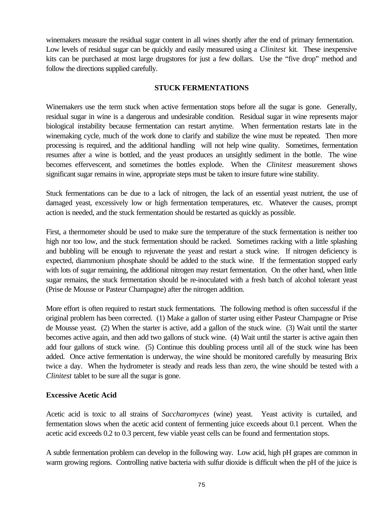winemakers measure the residual sugar content in all wines shortly after the end of primary fermentation. Low levels of residual sugar can be quickly and easily measured using a *Clinitest* kit. These inexpensive kits can be purchased at most large drugstores for just a few dollars. Use the "five drop" method and follow the directions supplied carefully.

# **STUCK FERMENTATIONS**

Winemakers use the term stuck when active fermentation stops before all the sugar is gone. Generally, residual sugar in wine is a dangerous and undesirable condition. Residual sugar in wine represents major biological instability because fermentation can restart anytime. When fermentation restarts late in the winemaking cycle, much of the work done to clarify and stabilize the wine must be repeated. Then more processing is required, and the additional handling will not help wine quality. Sometimes, fermentation resumes after a wine is bottled, and the yeast produces an unsightly sediment in the bottle. The wine becomes effervescent, and sometimes the bottles explode. When the *Clinitest* measurement shows significant sugar remains in wine, appropriate steps must be taken to insure future wine stability.

Stuck fermentations can be due to a lack of nitrogen, the lack of an essential yeast nutrient, the use of damaged yeast, excessively low or high fermentation temperatures, etc. Whatever the causes, prompt action is needed, and the stuck fermentation should be restarted as quickly as possible.

First, a thermometer should be used to make sure the temperature of the stuck fermentation is neither too high nor too low, and the stuck fermentation should be racked. Sometimes racking with a little splashing and bubbling will be enough to rejuvenate the yeast and restart a stuck wine. If nitrogen deficiency is expected, diammonium phosphate should be added to the stuck wine. If the fermentation stopped early with lots of sugar remaining, the additional nitrogen may restart fermentation. On the other hand, when little sugar remains, the stuck fermentation should be re-inoculated with a fresh batch of alcohol tolerant yeast (Prise de Mousse or Pasteur Champagne) after the nitrogen addition.

More effort is often required to restart stuck fermentations. The following method is often successful if the original problem has been corrected. (1) Make a gallon of starter using either Pasteur Champagne or Prise de Mousse yeast. (2) When the starter is active, add a gallon of the stuck wine. (3) Wait until the starter becomes active again, and then add two gallons of stuck wine. (4) Wait until the starter is active again then add four gallons of stuck wine. (5) Continue this doubling process until all of the stuck wine has been added. Once active fermentation is underway, the wine should be monitored carefully by measuring Brix twice a day. When the hydrometer is steady and reads less than zero, the wine should be tested with a *Clinitest* tablet to be sure all the sugar is gone.

# **Excessive Acetic Acid**

Acetic acid is toxic to all strains of *Saccharomyces* (wine) yeast. Yeast activity is curtailed, and fermentation slows when the acetic acid content of fermenting juice exceeds about 0.1 percent. When the acetic acid exceeds 0.2 to 0.3 percent, few viable yeast cells can be found and fermentation stops.

A subtle fermentation problem can develop in the following way. Low acid, high pH grapes are common in warm growing regions. Controlling native bacteria with sulfur dioxide is difficult when the pH of the juice is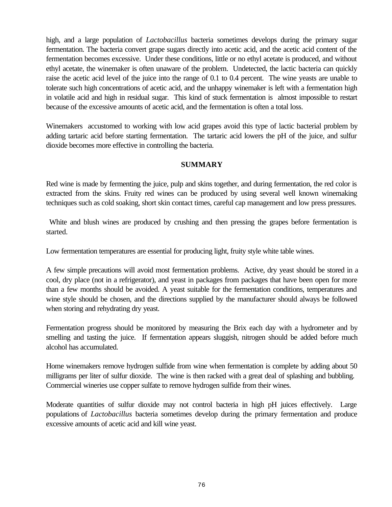high, and a large population of *Lactobacillus* bacteria sometimes develops during the primary sugar fermentation. The bacteria convert grape sugars directly into acetic acid, and the acetic acid content of the fermentation becomes excessive. Under these conditions, little or no ethyl acetate is produced, and without ethyl acetate, the winemaker is often unaware of the problem. Undetected, the lactic bacteria can quickly raise the acetic acid level of the juice into the range of 0.1 to 0.4 percent. The wine yeasts are unable to tolerate such high concentrations of acetic acid, and the unhappy winemaker is left with a fermentation high in volatile acid and high in residual sugar. This kind of stuck fermentation is almost impossible to restart because of the excessive amounts of acetic acid, and the fermentation is often a total loss.

Winemakers accustomed to working with low acid grapes avoid this type of lactic bacterial problem by adding tartaric acid before starting fermentation. The tartaric acid lowers the pH of the juice, and sulfur dioxide becomes more effective in controlling the bacteria.

## **SUMMARY**

Red wine is made by fermenting the juice, pulp and skins together, and during fermentation, the red color is extracted from the skins. Fruity red wines can be produced by using several well known winemaking techniques such as cold soaking, short skin contact times, careful cap management and low press pressures.

 White and blush wines are produced by crushing and then pressing the grapes before fermentation is started.

Low fermentation temperatures are essential for producing light, fruity style white table wines.

A few simple precautions will avoid most fermentation problems. Active, dry yeast should be stored in a cool, dry place (not in a refrigerator), and yeast in packages from packages that have been open for more than a few months should be avoided. A yeast suitable for the fermentation conditions, temperatures and wine style should be chosen, and the directions supplied by the manufacturer should always be followed when storing and rehydrating dry yeast.

Fermentation progress should be monitored by measuring the Brix each day with a hydrometer and by smelling and tasting the juice. If fermentation appears sluggish, nitrogen should be added before much alcohol has accumulated.

Home winemakers remove hydrogen sulfide from wine when fermentation is complete by adding about 50 milligrams per liter of sulfur dioxide. The wine is then racked with a great deal of splashing and bubbling. Commercial wineries use copper sulfate to remove hydrogen sulfide from their wines.

Moderate quantities of sulfur dioxide may not control bacteria in high pH juices effectively. Large populations of *Lactobacillus* bacteria sometimes develop during the primary fermentation and produce excessive amounts of acetic acid and kill wine yeast.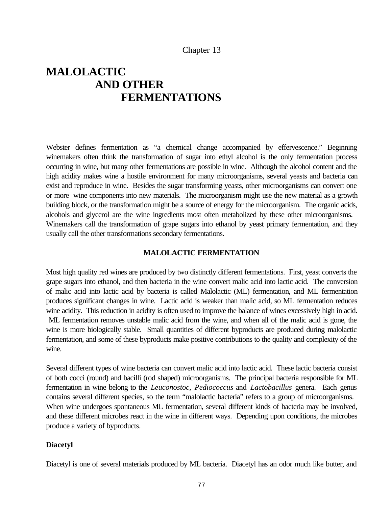## Chapter 13

# **MALOLACTIC AND OTHER FERMENTATIONS**

Webster defines fermentation as "a chemical change accompanied by effervescence." Beginning winemakers often think the transformation of sugar into ethyl alcohol is the only fermentation process occurring in wine, but many other fermentations are possible in wine. Although the alcohol content and the high acidity makes wine a hostile environment for many microorganisms, several yeasts and bacteria can exist and reproduce in wine. Besides the sugar transforming yeasts, other microorganisms can convert one or more wine components into new materials. The microorganism might use the new material as a growth building block, or the transformation might be a source of energy for the microorganism. The organic acids, alcohols and glycerol are the wine ingredients most often metabolized by these other microorganisms. Winemakers call the transformation of grape sugars into ethanol by yeast primary fermentation, and they usually call the other transformations secondary fermentations.

#### **MALOLACTIC FERMENTATION**

Most high quality red wines are produced by two distinctly different fermentations. First, yeast converts the grape sugars into ethanol, and then bacteria in the wine convert malic acid into lactic acid. The conversion of malic acid into lactic acid by bacteria is called Malolactic (ML) fermentation, and ML fermentation produces significant changes in wine. Lactic acid is weaker than malic acid, so ML fermentation reduces wine acidity. This reduction in acidity is often used to improve the balance of wines excessively high in acid. ML fermentation removes unstable malic acid from the wine, and when all of the malic acid is gone, the wine is more biologically stable. Small quantities of different byproducts are produced during malolactic fermentation, and some of these byproducts make positive contributions to the quality and complexity of the wine.

Several different types of wine bacteria can convert malic acid into lactic acid. These lactic bacteria consist of both cocci (round) and bacilli (rod shaped) microorganisms. The principal bacteria responsible for ML fermentation in wine belong to the *Leuconostoc, Pediococcus* and *Lactobacillus* genera. Each genus contains several different species, so the term "malolactic bacteria" refers to a group of microorganisms. When wine undergoes spontaneous ML fermentation, several different kinds of bacteria may be involved, and these different microbes react in the wine in different ways. Depending upon conditions, the microbes produce a variety of byproducts.

#### **Diacetyl**

Diacetyl is one of several materials produced by ML bacteria. Diacetyl has an odor much like butter, and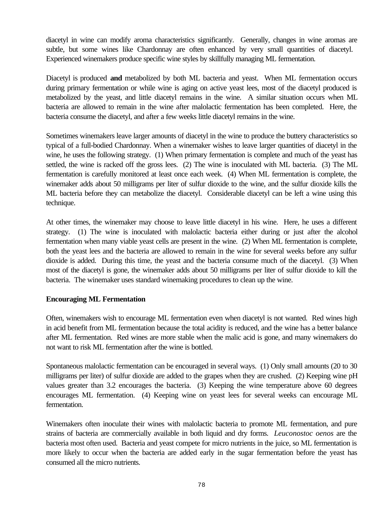diacetyl in wine can modify aroma characteristics significantly. Generally, changes in wine aromas are subtle, but some wines like Chardonnay are often enhanced by very small quantities of diacetyl. Experienced winemakers produce specific wine styles by skillfully managing ML fermentation.

Diacetyl is produced **and** metabolized by both ML bacteria and yeast. When ML fermentation occurs during primary fermentation or while wine is aging on active yeast lees, most of the diacetyl produced is metabolized by the yeast, and little diacetyl remains in the wine. A similar situation occurs when ML bacteria are allowed to remain in the wine after malolactic fermentation has been completed. Here, the bacteria consume the diacetyl, and after a few weeks little diacetyl remains in the wine.

Sometimes winemakers leave larger amounts of diacetyl in the wine to produce the buttery characteristics so typical of a full-bodied Chardonnay. When a winemaker wishes to leave larger quantities of diacetyl in the wine, he uses the following strategy. (1) When primary fermentation is complete and much of the yeast has settled, the wine is racked off the gross lees. (2) The wine is inoculated with ML bacteria. (3) The ML fermentation is carefully monitored at least once each week. (4) When ML fermentation is complete, the winemaker adds about 50 milligrams per liter of sulfur dioxide to the wine, and the sulfur dioxide kills the ML bacteria before they can metabolize the diacetyl. Considerable diacetyl can be left a wine using this technique.

At other times, the winemaker may choose to leave little diacetyl in his wine. Here, he uses a different strategy. (1) The wine is inoculated with malolactic bacteria either during or just after the alcohol fermentation when many viable yeast cells are present in the wine. (2) When ML fermentation is complete, both the yeast lees and the bacteria are allowed to remain in the wine for several weeks before any sulfur dioxide is added. During this time, the yeast and the bacteria consume much of the diacetyl. (3) When most of the diacetyl is gone, the winemaker adds about 50 milligrams per liter of sulfur dioxide to kill the bacteria. The winemaker uses standard winemaking procedures to clean up the wine.

## **Encouraging ML Fermentation**

Often, winemakers wish to encourage ML fermentation even when diacetyl is not wanted. Red wines high in acid benefit from ML fermentation because the total acidity is reduced, and the wine has a better balance after ML fermentation. Red wines are more stable when the malic acid is gone, and many winemakers do not want to risk ML fermentation after the wine is bottled.

Spontaneous malolactic fermentation can be encouraged in several ways. (1) Only small amounts (20 to 30 milligrams per liter) of sulfur dioxide are added to the grapes when they are crushed. (2) Keeping wine pH values greater than 3.2 encourages the bacteria. (3) Keeping the wine temperature above 60 degrees encourages ML fermentation. (4) Keeping wine on yeast lees for several weeks can encourage ML fermentation.

Winemakers often inoculate their wines with malolactic bacteria to promote ML fermentation, and pure strains of bacteria are commercially available in both liquid and dry forms. *Leuconostoc oenos* are the bacteria most often used. Bacteria and yeast compete for micro nutrients in the juice, so ML fermentation is more likely to occur when the bacteria are added early in the sugar fermentation before the yeast has consumed all the micro nutrients.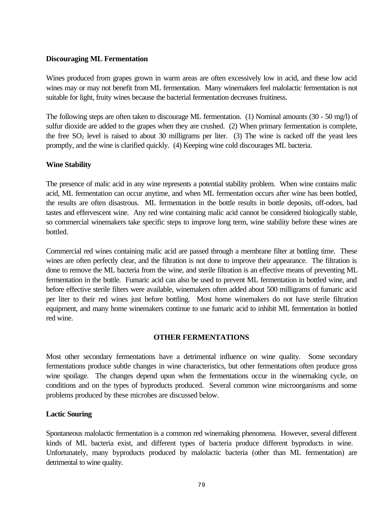#### **Discouraging ML Fermentation**

Wines produced from grapes grown in warm areas are often excessively low in acid, and these low acid wines may or may not benefit from ML fermentation. Many winemakers feel malolactic fermentation is not suitable for light, fruity wines because the bacterial fermentation decreases fruitiness.

The following steps are often taken to discourage ML fermentation. (1) Nominal amounts (30 - 50 mg/l) of sulfur dioxide are added to the grapes when they are crushed. (2) When primary fermentation is complete, the free  $SO_2$  level is raised to about 30 milligrams per liter. (3) The wine is racked off the yeast lees promptly, and the wine is clarified quickly. (4) Keeping wine cold discourages ML bacteria.

## **Wine Stability**

The presence of malic acid in any wine represents a potential stability problem. When wine contains malic acid, ML fermentation can occur anytime, and when ML fermentation occurs after wine has been bottled, the results are often disastrous. ML fermentation in the bottle results in bottle deposits, off-odors, bad tastes and effervescent wine. Any red wine containing malic acid cannot be considered biologically stable, so commercial winemakers take specific steps to improve long term, wine stability before these wines are bottled.

Commercial red wines containing malic acid are passed through a membrane filter at bottling time. These wines are often perfectly clear, and the filtration is not done to improve their appearance. The filtration is done to remove the ML bacteria from the wine, and sterile filtration is an effective means of preventing ML fermentation in the bottle. Fumaric acid can also be used to prevent ML fermentation in bottled wine, and before effective sterile filters were available, winemakers often added about 500 milligrams of fumaric acid per liter to their red wines just before bottling. Most home winemakers do not have sterile filtration equipment, and many home winemakers continue to use fumaric acid to inhibit ML fermentation in bottled red wine.

#### **OTHER FERMENTATIONS**

Most other secondary fermentations have a detrimental influence on wine quality. Some secondary fermentations produce subtle changes in wine characteristics, but other fermentations often produce gross wine spoilage. The changes depend upon when the fermentations occur in the winemaking cycle, on conditions and on the types of byproducts produced. Several common wine microorganisms and some problems produced by these microbes are discussed below.

#### **Lactic Souring**

Spontaneous malolactic fermentation is a common red winemaking phenomena. However, several different kinds of ML bacteria exist, and different types of bacteria produce different byproducts in wine. Unfortunately, many byproducts produced by malolactic bacteria (other than ML fermentation) are detrimental to wine quality.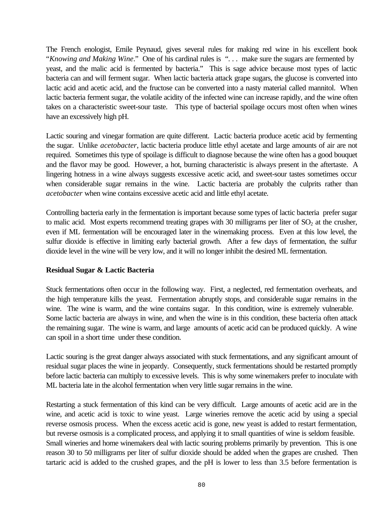The French enologist, Emile Peynaud, gives several rules for making red wine in his excellent book "*Knowing and Making Wine*." One of his cardinal rules is ". . . make sure the sugars are fermented by yeast, and the malic acid is fermented by bacteria." This is sage advice because most types of lactic bacteria can and will ferment sugar. When lactic bacteria attack grape sugars, the glucose is converted into lactic acid and acetic acid, and the fructose can be converted into a nasty material called mannitol. When lactic bacteria ferment sugar, the volatile acidity of the infected wine can increase rapidly, and the wine often takes on a characteristic sweet-sour taste. This type of bacterial spoilage occurs most often when wines have an excessively high pH.

Lactic souring and vinegar formation are quite different. Lactic bacteria produce acetic acid by fermenting the sugar. Unlike *acetobacter*, lactic bacteria produce little ethyl acetate and large amounts of air are not required. Sometimes this type of spoilage is difficult to diagnose because the wine often has a good bouquet and the flavor may be good. However, a hot, burning characteristic is always present in the aftertaste. A lingering hotness in a wine always suggests excessive acetic acid, and sweet-sour tastes sometimes occur when considerable sugar remains in the wine. Lactic bacteria are probably the culprits rather than *acetobacter* when wine contains excessive acetic acid and little ethyl acetate.

Controlling bacteria early in the fermentation is important because some types of lactic bacteria prefer sugar to malic acid. Most experts recommend treating grapes with 30 milligrams per liter of  $SO<sub>2</sub>$  at the crusher, even if ML fermentation will be encouraged later in the winemaking process. Even at this low level, the sulfur dioxide is effective in limiting early bacterial growth. After a few days of fermentation, the sulfur dioxide level in the wine will be very low, and it will no longer inhibit the desired ML fermentation.

## **Residual Sugar & Lactic Bacteria**

Stuck fermentations often occur in the following way. First, a neglected, red fermentation overheats, and the high temperature kills the yeast. Fermentation abruptly stops, and considerable sugar remains in the wine. The wine is warm, and the wine contains sugar. In this condition, wine is extremely vulnerable. Some lactic bacteria are always in wine, and when the wine is in this condition, these bacteria often attack the remaining sugar. The wine is warm, and large amounts of acetic acid can be produced quickly. A wine can spoil in a short time under these condition.

Lactic souring is the great danger always associated with stuck fermentations, and any significant amount of residual sugar places the wine in jeopardy. Consequently, stuck fermentations should be restarted promptly before lactic bacteria can multiply to excessive levels. This is why some winemakers prefer to inoculate with ML bacteria late in the alcohol fermentation when very little sugar remains in the wine.

Restarting a stuck fermentation of this kind can be very difficult. Large amounts of acetic acid are in the wine, and acetic acid is toxic to wine yeast. Large wineries remove the acetic acid by using a special reverse osmosis process. When the excess acetic acid is gone, new yeast is added to restart fermentation, but reverse osmosis is a complicated process, and applying it to small quantities of wine is seldom feasible. Small wineries and home winemakers deal with lactic souring problems primarily by prevention. This is one reason 30 to 50 milligrams per liter of sulfur dioxide should be added when the grapes are crushed. Then tartaric acid is added to the crushed grapes, and the pH is lower to less than 3.5 before fermentation is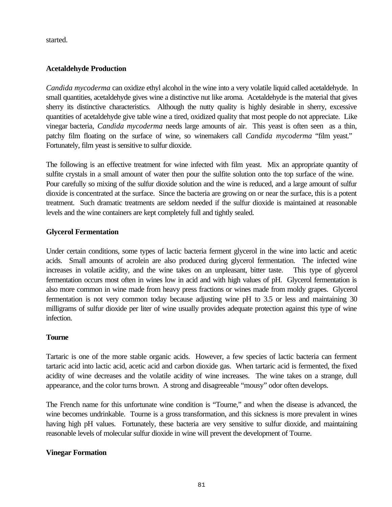started.

# **Acetaldehyde Production**

*Candida mycoderma* can oxidize ethyl alcohol in the wine into a very volatile liquid called acetaldehyde. In small quantities, acetaldehyde gives wine a distinctive nut like aroma. Acetaldehyde is the material that gives sherry its distinctive characteristics. Although the nutty quality is highly desirable in sherry, excessive quantities of acetaldehyde give table wine a tired, oxidized quality that most people do not appreciate. Like vinegar bacteria, *Candida mycoderma* needs large amounts of air. This yeast is often seen as a thin, patchy film floating on the surface of wine, so winemakers call *Candida mycoderma* "film yeast." Fortunately, film yeast is sensitive to sulfur dioxide.

The following is an effective treatment for wine infected with film yeast. Mix an appropriate quantity of sulfite crystals in a small amount of water then pour the sulfite solution onto the top surface of the wine. Pour carefully so mixing of the sulfur dioxide solution and the wine is reduced, and a large amount of sulfur dioxide is concentrated at the surface. Since the bacteria are growing on or near the surface, this is a potent treatment. Such dramatic treatments are seldom needed if the sulfur dioxide is maintained at reasonable levels and the wine containers are kept completely full and tightly sealed.

# **Glycerol Fermentation**

Under certain conditions, some types of lactic bacteria ferment glycerol in the wine into lactic and acetic acids. Small amounts of acrolein are also produced during glycerol fermentation. The infected wine increases in volatile acidity, and the wine takes on an unpleasant, bitter taste. This type of glycerol fermentation occurs most often in wines low in acid and with high values of pH. Glycerol fermentation is also more common in wine made from heavy press fractions or wines made from moldy grapes. Glycerol fermentation is not very common today because adjusting wine pH to 3.5 or less and maintaining 30 milligrams of sulfur dioxide per liter of wine usually provides adequate protection against this type of wine infection.

## **Tourne**

Tartaric is one of the more stable organic acids. However, a few species of lactic bacteria can ferment tartaric acid into lactic acid, acetic acid and carbon dioxide gas. When tartaric acid is fermented, the fixed acidity of wine decreases and the volatile acidity of wine increases. The wine takes on a strange, dull appearance, and the color turns brown. A strong and disagreeable "mousy" odor often develops.

The French name for this unfortunate wine condition is "Tourne," and when the disease is advanced, the wine becomes undrinkable. Tourne is a gross transformation, and this sickness is more prevalent in wines having high pH values. Fortunately, these bacteria are very sensitive to sulfur dioxide, and maintaining reasonable levels of molecular sulfur dioxide in wine will prevent the development of Tourne.

## **Vinegar Formation**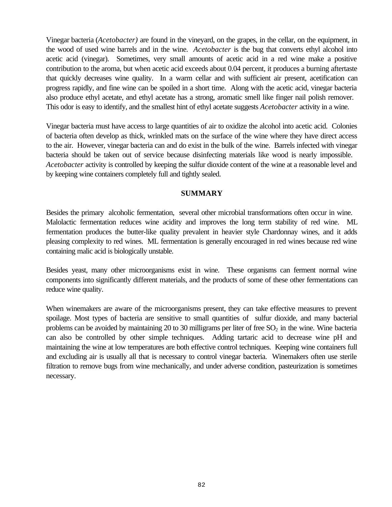Vinegar bacteria (*Acetobacter)* are found in the vineyard, on the grapes, in the cellar, on the equipment, in the wood of used wine barrels and in the wine. *Acetobacter* is the bug that converts ethyl alcohol into acetic acid (vinegar). Sometimes, very small amounts of acetic acid in a red wine make a positive contribution to the aroma, but when acetic acid exceeds about 0.04 percent, it produces a burning aftertaste that quickly decreases wine quality. In a warm cellar and with sufficient air present, acetification can progress rapidly, and fine wine can be spoiled in a short time. Along with the acetic acid, vinegar bacteria also produce ethyl acetate, and ethyl acetate has a strong, aromatic smell like finger nail polish remover. This odor is easy to identify, and the smallest hint of ethyl acetate suggests *Acetobacter* activity in a wine.

Vinegar bacteria must have access to large quantities of air to oxidize the alcohol into acetic acid. Colonies of bacteria often develop as thick, wrinkled mats on the surface of the wine where they have direct access to the air. However, vinegar bacteria can and do exist in the bulk of the wine. Barrels infected with vinegar bacteria should be taken out of service because disinfecting materials like wood is nearly impossible. *Acetobacter* activity is controlled by keeping the sulfur dioxide content of the wine at a reasonable level and by keeping wine containers completely full and tightly sealed.

#### **SUMMARY**

Besides the primary alcoholic fermentation, several other microbial transformations often occur in wine. Malolactic fermentation reduces wine acidity and improves the long term stability of red wine. ML fermentation produces the butter-like quality prevalent in heavier style Chardonnay wines, and it adds pleasing complexity to red wines. ML fermentation is generally encouraged in red wines because red wine containing malic acid is biologically unstable.

Besides yeast, many other microorganisms exist in wine. These organisms can ferment normal wine components into significantly different materials, and the products of some of these other fermentations can reduce wine quality.

When winemakers are aware of the microorganisms present, they can take effective measures to prevent spoilage. Most types of bacteria are sensitive to small quantities of sulfur dioxide, and many bacterial problems can be avoided by maintaining 20 to 30 milligrams per liter of free  $SO<sub>2</sub>$  in the wine. Wine bacteria can also be controlled by other simple techniques. Adding tartaric acid to decrease wine pH and maintaining the wine at low temperatures are both effective control techniques. Keeping wine containers full and excluding air is usually all that is necessary to control vinegar bacteria. Winemakers often use sterile filtration to remove bugs from wine mechanically, and under adverse condition, pasteurization is sometimes necessary.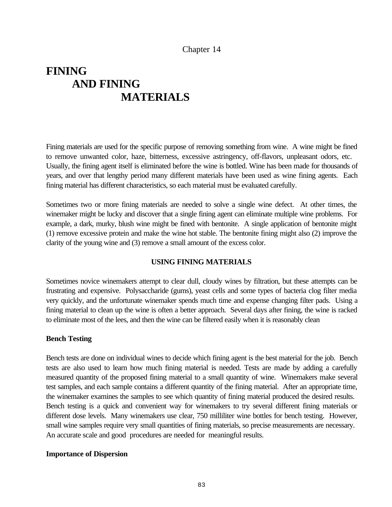# **FINING AND FINING MATERIALS**

Fining materials are used for the specific purpose of removing something from wine. A wine might be fined to remove unwanted color, haze, bitterness, excessive astringency, off-flavors, unpleasant odors, etc. Usually, the fining agent itself is eliminated before the wine is bottled. Wine has been made for thousands of years, and over that lengthy period many different materials have been used as wine fining agents. Each fining material has different characteristics, so each material must be evaluated carefully.

Sometimes two or more fining materials are needed to solve a single wine defect. At other times, the winemaker might be lucky and discover that a single fining agent can eliminate multiple wine problems. For example, a dark, murky, blush wine might be fined with bentonite. A single application of bentonite might (1) remove excessive protein and make the wine hot stable. The bentonite fining might also (2) improve the clarity of the young wine and (3) remove a small amount of the excess color.

## **USING FINING MATERIALS**

Sometimes novice winemakers attempt to clear dull, cloudy wines by filtration, but these attempts can be frustrating and expensive. Polysaccharide (gums), yeast cells and some types of bacteria clog filter media very quickly, and the unfortunate winemaker spends much time and expense changing filter pads. Using a fining material to clean up the wine is often a better approach. Several days after fining, the wine is racked to eliminate most of the lees, and then the wine can be filtered easily when it is reasonably clean

## **Bench Testing**

Bench tests are done on individual wines to decide which fining agent is the best material for the job. Bench tests are also used to learn how much fining material is needed. Tests are made by adding a carefully measured quantity of the proposed fining material to a small quantity of wine. Winemakers make several test samples, and each sample contains a different quantity of the fining material. After an appropriate time, the winemaker examines the samples to see which quantity of fining material produced the desired results. Bench testing is a quick and convenient way for winemakers to try several different fining materials or different dose levels. Many winemakers use clear, 750 milliliter wine bottles for bench testing. However, small wine samples require very small quantities of fining materials, so precise measurements are necessary. An accurate scale and good procedures are needed for meaningful results.

## **Importance of Dispersion**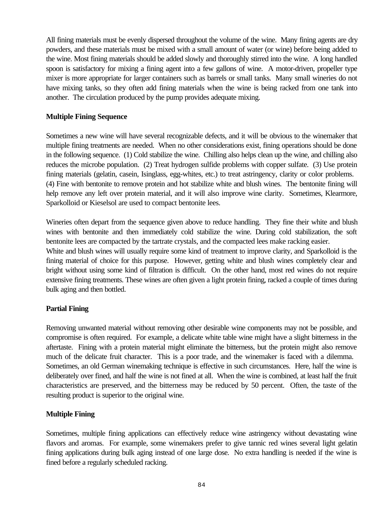All fining materials must be evenly dispersed throughout the volume of the wine. Many fining agents are dry powders, and these materials must be mixed with a small amount of water (or wine) before being added to the wine. Most fining materials should be added slowly and thoroughly stirred into the wine. A long handled spoon is satisfactory for mixing a fining agent into a few gallons of wine. A motor-driven, propeller type mixer is more appropriate for larger containers such as barrels or small tanks. Many small wineries do not have mixing tanks, so they often add fining materials when the wine is being racked from one tank into another. The circulation produced by the pump provides adequate mixing.

# **Multiple Fining Sequence**

Sometimes a new wine will have several recognizable defects, and it will be obvious to the winemaker that multiple fining treatments are needed. When no other considerations exist, fining operations should be done in the following sequence. (1) Cold stabilize the wine. Chilling also helps clean up the wine, and chilling also reduces the microbe population. (2) Treat hydrogen sulfide problems with copper sulfate. (3) Use protein fining materials (gelatin, casein, Isinglass, egg-whites, etc.) to treat astringency, clarity or color problems. (4) Fine with bentonite to remove protein and hot stabilize white and blush wines. The bentonite fining will help remove any left over protein material, and it will also improve wine clarity. Sometimes, Klearmore, Sparkolloid or Kieselsol are used to compact bentonite lees.

Wineries often depart from the sequence given above to reduce handling. They fine their white and blush wines with bentonite and then immediately cold stabilize the wine. During cold stabilization, the soft bentonite lees are compacted by the tartrate crystals, and the compacted lees make racking easier.

White and blush wines will usually require some kind of treatment to improve clarity, and Sparkolloid is the fining material of choice for this purpose. However, getting white and blush wines completely clear and bright without using some kind of filtration is difficult. On the other hand, most red wines do not require extensive fining treatments. These wines are often given a light protein fining, racked a couple of times during bulk aging and then bottled.

# **Partial Fining**

Removing unwanted material without removing other desirable wine components may not be possible, and compromise is often required. For example, a delicate white table wine might have a slight bitterness in the aftertaste. Fining with a protein material might eliminate the bitterness, but the protein might also remove much of the delicate fruit character. This is a poor trade, and the winemaker is faced with a dilemma. Sometimes, an old German winemaking technique is effective in such circumstances. Here, half the wine is deliberately over fined, and half the wine is not fined at all. When the wine is combined, at least half the fruit characteristics are preserved, and the bitterness may be reduced by 50 percent. Often, the taste of the resulting product is superior to the original wine.

# **Multiple Fining**

Sometimes, multiple fining applications can effectively reduce wine astringency without devastating wine flavors and aromas. For example, some winemakers prefer to give tannic red wines several light gelatin fining applications during bulk aging instead of one large dose. No extra handling is needed if the wine is fined before a regularly scheduled racking.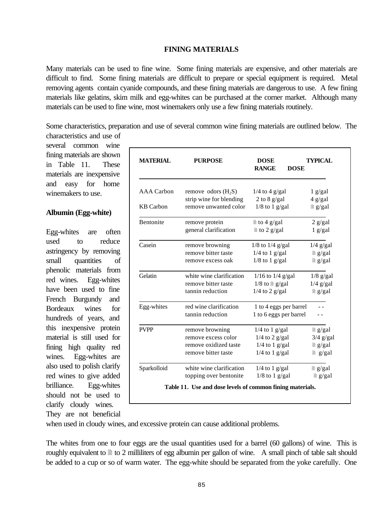## **FINING MATERIALS**

Many materials can be used to fine wine. Some fining materials are expensive, and other materials are difficult to find. Some fining materials are difficult to prepare or special equipment is required. Metal removing agents contain cyanide compounds, and these fining materials are dangerous to use. A few fining materials like gelatins, skim milk and egg-whites can be purchased at the corner market. Although many materials can be used to fine wine, most winemakers only use a few fining materials routinely.

Some characteristics, preparation and use of several common wine fining materials are outlined below. The characteristics and use of

several common wine fining materials are shown in Table 11. These materials are inexpensive and easy for home winemakers to use.

## **Albumin (Egg-white)**

Egg-whites are often used to reduce astringency by removing small quantities of phenolic materials from red wines. Egg-whites have been used to fine French Burgundy and Bordeaux wines for hundreds of years, and this inexpensive protein material is still used for fining high quality red wines. Egg-whites are also used to polish clarify red wines to give added brilliance. Egg-whites should not be used to clarify cloudy wines.

| <b>MATERIAL</b>   | <b>PURPOSE</b>                                                                         | <b>DOSE</b><br><b>RANGE</b><br><b>DOSE</b>                                   | <b>TYPICAL</b>                                                  |
|-------------------|----------------------------------------------------------------------------------------|------------------------------------------------------------------------------|-----------------------------------------------------------------|
| <b>AAA</b> Carbon | remove odors $(H_2S)$                                                                  | $1/4$ to 4 g/gal                                                             | $1$ g/gal                                                       |
| <b>KB</b> Carbon  | strip wine for blending<br>remove unwanted color                                       | 2 to 8 $g/gal$<br>$1/8$ to 1 g/gal                                           | $4$ g/gal<br>$\log/gal$                                         |
| <b>Bentonite</b>  | remove protein                                                                         | $\ln$ to 4 g/gal                                                             | $2$ g/gal                                                       |
| Casein            | general clarification                                                                  | $\ln$ to 2 g/gal                                                             | $1$ g/gal                                                       |
|                   | remove browning<br>remove bitter taste<br>remove excess oak                            | $1/8$ to $1/4$ g/gal<br>$1/4$ to 1 g/gal<br>$1/8$ to 1 g/gal                 | $1/4$ g/gal<br>$\n  g/gal\n$<br>$\n  g/gal\n$                   |
| Gelatin           | white wine clarification<br>remove bitter taste<br>tannin reduction                    | $1/16$ to $1/4$ g/gal<br>$1/8$ to $\n  [g/gal]$<br>$1/4$ to 2 g/gal          | $1/8$ g/gal<br>$1/4$ g/gal<br>$\n  g/gal\n$                     |
| Egg-whites        | red wine clarification<br>tannin reduction                                             | 1 to 4 eggs per barrel<br>1 to 6 eggs per barrel                             |                                                                 |
| <b>PVPP</b>       | remove browning<br>remove excess color<br>remove oxidized taste<br>remove bitter taste | $1/4$ to 1 g/gal<br>$1/4$ to 2 g/gal<br>$1/4$ to 1 g/gal<br>$1/4$ to 1 g/gal | $\n  g/gal\n$<br>$3/4$ g/gal<br>$\n  g/gal\n$<br>$\equiv$ g/gal |
| Sparkolloid       | white wine clarification<br>topping over bentonite                                     | $1/4$ to 1 g/gal<br>$1/8$ to 1 g/gal                                         | $\n  g/gal\n$<br>$\log/gal$                                     |
|                   | Table 11. Use and dose levels of common fining materials.                              |                                                                              |                                                                 |

They are not beneficial

when used in cloudy wines, and excessive protein can cause additional problems.

The whites from one to four eggs are the usual quantities used for a barrel (60 gallons) of wine. This is roughly equivalent to  $\equiv$  to 2 milliliters of egg albumin per gallon of wine. A small pinch of table salt should be added to a cup or so of warm water. The egg-white should be separated from the yoke carefully. One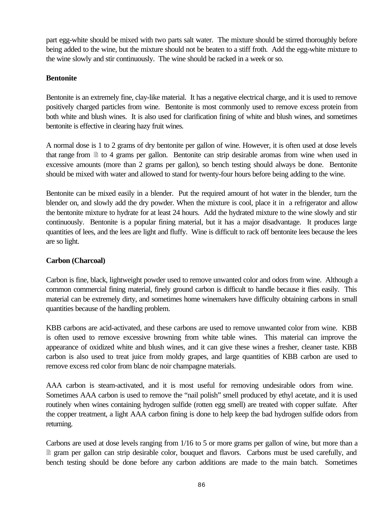part egg-white should be mixed with two parts salt water. The mixture should be stirred thoroughly before being added to the wine, but the mixture should not be beaten to a stiff froth. Add the egg-white mixture to the wine slowly and stir continuously. The wine should be racked in a week or so.

# **Bentonite**

Bentonite is an extremely fine, clay-like material. It has a negative electrical charge, and it is used to remove positively charged particles from wine. Bentonite is most commonly used to remove excess protein from both white and blush wines. It is also used for clarification fining of white and blush wines, and sometimes bentonite is effective in clearing hazy fruit wines.

A normal dose is 1 to 2 grams of dry bentonite per gallon of wine. However, it is often used at dose levels that range from  $\equiv$  to 4 grams per gallon. Bentonite can strip desirable aromas from wine when used in excessive amounts (more than 2 grams per gallon), so bench testing should always be done. Bentonite should be mixed with water and allowed to stand for twenty-four hours before being adding to the wine.

Bentonite can be mixed easily in a blender. Put the required amount of hot water in the blender, turn the blender on, and slowly add the dry powder. When the mixture is cool, place it in a refrigerator and allow the bentonite mixture to hydrate for at least 24 hours. Add the hydrated mixture to the wine slowly and stir continuously. Bentonite is a popular fining material, but it has a major disadvantage. It produces large quantities of lees, and the lees are light and fluffy. Wine is difficult to rack off bentonite lees because the lees are so light.

# **Carbon (Charcoal)**

Carbon is fine, black, lightweight powder used to remove unwanted color and odors from wine. Although a common commercial fining material, finely ground carbon is difficult to handle because it flies easily. This material can be extremely dirty, and sometimes home winemakers have difficulty obtaining carbons in small quantities because of the handling problem.

KBB carbons are acid-activated, and these carbons are used to remove unwanted color from wine. KBB is often used to remove excessive browning from white table wines. This material can improve the appearance of oxidized white and blush wines, and it can give these wines a fresher, cleaner taste. KBB carbon is also used to treat juice from moldy grapes, and large quantities of KBB carbon are used to remove excess red color from blanc de noir champagne materials.

AAA carbon is steam-activated, and it is most useful for removing undesirable odors from wine. Sometimes AAA carbon is used to remove the "nail polish" smell produced by ethyl acetate, and it is used routinely when wines containing hydrogen sulfide (rotten egg smell) are treated with copper sulfate. After the copper treatment, a light AAA carbon fining is done to help keep the bad hydrogen sulfide odors from returning.

Carbons are used at dose levels ranging from 1/16 to 5 or more grams per gallon of wine, but more than a <sup>2</sup> gram per gallon can strip desirable color, bouquet and flavors. Carbons must be used carefully, and bench testing should be done before any carbon additions are made to the main batch. Sometimes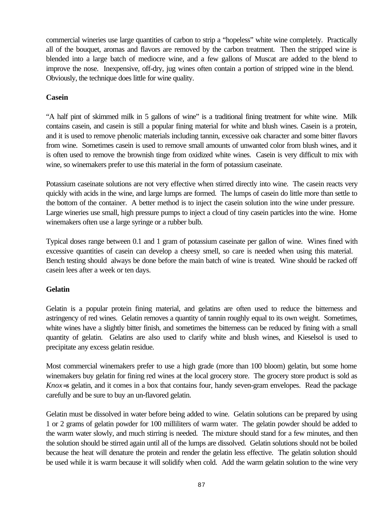commercial wineries use large quantities of carbon to strip a "hopeless" white wine completely. Practically all of the bouquet, aromas and flavors are removed by the carbon treatment. Then the stripped wine is blended into a large batch of mediocre wine, and a few gallons of Muscat are added to the blend to improve the nose. Inexpensive, off-dry, jug wines often contain a portion of stripped wine in the blend. Obviously, the technique does little for wine quality.

# **Casein**

"A half pint of skimmed milk in 5 gallons of wine" is a traditional fining treatment for white wine. Milk contains casein, and casein is still a popular fining material for white and blush wines. Casein is a protein, and it is used to remove phenolic materials including tannin, excessive oak character and some bitter flavors from wine. Sometimes casein is used to remove small amounts of unwanted color from blush wines, and it is often used to remove the brownish tinge from oxidized white wines. Casein is very difficult to mix with wine, so winemakers prefer to use this material in the form of potassium caseinate.

Potassium caseinate solutions are not very effective when stirred directly into wine. The casein reacts very quickly with acids in the wine, and large lumps are formed. The lumps of casein do little more than settle to the bottom of the container. A better method is to inject the casein solution into the wine under pressure. Large wineries use small, high pressure pumps to inject a cloud of tiny casein particles into the wine. Home winemakers often use a large syringe or a rubber bulb.

Typical doses range between 0.1 and 1 gram of potassium caseinate per gallon of wine. Wines fined with excessive quantities of casein can develop a cheesy smell, so care is needed when using this material. Bench testing should always be done before the main batch of wine is treated. Wine should be racked off casein lees after a week or ten days.

# **Gelatin**

Gelatin is a popular protein fining material, and gelatins are often used to reduce the bitterness and astringency of red wines. Gelatin removes a quantity of tannin roughly equal to its own weight. Sometimes, white wines have a slightly bitter finish, and sometimes the bitterness can be reduced by fining with a small quantity of gelatin. Gelatins are also used to clarify white and blush wines, and Kieselsol is used to precipitate any excess gelatin residue.

Most commercial winemakers prefer to use a high grade (more than 100 bloom) gelatin, but some home winemakers buy gelatin for fining red wines at the local grocery store. The grocery store product is sold as *Knox=s* gelatin, and it comes in a box that contains four, handy seven-gram envelopes. Read the package carefully and be sure to buy an un-flavored gelatin.

Gelatin must be dissolved in water before being added to wine. Gelatin solutions can be prepared by using 1 or 2 grams of gelatin powder for 100 milliliters of warm water. The gelatin powder should be added to the warm water slowly, and much stirring is needed. The mixture should stand for a few minutes, and then the solution should be stirred again until all of the lumps are dissolved. Gelatin solutions should not be boiled because the heat will denature the protein and render the gelatin less effective. The gelatin solution should be used while it is warm because it will solidify when cold. Add the warm gelatin solution to the wine very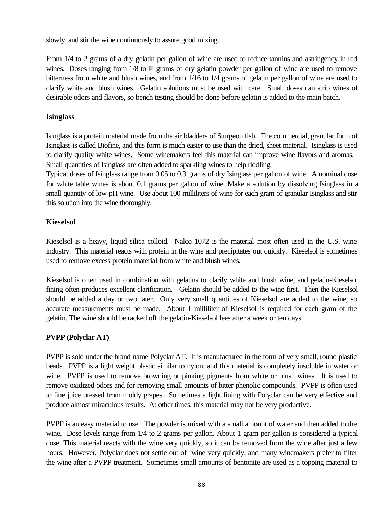slowly, and stir the wine continuously to assure good mixing.

From 1/4 to 2 grams of a dry gelatin per gallon of wine are used to reduce tannins and astringency in red wines. Doses ranging from  $1/8$  to  $\Box$  grams of dry gelatin powder per gallon of wine are used to remove bitterness from white and blush wines, and from 1/16 to 1/4 grams of gelatin per gallon of wine are used to clarify white and blush wines. Gelatin solutions must be used with care. Small doses can strip wines of desirable odors and flavors, so bench testing should be done before gelatin is added to the main batch.

# **Isinglass**

Isinglass is a protein material made from the air bladders of Sturgeon fish. The commercial, granular form of Isinglass is called Biofine, and this form is much easier to use than the dried, sheet material. Isinglass is used to clarify quality white wines. Some winemakers feel this material can improve wine flavors and aromas. Small quantities of Isinglass are often added to sparkling wines to help riddling.

Typical doses of Isinglass range from 0.05 to 0.3 grams of dry Isinglass per gallon of wine. A nominal dose for white table wines is about 0.1 grams per gallon of wine. Make a solution by dissolving Isinglass in a small quantity of low pH wine. Use about 100 milliliters of wine for each gram of granular Isinglass and stir this solution into the wine thoroughly.

# **Kieselsol**

Kieselsol is a heavy, liquid silica colloid. Nalco 1072 is the material most often used in the U.S. wine industry. This material reacts with protein in the wine and precipitates out quickly. Kieselsol is sometimes used to remove excess protein material from white and blush wines.

Kieselsol is often used in combination with gelatins to clarify white and blush wine, and gelatin-Kieselsol fining often produces excellent clarification. Gelatin should be added to the wine first. Then the Kieselsol should be added a day or two later. Only very small quantities of Kieselsol are added to the wine, so accurate measurements must be made. About 1 milliliter of Kieselsol is required for each gram of the gelatin. The wine should be racked off the gelatin-Kieselsol lees after a week or ten days.

# **PVPP (Polyclar AT)**

PVPP is sold under the brand name Polyclar AT. It is manufactured in the form of very small, round plastic beads. PVPP is a light weight plastic similar to nylon, and this material is completely insoluble in water or wine. PVPP is used to remove browning or pinking pigments from white or blush wines. It is used to remove oxidized odors and for removing small amounts of bitter phenolic compounds. PVPP is often used to fine juice pressed from moldy grapes. Sometimes a light fining with Polyclar can be very effective and produce almost miraculous results. At other times, this material may not be very productive.

PVPP is an easy material to use. The powder is mixed with a small amount of water and then added to the wine. Dose levels range from 1/4 to 2 grams per gallon. About 1 gram per gallon is considered a typical dose. This material reacts with the wine very quickly, so it can be removed from the wine after just a few hours. However, Polyclar does not settle out of wine very quickly, and many winemakers prefer to filter the wine after a PVPP treatment. Sometimes small amounts of bentonite are used as a topping material to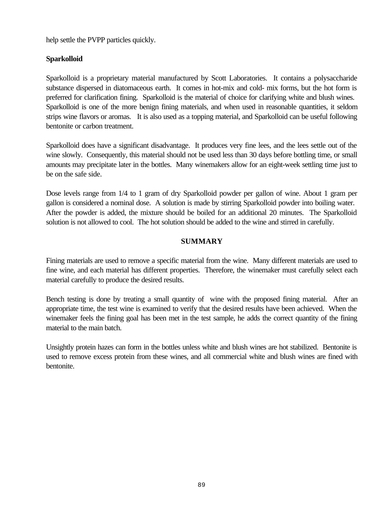help settle the PVPP particles quickly.

# **Sparkolloid**

Sparkolloid is a proprietary material manufactured by Scott Laboratories. It contains a polysaccharide substance dispersed in diatomaceous earth. It comes in hot-mix and cold- mix forms, but the hot form is preferred for clarification fining. Sparkolloid is the material of choice for clarifying white and blush wines. Sparkolloid is one of the more benign fining materials, and when used in reasonable quantities, it seldom strips wine flavors or aromas. It is also used as a topping material, and Sparkolloid can be useful following bentonite or carbon treatment.

Sparkolloid does have a significant disadvantage. It produces very fine lees, and the lees settle out of the wine slowly. Consequently, this material should not be used less than 30 days before bottling time, or small amounts may precipitate later in the bottles. Many winemakers allow for an eight-week settling time just to be on the safe side.

Dose levels range from 1/4 to 1 gram of dry Sparkolloid powder per gallon of wine. About 1 gram per gallon is considered a nominal dose. A solution is made by stirring Sparkolloid powder into boiling water. After the powder is added, the mixture should be boiled for an additional 20 minutes. The Sparkolloid solution is not allowed to cool. The hot solution should be added to the wine and stirred in carefully.

# **SUMMARY**

Fining materials are used to remove a specific material from the wine. Many different materials are used to fine wine, and each material has different properties. Therefore, the winemaker must carefully select each material carefully to produce the desired results.

Bench testing is done by treating a small quantity of wine with the proposed fining material. After an appropriate time, the test wine is examined to verify that the desired results have been achieved. When the winemaker feels the fining goal has been met in the test sample, he adds the correct quantity of the fining material to the main batch.

Unsightly protein hazes can form in the bottles unless white and blush wines are hot stabilized. Bentonite is used to remove excess protein from these wines, and all commercial white and blush wines are fined with bentonite.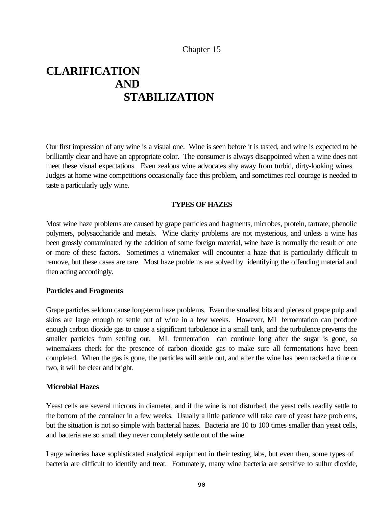# **CLARIFICATION AND STABILIZATION**

Our first impression of any wine is a visual one. Wine is seen before it is tasted, and wine is expected to be brilliantly clear and have an appropriate color. The consumer is always disappointed when a wine does not meet these visual expectations. Even zealous wine advocates shy away from turbid, dirty-looking wines. Judges at home wine competitions occasionally face this problem, and sometimes real courage is needed to taste a particularly ugly wine.

# **TYPES OF HAZES**

Most wine haze problems are caused by grape particles and fragments, microbes, protein, tartrate, phenolic polymers, polysaccharide and metals. Wine clarity problems are not mysterious, and unless a wine has been grossly contaminated by the addition of some foreign material, wine haze is normally the result of one or more of these factors. Sometimes a winemaker will encounter a haze that is particularly difficult to remove, but these cases are rare. Most haze problems are solved by identifying the offending material and then acting accordingly.

## **Particles and Fragments**

Grape particles seldom cause long-term haze problems. Even the smallest bits and pieces of grape pulp and skins are large enough to settle out of wine in a few weeks. However, ML fermentation can produce enough carbon dioxide gas to cause a significant turbulence in a small tank, and the turbulence prevents the smaller particles from settling out. ML fermentation can continue long after the sugar is gone, so winemakers check for the presence of carbon dioxide gas to make sure all fermentations have been completed. When the gas is gone, the particles will settle out, and after the wine has been racked a time or two, it will be clear and bright.

## **Microbial Hazes**

Yeast cells are several microns in diameter, and if the wine is not disturbed, the yeast cells readily settle to the bottom of the container in a few weeks. Usually a little patience will take care of yeast haze problems, but the situation is not so simple with bacterial hazes. Bacteria are 10 to 100 times smaller than yeast cells, and bacteria are so small they never completely settle out of the wine.

Large wineries have sophisticated analytical equipment in their testing labs, but even then, some types of bacteria are difficult to identify and treat. Fortunately, many wine bacteria are sensitive to sulfur dioxide,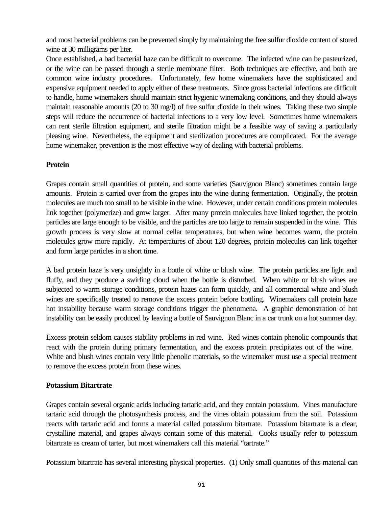and most bacterial problems can be prevented simply by maintaining the free sulfur dioxide content of stored wine at 30 milligrams per liter.

Once established, a bad bacterial haze can be difficult to overcome. The infected wine can be pasteurized, or the wine can be passed through a sterile membrane filter. Both techniques are effective, and both are common wine industry procedures. Unfortunately, few home winemakers have the sophisticated and expensive equipment needed to apply either of these treatments. Since gross bacterial infections are difficult to handle, home winemakers should maintain strict hygienic winemaking conditions, and they should always maintain reasonable amounts (20 to 30 mg/l) of free sulfur dioxide in their wines. Taking these two simple steps will reduce the occurrence of bacterial infections to a very low level. Sometimes home winemakers can rent sterile filtration equipment, and sterile filtration might be a feasible way of saving a particularly pleasing wine. Nevertheless, the equipment and sterilization procedures are complicated. For the average home winemaker, prevention is the most effective way of dealing with bacterial problems.

# **Protein**

Grapes contain small quantities of protein, and some varieties (Sauvignon Blanc) sometimes contain large amounts. Protein is carried over from the grapes into the wine during fermentation. Originally, the protein molecules are much too small to be visible in the wine. However, under certain conditions protein molecules link together (polymerize) and grow larger. After many protein molecules have linked together, the protein particles are large enough to be visible, and the particles are too large to remain suspended in the wine. This growth process is very slow at normal cellar temperatures, but when wine becomes warm, the protein molecules grow more rapidly. At temperatures of about 120 degrees, protein molecules can link together and form large particles in a short time.

A bad protein haze is very unsightly in a bottle of white or blush wine. The protein particles are light and fluffy, and they produce a swirling cloud when the bottle is disturbed. When white or blush wines are subjected to warm storage conditions, protein hazes can form quickly, and all commercial white and blush wines are specifically treated to remove the excess protein before bottling. Winemakers call protein haze hot instability because warm storage conditions trigger the phenomena. A graphic demonstration of hot instability can be easily produced by leaving a bottle of Sauvignon Blanc in a car trunk on a hot summer day.

Excess protein seldom causes stability problems in red wine. Red wines contain phenolic compounds that react with the protein during primary fermentation, and the excess protein precipitates out of the wine. White and blush wines contain very little phenolic materials, so the winemaker must use a special treatment to remove the excess protein from these wines.

## **Potassium Bitartrate**

Grapes contain several organic acids including tartaric acid, and they contain potassium. Vines manufacture tartaric acid through the photosynthesis process, and the vines obtain potassium from the soil. Potassium reacts with tartaric acid and forms a material called potassium bitartrate. Potassium bitartrate is a clear, crystalline material, and grapes always contain some of this material. Cooks usually refer to potassium bitartrate as cream of tarter, but most winemakers call this material "tartrate."

Potassium bitartrate has several interesting physical properties. (1) Only small quantities of this material can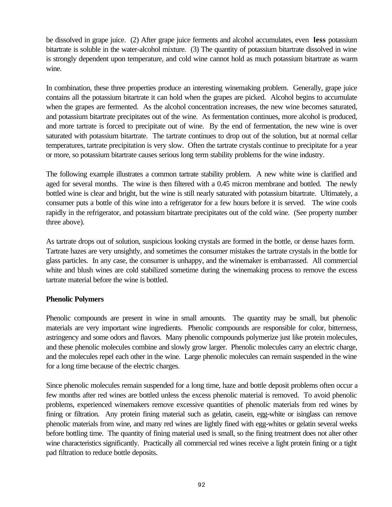be dissolved in grape juice. (2) After grape juice ferments and alcohol accumulates, even **less** potassium bitartrate is soluble in the water-alcohol mixture. (3) The quantity of potassium bitartrate dissolved in wine is strongly dependent upon temperature, and cold wine cannot hold as much potassium bitartrate as warm wine.

In combination, these three properties produce an interesting winemaking problem. Generally, grape juice contains all the potassium bitartrate it can hold when the grapes are picked. Alcohol begins to accumulate when the grapes are fermented. As the alcohol concentration increases, the new wine becomes saturated, and potassium bitartrate precipitates out of the wine. As fermentation continues, more alcohol is produced, and more tartrate is forced to precipitate out of wine. By the end of fermentation, the new wine is over saturated with potassium bitartrate. The tartrate continues to drop out of the solution, but at normal cellar temperatures, tartrate precipitation is very slow. Often the tartrate crystals continue to precipitate for a year or more, so potassium bitartrate causes serious long term stability problems for the wine industry.

The following example illustrates a common tartrate stability problem. A new white wine is clarified and aged for several months. The wine is then filtered with a 0.45 micron membrane and bottled. The newly bottled wine is clear and bright, but the wine is still nearly saturated with potassium bitartrate. Ultimately, a consumer puts a bottle of this wine into a refrigerator for a few hours before it is served. The wine cools rapidly in the refrigerator, and potassium bitartrate precipitates out of the cold wine. (See property number three above).

As tartrate drops out of solution, suspicious looking crystals are formed in the bottle, or dense hazes form. Tartrate hazes are very unsightly, and sometimes the consumer mistakes the tartrate crystals in the bottle for glass particles. In any case, the consumer is unhappy, and the winemaker is embarrassed. All commercial white and blush wines are cold stabilized sometime during the winemaking process to remove the excess tartrate material before the wine is bottled.

# **Phenolic Polymers**

Phenolic compounds are present in wine in small amounts. The quantity may be small, but phenolic materials are very important wine ingredients. Phenolic compounds are responsible for color, bitterness, astringency and some odors and flavors. Many phenolic compounds polymerize just like protein molecules, and these phenolic molecules combine and slowly grow larger. Phenolic molecules carry an electric charge, and the molecules repel each other in the wine. Large phenolic molecules can remain suspended in the wine for a long time because of the electric charges.

Since phenolic molecules remain suspended for a long time, haze and bottle deposit problems often occur a few months after red wines are bottled unless the excess phenolic material is removed. To avoid phenolic problems, experienced winemakers remove excessive quantities of phenolic materials from red wines by fining or filtration. Any protein fining material such as gelatin, casein, egg-white or isinglass can remove phenolic materials from wine, and many red wines are lightly fined with egg-whites or gelatin several weeks before bottling time. The quantity of fining material used is small, so the fining treatment does not alter other wine characteristics significantly. Practically all commercial red wines receive a light protein fining or a tight pad filtration to reduce bottle deposits.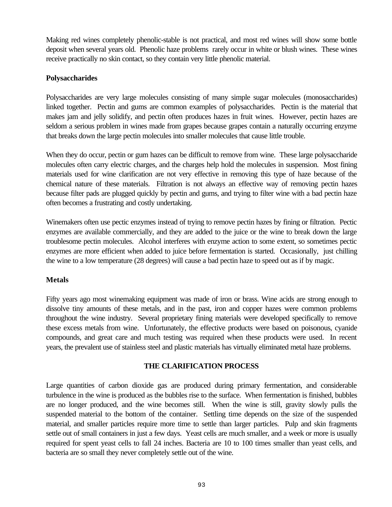Making red wines completely phenolic-stable is not practical, and most red wines will show some bottle deposit when several years old. Phenolic haze problems rarely occur in white or blush wines. These wines receive practically no skin contact, so they contain very little phenolic material.

# **Polysaccharides**

Polysaccharides are very large molecules consisting of many simple sugar molecules (monosaccharides) linked together. Pectin and gums are common examples of polysaccharides. Pectin is the material that makes jam and jelly solidify, and pectin often produces hazes in fruit wines. However, pectin hazes are seldom a serious problem in wines made from grapes because grapes contain a naturally occurring enzyme that breaks down the large pectin molecules into smaller molecules that cause little trouble.

When they do occur, pectin or gum hazes can be difficult to remove from wine. These large polysaccharide molecules often carry electric charges, and the charges help hold the molecules in suspension. Most fining materials used for wine clarification are not very effective in removing this type of haze because of the chemical nature of these materials. Filtration is not always an effective way of removing pectin hazes because filter pads are plugged quickly by pectin and gums, and trying to filter wine with a bad pectin haze often becomes a frustrating and costly undertaking.

Winemakers often use pectic enzymes instead of trying to remove pectin hazes by fining or filtration. Pectic enzymes are available commercially, and they are added to the juice or the wine to break down the large troublesome pectin molecules. Alcohol interferes with enzyme action to some extent, so sometimes pectic enzymes are more efficient when added to juice before fermentation is started. Occasionally, just chilling the wine to a low temperature (28 degrees) will cause a bad pectin haze to speed out as if by magic.

# **Metals**

Fifty years ago most winemaking equipment was made of iron or brass. Wine acids are strong enough to dissolve tiny amounts of these metals, and in the past, iron and copper hazes were common problems throughout the wine industry. Several proprietary fining materials were developed specifically to remove these excess metals from wine. Unfortunately, the effective products were based on poisonous, cyanide compounds, and great care and much testing was required when these products were used. In recent years, the prevalent use of stainless steel and plastic materials has virtually eliminated metal haze problems.

# **THE CLARIFICATION PROCESS**

Large quantities of carbon dioxide gas are produced during primary fermentation, and considerable turbulence in the wine is produced as the bubbles rise to the surface. When fermentation is finished, bubbles are no longer produced, and the wine becomes still. When the wine is still, gravity slowly pulls the suspended material to the bottom of the container. Settling time depends on the size of the suspended material, and smaller particles require more time to settle than larger particles. Pulp and skin fragments settle out of small containers in just a few days. Yeast cells are much smaller, and a week or more is usually required for spent yeast cells to fall 24 inches. Bacteria are 10 to 100 times smaller than yeast cells, and bacteria are so small they never completely settle out of the wine.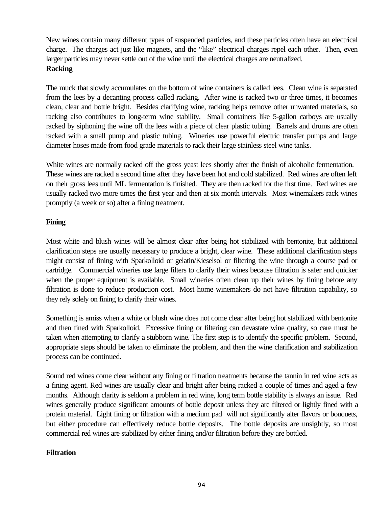New wines contain many different types of suspended particles, and these particles often have an electrical charge. The charges act just like magnets, and the "like" electrical charges repel each other. Then, even larger particles may never settle out of the wine until the electrical charges are neutralized.

# **Racking**

The muck that slowly accumulates on the bottom of wine containers is called lees. Clean wine is separated from the lees by a decanting process called racking. After wine is racked two or three times, it becomes clean, clear and bottle bright. Besides clarifying wine, racking helps remove other unwanted materials, so racking also contributes to long-term wine stability. Small containers like 5-gallon carboys are usually racked by siphoning the wine off the lees with a piece of clear plastic tubing. Barrels and drums are often racked with a small pump and plastic tubing. Wineries use powerful electric transfer pumps and large diameter hoses made from food grade materials to rack their large stainless steel wine tanks.

White wines are normally racked off the gross yeast lees shortly after the finish of alcoholic fermentation. These wines are racked a second time after they have been hot and cold stabilized. Red wines are often left on their gross lees until ML fermentation is finished. They are then racked for the first time. Red wines are usually racked two more times the first year and then at six month intervals. Most winemakers rack wines promptly (a week or so) after a fining treatment.

# **Fining**

Most white and blush wines will be almost clear after being hot stabilized with bentonite, but additional clarification steps are usually necessary to produce a bright, clear wine. These additional clarification steps might consist of fining with Sparkolloid or gelatin/Kieselsol or filtering the wine through a course pad or cartridge. Commercial wineries use large filters to clarify their wines because filtration is safer and quicker when the proper equipment is available. Small wineries often clean up their wines by fining before any filtration is done to reduce production cost. Most home winemakers do not have filtration capability, so they rely solely on fining to clarify their wines.

Something is amiss when a white or blush wine does not come clear after being hot stabilized with bentonite and then fined with Sparkolloid. Excessive fining or filtering can devastate wine quality, so care must be taken when attempting to clarify a stubborn wine. The first step is to identify the specific problem. Second, appropriate steps should be taken to eliminate the problem, and then the wine clarification and stabilization process can be continued.

Sound red wines come clear without any fining or filtration treatments because the tannin in red wine acts as a fining agent. Red wines are usually clear and bright after being racked a couple of times and aged a few months. Although clarity is seldom a problem in red wine, long term bottle stability is always an issue. Red wines generally produce significant amounts of bottle deposit unless they are filtered or lightly fined with a protein material. Light fining or filtration with a medium pad will not significantly alter flavors or bouquets, but either procedure can effectively reduce bottle deposits. The bottle deposits are unsightly, so most commercial red wines are stabilized by either fining and/or filtration before they are bottled.

# **Filtration**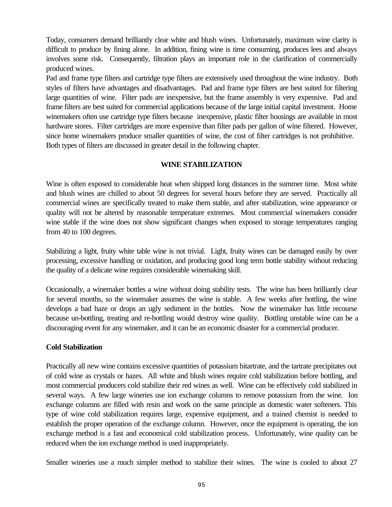Today, consumers demand brilliantly clear white and blush wines. Unfortunately, maximum wine clarity is difficult to produce by fining alone. In addition, fining wine is time consuming, produces lees and always involves some risk. Consequently, filtration plays an important role in the clarification of commercially produced wines.

Pad and frame type filters and cartridge type filters are extensively used throughout the wine industry. Both styles of filters have advantages and disadvantages. Pad and frame type filters are best suited for filtering large quantities of wine. Filter pads are inexpensive, but the frame assembly is very expensive. Pad and frame filters are best suited for commercial applications because of the large initial capital investment. Home winemakers often use cartridge type filters because inexpensive, plastic filter housings are available in most hardware stores. Filter cartridges are more expensive than filter pads per gallon of wine filtered. However, since home winemakers produce smaller quantities of wine, the cost of filter cartridges is not prohibitive. Both types of filters are discussed in greater detail in the following chapter.

## **WINE STABILIZATION**

Wine is often exposed to considerable heat when shipped long distances in the summer time. Most white and blush wines are chilled to about 50 degrees for several hours before they are served. Practically all commercial wines are specifically treated to make them stable, and after stabilization, wine appearance or quality will not be altered by reasonable temperature extremes. Most commercial winemakers consider wine stable if the wine does not show significant changes when exposed to storage temperatures ranging from 40 to 100 degrees.

Stabilizing a light, fruity white table wine is not trivial. Light, fruity wines can be damaged easily by over processing, excessive handling or oxidation, and producing good long term bottle stability without reducing the quality of a delicate wine requires considerable winemaking skill.

Occasionally, a winemaker bottles a wine without doing stability tests. The wine has been brilliantly clear for several months, so the winemaker assumes the wine is stable. A few weeks after bottling, the wine develops a bad haze or drops an ugly sediment in the bottles. Now the winemaker has little recourse because un-bottling, treating and re-bottling would destroy wine quality. Bottling unstable wine can be a discouraging event for any winemaker, and it can be an economic disaster for a commercial producer.

#### **Cold Stabilization**

Practically all new wine contains excessive quantities of potassium bitartrate, and the tartrate precipitates out of cold wine as crystals or hazes. All white and blush wines require cold stabilization before bottling, and most commercial producers cold stabilize their red wines as well. Wine can be effectively cold stabilized in several ways. A few large wineries use ion exchange columns to remove potassium from the wine. Ion exchange columns are filled with resin and work on the same principle as domestic water softeners. This type of wine cold stabilization requires large, expensive equipment, and a trained chemist is needed to establish the proper operation of the exchange column. However, once the equipment is operating, the ion exchange method is a fast and economical cold stabilization process. Unfortunately, wine quality can be reduced when the ion exchange method is used inappropriately.

Smaller wineries use a much simpler method to stabilize their wines. The wine is cooled to about 27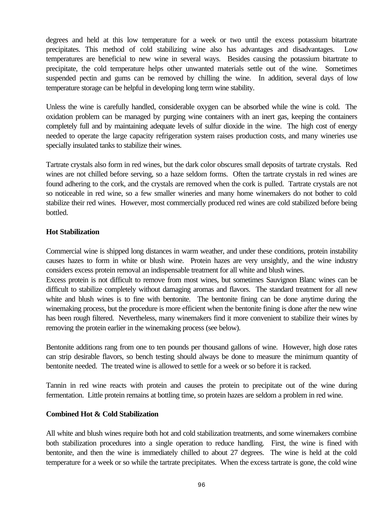degrees and held at this low temperature for a week or two until the excess potassium bitartrate precipitates. This method of cold stabilizing wine also has advantages and disadvantages. Low temperatures are beneficial to new wine in several ways. Besides causing the potassium bitartrate to precipitate, the cold temperature helps other unwanted materials settle out of the wine. Sometimes suspended pectin and gums can be removed by chilling the wine. In addition, several days of low temperature storage can be helpful in developing long term wine stability.

Unless the wine is carefully handled, considerable oxygen can be absorbed while the wine is cold. The oxidation problem can be managed by purging wine containers with an inert gas, keeping the containers completely full and by maintaining adequate levels of sulfur dioxide in the wine. The high cost of energy needed to operate the large capacity refrigeration system raises production costs, and many wineries use specially insulated tanks to stabilize their wines.

Tartrate crystals also form in red wines, but the dark color obscures small deposits of tartrate crystals. Red wines are not chilled before serving, so a haze seldom forms. Often the tartrate crystals in red wines are found adhering to the cork, and the crystals are removed when the cork is pulled. Tartrate crystals are not so noticeable in red wine, so a few smaller wineries and many home winemakers do not bother to cold stabilize their red wines. However, most commercially produced red wines are cold stabilized before being bottled.

## **Hot Stabilization**

Commercial wine is shipped long distances in warm weather, and under these conditions, protein instability causes hazes to form in white or blush wine. Protein hazes are very unsightly, and the wine industry considers excess protein removal an indispensable treatment for all white and blush wines.

Excess protein is not difficult to remove from most wines, but sometimes Sauvignon Blanc wines can be difficult to stabilize completely without damaging aromas and flavors. The standard treatment for all new white and blush wines is to fine with bentonite. The bentonite fining can be done anytime during the winemaking process, but the procedure is more efficient when the bentonite fining is done after the new wine has been rough filtered. Nevertheless, many winemakers find it more convenient to stabilize their wines by removing the protein earlier in the winemaking process (see below).

Bentonite additions rang from one to ten pounds per thousand gallons of wine. However, high dose rates can strip desirable flavors, so bench testing should always be done to measure the minimum quantity of bentonite needed. The treated wine is allowed to settle for a week or so before it is racked.

Tannin in red wine reacts with protein and causes the protein to precipitate out of the wine during fermentation. Little protein remains at bottling time, so protein hazes are seldom a problem in red wine.

## **Combined Hot & Cold Stabilization**

All white and blush wines require both hot and cold stabilization treatments, and some winemakers combine both stabilization procedures into a single operation to reduce handling. First, the wine is fined with bentonite, and then the wine is immediately chilled to about 27 degrees. The wine is held at the cold temperature for a week or so while the tartrate precipitates. When the excess tartrate is gone, the cold wine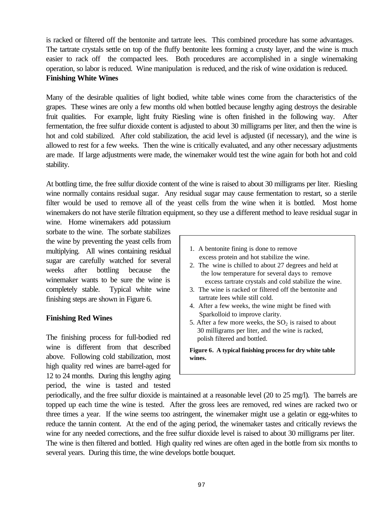is racked or filtered off the bentonite and tartrate lees. This combined procedure has some advantages. The tartrate crystals settle on top of the fluffy bentonite lees forming a crusty layer, and the wine is much easier to rack off the compacted lees. Both procedures are accomplished in a single winemaking operation, so labor is reduced. Wine manipulation is reduced, and the risk of wine oxidation is reduced. **Finishing White Wines**

Many of the desirable qualities of light bodied, white table wines come from the characteristics of the grapes. These wines are only a few months old when bottled because lengthy aging destroys the desirable fruit qualities. For example, light fruity Riesling wine is often finished in the following way. After fermentation, the free sulfur dioxide content is adjusted to about 30 milligrams per liter, and then the wine is hot and cold stabilized. After cold stabilization, the acid level is adjusted (if necessary), and the wine is allowed to rest for a few weeks. Then the wine is critically evaluated, and any other necessary adjustments are made. If large adjustments were made, the winemaker would test the wine again for both hot and cold stability.

At bottling time, the free sulfur dioxide content of the wine is raised to about 30 milligrams per liter. Riesling wine normally contains residual sugar. Any residual sugar may cause fermentation to restart, so a sterile filter would be used to remove all of the yeast cells from the wine when it is bottled. Most home winemakers do not have sterile filtration equipment, so they use a different method to leave residual sugar in

wine. Home winemakers add potassium sorbate to the wine. The sorbate stabilizes the wine by preventing the yeast cells from multiplying. All wines containing residual sugar are carefully watched for several weeks after bottling because the winemaker wants to be sure the wine is completely stable. Typical white wine finishing steps are shown in Figure 6.

## **Finishing Red Wines**

The finishing process for full-bodied red wine is different from that described above. Following cold stabilization, most high quality red wines are barrel-aged for 12 to 24 months. During this lengthy aging period, the wine is tasted and tested

- 1. A bentonite fining is done to remove excess protein and hot stabilize the wine.
- 2. The wine is chilled to about 27 degrees and held at the low temperature for several days to remove excess tartrate crystals and cold stabilize the wine.
- 3. The wine is racked or filtered off the bentonite and tartrate lees while still cold.
- 4. After a few weeks, the wine might be fined with Sparkolloid to improve clarity.
- 5. After a few more weeks, the  $SO<sub>2</sub>$  is raised to about 30 milligrams per liter, and the wine is racked, polish filtered and bottled.

**Figure 6. A typical finishing process for dry white table wines.**

periodically, and the free sulfur dioxide is maintained at a reasonable level (20 to 25 mg/l). The barrels are topped up each time the wine is tested. After the gross lees are removed, red wines are racked two or three times a year. If the wine seems too astringent, the winemaker might use a gelatin or egg-whites to reduce the tannin content. At the end of the aging period, the winemaker tastes and critically reviews the wine for any needed corrections, and the free sulfur dioxide level is raised to about 30 milligrams per liter. The wine is then filtered and bottled. High quality red wines are often aged in the bottle from six months to several years. During this time, the wine develops bottle bouquet.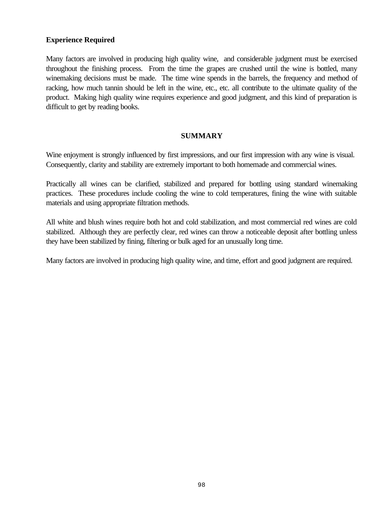# **Experience Required**

Many factors are involved in producing high quality wine, and considerable judgment must be exercised throughout the finishing process. From the time the grapes are crushed until the wine is bottled, many winemaking decisions must be made. The time wine spends in the barrels, the frequency and method of racking, how much tannin should be left in the wine, etc., etc. all contribute to the ultimate quality of the product. Making high quality wine requires experience and good judgment, and this kind of preparation is difficult to get by reading books.

## **SUMMARY**

Wine enjoyment is strongly influenced by first impressions, and our first impression with any wine is visual. Consequently, clarity and stability are extremely important to both homemade and commercial wines.

Practically all wines can be clarified, stabilized and prepared for bottling using standard winemaking practices. These procedures include cooling the wine to cold temperatures, fining the wine with suitable materials and using appropriate filtration methods.

All white and blush wines require both hot and cold stabilization, and most commercial red wines are cold stabilized. Although they are perfectly clear, red wines can throw a noticeable deposit after bottling unless they have been stabilized by fining, filtering or bulk aged for an unusually long time.

Many factors are involved in producing high quality wine, and time, effort and good judgment are required.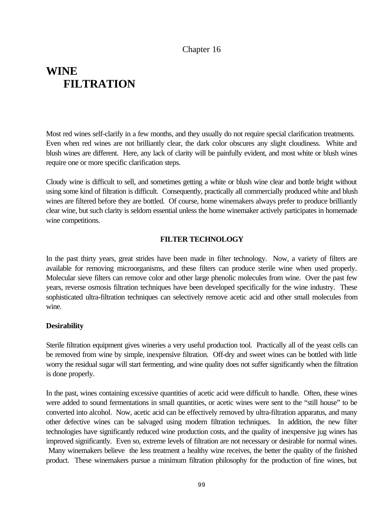# Chapter 16

# **WINE FILTRATION**

Most red wines self-clarify in a few months, and they usually do not require special clarification treatments. Even when red wines are not brilliantly clear, the dark color obscures any slight cloudiness. White and blush wines are different. Here, any lack of clarity will be painfully evident, and most white or blush wines require one or more specific clarification steps.

Cloudy wine is difficult to sell, and sometimes getting a white or blush wine clear and bottle bright without using some kind of filtration is difficult. Consequently, practically all commercially produced white and blush wines are filtered before they are bottled. Of course, home winemakers always prefer to produce brilliantly clear wine, but such clarity is seldom essential unless the home winemaker actively participates in homemade wine competitions.

## **FILTER TECHNOLOGY**

In the past thirty years, great strides have been made in filter technology. Now, a variety of filters are available for removing microorganisms, and these filters can produce sterile wine when used properly. Molecular sieve filters can remove color and other large phenolic molecules from wine. Over the past few years, reverse osmosis filtration techniques have been developed specifically for the wine industry. These sophisticated ultra-filtration techniques can selectively remove acetic acid and other small molecules from wine.

## **Desirability**

Sterile filtration equipment gives wineries a very useful production tool. Practically all of the yeast cells can be removed from wine by simple, inexpensive filtration. Off-dry and sweet wines can be bottled with little worry the residual sugar will start fermenting, and wine quality does not suffer significantly when the filtration is done properly.

In the past, wines containing excessive quantities of acetic acid were difficult to handle. Often, these wines were added to sound fermentations in small quantities, or acetic wines were sent to the "still house" to be converted into alcohol. Now, acetic acid can be effectively removed by ultra-filtration apparatus, and many other defective wines can be salvaged using modern filtration techniques. In addition, the new filter technologies have significantly reduced wine production costs, and the quality of inexpensive jug wines has improved significantly. Even so, extreme levels of filtration are not necessary or desirable for normal wines. Many winemakers believe the less treatment a healthy wine receives, the better the quality of the finished product. These winemakers pursue a minimum filtration philosophy for the production of fine wines, but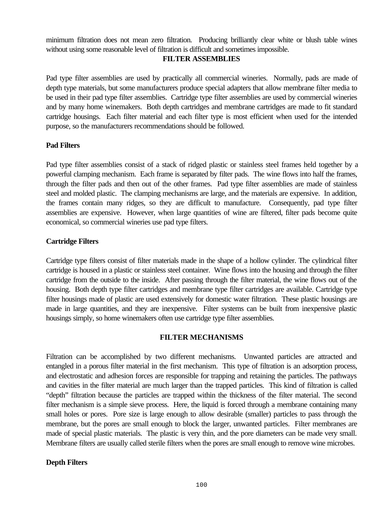minimum filtration does not mean zero filtration. Producing brilliantly clear white or blush table wines without using some reasonable level of filtration is difficult and sometimes impossible.

## **FILTER ASSEMBLIES**

Pad type filter assemblies are used by practically all commercial wineries. Normally, pads are made of depth type materials, but some manufacturers produce special adapters that allow membrane filter media to be used in their pad type filter assemblies. Cartridge type filter assemblies are used by commercial wineries and by many home winemakers. Both depth cartridges and membrane cartridges are made to fit standard cartridge housings. Each filter material and each filter type is most efficient when used for the intended purpose, so the manufacturers recommendations should be followed.

#### **Pad Filters**

Pad type filter assemblies consist of a stack of ridged plastic or stainless steel frames held together by a powerful clamping mechanism. Each frame is separated by filter pads. The wine flows into half the frames, through the filter pads and then out of the other frames. Pad type filter assemblies are made of stainless steel and molded plastic. The clamping mechanisms are large, and the materials are expensive. In addition, the frames contain many ridges, so they are difficult to manufacture. Consequently, pad type filter assemblies are expensive. However, when large quantities of wine are filtered, filter pads become quite economical, so commercial wineries use pad type filters.

## **Cartridge Filters**

Cartridge type filters consist of filter materials made in the shape of a hollow cylinder. The cylindrical filter cartridge is housed in a plastic or stainless steel container. Wine flows into the housing and through the filter cartridge from the outside to the inside. After passing through the filter material, the wine flows out of the housing. Both depth type filter cartridges and membrane type filter cartridges are available. Cartridge type filter housings made of plastic are used extensively for domestic water filtration. These plastic housings are made in large quantities, and they are inexpensive. Filter systems can be built from inexpensive plastic housings simply, so home winemakers often use cartridge type filter assemblies.

## **FILTER MECHANISMS**

Filtration can be accomplished by two different mechanisms. Unwanted particles are attracted and entangled in a porous filter material in the first mechanism. This type of filtration is an adsorption process, and electrostatic and adhesion forces are responsible for trapping and retaining the particles. The pathways and cavities in the filter material are much larger than the trapped particles. This kind of filtration is called "depth" filtration because the particles are trapped within the thickness of the filter material. The second filter mechanism is a simple sieve process. Here, the liquid is forced through a membrane containing many small holes or pores. Pore size is large enough to allow desirable (smaller) particles to pass through the membrane, but the pores are small enough to block the larger, unwanted particles. Filter membranes are made of special plastic materials. The plastic is very thin, and the pore diameters can be made very small. Membrane filters are usually called sterile filters when the pores are small enough to remove wine microbes.

## **Depth Filters**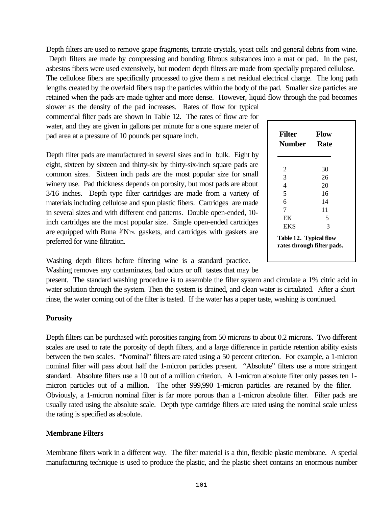Depth filters are used to remove grape fragments, tartrate crystals, yeast cells and general debris from wine.

 Depth filters are made by compressing and bonding fibrous substances into a mat or pad. In the past, asbestos fibers were used extensively, but modern depth filters are made from specially prepared cellulose. The cellulose fibers are specifically processed to give them a net residual electrical charge. The long path lengths created by the overlaid fibers trap the particles within the body of the pad. Smaller size particles are retained when the pads are made tighter and more dense. However, liquid flow through the pad becomes

slower as the density of the pad increases. Rates of flow for typical commercial filter pads are shown in Table 12. The rates of flow are for water, and they are given in gallons per minute for a one square meter of pad area at a pressure of 10 pounds per square inch.

Depth filter pads are manufactured in several sizes and in bulk. Eight by eight, sixteen by sixteen and thirty-six by thirty-six-inch square pads are common sizes. Sixteen inch pads are the most popular size for small winery use. Pad thickness depends on porosity, but most pads are about 3/16 inches. Depth type filter cartridges are made from a variety of materials including cellulose and spun plastic fibers. Cartridges are made in several sizes and with different end patterns. Double open-ended, 10 inch cartridges are the most popular size. Single open-ended cartridges are equipped with Buna  $N\approx$  gaskets, and cartridges with gaskets are preferred for wine filtration.

Washing depth filters before filtering wine is a standard practice. Washing removes any contaminates, bad odors or off tastes that may be

present. The standard washing procedure is to assemble the filter system and circulate a 1% citric acid in water solution through the system. Then the system is drained, and clean water is circulated. After a short rinse, the water coming out of the filter is tasted. If the water has a paper taste, washing is continued.

#### **Porosity**

Depth filters can be purchased with porosities ranging from 50 microns to about 0.2 microns. Two different scales are used to rate the porosity of depth filters, and a large difference in particle retention ability exists between the two scales. "Nominal" filters are rated using a 50 percent criterion. For example, a 1-micron nominal filter will pass about half the 1-micron particles present. "Absolute" filters use a more stringent standard. Absolute filters use a 10 out of a million criterion. A 1-micron absolute filter only passes ten 1 micron particles out of a million. The other 999,990 1-micron particles are retained by the filter. Obviously, a 1-micron nominal filter is far more porous than a 1-micron absolute filter. Filter pads are usually rated using the absolute scale. Depth type cartridge filters are rated using the nominal scale unless the rating is specified as absolute.

#### **Membrane Filters**

Membrane filters work in a different way. The filter material is a thin, flexible plastic membrane. A special manufacturing technique is used to produce the plastic, and the plastic sheet contains an enormous number

| <b>Filter</b><br><b>Number</b>                       | Flow<br>Rate |
|------------------------------------------------------|--------------|
| 2                                                    | 30           |
| $\overline{3}$                                       | 26           |
| $\overline{4}$                                       | 20           |
| 5                                                    | 16           |
| 6                                                    | 14           |
| 7                                                    | 11           |
| EK                                                   | 5            |
| EKS                                                  | 3            |
| Table 12. Typical flow<br>rates through filter pads. |              |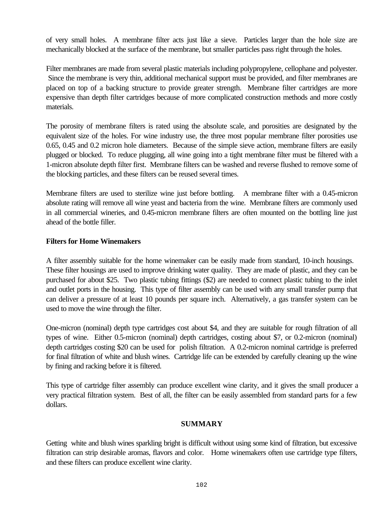of very small holes. A membrane filter acts just like a sieve. Particles larger than the hole size are mechanically blocked at the surface of the membrane, but smaller particles pass right through the holes.

Filter membranes are made from several plastic materials including polypropylene, cellophane and polyester. Since the membrane is very thin, additional mechanical support must be provided, and filter membranes are placed on top of a backing structure to provide greater strength. Membrane filter cartridges are more expensive than depth filter cartridges because of more complicated construction methods and more costly materials.

The porosity of membrane filters is rated using the absolute scale, and porosities are designated by the equivalent size of the holes. For wine industry use, the three most popular membrane filter porosities use 0.65, 0.45 and 0.2 micron hole diameters. Because of the simple sieve action, membrane filters are easily plugged or blocked. To reduce plugging, all wine going into a tight membrane filter must be filtered with a 1-micron absolute depth filter first. Membrane filters can be washed and reverse flushed to remove some of the blocking particles, and these filters can be reused several times.

Membrane filters are used to sterilize wine just before bottling. A membrane filter with a 0.45-micron absolute rating will remove all wine yeast and bacteria from the wine. Membrane filters are commonly used in all commercial wineries, and 0.45-micron membrane filters are often mounted on the bottling line just ahead of the bottle filler.

# **Filters for Home Winemakers**

A filter assembly suitable for the home winemaker can be easily made from standard, 10-inch housings. These filter housings are used to improve drinking water quality. They are made of plastic, and they can be purchased for about \$25. Two plastic tubing fittings (\$2) are needed to connect plastic tubing to the inlet and outlet ports in the housing. This type of filter assembly can be used with any small transfer pump that can deliver a pressure of at least 10 pounds per square inch. Alternatively, a gas transfer system can be used to move the wine through the filter.

One-micron (nominal) depth type cartridges cost about \$4, and they are suitable for rough filtration of all types of wine. Either 0.5-micron (nominal) depth cartridges, costing about \$7, or 0.2-micron (nominal) depth cartridges costing \$20 can be used for polish filtration. A 0.2-micron nominal cartridge is preferred for final filtration of white and blush wines. Cartridge life can be extended by carefully cleaning up the wine by fining and racking before it is filtered.

This type of cartridge filter assembly can produce excellent wine clarity, and it gives the small producer a very practical filtration system. Best of all, the filter can be easily assembled from standard parts for a few dollars.

## **SUMMARY**

Getting white and blush wines sparkling bright is difficult without using some kind of filtration, but excessive filtration can strip desirable aromas, flavors and color. Home winemakers often use cartridge type filters, and these filters can produce excellent wine clarity.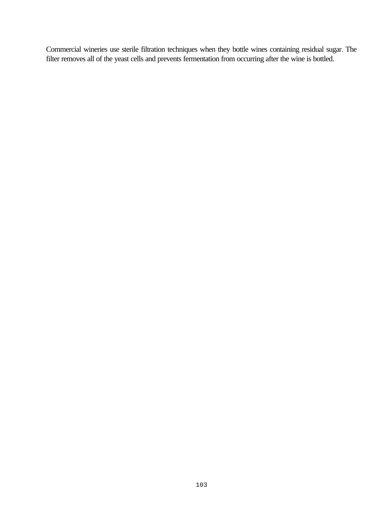Commercial wineries use sterile filtration techniques when they bottle wines containing residual sugar. The filter removes all of the yeast cells and prevents fermentation from occurring after the wine is bottled.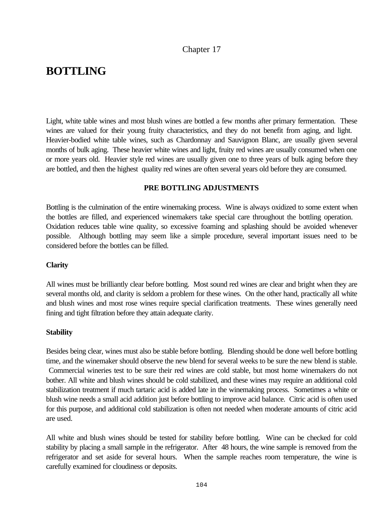## Chapter 17

## **BOTTLING**

Light, white table wines and most blush wines are bottled a few months after primary fermentation. These wines are valued for their young fruity characteristics, and they do not benefit from aging, and light. Heavier-bodied white table wines, such as Chardonnay and Sauvignon Blanc, are usually given several months of bulk aging. These heavier white wines and light, fruity red wines are usually consumed when one or more years old. Heavier style red wines are usually given one to three years of bulk aging before they are bottled, and then the highest quality red wines are often several years old before they are consumed.

#### **PRE BOTTLING ADJUSTMENTS**

Bottling is the culmination of the entire winemaking process. Wine is always oxidized to some extent when the bottles are filled, and experienced winemakers take special care throughout the bottling operation. Oxidation reduces table wine quality, so excessive foaming and splashing should be avoided whenever possible. Although bottling may seem like a simple procedure, several important issues need to be considered before the bottles can be filled.

#### **Clarity**

All wines must be brilliantly clear before bottling. Most sound red wines are clear and bright when they are several months old, and clarity is seldom a problem for these wines. On the other hand, practically all white and blush wines and most rose wines require special clarification treatments. These wines generally need fining and tight filtration before they attain adequate clarity.

#### **Stability**

Besides being clear, wines must also be stable before bottling. Blending should be done well before bottling time, and the winemaker should observe the new blend for several weeks to be sure the new blend is stable. Commercial wineries test to be sure their red wines are cold stable, but most home winemakers do not bother. All white and blush wines should be cold stabilized, and these wines may require an additional cold stabilization treatment if much tartaric acid is added late in the winemaking process. Sometimes a white or blush wine needs a small acid addition just before bottling to improve acid balance. Citric acid is often used for this purpose, and additional cold stabilization is often not needed when moderate amounts of citric acid are used.

All white and blush wines should be tested for stability before bottling. Wine can be checked for cold stability by placing a small sample in the refrigerator. After 48 hours, the wine sample is removed from the refrigerator and set aside for several hours. When the sample reaches room temperature, the wine is carefully examined for cloudiness or deposits.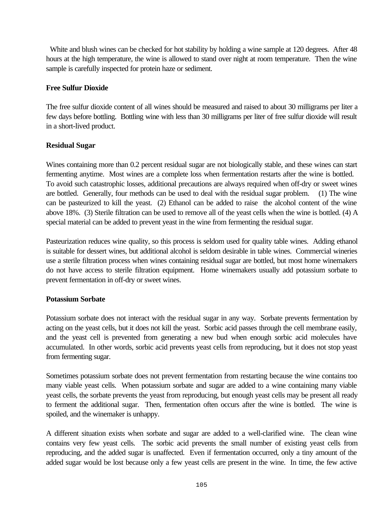White and blush wines can be checked for hot stability by holding a wine sample at 120 degrees. After 48 hours at the high temperature, the wine is allowed to stand over night at room temperature. Then the wine sample is carefully inspected for protein haze or sediment.

## **Free Sulfur Dioxide**

The free sulfur dioxide content of all wines should be measured and raised to about 30 milligrams per liter a few days before bottling. Bottling wine with less than 30 milligrams per liter of free sulfur dioxide will result in a short-lived product.

## **Residual Sugar**

Wines containing more than 0.2 percent residual sugar are not biologically stable, and these wines can start fermenting anytime. Most wines are a complete loss when fermentation restarts after the wine is bottled. To avoid such catastrophic losses, additional precautions are always required when off-dry or sweet wines are bottled. Generally, four methods can be used to deal with the residual sugar problem. (1) The wine can be pasteurized to kill the yeast. (2) Ethanol can be added to raise the alcohol content of the wine above 18%. (3) Sterile filtration can be used to remove all of the yeast cells when the wine is bottled. (4) A special material can be added to prevent yeast in the wine from fermenting the residual sugar.

Pasteurization reduces wine quality, so this process is seldom used for quality table wines. Adding ethanol is suitable for dessert wines, but additional alcohol is seldom desirable in table wines. Commercial wineries use a sterile filtration process when wines containing residual sugar are bottled, but most home winemakers do not have access to sterile filtration equipment. Home winemakers usually add potassium sorbate to prevent fermentation in off-dry or sweet wines.

### **Potassium Sorbate**

Potassium sorbate does not interact with the residual sugar in any way. Sorbate prevents fermentation by acting on the yeast cells, but it does not kill the yeast. Sorbic acid passes through the cell membrane easily, and the yeast cell is prevented from generating a new bud when enough sorbic acid molecules have accumulated. In other words, sorbic acid prevents yeast cells from reproducing, but it does not stop yeast from fermenting sugar.

Sometimes potassium sorbate does not prevent fermentation from restarting because the wine contains too many viable yeast cells. When potassium sorbate and sugar are added to a wine containing many viable yeast cells, the sorbate prevents the yeast from reproducing, but enough yeast cells may be present all ready to ferment the additional sugar. Then, fermentation often occurs after the wine is bottled. The wine is spoiled, and the winemaker is unhappy.

A different situation exists when sorbate and sugar are added to a well-clarified wine. The clean wine contains very few yeast cells. The sorbic acid prevents the small number of existing yeast cells from reproducing, and the added sugar is unaffected. Even if fermentation occurred, only a tiny amount of the added sugar would be lost because only a few yeast cells are present in the wine. In time, the few active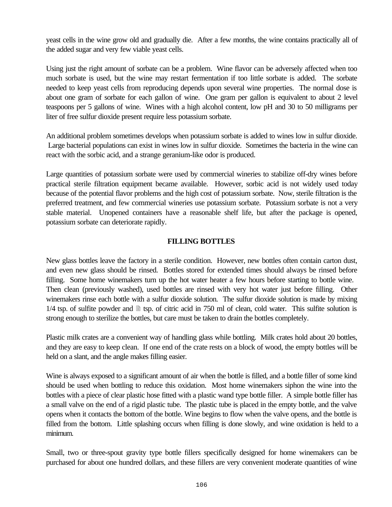yeast cells in the wine grow old and gradually die. After a few months, the wine contains practically all of the added sugar and very few viable yeast cells.

Using just the right amount of sorbate can be a problem. Wine flavor can be adversely affected when too much sorbate is used, but the wine may restart fermentation if too little sorbate is added. The sorbate needed to keep yeast cells from reproducing depends upon several wine properties. The normal dose is about one gram of sorbate for each gallon of wine. One gram per gallon is equivalent to about 2 level teaspoons per 5 gallons of wine. Wines with a high alcohol content, low pH and 30 to 50 milligrams per liter of free sulfur dioxide present require less potassium sorbate.

An additional problem sometimes develops when potassium sorbate is added to wines low in sulfur dioxide. Large bacterial populations can exist in wines low in sulfur dioxide. Sometimes the bacteria in the wine can react with the sorbic acid, and a strange geranium-like odor is produced.

Large quantities of potassium sorbate were used by commercial wineries to stabilize off-dry wines before practical sterile filtration equipment became available. However, sorbic acid is not widely used today because of the potential flavor problems and the high cost of potassium sorbate. Now, sterile filtration is the preferred treatment, and few commercial wineries use potassium sorbate. Potassium sorbate is not a very stable material. Unopened containers have a reasonable shelf life, but after the package is opened, potassium sorbate can deteriorate rapidly.

## **FILLING BOTTLES**

New glass bottles leave the factory in a sterile condition. However, new bottles often contain carton dust, and even new glass should be rinsed. Bottles stored for extended times should always be rinsed before filling. Some home winemakers turn up the hot water heater a few hours before starting to bottle wine. Then clean (previously washed), used bottles are rinsed with very hot water just before filling. Other winemakers rinse each bottle with a sulfur dioxide solution. The sulfur dioxide solution is made by mixing  $1/4$  tsp. of sulfite powder and  $\equiv$  tsp. of citric acid in 750 ml of clean, cold water. This sulfite solution is strong enough to sterilize the bottles, but care must be taken to drain the bottles completely.

Plastic milk crates are a convenient way of handling glass while bottling. Milk crates hold about 20 bottles, and they are easy to keep clean. If one end of the crate rests on a block of wood, the empty bottles will be held on a slant, and the angle makes filling easier.

Wine is always exposed to a significant amount of air when the bottle is filled, and a bottle filler of some kind should be used when bottling to reduce this oxidation. Most home winemakers siphon the wine into the bottles with a piece of clear plastic hose fitted with a plastic wand type bottle filler. A simple bottle filler has a small valve on the end of a rigid plastic tube. The plastic tube is placed in the empty bottle, and the valve opens when it contacts the bottom of the bottle. Wine begins to flow when the valve opens, and the bottle is filled from the bottom. Little splashing occurs when filling is done slowly, and wine oxidation is held to a minimum.

Small, two or three-spout gravity type bottle fillers specifically designed for home winemakers can be purchased for about one hundred dollars, and these fillers are very convenient moderate quantities of wine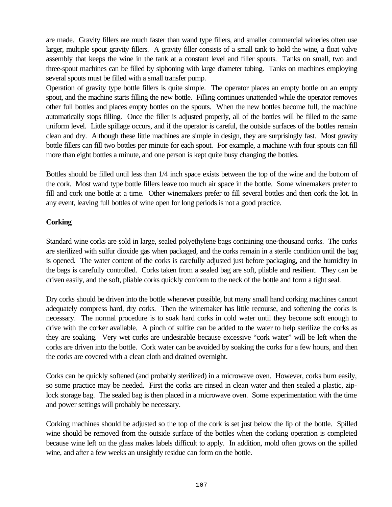are made. Gravity fillers are much faster than wand type fillers, and smaller commercial wineries often use larger, multiple spout gravity fillers. A gravity filler consists of a small tank to hold the wine, a float valve assembly that keeps the wine in the tank at a constant level and filler spouts. Tanks on small, two and three-spout machines can be filled by siphoning with large diameter tubing. Tanks on machines employing several spouts must be filled with a small transfer pump.

Operation of gravity type bottle fillers is quite simple. The operator places an empty bottle on an empty spout, and the machine starts filling the new bottle. Filling continues unattended while the operator removes other full bottles and places empty bottles on the spouts. When the new bottles become full, the machine automatically stops filling. Once the filler is adjusted properly, all of the bottles will be filled to the same uniform level. Little spillage occurs, and if the operator is careful, the outside surfaces of the bottles remain clean and dry. Although these little machines are simple in design, they are surprisingly fast. Most gravity bottle fillers can fill two bottles per minute for each spout. For example, a machine with four spouts can fill more than eight bottles a minute, and one person is kept quite busy changing the bottles.

Bottles should be filled until less than 1/4 inch space exists between the top of the wine and the bottom of the cork. Most wand type bottle fillers leave too much air space in the bottle. Some winemakers prefer to fill and cork one bottle at a time. Other winemakers prefer to fill several bottles and then cork the lot. In any event, leaving full bottles of wine open for long periods is not a good practice.

## **Corking**

Standard wine corks are sold in large, sealed polyethylene bags containing one-thousand corks. The corks are sterilized with sulfur dioxide gas when packaged, and the corks remain in a sterile condition until the bag is opened. The water content of the corks is carefully adjusted just before packaging, and the humidity in the bags is carefully controlled. Corks taken from a sealed bag are soft, pliable and resilient. They can be driven easily, and the soft, pliable corks quickly conform to the neck of the bottle and form a tight seal.

Dry corks should be driven into the bottle whenever possible, but many small hand corking machines cannot adequately compress hard, dry corks. Then the winemaker has little recourse, and softening the corks is necessary. The normal procedure is to soak hard corks in cold water until they become soft enough to drive with the corker available. A pinch of sulfite can be added to the water to help sterilize the corks as they are soaking. Very wet corks are undesirable because excessive "cork water" will be left when the corks are driven into the bottle. Cork water can be avoided by soaking the corks for a few hours, and then the corks are covered with a clean cloth and drained overnight.

Corks can be quickly softened (and probably sterilized) in a microwave oven. However, corks burn easily, so some practice may be needed. First the corks are rinsed in clean water and then sealed a plastic, ziplock storage bag. The sealed bag is then placed in a microwave oven. Some experimentation with the time and power settings will probably be necessary.

Corking machines should be adjusted so the top of the cork is set just below the lip of the bottle. Spilled wine should be removed from the outside surface of the bottles when the corking operation is completed because wine left on the glass makes labels difficult to apply. In addition, mold often grows on the spilled wine, and after a few weeks an unsightly residue can form on the bottle.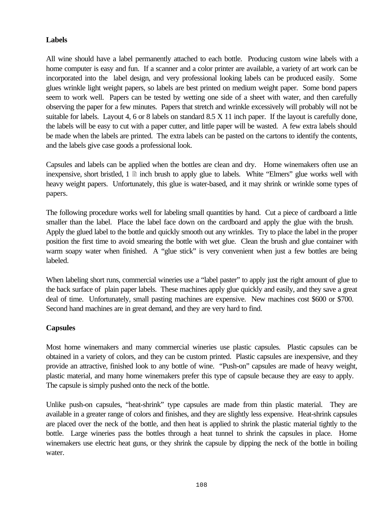## **Labels**

All wine should have a label permanently attached to each bottle. Producing custom wine labels with a home computer is easy and fun. If a scanner and a color printer are available, a variety of art work can be incorporated into the label design, and very professional looking labels can be produced easily. Some glues wrinkle light weight papers, so labels are best printed on medium weight paper. Some bond papers seem to work well. Papers can be tested by wetting one side of a sheet with water, and then carefully observing the paper for a few minutes. Papers that stretch and wrinkle excessively will probably will not be suitable for labels. Layout 4, 6 or 8 labels on standard 8.5 X 11 inch paper. If the layout is carefully done, the labels will be easy to cut with a paper cutter, and little paper will be wasted. A few extra labels should be made when the labels are printed. The extra labels can be pasted on the cartons to identify the contents, and the labels give case goods a professional look.

Capsules and labels can be applied when the bottles are clean and dry. Home winemakers often use an inexpensive, short bristled,  $1 \nightharpoonup$  inch brush to apply glue to labels. White "Elmers" glue works well with heavy weight papers. Unfortunately, this glue is water-based, and it may shrink or wrinkle some types of papers.

The following procedure works well for labeling small quantities by hand. Cut a piece of cardboard a little smaller than the label. Place the label face down on the cardboard and apply the glue with the brush. Apply the glued label to the bottle and quickly smooth out any wrinkles. Try to place the label in the proper position the first time to avoid smearing the bottle with wet glue. Clean the brush and glue container with warm soapy water when finished. A "glue stick" is very convenient when just a few bottles are being labeled.

When labeling short runs, commercial wineries use a "label paster" to apply just the right amount of glue to the back surface of plain paper labels. These machines apply glue quickly and easily, and they save a great deal of time. Unfortunately, small pasting machines are expensive. New machines cost \$600 or \$700. Second hand machines are in great demand, and they are very hard to find.

## **Capsules**

Most home winemakers and many commercial wineries use plastic capsules. Plastic capsules can be obtained in a variety of colors, and they can be custom printed. Plastic capsules are inexpensive, and they provide an attractive, finished look to any bottle of wine. "Push-on" capsules are made of heavy weight, plastic material, and many home winemakers prefer this type of capsule because they are easy to apply. The capsule is simply pushed onto the neck of the bottle.

Unlike push-on capsules, "heat-shrink" type capsules are made from thin plastic material. They are available in a greater range of colors and finishes, and they are slightly less expensive. Heat-shrink capsules are placed over the neck of the bottle, and then heat is applied to shrink the plastic material tightly to the bottle. Large wineries pass the bottles through a heat tunnel to shrink the capsules in place. Home winemakers use electric heat guns, or they shrink the capsule by dipping the neck of the bottle in boiling water.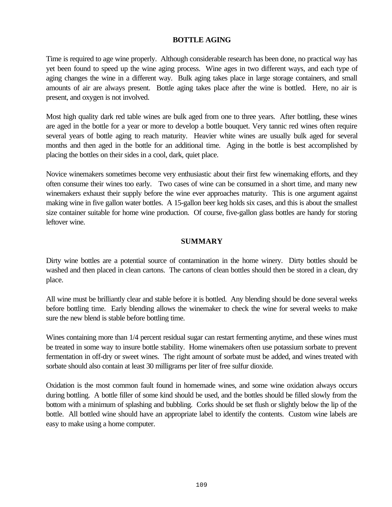## **BOTTLE AGING**

Time is required to age wine properly. Although considerable research has been done, no practical way has yet been found to speed up the wine aging process. Wine ages in two different ways, and each type of aging changes the wine in a different way. Bulk aging takes place in large storage containers, and small amounts of air are always present. Bottle aging takes place after the wine is bottled. Here, no air is present, and oxygen is not involved.

Most high quality dark red table wines are bulk aged from one to three years. After bottling, these wines are aged in the bottle for a year or more to develop a bottle bouquet. Very tannic red wines often require several years of bottle aging to reach maturity. Heavier white wines are usually bulk aged for several months and then aged in the bottle for an additional time. Aging in the bottle is best accomplished by placing the bottles on their sides in a cool, dark, quiet place.

Novice winemakers sometimes become very enthusiastic about their first few winemaking efforts, and they often consume their wines too early. Two cases of wine can be consumed in a short time, and many new winemakers exhaust their supply before the wine ever approaches maturity. This is one argument against making wine in five gallon water bottles. A 15-gallon beer keg holds six cases, and this is about the smallest size container suitable for home wine production. Of course, five-gallon glass bottles are handy for storing leftover wine.

## **SUMMARY**

Dirty wine bottles are a potential source of contamination in the home winery. Dirty bottles should be washed and then placed in clean cartons. The cartons of clean bottles should then be stored in a clean, dry place.

All wine must be brilliantly clear and stable before it is bottled. Any blending should be done several weeks before bottling time. Early blending allows the winemaker to check the wine for several weeks to make sure the new blend is stable before bottling time.

Wines containing more than 1/4 percent residual sugar can restart fermenting anytime, and these wines must be treated in some way to insure bottle stability. Home winemakers often use potassium sorbate to prevent fermentation in off-dry or sweet wines. The right amount of sorbate must be added, and wines treated with sorbate should also contain at least 30 milligrams per liter of free sulfur dioxide.

Oxidation is the most common fault found in homemade wines, and some wine oxidation always occurs during bottling. A bottle filler of some kind should be used, and the bottles should be filled slowly from the bottom with a minimum of splashing and bubbling. Corks should be set flush or slightly below the lip of the bottle. All bottled wine should have an appropriate label to identify the contents. Custom wine labels are easy to make using a home computer.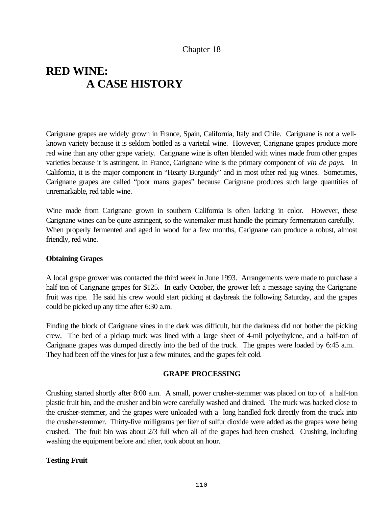## Chapter 18

# **RED WINE: A CASE HISTORY**

Carignane grapes are widely grown in France, Spain, California, Italy and Chile. Carignane is not a wellknown variety because it is seldom bottled as a varietal wine. However, Carignane grapes produce more red wine than any other grape variety. Carignane wine is often blended with wines made from other grapes varieties because it is astringent. In France, Carignane wine is the primary component of *vin de pays.* In California, it is the major component in "Hearty Burgundy" and in most other red jug wines. Sometimes, Carignane grapes are called "poor mans grapes" because Carignane produces such large quantities of unremarkable, red table wine.

Wine made from Carignane grown in southern California is often lacking in color. However, these Carignane wines can be quite astringent, so the winemaker must handle the primary fermentation carefully. When properly fermented and aged in wood for a few months, Carignane can produce a robust, almost friendly, red wine.

### **Obtaining Grapes**

A local grape grower was contacted the third week in June 1993. Arrangements were made to purchase a half ton of Carignane grapes for \$125. In early October, the grower left a message saying the Carignane fruit was ripe. He said his crew would start picking at daybreak the following Saturday, and the grapes could be picked up any time after 6:30 a.m.

Finding the block of Carignane vines in the dark was difficult, but the darkness did not bother the picking crew. The bed of a pickup truck was lined with a large sheet of 4-mil polyethylene, and a half-ton of Carignane grapes was dumped directly into the bed of the truck. The grapes were loaded by 6:45 a.m. They had been off the vines for just a few minutes, and the grapes felt cold.

#### **GRAPE PROCESSING**

Crushing started shortly after 8:00 a.m. A small, power crusher-stemmer was placed on top of a half-ton plastic fruit bin, and the crusher and bin were carefully washed and drained. The truck was backed close to the crusher-stemmer, and the grapes were unloaded with a long handled fork directly from the truck into the crusher-stemmer. Thirty-five milligrams per liter of sulfur dioxide were added as the grapes were being crushed. The fruit bin was about 2/3 full when all of the grapes had been crushed. Crushing, including washing the equipment before and after, took about an hour.

#### **Testing Fruit**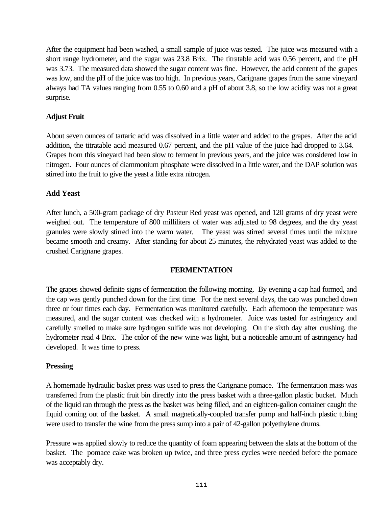After the equipment had been washed, a small sample of juice was tested. The juice was measured with a short range hydrometer, and the sugar was 23.8 Brix. The titratable acid was 0.56 percent, and the pH was 3.73. The measured data showed the sugar content was fine. However, the acid content of the grapes was low, and the pH of the juice was too high. In previous years, Carignane grapes from the same vineyard always had TA values ranging from 0.55 to 0.60 and a pH of about 3.8, so the low acidity was not a great surprise.

## **Adjust Fruit**

About seven ounces of tartaric acid was dissolved in a little water and added to the grapes. After the acid addition, the titratable acid measured 0.67 percent, and the pH value of the juice had dropped to 3.64. Grapes from this vineyard had been slow to ferment in previous years, and the juice was considered low in nitrogen. Four ounces of diammonium phosphate were dissolved in a little water, and the DAP solution was stirred into the fruit to give the yeast a little extra nitrogen.

## **Add Yeast**

After lunch, a 500-gram package of dry Pasteur Red yeast was opened, and 120 grams of dry yeast were weighed out. The temperature of 800 milliliters of water was adjusted to 98 degrees, and the dry yeast granules were slowly stirred into the warm water. The yeast was stirred several times until the mixture became smooth and creamy. After standing for about 25 minutes, the rehydrated yeast was added to the crushed Carignane grapes.

### **FERMENTATION**

The grapes showed definite signs of fermentation the following morning. By evening a cap had formed, and the cap was gently punched down for the first time. For the next several days, the cap was punched down three or four times each day. Fermentation was monitored carefully. Each afternoon the temperature was measured, and the sugar content was checked with a hydrometer. Juice was tasted for astringency and carefully smelled to make sure hydrogen sulfide was not developing. On the sixth day after crushing, the hydrometer read 4 Brix. The color of the new wine was light, but a noticeable amount of astringency had developed. It was time to press.

## **Pressing**

A homemade hydraulic basket press was used to press the Carignane pomace. The fermentation mass was transferred from the plastic fruit bin directly into the press basket with a three-gallon plastic bucket. Much of the liquid ran through the press as the basket was being filled, and an eighteen-gallon container caught the liquid coming out of the basket. A small magnetically-coupled transfer pump and half-inch plastic tubing were used to transfer the wine from the press sump into a pair of 42-gallon polyethylene drums.

Pressure was applied slowly to reduce the quantity of foam appearing between the slats at the bottom of the basket. The pomace cake was broken up twice, and three press cycles were needed before the pomace was acceptably dry.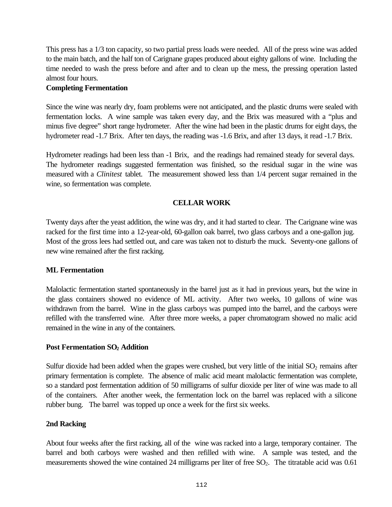This press has a 1/3 ton capacity, so two partial press loads were needed. All of the press wine was added to the main batch, and the half ton of Carignane grapes produced about eighty gallons of wine. Including the time needed to wash the press before and after and to clean up the mess, the pressing operation lasted almost four hours.

## **Completing Fermentation**

Since the wine was nearly dry, foam problems were not anticipated, and the plastic drums were sealed with fermentation locks. A wine sample was taken every day, and the Brix was measured with a "plus and minus five degree" short range hydrometer. After the wine had been in the plastic drums for eight days, the hydrometer read -1.7 Brix. After ten days, the reading was -1.6 Brix, and after 13 days, it read -1.7 Brix.

Hydrometer readings had been less than -1 Brix, and the readings had remained steady for several days. The hydrometer readings suggested fermentation was finished, so the residual sugar in the wine was measured with a *Clinitest* tablet. The measurement showed less than 1/4 percent sugar remained in the wine, so fermentation was complete.

## **CELLAR WORK**

Twenty days after the yeast addition, the wine was dry, and it had started to clear. The Carignane wine was racked for the first time into a 12-year-old, 60-gallon oak barrel, two glass carboys and a one-gallon jug. Most of the gross lees had settled out, and care was taken not to disturb the muck. Seventy-one gallons of new wine remained after the first racking.

### **ML Fermentation**

Malolactic fermentation started spontaneously in the barrel just as it had in previous years, but the wine in the glass containers showed no evidence of ML activity. After two weeks, 10 gallons of wine was withdrawn from the barrel. Wine in the glass carboys was pumped into the barrel, and the carboys were refilled with the transferred wine. After three more weeks, a paper chromatogram showed no malic acid remained in the wine in any of the containers.

## **Post Fermentation SO2 Addition**

Sulfur dioxide had been added when the grapes were crushed, but very little of the initial  $SO<sub>2</sub>$  remains after primary fermentation is complete. The absence of malic acid meant malolactic fermentation was complete, so a standard post fermentation addition of 50 milligrams of sulfur dioxide per liter of wine was made to all of the containers. After another week, the fermentation lock on the barrel was replaced with a silicone rubber bung. The barrel was topped up once a week for the first six weeks.

### **2nd Racking**

About four weeks after the first racking, all of the wine was racked into a large, temporary container. The barrel and both carboys were washed and then refilled with wine. A sample was tested, and the measurements showed the wine contained 24 milligrams per liter of free  $SO<sub>2</sub>$ . The titratable acid was 0.61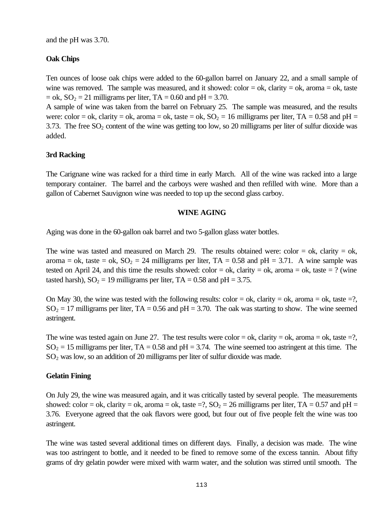and the pH was 3.70.

## **Oak Chips**

Ten ounces of loose oak chips were added to the 60-gallon barrel on January 22, and a small sample of wine was removed. The sample was measured, and it showed:  $color = ok$ , clarity = ok, aroma = ok, taste  $=$  ok,  $SO_2 = 21$  milligrams per liter, TA  $= 0.60$  and pH  $= 3.70$ .

A sample of wine was taken from the barrel on February 25. The sample was measured, and the results were: color = ok, clarity = ok, aroma = ok, taste = ok,  $SO_2 = 16$  milligrams per liter, TA = 0.58 and pH = 3.73. The free  $SO_2$  content of the wine was getting too low, so 20 milligrams per liter of sulfur dioxide was added.

## **3rd Racking**

The Carignane wine was racked for a third time in early March. All of the wine was racked into a large temporary container. The barrel and the carboys were washed and then refilled with wine. More than a gallon of Cabernet Sauvignon wine was needed to top up the second glass carboy.

### **WINE AGING**

Aging was done in the 60-gallon oak barrel and two 5-gallon glass water bottles.

The wine was tasted and measured on March 29. The results obtained were: color  $=$  ok, clarity  $=$  ok, aroma = ok, taste = ok,  $SO_2 = 24$  milligrams per liter, TA = 0.58 and pH = 3.71. A wine sample was tested on April 24, and this time the results showed: color = ok, clarity = ok, aroma = ok, taste = ? (wine tasted harsh),  $SO_2 = 19$  milligrams per liter, TA = 0.58 and pH = 3.75.

On May 30, the wine was tested with the following results: color = ok, clarity = ok, aroma = ok, taste =?,  $SO_2 = 17$  milligrams per liter, TA = 0.56 and pH = 3.70. The oak was starting to show. The wine seemed astringent.

The wine was tested again on June 27. The test results were color = ok, clarity = ok, aroma = ok, taste =?,  $SO_2 = 15$  milligrams per liter, TA = 0.58 and pH = 3.74. The wine seemed too astringent at this time. The SO2 was low, so an addition of 20 milligrams per liter of sulfur dioxide was made.

### **Gelatin Fining**

On July 29, the wine was measured again, and it was critically tasted by several people. The measurements showed: color = ok, clarity = ok, aroma = ok, taste =?,  $SO_2 = 26$  milligrams per liter, TA = 0.57 and pH = 3.76. Everyone agreed that the oak flavors were good, but four out of five people felt the wine was too astringent.

The wine was tasted several additional times on different days. Finally, a decision was made. The wine was too astringent to bottle, and it needed to be fined to remove some of the excess tannin. About fifty grams of dry gelatin powder were mixed with warm water, and the solution was stirred until smooth. The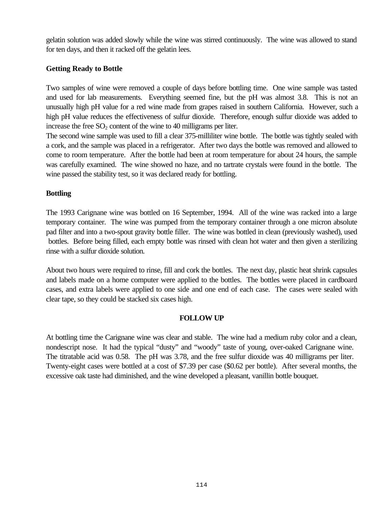gelatin solution was added slowly while the wine was stirred continuously. The wine was allowed to stand for ten days, and then it racked off the gelatin lees.

## **Getting Ready to Bottle**

Two samples of wine were removed a couple of days before bottling time. One wine sample was tasted and used for lab measurements. Everything seemed fine, but the pH was almost 3.8. This is not an unusually high pH value for a red wine made from grapes raised in southern California. However, such a high pH value reduces the effectiveness of sulfur dioxide. Therefore, enough sulfur dioxide was added to increase the free  $SO_2$  content of the wine to 40 milligrams per liter.

The second wine sample was used to fill a clear 375-milliliter wine bottle. The bottle was tightly sealed with a cork, and the sample was placed in a refrigerator. After two days the bottle was removed and allowed to come to room temperature. After the bottle had been at room temperature for about 24 hours, the sample was carefully examined. The wine showed no haze, and no tartrate crystals were found in the bottle. The wine passed the stability test, so it was declared ready for bottling.

### **Bottling**

The 1993 Carignane wine was bottled on 16 September, 1994. All of the wine was racked into a large temporary container. The wine was pumped from the temporary container through a one micron absolute pad filter and into a two-spout gravity bottle filler. The wine was bottled in clean (previously washed), used bottles. Before being filled, each empty bottle was rinsed with clean hot water and then given a sterilizing rinse with a sulfur dioxide solution.

About two hours were required to rinse, fill and cork the bottles. The next day, plastic heat shrink capsules and labels made on a home computer were applied to the bottles. The bottles were placed in cardboard cases, and extra labels were applied to one side and one end of each case. The cases were sealed with clear tape, so they could be stacked six cases high.

### **FOLLOW UP**

At bottling time the Carignane wine was clear and stable. The wine had a medium ruby color and a clean, nondescript nose. It had the typical "dusty" and "woody" taste of young, over-oaked Carignane wine. The titratable acid was 0.58. The pH was 3.78, and the free sulfur dioxide was 40 milligrams per liter. Twenty-eight cases were bottled at a cost of \$7.39 per case (\$0.62 per bottle). After several months, the excessive oak taste had diminished, and the wine developed a pleasant, vanillin bottle bouquet.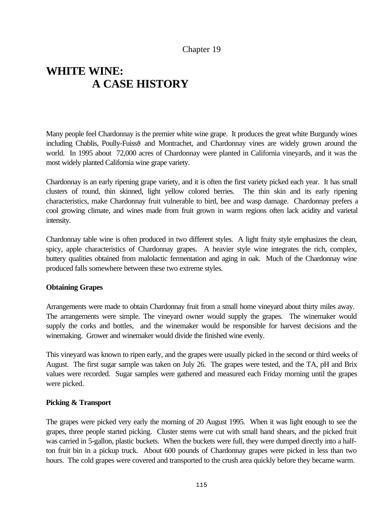## Chapter 19

# **WHITE WINE: A CASE HISTORY**

Many people feel Chardonnay is the premier white wine grape. It produces the great white Burgundy wines including Chablis, Poully-Fuiss<sub>0</sub> and Montrachet, and Chardonnay vines are widely grown around the world. In 1995 about 72,000 acres of Chardonnay were planted in California vineyards, and it was the most widely planted California wine grape variety.

Chardonnay is an early ripening grape variety, and it is often the first variety picked each year. It has small clusters of round, thin skinned, light yellow colored berries. The thin skin and its early ripening characteristics, make Chardonnay fruit vulnerable to bird, bee and wasp damage. Chardonnay prefers a cool growing climate, and wines made from fruit grown in warm regions often lack acidity and varietal intensity.

Chardonnay table wine is often produced in two different styles. A light fruity style emphasizes the clean, spicy, apple characteristics of Chardonnay grapes. A heavier style wine integrates the rich, complex, buttery qualities obtained from malolactic fermentation and aging in oak. Much of the Chardonnay wine produced falls somewhere between these two extreme styles.

### **Obtaining Grapes**

Arrangements were made to obtain Chardonnay fruit from a small home vineyard about thirty miles away. The arrangements were simple. The vineyard owner would supply the grapes. The winemaker would supply the corks and bottles, and the winemaker would be responsible for harvest decisions and the winemaking. Grower and winemaker would divide the finished wine evenly.

This vineyard was known to ripen early, and the grapes were usually picked in the second or third weeks of August. The first sugar sample was taken on July 26. The grapes were tested, and the TA, pH and Brix values were recorded. Sugar samples were gathered and measured each Friday morning until the grapes were picked.

### **Picking & Transport**

The grapes were picked very early the morning of 20 August 1995. When it was light enough to see the grapes, three people started picking. Cluster stems were cut with small hand shears, and the picked fruit was carried in 5-gallon, plastic buckets. When the buckets were full, they were dumped directly into a halfton fruit bin in a pickup truck. About 600 pounds of Chardonnay grapes were picked in less than two hours. The cold grapes were covered and transported to the crush area quickly before they became warm.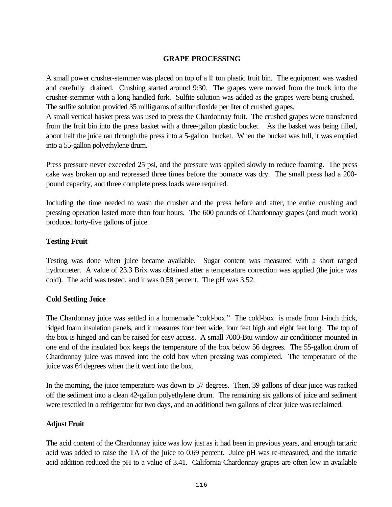#### **GRAPE PROCESSING**

A small power crusher-stemmer was placed on top of a  $\mathbb{B}$  ton plastic fruit bin. The equipment was washed and carefully drained. Crushing started around 9:30. The grapes were moved from the truck into the crusher-stemmer with a long handled fork. Sulfite solution was added as the grapes were being crushed. The sulfite solution provided 35 milligrams of sulfur dioxide per liter of crushed grapes.

A small vertical basket press was used to press the Chardonnay fruit. The crushed grapes were transferred from the fruit bin into the press basket with a three-gallon plastic bucket. As the basket was being filled, about half the juice ran through the press into a 5-gallon bucket. When the bucket was full, it was emptied into a 55-gallon polyethylene drum.

Press pressure never exceeded 25 psi, and the pressure was applied slowly to reduce foaming. The press cake was broken up and repressed three times before the pomace was dry. The small press had a 200 pound capacity, and three complete press loads were required.

Including the time needed to wash the crusher and the press before and after, the entire crushing and pressing operation lasted more than four hours. The 600 pounds of Chardonnay grapes (and much work) produced forty-five gallons of juice.

### **Testing Fruit**

Testing was done when juice became available. Sugar content was measured with a short ranged hydrometer. A value of 23.3 Brix was obtained after a temperature correction was applied (the juice was cold). The acid was tested, and it was 0.58 percent. The pH was 3.52.

### **Cold Settling Juice**

The Chardonnay juice was settled in a homemade "cold-box." The cold-box is made from 1-inch thick, ridged foam insulation panels, and it measures four feet wide, four feet high and eight feet long. The top of the box is hinged and can be raised for easy access. A small 7000-Btu window air conditioner mounted in one end of the insulated box keeps the temperature of the box below 56 degrees. The 55-gallon drum of Chardonnay juice was moved into the cold box when pressing was completed. The temperature of the juice was 64 degrees when the it went into the box.

In the morning, the juice temperature was down to 57 degrees. Then, 39 gallons of clear juice was racked off the sediment into a clean 42-gallon polyethylene drum. The remaining six gallons of juice and sediment were resettled in a refrigerator for two days, and an additional two gallons of clear juice was reclaimed.

### **Adjust Fruit**

The acid content of the Chardonnay juice was low just as it had been in previous years, and enough tartaric acid was added to raise the TA of the juice to 0.69 percent. Juice pH was re-measured, and the tartaric acid addition reduced the pH to a value of 3.41. California Chardonnay grapes are often low in available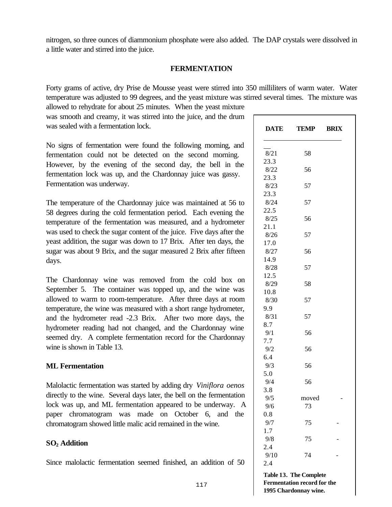sugar was about 9 Brix, and the sugar measured 2 Brix after fifteen

The Chardonnay wine was removed from the cold box on September 5. The container was topped up, and the wine was allowed to warm to room-temperature. After three days at room temperature, the wine was measured with a short range hydrometer, and the hydrometer read -2.3 Brix. After two more days, the hydrometer reading had not changed, and the Chardonnay wine seemed dry. A complete fermentation record for the Chardonnay wine is shown in Table 13.

#### **ML Fermentation**

days.

Fermentation was underway.

Malolactic fermentation was started by adding dry *Viniflora oenos* directly to the wine. Several days later, the bell on the fermentation lock was up, and ML fermentation appeared to be underway. A paper chromatogram was made on October 6, and the chromatogram showed little malic acid remained in the wine.

### **SO2 Addition**

Since malolactic fermentation seemed finished, an addition of 50

a little water and stirred into the juice. **FERMENTATION**

Forty grams of active, dry Prise de Mousse yeast were stirred into 350 milliliters of warm water. Water temperature was adjusted to 99 degrees, and the yeast mixture was stirred several times. The mixture was allowed to rehydrate for about 25 minutes. When the yeast mixture

nitrogen, so three ounces of diammonium phosphate were also added. The DAP crystals were dissolved in

was smooth and creamy, it was stirred into the juice, and the drum was sealed with a fermentation lock.

No signs of fermentation were found the following morning, and fermentation could not be detected on the second morning. However, by the evening of the second day, the bell in the fermentation lock was up, and the Chardonnay juice was gassy.

The temperature of the Chardonnay juice was maintained at 56 to 58 degrees during the cold fermentation period. Each evening the temperature of the fermentation was measured, and a hydrometer was used to check the sugar content of the juice. Five days after the yeast addition, the sugar was down to 17 Brix. After ten days, the

| DATE | TEMP  | <b>BRIX</b> |
|------|-------|-------------|
| 8/21 | 58    |             |
| 23.3 |       |             |
| 8/22 | 56    |             |
| 23.3 |       |             |
| 8/23 | 57    |             |
| 23.3 |       |             |
| 8/24 | 57    |             |
| 22.5 |       |             |
| 8/25 | 56    |             |
| 21.1 |       |             |
| 8/26 | 57    |             |
| 17.0 |       |             |
| 8/27 | 56    |             |
| 14.9 |       |             |
| 8/28 | 57    |             |
| 12.5 |       |             |
| 8/29 | 58    |             |
| 10.8 |       |             |
| 8/30 | 57    |             |
| 9.9  |       |             |
| 8/31 | 57    |             |
| 8.7  |       |             |
| 9/1  | 56    |             |
| 7.7  |       |             |
| 9/2  | 56    |             |
| 6.4  |       |             |
| 9/3  | 56    |             |
| 5.0  |       |             |
| 9/4  | 56    |             |
| 3.8  |       |             |
| 9/5  | moved |             |
| 9/6  | 73    |             |
| 0.8  |       |             |
| 9/7  | 75    |             |
| 1.7  |       |             |
| 9/8  | 75    |             |
| 2.4  |       |             |
| 9/10 | 74    |             |
| 2.4  |       |             |
|      |       |             |

**Table 13. The Complete Fermentation record for the 1995 Chardonnay wine.**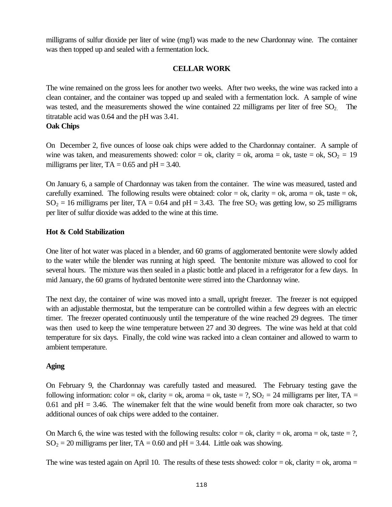milligrams of sulfur dioxide per liter of wine (mg/l) was made to the new Chardonnay wine. The container was then topped up and sealed with a fermentation lock.

## **CELLAR WORK**

The wine remained on the gross lees for another two weeks. After two weeks, the wine was racked into a clean container, and the container was topped up and sealed with a fermentation lock. A sample of wine was tested, and the measurements showed the wine contained 22 milligrams per liter of free  $SO_2$ . The titratable acid was 0.64 and the pH was 3.41.

### **Oak Chips**

On December 2, five ounces of loose oak chips were added to the Chardonnay container. A sample of wine was taken, and measurements showed: color = ok, clarity = ok, aroma = ok, taste = ok,  $SO_2 = 19$ milligrams per liter,  $TA = 0.65$  and  $pH = 3.40$ .

On January 6, a sample of Chardonnay was taken from the container. The wine was measured, tasted and carefully examined. The following results were obtained:  $color = ok$ , clarity = ok, aroma = ok, taste = ok,  $SO_2 = 16$  milligrams per liter, TA = 0.64 and pH = 3.43. The free  $SO_2$  was getting low, so 25 milligrams per liter of sulfur dioxide was added to the wine at this time.

### **Hot & Cold Stabilization**

One liter of hot water was placed in a blender, and 60 grams of agglomerated bentonite were slowly added to the water while the blender was running at high speed. The bentonite mixture was allowed to cool for several hours. The mixture was then sealed in a plastic bottle and placed in a refrigerator for a few days. In mid January, the 60 grams of hydrated bentonite were stirred into the Chardonnay wine.

The next day, the container of wine was moved into a small, upright freezer. The freezer is not equipped with an adjustable thermostat, but the temperature can be controlled within a few degrees with an electric timer. The freezer operated continuously until the temperature of the wine reached 29 degrees. The timer was then used to keep the wine temperature between 27 and 30 degrees. The wine was held at that cold temperature for six days. Finally, the cold wine was racked into a clean container and allowed to warm to ambient temperature.

### **Aging**

On February 9, the Chardonnay was carefully tasted and measured. The February testing gave the following information: color = ok, clarity = ok, aroma = ok, taste = ?,  $SO_2 = 24$  milligrams per liter, TA = 0.61 and  $pH = 3.46$ . The winemaker felt that the wine would benefit from more oak character, so two additional ounces of oak chips were added to the container.

On March 6, the wine was tested with the following results: color = ok, clarity = ok, aroma = ok, taste = ?,  $SO_2 = 20$  milligrams per liter, TA = 0.60 and pH = 3.44. Little oak was showing.

The wine was tested again on April 10. The results of these tests showed: color = ok, clarity = ok, aroma =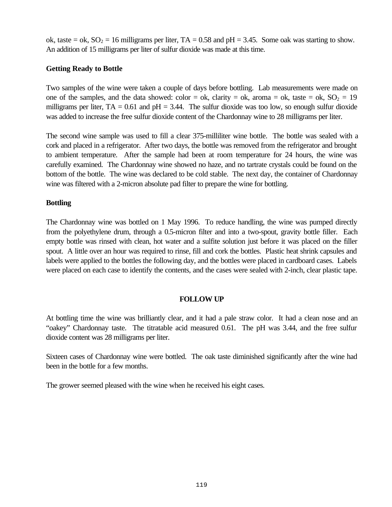ok, taste = ok,  $SO_2 = 16$  milligrams per liter, TA = 0.58 and pH = 3.45. Some oak was starting to show. An addition of 15 milligrams per liter of sulfur dioxide was made at this time.

## **Getting Ready to Bottle**

Two samples of the wine were taken a couple of days before bottling. Lab measurements were made on one of the samples, and the data showed: color = ok, clarity = ok, aroma = ok, taste = ok,  $SO_2 = 19$ milligrams per liter,  $TA = 0.61$  and  $pH = 3.44$ . The sulfur dioxide was too low, so enough sulfur dioxide was added to increase the free sulfur dioxide content of the Chardonnay wine to 28 milligrams per liter.

The second wine sample was used to fill a clear 375-milliliter wine bottle. The bottle was sealed with a cork and placed in a refrigerator. After two days, the bottle was removed from the refrigerator and brought to ambient temperature. After the sample had been at room temperature for 24 hours, the wine was carefully examined. The Chardonnay wine showed no haze, and no tartrate crystals could be found on the bottom of the bottle. The wine was declared to be cold stable. The next day, the container of Chardonnay wine was filtered with a 2-micron absolute pad filter to prepare the wine for bottling.

## **Bottling**

The Chardonnay wine was bottled on 1 May 1996. To reduce handling, the wine was pumped directly from the polyethylene drum, through a 0.5-micron filter and into a two-spout, gravity bottle filler. Each empty bottle was rinsed with clean, hot water and a sulfite solution just before it was placed on the filler spout. A little over an hour was required to rinse, fill and cork the bottles. Plastic heat shrink capsules and labels were applied to the bottles the following day, and the bottles were placed in cardboard cases. Labels were placed on each case to identify the contents, and the cases were sealed with 2-inch, clear plastic tape.

## **FOLLOW UP**

At bottling time the wine was brilliantly clear, and it had a pale straw color. It had a clean nose and an "oakey" Chardonnay taste. The titratable acid measured 0.61. The pH was 3.44, and the free sulfur dioxide content was 28 milligrams per liter.

Sixteen cases of Chardonnay wine were bottled. The oak taste diminished significantly after the wine had been in the bottle for a few months.

The grower seemed pleased with the wine when he received his eight cases.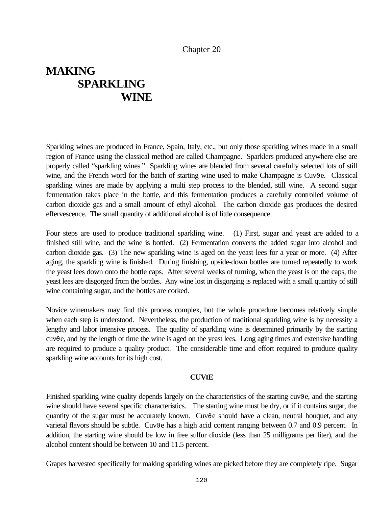### Chapter 20

# **MAKING SPARKLING WINE**

Sparkling wines are produced in France, Spain, Italy, etc., but only those sparkling wines made in a small region of France using the classical method are called Champagne. Sparklers produced anywhere else are properly called "sparkling wines." Sparkling wines are blended from several carefully selected lots of still wine, and the French word for the batch of starting wine used to make Champagne is Cuv $\theta$ e. Classical sparkling wines are made by applying a multi step process to the blended, still wine. A second sugar fermentation takes place in the bottle, and this fermentation produces a carefully controlled volume of carbon dioxide gas and a small amount of ethyl alcohol. The carbon dioxide gas produces the desired effervescence. The small quantity of additional alcohol is of little consequence.

Four steps are used to produce traditional sparkling wine. (1) First, sugar and yeast are added to a finished still wine, and the wine is bottled. (2) Fermentation converts the added sugar into alcohol and carbon dioxide gas. (3) The new sparkling wine is aged on the yeast lees for a year or more. (4) After aging, the sparkling wine is finished. During finishing, upside-down bottles are turned repeatedly to work the yeast lees down onto the bottle caps. After several weeks of turning, when the yeast is on the caps, the yeast lees are disgorged from the bottles. Any wine lost in disgorging is replaced with a small quantity of still wine containing sugar, and the bottles are corked.

Novice winemakers may find this process complex, but the whole procedure becomes relatively simple when each step is understood. Nevertheless, the production of traditional sparkling wine is by necessity a lengthy and labor intensive process. The quality of sparkling wine is determined primarily by the starting cuv<sub>be</sub>, and by the length of time the wine is aged on the yeast lees. Long aging times and extensive handling are required to produce a quality product. The considerable time and effort required to produce quality sparkling wine accounts for its high cost.

#### **CUVIE**

Finished sparkling wine quality depends largely on the characteristics of the starting cuv $\theta$ e, and the starting wine should have several specific characteristics. The starting wine must be dry, or if it contains sugar, the quantity of the sugar must be accurately known. Cuv<sub>ve</sub> should have a clean, neutral bouquet, and any varietal flavors should be subtle. Cuvϑe has a high acid content ranging between 0.7 and 0.9 percent. In addition, the starting wine should be low in free sulfur dioxide (less than 25 milligrams per liter), and the alcohol content should be between 10 and 11.5 percent.

Grapes harvested specifically for making sparkling wines are picked before they are completely ripe. Sugar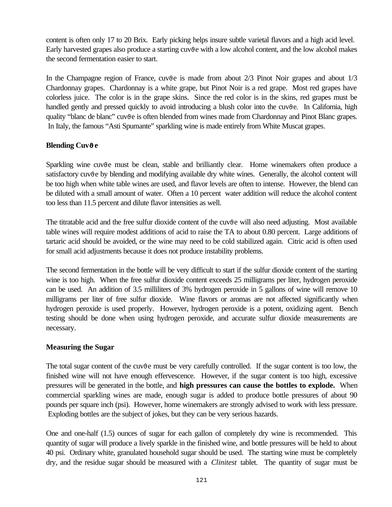content is often only 17 to 20 Brix. Early picking helps insure subtle varietal flavors and a high acid level. Early harvested grapes also produce a starting cuv<sub>ve</sub> with a low alcohol content, and the low alcohol makes the second fermentation easier to start.

In the Champagne region of France, cuv $\theta$  is made from about  $2/3$  Pinot Noir grapes and about  $1/3$ Chardonnay grapes. Chardonnay is a white grape, but Pinot Noir is a red grape. Most red grapes have colorless juice. The color is in the grape skins. Since the red color is in the skins, red grapes must be handled gently and pressed quickly to avoid introducing a blush color into the cuv $\theta$ e. In California, high quality "blanc de blanc" cuv<sub>t</sub> is often blended from wines made from Chardonnay and Pinot Blanc grapes. In Italy, the famous "Asti Spumante" sparkling wine is made entirely from White Muscat grapes.

## **Blending CuvJe**

Sparkling wine cuv<sub>0</sub>e must be clean, stable and brilliantly clear. Home winemakers often produce a satisfactory cuv<sub>0</sub>e by blending and modifying available dry white wines. Generally, the alcohol content will be too high when white table wines are used, and flavor levels are often to intense. However, the blend can be diluted with a small amount of water. Often a 10 percent water addition will reduce the alcohol content too less than 11.5 percent and dilute flavor intensities as well.

The titratable acid and the free sulfur dioxide content of the cuv $\theta$ e will also need adjusting. Most available table wines will require modest additions of acid to raise the TA to about 0.80 percent. Large additions of tartaric acid should be avoided, or the wine may need to be cold stabilized again. Citric acid is often used for small acid adjustments because it does not produce instability problems.

The second fermentation in the bottle will be very difficult to start if the sulfur dioxide content of the starting wine is too high. When the free sulfur dioxide content exceeds 25 milligrams per liter, hydrogen peroxide can be used. An addition of 3.5 milliliters of 3% hydrogen peroxide in 5 gallons of wine will remove 10 milligrams per liter of free sulfur dioxide. Wine flavors or aromas are not affected significantly when hydrogen peroxide is used properly. However, hydrogen peroxide is a potent, oxidizing agent. Bench testing should be done when using hydrogen peroxide, and accurate sulfur dioxide measurements are necessary.

## **Measuring the Sugar**

The total sugar content of the cuv<sub>0</sub>e must be very carefully controlled. If the sugar content is too low, the finished wine will not have enough effervescence. However, if the sugar content is too high, excessive pressures will be generated in the bottle, and **high pressures can cause the bottles to explode.** When commercial sparkling wines are made, enough sugar is added to produce bottle pressures of about 90 pounds per square inch (psi). However, home winemakers are strongly advised to work with less pressure. Exploding bottles are the subject of jokes, but they can be very serious hazards.

One and one-half (1.5) ounces of sugar for each gallon of completely dry wine is recommended. This quantity of sugar will produce a lively sparkle in the finished wine, and bottle pressures will be held to about 40 psi. Ordinary white, granulated household sugar should be used. The starting wine must be completely dry, and the residue sugar should be measured with a *Clinitest* tablet. The quantity of sugar must be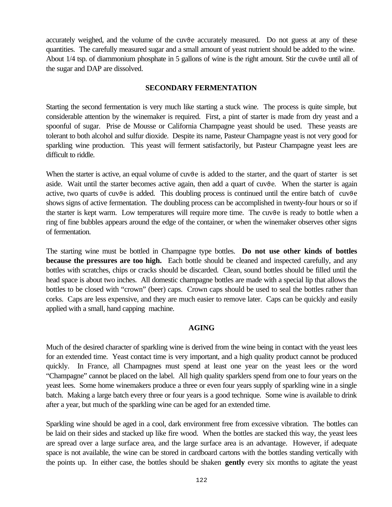accurately weighed, and the volume of the cuv $\theta$ e accurately measured. Do not guess at any of these quantities. The carefully measured sugar and a small amount of yeast nutrient should be added to the wine. About  $1/4$  tsp. of diammonium phosphate in 5 gallons of wine is the right amount. Stir the cuv $\vartheta$ e until all of the sugar and DAP are dissolved.

#### **SECONDARY FERMENTATION**

Starting the second fermentation is very much like starting a stuck wine. The process is quite simple, but considerable attention by the winemaker is required. First, a pint of starter is made from dry yeast and a spoonful of sugar. Prise de Mousse or California Champagne yeast should be used. These yeasts are tolerant to both alcohol and sulfur dioxide. Despite its name, Pasteur Champagne yeast is not very good for sparkling wine production. This yeast will ferment satisfactorily, but Pasteur Champagne yeast lees are difficult to riddle.

When the starter is active, an equal volume of cuv $\vartheta$ e is added to the starter, and the quart of starter is set aside. Wait until the starter becomes active again, then add a quart of cuv $\vartheta$ e. When the starter is again active, two quarts of cuv $\vartheta$ e is added. This doubling process is continued until the entire batch of cuv $\vartheta$ e shows signs of active fermentation. The doubling process can be accomplished in twenty-four hours or so if the starter is kept warm. Low temperatures will require more time. The cuv $\vartheta$ e is ready to bottle when a ring of fine bubbles appears around the edge of the container, or when the winemaker observes other signs of fermentation.

The starting wine must be bottled in Champagne type bottles. **Do not use other kinds of bottles because the pressures are too high.** Each bottle should be cleaned and inspected carefully, and any bottles with scratches, chips or cracks should be discarded. Clean, sound bottles should be filled until the head space is about two inches. All domestic champagne bottles are made with a special lip that allows the bottles to be closed with "crown" (beer) caps. Crown caps should be used to seal the bottles rather than corks. Caps are less expensive, and they are much easier to remove later. Caps can be quickly and easily applied with a small, hand capping machine.

### **AGING**

Much of the desired character of sparkling wine is derived from the wine being in contact with the yeast lees for an extended time. Yeast contact time is very important, and a high quality product cannot be produced quickly. In France, all Champagnes must spend at least one year on the yeast lees or the word "Champagne" cannot be placed on the label. All high quality sparklers spend from one to four years on the yeast lees. Some home winemakers produce a three or even four years supply of sparkling wine in a single batch. Making a large batch every three or four years is a good technique. Some wine is available to drink after a year, but much of the sparkling wine can be aged for an extended time.

Sparkling wine should be aged in a cool, dark environment free from excessive vibration. The bottles can be laid on their sides and stacked up like fire wood. When the bottles are stacked this way, the yeast lees are spread over a large surface area, and the large surface area is an advantage. However, if adequate space is not available, the wine can be stored in cardboard cartons with the bottles standing vertically with the points up. In either case, the bottles should be shaken **gently** every six months to agitate the yeast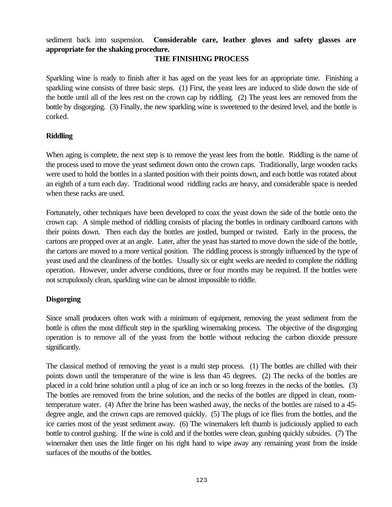sediment back into suspension. **Considerable care, leather gloves and safety glasses are appropriate for the shaking procedure.**

### **THE FINISHING PROCESS**

Sparkling wine is ready to finish after it has aged on the yeast lees for an appropriate time. Finishing a sparkling wine consists of three basic steps. (1) First, the yeast lees are induced to slide down the side of the bottle until all of the lees rest on the crown cap by riddling. (2) The yeast lees are removed from the bottle by disgorging. (3) Finally, the new sparkling wine is sweetened to the desired level, and the bottle is corked.

## **Riddling**

When aging is complete, the next step is to remove the yeast lees from the bottle. Riddling is the name of the process used to move the yeast sediment down onto the crown caps. Traditionally, large wooden racks were used to hold the bottles in a slanted position with their points down, and each bottle was rotated about an eighth of a turn each day. Traditional wood riddling racks are heavy, and considerable space is needed when these racks are used.

Fortunately, other techniques have been developed to coax the yeast down the side of the bottle onto the crown cap. A simple method of riddling consists of placing the bottles in ordinary cardboard cartons with their points down. Then each day the bottles are jostled, bumped or twisted. Early in the process, the cartons are propped over at an angle. Later, after the yeast has started to move down the side of the bottle, the cartons are moved to a more vertical position. The riddling process is strongly influenced by the type of yeast used and the cleanliness of the bottles. Usually six or eight weeks are needed to complete the riddling operation. However, under adverse conditions, three or four months may be required. If the bottles were not scrupulously clean, sparkling wine can be almost impossible to riddle.

## **Disgorging**

Since small producers often work with a minimum of equipment, removing the yeast sediment from the bottle is often the most difficult step in the sparkling winemaking process. The objective of the disgorging operation is to remove all of the yeast from the bottle without reducing the carbon dioxide pressure significantly.

The classical method of removing the yeast is a multi step process. (1) The bottles are chilled with their points down until the temperature of the wine is less than 45 degrees. (2) The necks of the bottles are placed in a cold brine solution until a plug of ice an inch or so long freezes in the necks of the bottles. (3) The bottles are removed from the brine solution, and the necks of the bottles are dipped in clean, roomtemperature water. (4) After the brine has been washed away, the necks of the bottles are raised to a 45 degree angle, and the crown caps are removed quickly. (5) The plugs of ice flies from the bottles, and the ice carries most of the yeast sediment away. (6) The winemakers left thumb is judiciously applied to each bottle to control gushing. If the wine is cold and if the bottles were clean, gushing quickly subsides. (7) The winemaker then uses the little finger on his right hand to wipe away any remaining yeast from the inside surfaces of the mouths of the bottles.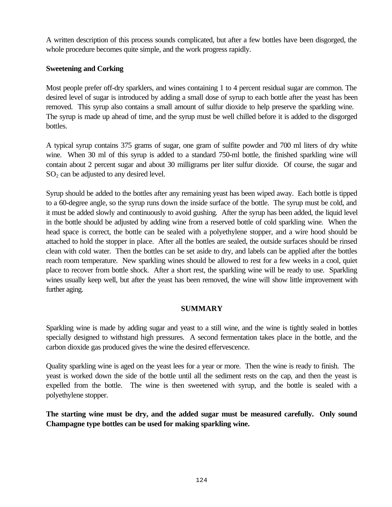A written description of this process sounds complicated, but after a few bottles have been disgorged, the whole procedure becomes quite simple, and the work progress rapidly.

## **Sweetening and Corking**

Most people prefer off-dry sparklers, and wines containing 1 to 4 percent residual sugar are common. The desired level of sugar is introduced by adding a small dose of syrup to each bottle after the yeast has been removed. This syrup also contains a small amount of sulfur dioxide to help preserve the sparkling wine. The syrup is made up ahead of time, and the syrup must be well chilled before it is added to the disgorged bottles.

A typical syrup contains 375 grams of sugar, one gram of sulfite powder and 700 ml liters of dry white wine. When 30 ml of this syrup is added to a standard 750-ml bottle, the finished sparkling wine will contain about 2 percent sugar and about 30 milligrams per liter sulfur dioxide. Of course, the sugar and  $SO<sub>2</sub>$  can be adjusted to any desired level.

Syrup should be added to the bottles after any remaining yeast has been wiped away. Each bottle is tipped to a 60-degree angle, so the syrup runs down the inside surface of the bottle. The syrup must be cold, and it must be added slowly and continuously to avoid gushing. After the syrup has been added, the liquid level in the bottle should be adjusted by adding wine from a reserved bottle of cold sparkling wine. When the head space is correct, the bottle can be sealed with a polyethylene stopper, and a wire hood should be attached to hold the stopper in place. After all the bottles are sealed, the outside surfaces should be rinsed clean with cold water. Then the bottles can be set aside to dry, and labels can be applied after the bottles reach room temperature. New sparkling wines should be allowed to rest for a few weeks in a cool, quiet place to recover from bottle shock. After a short rest, the sparkling wine will be ready to use. Sparkling wines usually keep well, but after the yeast has been removed, the wine will show little improvement with further aging.

### **SUMMARY**

Sparkling wine is made by adding sugar and yeast to a still wine, and the wine is tightly sealed in bottles specially designed to withstand high pressures. A second fermentation takes place in the bottle, and the carbon dioxide gas produced gives the wine the desired effervescence.

Quality sparkling wine is aged on the yeast lees for a year or more. Then the wine is ready to finish. The yeast is worked down the side of the bottle until all the sediment rests on the cap, and then the yeast is expelled from the bottle. The wine is then sweetened with syrup, and the bottle is sealed with a polyethylene stopper.

**The starting wine must be dry, and the added sugar must be measured carefully. Only sound Champagne type bottles can be used for making sparkling wine.**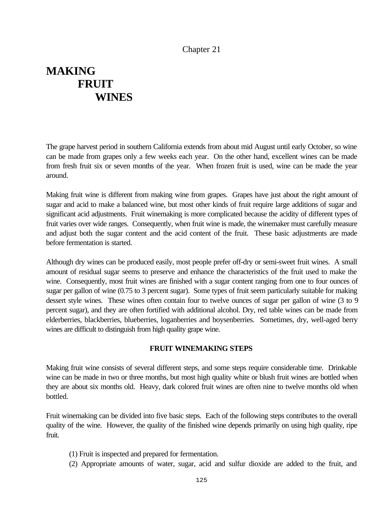## Chapter 21

# **MAKING FRUIT WINES**

The grape harvest period in southern California extends from about mid August until early October, so wine can be made from grapes only a few weeks each year. On the other hand, excellent wines can be made from fresh fruit six or seven months of the year. When frozen fruit is used, wine can be made the year around.

Making fruit wine is different from making wine from grapes. Grapes have just about the right amount of sugar and acid to make a balanced wine, but most other kinds of fruit require large additions of sugar and significant acid adjustments. Fruit winemaking is more complicated because the acidity of different types of fruit varies over wide ranges. Consequently, when fruit wine is made, the winemaker must carefully measure and adjust both the sugar content and the acid content of the fruit. These basic adjustments are made before fermentation is started.

Although dry wines can be produced easily, most people prefer off-dry or semi-sweet fruit wines. A small amount of residual sugar seems to preserve and enhance the characteristics of the fruit used to make the wine. Consequently, most fruit wines are finished with a sugar content ranging from one to four ounces of sugar per gallon of wine (0.75 to 3 percent sugar). Some types of fruit seem particularly suitable for making dessert style wines. These wines often contain four to twelve ounces of sugar per gallon of wine (3 to 9 percent sugar), and they are often fortified with additional alcohol. Dry, red table wines can be made from elderberries, blackberries, blueberries, loganberries and boysenberries. Sometimes, dry, well-aged berry wines are difficult to distinguish from high quality grape wine.

#### **FRUIT WINEMAKING STEPS**

Making fruit wine consists of several different steps, and some steps require considerable time. Drinkable wine can be made in two or three months, but most high quality white or blush fruit wines are bottled when they are about six months old. Heavy, dark colored fruit wines are often nine to twelve months old when bottled.

Fruit winemaking can be divided into five basic steps. Each of the following steps contributes to the overall quality of the wine. However, the quality of the finished wine depends primarily on using high quality, ripe fruit.

- (1) Fruit is inspected and prepared for fermentation.
- (2) Appropriate amounts of water, sugar, acid and sulfur dioxide are added to the fruit, and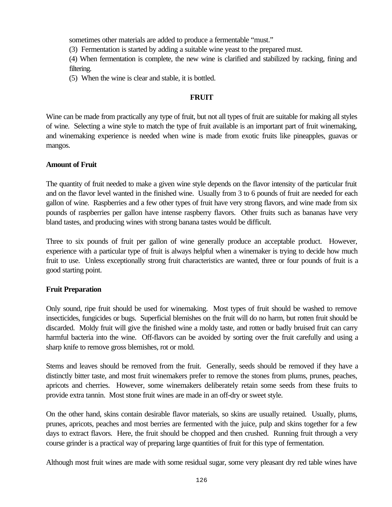sometimes other materials are added to produce a fermentable "must."

(3) Fermentation is started by adding a suitable wine yeast to the prepared must.

(4) When fermentation is complete, the new wine is clarified and stabilized by racking, fining and filtering.

(5) When the wine is clear and stable, it is bottled.

## **FRUIT**

Wine can be made from practically any type of fruit, but not all types of fruit are suitable for making all styles of wine. Selecting a wine style to match the type of fruit available is an important part of fruit winemaking, and winemaking experience is needed when wine is made from exotic fruits like pineapples, guavas or mangos.

## **Amount of Fruit**

The quantity of fruit needed to make a given wine style depends on the flavor intensity of the particular fruit and on the flavor level wanted in the finished wine. Usually from 3 to 6 pounds of fruit are needed for each gallon of wine. Raspberries and a few other types of fruit have very strong flavors, and wine made from six pounds of raspberries per gallon have intense raspberry flavors. Other fruits such as bananas have very bland tastes, and producing wines with strong banana tastes would be difficult.

Three to six pounds of fruit per gallon of wine generally produce an acceptable product. However, experience with a particular type of fruit is always helpful when a winemaker is trying to decide how much fruit to use. Unless exceptionally strong fruit characteristics are wanted, three or four pounds of fruit is a good starting point.

### **Fruit Preparation**

Only sound, ripe fruit should be used for winemaking. Most types of fruit should be washed to remove insecticides, fungicides or bugs. Superficial blemishes on the fruit will do no harm, but rotten fruit should be discarded. Moldy fruit will give the finished wine a moldy taste, and rotten or badly bruised fruit can carry harmful bacteria into the wine. Off-flavors can be avoided by sorting over the fruit carefully and using a sharp knife to remove gross blemishes, rot or mold.

Stems and leaves should be removed from the fruit. Generally, seeds should be removed if they have a distinctly bitter taste, and most fruit winemakers prefer to remove the stones from plums, prunes, peaches, apricots and cherries. However, some winemakers deliberately retain some seeds from these fruits to provide extra tannin. Most stone fruit wines are made in an off-dry or sweet style.

On the other hand, skins contain desirable flavor materials, so skins are usually retained. Usually, plums, prunes, apricots, peaches and most berries are fermented with the juice, pulp and skins together for a few days to extract flavors. Here, the fruit should be chopped and then crushed. Running fruit through a very course grinder is a practical way of preparing large quantities of fruit for this type of fermentation.

Although most fruit wines are made with some residual sugar, some very pleasant dry red table wines have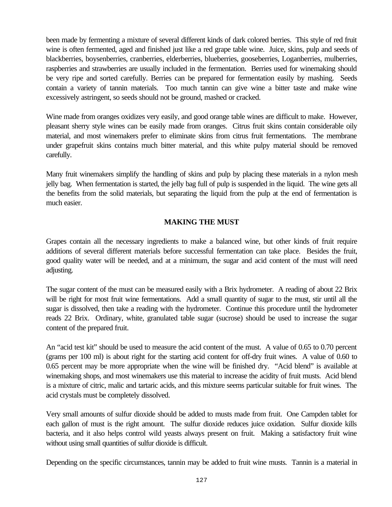been made by fermenting a mixture of several different kinds of dark colored berries. This style of red fruit wine is often fermented, aged and finished just like a red grape table wine. Juice, skins, pulp and seeds of blackberries, boysenberries, cranberries, elderberries, blueberries, gooseberries, Loganberries, mulberries, raspberries and strawberries are usually included in the fermentation. Berries used for winemaking should be very ripe and sorted carefully. Berries can be prepared for fermentation easily by mashing. Seeds contain a variety of tannin materials. Too much tannin can give wine a bitter taste and make wine excessively astringent, so seeds should not be ground, mashed or cracked.

Wine made from oranges oxidizes very easily, and good orange table wines are difficult to make. However, pleasant sherry style wines can be easily made from oranges. Citrus fruit skins contain considerable oily material, and most winemakers prefer to eliminate skins from citrus fruit fermentations. The membrane under grapefruit skins contains much bitter material, and this white pulpy material should be removed carefully.

Many fruit winemakers simplify the handling of skins and pulp by placing these materials in a nylon mesh jelly bag. When fermentation is started, the jelly bag full of pulp is suspended in the liquid. The wine gets all the benefits from the solid materials, but separating the liquid from the pulp at the end of fermentation is much easier.

## **MAKING THE MUST**

Grapes contain all the necessary ingredients to make a balanced wine, but other kinds of fruit require additions of several different materials before successful fermentation can take place. Besides the fruit, good quality water will be needed, and at a minimum, the sugar and acid content of the must will need adjusting.

The sugar content of the must can be measured easily with a Brix hydrometer. A reading of about 22 Brix will be right for most fruit wine fermentations. Add a small quantity of sugar to the must, stir until all the sugar is dissolved, then take a reading with the hydrometer. Continue this procedure until the hydrometer reads 22 Brix. Ordinary, white, granulated table sugar (sucrose) should be used to increase the sugar content of the prepared fruit.

An "acid test kit" should be used to measure the acid content of the must. A value of 0.65 to 0.70 percent (grams per 100 ml) is about right for the starting acid content for off-dry fruit wines. A value of 0.60 to 0.65 percent may be more appropriate when the wine will be finished dry. "Acid blend" is available at winemaking shops, and most winemakers use this material to increase the acidity of fruit musts. Acid blend is a mixture of citric, malic and tartaric acids, and this mixture seems particular suitable for fruit wines. The acid crystals must be completely dissolved.

Very small amounts of sulfur dioxide should be added to musts made from fruit. One Campden tablet for each gallon of must is the right amount. The sulfur dioxide reduces juice oxidation. Sulfur dioxide kills bacteria, and it also helps control wild yeasts always present on fruit. Making a satisfactory fruit wine without using small quantities of sulfur dioxide is difficult.

Depending on the specific circumstances, tannin may be added to fruit wine musts. Tannin is a material in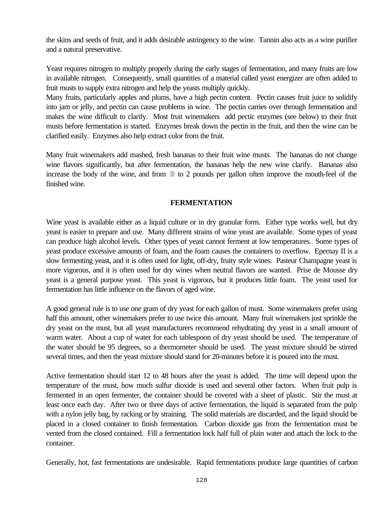the skins and seeds of fruit, and it adds desirable astringency to the wine. Tannin also acts as a wine purifier and a natural preservative.

Yeast requires nitrogen to multiply properly during the early stages of fermentation, and many fruits are low in available nitrogen. Consequently, small quantities of a material called yeast energizer are often added to fruit musts to supply extra nitrogen and help the yeasts multiply quickly.

Many fruits, particularly apples and plums, have a high pectin content. Pectin causes fruit juice to solidify into jam or jelly, and pectin can cause problems in wine. The pectin carries over through fermentation and makes the wine difficult to clarify. Most fruit winemakers add pectic enzymes (see below) to their fruit musts before fermentation is started. Enzymes break down the pectin in the fruit, and then the wine can be clarified easily. Enzymes also help extract color from the fruit.

Many fruit winemakers add mashed, fresh bananas to their fruit wine musts. The bananas do not change wine flavors significantly, but after fermentation, the bananas help the new wine clarify. Bananas also increase the body of the wine, and from  $\Box$  to 2 pounds per gallon often improve the mouth-feel of the finished wine.

### **FERMENTATION**

Wine yeast is available either as a liquid culture or in dry granular form. Either type works well, but dry yeast is easier to prepare and use. Many different strains of wine yeast are available. Some types of yeast can produce high alcohol levels. Other types of yeast cannot ferment at low temperatures. Some types of yeast produce excessive amounts of foam, and the foam causes the containers to overflow. Epernay II is a slow fermenting yeast, and it is often used for light, off-dry, fruity style wines. Pasteur Champagne yeast is more vigorous, and it is often used for dry wines when neutral flavors are wanted. Prise de Mousse dry yeast is a general purpose yeast. This yeast is vigorous, but it produces little foam. The yeast used for fermentation has little influence on the flavors of aged wine.

A good general rule is to use one gram of dry yeast for each gallon of must. Some winemakers prefer using half this amount, other winemakers prefer to use twice this amount. Many fruit winemakers just sprinkle the dry yeast on the must, but all yeast manufacturers recommend rehydrating dry yeast in a small amount of warm water. About a cup of water for each tablespoon of dry yeast should be used. The temperature of the water should be 95 degrees, so a thermometer should be used. The yeast mixture should be stirred several times, and then the yeast mixture should stand for 20-minutes before it is poured into the must.

Active fermentation should start 12 to 48 hours after the yeast is added. The time will depend upon the temperature of the must, how much sulfur dioxide is used and several other factors. When fruit pulp is fermented in an open fermenter, the container should be covered with a sheet of plastic. Stir the must at least once each day. After two or three days of active fermentation, the liquid is separated from the pulp with a nylon jelly bag, by racking or by straining. The solid materials are discarded, and the liquid should be placed in a closed container to finish fermentation. Carbon dioxide gas from the fermentation must be vented from the closed contained. Fill a fermentation lock half full of plain water and attach the lock to the container.

Generally, hot, fast fermentations are undesirable. Rapid fermentations produce large quantities of carbon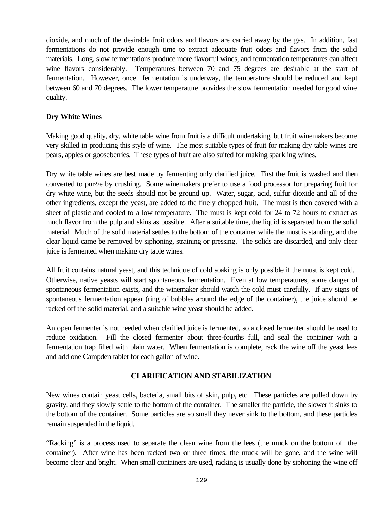dioxide, and much of the desirable fruit odors and flavors are carried away by the gas. In addition, fast fermentations do not provide enough time to extract adequate fruit odors and flavors from the solid materials. Long, slow fermentations produce more flavorful wines, and fermentation temperatures can affect wine flavors considerably. Temperatures between 70 and 75 degrees are desirable at the start of fermentation. However, once fermentation is underway, the temperature should be reduced and kept between 60 and 70 degrees. The lower temperature provides the slow fermentation needed for good wine quality.

## **Dry White Wines**

Making good quality, dry, white table wine from fruit is a difficult undertaking, but fruit winemakers become very skilled in producing this style of wine. The most suitable types of fruit for making dry table wines are pears, apples or gooseberries. These types of fruit are also suited for making sparkling wines.

Dry white table wines are best made by fermenting only clarified juice. First the fruit is washed and then converted to pur $\theta$ e by crushing. Some winemakers prefer to use a food processor for preparing fruit for dry white wine, but the seeds should not be ground up. Water, sugar, acid, sulfur dioxide and all of the other ingredients, except the yeast, are added to the finely chopped fruit. The must is then covered with a sheet of plastic and cooled to a low temperature. The must is kept cold for 24 to 72 hours to extract as much flavor from the pulp and skins as possible. After a suitable time, the liquid is separated from the solid material. Much of the solid material settles to the bottom of the container while the must is standing, and the clear liquid came be removed by siphoning, straining or pressing. The solids are discarded, and only clear juice is fermented when making dry table wines.

All fruit contains natural yeast, and this technique of cold soaking is only possible if the must is kept cold. Otherwise, native yeasts will start spontaneous fermentation. Even at low temperatures, some danger of spontaneous fermentation exists, and the winemaker should watch the cold must carefully. If any signs of spontaneous fermentation appear (ring of bubbles around the edge of the container), the juice should be racked off the solid material, and a suitable wine yeast should be added.

An open fermenter is not needed when clarified juice is fermented, so a closed fermenter should be used to reduce oxidation. Fill the closed fermenter about three-fourths full, and seal the container with a fermentation trap filled with plain water. When fermentation is complete, rack the wine off the yeast lees and add one Campden tablet for each gallon of wine.

## **CLARIFICATION AND STABILIZATION**

New wines contain yeast cells, bacteria, small bits of skin, pulp, etc. These particles are pulled down by gravity, and they slowly settle to the bottom of the container. The smaller the particle, the slower it sinks to the bottom of the container. Some particles are so small they never sink to the bottom, and these particles remain suspended in the liquid.

"Racking" is a process used to separate the clean wine from the lees (the muck on the bottom of the container). After wine has been racked two or three times, the muck will be gone, and the wine will become clear and bright. When small containers are used, racking is usually done by siphoning the wine off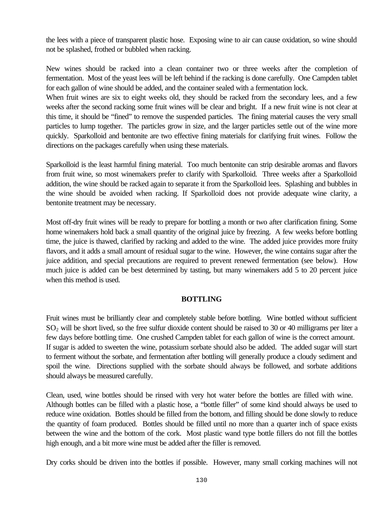the lees with a piece of transparent plastic hose. Exposing wine to air can cause oxidation, so wine should not be splashed, frothed or bubbled when racking.

New wines should be racked into a clean container two or three weeks after the completion of fermentation. Most of the yeast lees will be left behind if the racking is done carefully. One Campden tablet for each gallon of wine should be added, and the container sealed with a fermentation lock.

When fruit wines are six to eight weeks old, they should be racked from the secondary lees, and a few weeks after the second racking some fruit wines will be clear and bright. If a new fruit wine is not clear at this time, it should be "fined" to remove the suspended particles. The fining material causes the very small particles to lump together. The particles grow in size, and the larger particles settle out of the wine more quickly. Sparkolloid and bentonite are two effective fining materials for clarifying fruit wines. Follow the directions on the packages carefully when using these materials.

Sparkolloid is the least harmful fining material. Too much bentonite can strip desirable aromas and flavors from fruit wine, so most winemakers prefer to clarify with Sparkolloid. Three weeks after a Sparkolloid addition, the wine should be racked again to separate it from the Sparkolloid lees. Splashing and bubbles in the wine should be avoided when racking. If Sparkolloid does not provide adequate wine clarity, a bentonite treatment may be necessary.

Most off-dry fruit wines will be ready to prepare for bottling a month or two after clarification fining. Some home winemakers hold back a small quantity of the original juice by freezing. A few weeks before bottling time, the juice is thawed, clarified by racking and added to the wine. The added juice provides more fruity flavors, and it adds a small amount of residual sugar to the wine. However, the wine contains sugar after the juice addition, and special precautions are required to prevent renewed fermentation (see below). How much juice is added can be best determined by tasting, but many winemakers add 5 to 20 percent juice when this method is used.

### **BOTTLING**

Fruit wines must be brilliantly clear and completely stable before bottling. Wine bottled without sufficient  $SO<sub>2</sub>$  will be short lived, so the free sulfur dioxide content should be raised to 30 or 40 milligrams per liter a few days before bottling time. One crushed Campden tablet for each gallon of wine is the correct amount. If sugar is added to sweeten the wine, potassium sorbate should also be added. The added sugar will start to ferment without the sorbate, and fermentation after bottling will generally produce a cloudy sediment and spoil the wine. Directions supplied with the sorbate should always be followed, and sorbate additions should always be measured carefully.

Clean, used, wine bottles should be rinsed with very hot water before the bottles are filled with wine. Although bottles can be filled with a plastic hose, a "bottle filler" of some kind should always be used to reduce wine oxidation. Bottles should be filled from the bottom, and filling should be done slowly to reduce the quantity of foam produced. Bottles should be filled until no more than a quarter inch of space exists between the wine and the bottom of the cork. Most plastic wand type bottle fillers do not fill the bottles high enough, and a bit more wine must be added after the filler is removed.

Dry corks should be driven into the bottles if possible. However, many small corking machines will not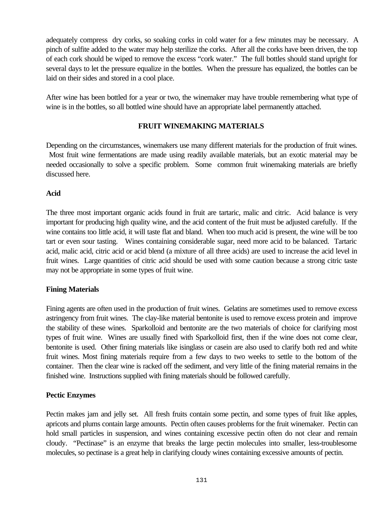adequately compress dry corks, so soaking corks in cold water for a few minutes may be necessary. A pinch of sulfite added to the water may help sterilize the corks. After all the corks have been driven, the top of each cork should be wiped to remove the excess "cork water." The full bottles should stand upright for several days to let the pressure equalize in the bottles. When the pressure has equalized, the bottles can be laid on their sides and stored in a cool place.

After wine has been bottled for a year or two, the winemaker may have trouble remembering what type of wine is in the bottles, so all bottled wine should have an appropriate label permanently attached.

## **FRUIT WINEMAKING MATERIALS**

Depending on the circumstances, winemakers use many different materials for the production of fruit wines. Most fruit wine fermentations are made using readily available materials, but an exotic material may be needed occasionally to solve a specific problem. Some common fruit winemaking materials are briefly discussed here.

## **Acid**

The three most important organic acids found in fruit are tartaric, malic and citric. Acid balance is very important for producing high quality wine, and the acid content of the fruit must be adjusted carefully. If the wine contains too little acid, it will taste flat and bland. When too much acid is present, the wine will be too tart or even sour tasting. Wines containing considerable sugar, need more acid to be balanced. Tartaric acid, malic acid, citric acid or acid blend (a mixture of all three acids) are used to increase the acid level in fruit wines. Large quantities of citric acid should be used with some caution because a strong citric taste may not be appropriate in some types of fruit wine.

## **Fining Materials**

Fining agents are often used in the production of fruit wines. Gelatins are sometimes used to remove excess astringency from fruit wines. The clay-like material bentonite is used to remove excess protein and improve the stability of these wines. Sparkolloid and bentonite are the two materials of choice for clarifying most types of fruit wine. Wines are usually fined with Sparkolloid first, then if the wine does not come clear, bentonite is used. Other fining materials like isinglass or casein are also used to clarify both red and white fruit wines. Most fining materials require from a few days to two weeks to settle to the bottom of the container. Then the clear wine is racked off the sediment, and very little of the fining material remains in the finished wine. Instructions supplied with fining materials should be followed carefully.

### **Pectic Enzymes**

Pectin makes jam and jelly set. All fresh fruits contain some pectin, and some types of fruit like apples, apricots and plums contain large amounts. Pectin often causes problems for the fruit winemaker. Pectin can hold small particles in suspension, and wines containing excessive pectin often do not clear and remain cloudy. "Pectinase" is an enzyme that breaks the large pectin molecules into smaller, less-troublesome molecules, so pectinase is a great help in clarifying cloudy wines containing excessive amounts of pectin.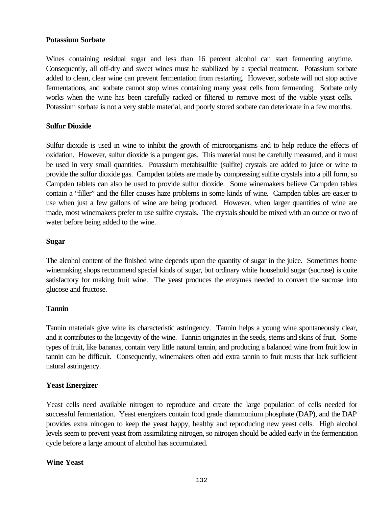### **Potassium Sorbate**

Wines containing residual sugar and less than 16 percent alcohol can start fermenting anytime. Consequently, all off-dry and sweet wines must be stabilized by a special treatment. Potassium sorbate added to clean, clear wine can prevent fermentation from restarting. However, sorbate will not stop active fermentations, and sorbate cannot stop wines containing many yeast cells from fermenting. Sorbate only works when the wine has been carefully racked or filtered to remove most of the viable yeast cells. Potassium sorbate is not a very stable material, and poorly stored sorbate can deteriorate in a few months.

#### **Sulfur Dioxide**

Sulfur dioxide is used in wine to inhibit the growth of microorganisms and to help reduce the effects of oxidation. However, sulfur dioxide is a pungent gas. This material must be carefully measured, and it must be used in very small quantities. Potassium metabisulfite (sulfite) crystals are added to juice or wine to provide the sulfur dioxide gas. Campden tablets are made by compressing sulfite crystals into a pill form, so Campden tablets can also be used to provide sulfur dioxide. Some winemakers believe Campden tables contain a "filler" and the filler causes haze problems in some kinds of wine. Campden tables are easier to use when just a few gallons of wine are being produced. However, when larger quantities of wine are made, most winemakers prefer to use sulfite crystals. The crystals should be mixed with an ounce or two of water before being added to the wine.

#### **Sugar**

The alcohol content of the finished wine depends upon the quantity of sugar in the juice. Sometimes home winemaking shops recommend special kinds of sugar, but ordinary white household sugar (sucrose) is quite satisfactory for making fruit wine. The yeast produces the enzymes needed to convert the sucrose into glucose and fructose.

### **Tannin**

Tannin materials give wine its characteristic astringency. Tannin helps a young wine spontaneously clear, and it contributes to the longevity of the wine. Tannin originates in the seeds, stems and skins of fruit. Some types of fruit, like bananas, contain very little natural tannin, and producing a balanced wine from fruit low in tannin can be difficult. Consequently, winemakers often add extra tannin to fruit musts that lack sufficient natural astringency.

### **Yeast Energizer**

Yeast cells need available nitrogen to reproduce and create the large population of cells needed for successful fermentation. Yeast energizers contain food grade diammonium phosphate (DAP), and the DAP provides extra nitrogen to keep the yeast happy, healthy and reproducing new yeast cells. High alcohol levels seem to prevent yeast from assimilating nitrogen, so nitrogen should be added early in the fermentation cycle before a large amount of alcohol has accumulated.

### **Wine Yeast**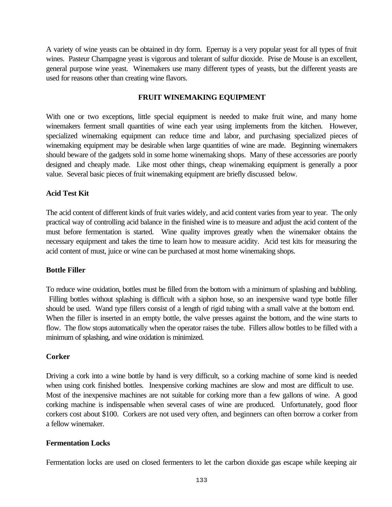A variety of wine yeasts can be obtained in dry form. Epernay is a very popular yeast for all types of fruit wines. Pasteur Champagne yeast is vigorous and tolerant of sulfur dioxide. Prise de Mouse is an excellent, general purpose wine yeast. Winemakers use many different types of yeasts, but the different yeasts are used for reasons other than creating wine flavors.

### **FRUIT WINEMAKING EQUIPMENT**

With one or two exceptions, little special equipment is needed to make fruit wine, and many home winemakers ferment small quantities of wine each year using implements from the kitchen. However, specialized winemaking equipment can reduce time and labor, and purchasing specialized pieces of winemaking equipment may be desirable when large quantities of wine are made. Beginning winemakers should beware of the gadgets sold in some home winemaking shops. Many of these accessories are poorly designed and cheaply made. Like most other things, cheap winemaking equipment is generally a poor value. Several basic pieces of fruit winemaking equipment are briefly discussed below.

## **Acid Test Kit**

The acid content of different kinds of fruit varies widely, and acid content varies from year to year. The only practical way of controlling acid balance in the finished wine is to measure and adjust the acid content of the must before fermentation is started. Wine quality improves greatly when the winemaker obtains the necessary equipment and takes the time to learn how to measure acidity. Acid test kits for measuring the acid content of must, juice or wine can be purchased at most home winemaking shops.

## **Bottle Filler**

To reduce wine oxidation, bottles must be filled from the bottom with a minimum of splashing and bubbling. Filling bottles without splashing is difficult with a siphon hose, so an inexpensive wand type bottle filler should be used. Wand type fillers consist of a length of rigid tubing with a small valve at the bottom end. When the filler is inserted in an empty bottle, the valve presses against the bottom, and the wine starts to flow. The flow stops automatically when the operator raises the tube. Fillers allow bottles to be filled with a minimum of splashing, and wine oxidation is minimized.

### **Corker**

Driving a cork into a wine bottle by hand is very difficult, so a corking machine of some kind is needed when using cork finished bottles. Inexpensive corking machines are slow and most are difficult to use. Most of the inexpensive machines are not suitable for corking more than a few gallons of wine. A good corking machine is indispensable when several cases of wine are produced. Unfortunately, good floor corkers cost about \$100. Corkers are not used very often, and beginners can often borrow a corker from a fellow winemaker.

### **Fermentation Locks**

Fermentation locks are used on closed fermenters to let the carbon dioxide gas escape while keeping air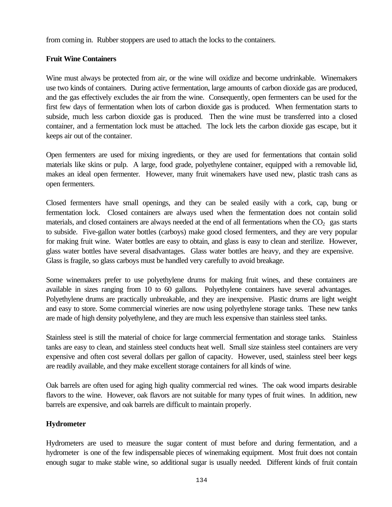from coming in. Rubber stoppers are used to attach the locks to the containers.

## **Fruit Wine Containers**

Wine must always be protected from air, or the wine will oxidize and become undrinkable. Winemakers use two kinds of containers. During active fermentation, large amounts of carbon dioxide gas are produced, and the gas effectively excludes the air from the wine. Consequently, open fermenters can be used for the first few days of fermentation when lots of carbon dioxide gas is produced. When fermentation starts to subside, much less carbon dioxide gas is produced. Then the wine must be transferred into a closed container, and a fermentation lock must be attached. The lock lets the carbon dioxide gas escape, but it keeps air out of the container.

Open fermenters are used for mixing ingredients, or they are used for fermentations that contain solid materials like skins or pulp. A large, food grade, polyethylene container, equipped with a removable lid, makes an ideal open fermenter. However, many fruit winemakers have used new, plastic trash cans as open fermenters.

Closed fermenters have small openings, and they can be sealed easily with a cork, cap, bung or fermentation lock. Closed containers are always used when the fermentation does not contain solid materials, and closed containers are always needed at the end of all fermentations when the  $CO<sub>2</sub>$  gas starts to subside. Five-gallon water bottles (carboys) make good closed fermenters, and they are very popular for making fruit wine. Water bottles are easy to obtain, and glass is easy to clean and sterilize. However, glass water bottles have several disadvantages. Glass water bottles are heavy, and they are expensive. Glass is fragile, so glass carboys must be handled very carefully to avoid breakage.

Some winemakers prefer to use polyethylene drums for making fruit wines, and these containers are available in sizes ranging from 10 to 60 gallons. Polyethylene containers have several advantages. Polyethylene drums are practically unbreakable, and they are inexpensive. Plastic drums are light weight and easy to store. Some commercial wineries are now using polyethylene storage tanks. These new tanks are made of high density polyethylene, and they are much less expensive than stainless steel tanks.

Stainless steel is still the material of choice for large commercial fermentation and storage tanks. Stainless tanks are easy to clean, and stainless steel conducts heat well. Small size stainless steel containers are very expensive and often cost several dollars per gallon of capacity. However, used, stainless steel beer kegs are readily available, and they make excellent storage containers for all kinds of wine.

Oak barrels are often used for aging high quality commercial red wines. The oak wood imparts desirable flavors to the wine. However, oak flavors are not suitable for many types of fruit wines. In addition, new barrels are expensive, and oak barrels are difficult to maintain properly.

## **Hydrometer**

Hydrometers are used to measure the sugar content of must before and during fermentation, and a hydrometer is one of the few indispensable pieces of winemaking equipment. Most fruit does not contain enough sugar to make stable wine, so additional sugar is usually needed. Different kinds of fruit contain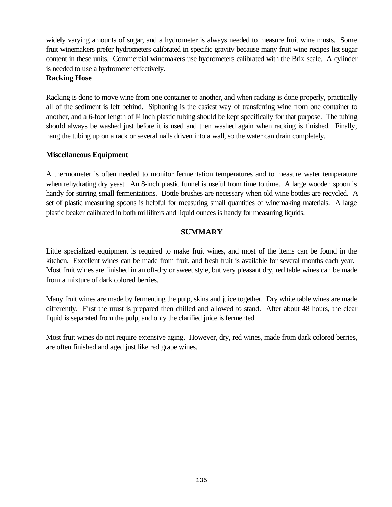widely varying amounts of sugar, and a hydrometer is always needed to measure fruit wine musts. Some fruit winemakers prefer hydrometers calibrated in specific gravity because many fruit wine recipes list sugar content in these units. Commercial winemakers use hydrometers calibrated with the Brix scale. A cylinder is needed to use a hydrometer effectively.

### **Racking Hose**

Racking is done to move wine from one container to another, and when racking is done properly, practically all of the sediment is left behind. Siphoning is the easiest way of transferring wine from one container to another, and a 6-foot length of  $\equiv$  inch plastic tubing should be kept specifically for that purpose. The tubing should always be washed just before it is used and then washed again when racking is finished. Finally, hang the tubing up on a rack or several nails driven into a wall, so the water can drain completely.

## **Miscellaneous Equipment**

A thermometer is often needed to monitor fermentation temperatures and to measure water temperature when rehydrating dry yeast. An 8-inch plastic funnel is useful from time to time. A large wooden spoon is handy for stirring small fermentations. Bottle brushes are necessary when old wine bottles are recycled. A set of plastic measuring spoons is helpful for measuring small quantities of winemaking materials. A large plastic beaker calibrated in both milliliters and liquid ounces is handy for measuring liquids.

## **SUMMARY**

Little specialized equipment is required to make fruit wines, and most of the items can be found in the kitchen. Excellent wines can be made from fruit, and fresh fruit is available for several months each year. Most fruit wines are finished in an off-dry or sweet style, but very pleasant dry, red table wines can be made from a mixture of dark colored berries.

Many fruit wines are made by fermenting the pulp, skins and juice together. Dry white table wines are made differently. First the must is prepared then chilled and allowed to stand. After about 48 hours, the clear liquid is separated from the pulp, and only the clarified juice is fermented.

Most fruit wines do not require extensive aging. However, dry, red wines, made from dark colored berries, are often finished and aged just like red grape wines.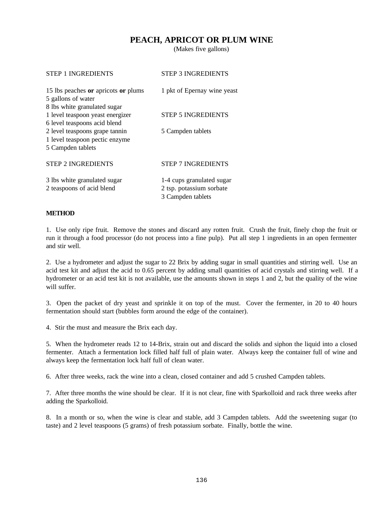## **PEACH, APRICOT OR PLUM WINE**

(Makes five gallons)

| <b>STEP 1 INGREDIENTS</b>                                                                        | <b>STEP 3 INGREDIENTS</b>                                                  |
|--------------------------------------------------------------------------------------------------|----------------------------------------------------------------------------|
| 15 lbs peaches or apricots or plums<br>5 gallons of water                                        | 1 pkt of Epernay wine yeast                                                |
| 8 lbs white granulated sugar<br>1 level teaspoon yeast energizer<br>6 level teaspoons acid blend | <b>STEP 5 INGREDIENTS</b>                                                  |
| 2 level teaspoons grape tannin<br>1 level teaspoon pectic enzyme                                 | 5 Campden tablets                                                          |
| 5 Campden tablets                                                                                |                                                                            |
| <b>STEP 2 INGREDIENTS</b>                                                                        | <b>STEP 7 INGREDIENTS</b>                                                  |
| 3 lbs white granulated sugar<br>2 teaspoons of acid blend                                        | 1-4 cups granulated sugar<br>2 tsp. potassium sorbate<br>3 Campden tablets |

#### **METHOD**

1. Use only ripe fruit. Remove the stones and discard any rotten fruit. Crush the fruit, finely chop the fruit or run it through a food processor (do not process into a fine pulp). Put all step 1 ingredients in an open fermenter and stir well.

2. Use a hydrometer and adjust the sugar to 22 Brix by adding sugar in small quantities and stirring well. Use an acid test kit and adjust the acid to 0.65 percent by adding small quantities of acid crystals and stirring well. If a hydrometer or an acid test kit is not available, use the amounts shown in steps 1 and 2, but the quality of the wine will suffer.

3. Open the packet of dry yeast and sprinkle it on top of the must. Cover the fermenter, in 20 to 40 hours fermentation should start (bubbles form around the edge of the container).

4. Stir the must and measure the Brix each day.

5. When the hydrometer reads 12 to 14-Brix, strain out and discard the solids and siphon the liquid into a closed fermenter. Attach a fermentation lock filled half full of plain water. Always keep the container full of wine and always keep the fermentation lock half full of clean water.

6. After three weeks, rack the wine into a clean, closed container and add 5 crushed Campden tablets.

7. After three months the wine should be clear. If it is not clear, fine with Sparkolloid and rack three weeks after adding the Sparkolloid.

8. In a month or so, when the wine is clear and stable, add 3 Campden tablets. Add the sweetening sugar (to taste) and 2 level teaspoons (5 grams) of fresh potassium sorbate. Finally, bottle the wine.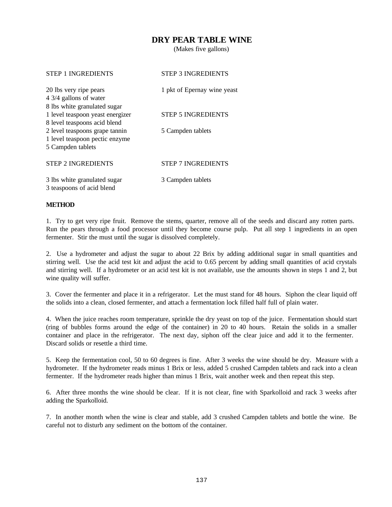## **DRY PEAR TABLE WINE**

(Makes five gallons)

| <b>STEP 1 INGREDIENTS</b>        | <b>STEP 3 INGREDIENTS</b>   |
|----------------------------------|-----------------------------|
| 20 lbs very ripe pears           | 1 pkt of Epernay wine yeast |
| 4 3/4 gallons of water           |                             |
| 8 lbs white granulated sugar     |                             |
| 1 level teaspoon yeast energizer | <b>STEP 5 INGREDIENTS</b>   |
| 8 level teaspoons acid blend     |                             |
| 2 level teaspoons grape tannin   | 5 Campden tablets           |
| 1 level teaspoon pectic enzyme   |                             |
| 5 Campden tablets                |                             |
|                                  |                             |
| <b>STEP 2 INGREDIENTS</b>        | <b>STEP 7 INGREDIENTS</b>   |
|                                  |                             |
| 3 lbs white granulated sugar     | 3 Campden tablets           |
| 3 teaspoons of acid blend        |                             |
|                                  |                             |

#### **METHOD**

1. Try to get very ripe fruit. Remove the stems, quarter, remove all of the seeds and discard any rotten parts. Run the pears through a food processor until they become course pulp. Put all step 1 ingredients in an open fermenter. Stir the must until the sugar is dissolved completely.

2. Use a hydrometer and adjust the sugar to about 22 Brix by adding additional sugar in small quantities and stirring well. Use the acid test kit and adjust the acid to 0.65 percent by adding small quantities of acid crystals and stirring well. If a hydrometer or an acid test kit is not available, use the amounts shown in steps 1 and 2, but wine quality will suffer.

3. Cover the fermenter and place it in a refrigerator. Let the must stand for 48 hours. Siphon the clear liquid off the solids into a clean, closed fermenter, and attach a fermentation lock filled half full of plain water.

4. When the juice reaches room temperature, sprinkle the dry yeast on top of the juice. Fermentation should start (ring of bubbles forms around the edge of the container) in 20 to 40 hours. Retain the solids in a smaller container and place in the refrigerator. The next day, siphon off the clear juice and add it to the fermenter. Discard solids or resettle a third time.

5. Keep the fermentation cool, 50 to 60 degrees is fine. After 3 weeks the wine should be dry. Measure with a hydrometer. If the hydrometer reads minus 1 Brix or less, added 5 crushed Campden tablets and rack into a clean fermenter. If the hydrometer reads higher than minus 1 Brix, wait another week and then repeat this step.

6. After three months the wine should be clear. If it is not clear, fine with Sparkolloid and rack 3 weeks after adding the Sparkolloid.

7. In another month when the wine is clear and stable, add 3 crushed Campden tablets and bottle the wine. Be careful not to disturb any sediment on the bottom of the container.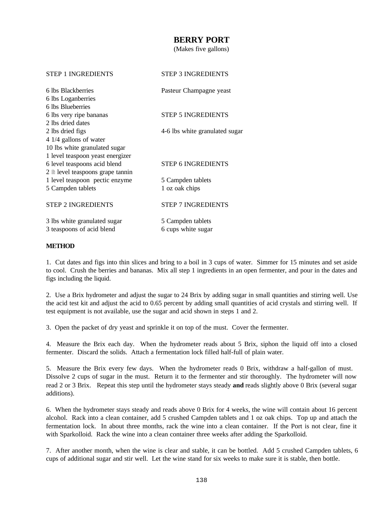## **BERRY PORT**

(Makes five gallons)

| <b>STEP 1 INGREDIENTS</b>                   | <b>STEP 3 INGREDIENTS</b>      |
|---------------------------------------------|--------------------------------|
| 6 lbs Blackberries                          | Pasteur Champagne yeast        |
| 6 lbs Loganberries                          |                                |
| 6 lbs Blueberries                           |                                |
| 6 lbs very ripe bananas                     | <b>STEP 5 INGREDIENTS</b>      |
| 2 lbs dried dates                           |                                |
| 2 lbs dried figs                            | 4-6 lbs white granulated sugar |
| 4 1/4 gallons of water                      |                                |
| 10 lbs white granulated sugar               |                                |
| 1 level teaspoon yeast energizer            |                                |
| 6 level teaspoons acid blend                | <b>STEP 6 INGREDIENTS</b>      |
| $2 \nparallel$ level teaspoons grape tannin |                                |
| 1 level teaspoon pectic enzyme              | 5 Campden tablets              |
| 5 Campden tablets                           | 1 oz oak chips                 |
| <b>STEP 2 INGREDIENTS</b>                   | <b>STEP 7 INGREDIENTS</b>      |
| 3 lbs white granulated sugar                | 5 Campden tablets              |
| 3 teaspoons of acid blend                   | 6 cups white sugar             |

#### **METHOD**

1. Cut dates and figs into thin slices and bring to a boil in 3 cups of water. Simmer for 15 minutes and set aside to cool. Crush the berries and bananas. Mix all step 1 ingredients in an open fermenter, and pour in the dates and figs including the liquid.

2. Use a Brix hydrometer and adjust the sugar to 24 Brix by adding sugar in small quantities and stirring well. Use the acid test kit and adjust the acid to 0.65 percent by adding small quantities of acid crystals and stirring well. If test equipment is not available, use the sugar and acid shown in steps 1 and 2.

3. Open the packet of dry yeast and sprinkle it on top of the must. Cover the fermenter.

4. Measure the Brix each day. When the hydrometer reads about 5 Brix, siphon the liquid off into a closed fermenter. Discard the solids. Attach a fermentation lock filled half-full of plain water.

5. Measure the Brix every few days. When the hydrometer reads 0 Brix, withdraw a half-gallon of must. Dissolve 2 cups of sugar in the must. Return it to the fermenter and stir thoroughly. The hydrometer will now read 2 or 3 Brix. Repeat this step until the hydrometer stays steady **and** reads slightly above 0 Brix (several sugar additions).

6. When the hydrometer stays steady and reads above 0 Brix for 4 weeks, the wine will contain about 16 percent alcohol. Rack into a clean container, add 5 crushed Campden tablets and 1 oz oak chips. Top up and attach the fermentation lock. In about three months, rack the wine into a clean container. If the Port is not clear, fine it with Sparkolloid. Rack the wine into a clean container three weeks after adding the Sparkolloid.

7. After another month, when the wine is clear and stable, it can be bottled. Add 5 crushed Campden tablets, 6 cups of additional sugar and stir well. Let the wine stand for six weeks to make sure it is stable, then bottle.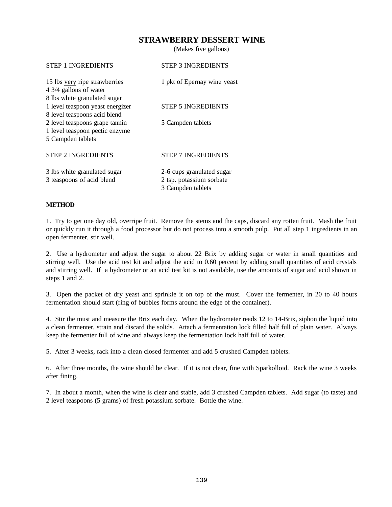## **STRAWBERRY DESSERT WINE**

(Makes five gallons)

| <b>STEP 3 INGREDIENTS</b>                                                  |
|----------------------------------------------------------------------------|
| 1 pkt of Epernay wine yeast                                                |
| <b>STEP 5 INGREDIENTS</b>                                                  |
| 5 Campden tablets                                                          |
| <b>STEP 7 INGREDIENTS</b>                                                  |
| 2-6 cups granulated sugar<br>2 tsp. potassium sorbate<br>3 Campden tablets |
|                                                                            |

#### **METHOD**

1. Try to get one day old, overripe fruit. Remove the stems and the caps, discard any rotten fruit. Mash the fruit or quickly run it through a food processor but do not process into a smooth pulp. Put all step 1 ingredients in an open fermenter, stir well.

2. Use a hydrometer and adjust the sugar to about 22 Brix by adding sugar or water in small quantities and stirring well. Use the acid test kit and adjust the acid to 0.60 percent by adding small quantities of acid crystals and stirring well. If a hydrometer or an acid test kit is not available, use the amounts of sugar and acid shown in steps 1 and 2.

3. Open the packet of dry yeast and sprinkle it on top of the must. Cover the fermenter, in 20 to 40 hours fermentation should start (ring of bubbles forms around the edge of the container).

4. Stir the must and measure the Brix each day. When the hydrometer reads 12 to 14-Brix, siphon the liquid into a clean fermenter, strain and discard the solids. Attach a fermentation lock filled half full of plain water. Always keep the fermenter full of wine and always keep the fermentation lock half full of water.

5. After 3 weeks, rack into a clean closed fermenter and add 5 crushed Campden tablets.

6. After three months, the wine should be clear. If it is not clear, fine with Sparkolloid. Rack the wine 3 weeks after fining.

7. In about a month, when the wine is clear and stable, add 3 crushed Campden tablets. Add sugar (to taste) and 2 level teaspoons (5 grams) of fresh potassium sorbate. Bottle the wine.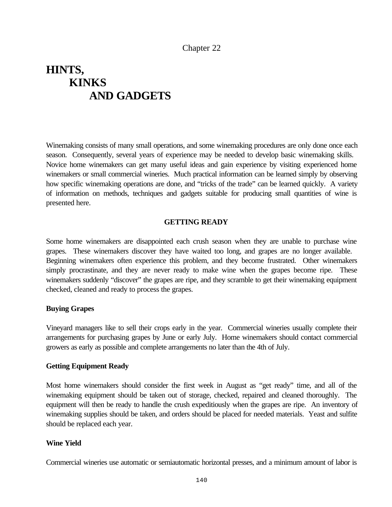# **HINTS, KINKS AND GADGETS**

Winemaking consists of many small operations, and some winemaking procedures are only done once each season. Consequently, several years of experience may be needed to develop basic winemaking skills. Novice home winemakers can get many useful ideas and gain experience by visiting experienced home winemakers or small commercial wineries. Much practical information can be learned simply by observing how specific winemaking operations are done, and "tricks of the trade" can be learned quickly. A variety of information on methods, techniques and gadgets suitable for producing small quantities of wine is presented here.

#### **GETTING READY**

Some home winemakers are disappointed each crush season when they are unable to purchase wine grapes. These winemakers discover they have waited too long, and grapes are no longer available. Beginning winemakers often experience this problem, and they become frustrated. Other winemakers simply procrastinate, and they are never ready to make wine when the grapes become ripe. These winemakers suddenly "discover" the grapes are ripe, and they scramble to get their winemaking equipment checked, cleaned and ready to process the grapes.

#### **Buying Grapes**

Vineyard managers like to sell their crops early in the year. Commercial wineries usually complete their arrangements for purchasing grapes by June or early July. Home winemakers should contact commercial growers as early as possible and complete arrangements no later than the 4th of July.

#### **Getting Equipment Ready**

Most home winemakers should consider the first week in August as "get ready" time, and all of the winemaking equipment should be taken out of storage, checked, repaired and cleaned thoroughly. The equipment will then be ready to handle the crush expeditiously when the grapes are ripe. An inventory of winemaking supplies should be taken, and orders should be placed for needed materials. Yeast and sulfite should be replaced each year.

#### **Wine Yield**

Commercial wineries use automatic or semiautomatic horizontal presses, and a minimum amount of labor is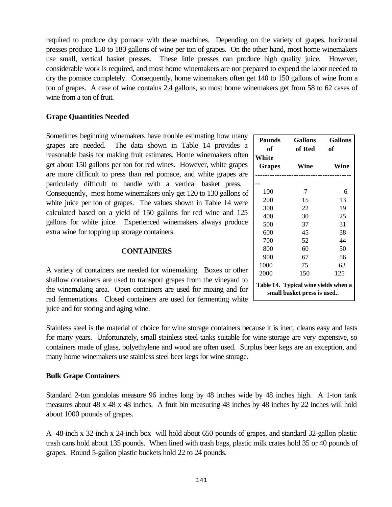required to produce dry pomace with these machines. Depending on the variety of grapes, horizontal presses produce 150 to 180 gallons of wine per ton of grapes. On the other hand, most home winemakers use small, vertical basket presses. These little presses can produce high quality juice. However, considerable work is required, and most home winemakers are not prepared to expend the labor needed to dry the pomace completely. Consequently, home winemakers often get 140 to 150 gallons of wine from a ton of grapes. A case of wine contains 2.4 gallons, so most home winemakers get from 58 to 62 cases of wine from a ton of fruit.

# **Grape Quantities Needed**

Sometimes beginning winemakers have trouble estimating how many grapes are needed. The data shown in Table 14 provides a reasonable basis for making fruit estimates. Home winemakers often get about 150 gallons per ton for red wines. However, white grapes are more difficult to press than red pomace, and white grapes are particularly difficult to handle with a vertical basket press. Consequently, most home winemakers only get 120 to 130 gallons of white juice per ton of grapes. The values shown in Table 14 were calculated based on a yield of 150 gallons for red wine and 125 gallons for white juice. Experienced winemakers always produce extra wine for topping up storage containers.

# **CONTAINERS**

A variety of containers are needed for winemaking. Boxes or other shallow containers are used to transport grapes from the vineyard to the winemaking area. Open containers are used for mixing and for red fermentations. Closed containers are used for fermenting white juice and for storing and aging wine.

Stainless steel is the material of choice for wine storage containers because it is inert, cleans easy and lasts for many years. Unfortunately, small stainless steel tanks suitable for wine storage are very expensive, so containers made of glass, polyethylene and wood are often used. Surplus beer kegs are an exception, and many home winemakers use stainless steel beer kegs for wine storage.

# **Bulk Grape Containers**

Standard 2-ton gondolas measure 96 inches long by 48 inches wide by 48 inches high. A 1-ton tank measures about 48 x 48 x 48 inches. A fruit bin measuring 48 inches by 48 inches by 22 inches will hold about 1000 pounds of grapes.

A 48-inch x 32-inch x 24-inch box will hold about 650 pounds of grapes, and standard 32-gallon plastic trash cans hold about 135 pounds. When lined with trash bags, plastic milk crates hold 35 or 40 pounds of grapes. Round 5-gallon plastic buckets hold 22 to 24 pounds.

| <b>Pounds</b><br>оf                                                | <b>Gallons</b><br>of Red | <b>Gallons</b><br>of<br>Wine |  |  |
|--------------------------------------------------------------------|--------------------------|------------------------------|--|--|
| White<br><b>Grapes</b>                                             | Wine                     |                              |  |  |
|                                                                    |                          |                              |  |  |
| 100                                                                | 7                        | 6                            |  |  |
| 200                                                                | 15                       | 13                           |  |  |
| 300                                                                | 22                       | 19                           |  |  |
| 400                                                                | 30                       | 25                           |  |  |
| 500                                                                | 37                       | 31                           |  |  |
| 600                                                                | 45                       | 38                           |  |  |
| 700                                                                | 52                       | 44                           |  |  |
| 800                                                                | 60                       | 50                           |  |  |
| 900                                                                | 67                       | 56                           |  |  |
| 1000                                                               | 75                       | 63                           |  |  |
| 2000                                                               | 150                      | 125                          |  |  |
| Table 14. Typical wine yields when a<br>small basket press is used |                          |                              |  |  |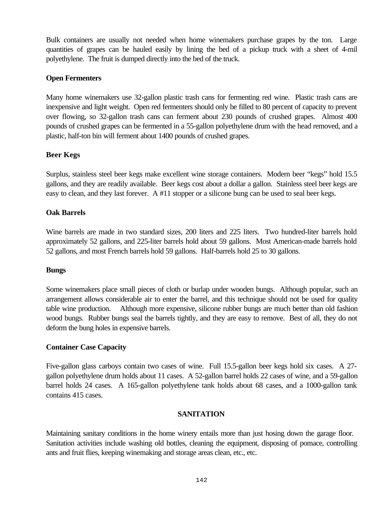Bulk containers are usually not needed when home winemakers purchase grapes by the ton. Large quantities of grapes can be hauled easily by lining the bed of a pickup truck with a sheet of 4-mil polyethylene. The fruit is dumped directly into the bed of the truck.

#### **Open Fermenters**

Many home winemakers use 32-gallon plastic trash cans for fermenting red wine. Plastic trash cans are inexpensive and light weight. Open red fermenters should only be filled to 80 percent of capacity to prevent over flowing, so 32-gallon trash cans can ferment about 230 pounds of crushed grapes. Almost 400 pounds of crushed grapes can be fermented in a 55-gallon polyethylene drum with the head removed, and a plastic, half-ton bin will ferment about 1400 pounds of crushed grapes.

#### **Beer Kegs**

Surplus, stainless steel beer kegs make excellent wine storage containers. Modern beer "kegs" hold 15.5 gallons, and they are readily available. Beer kegs cost about a dollar a gallon. Stainless steel beer kegs are easy to clean, and they last forever. A #11 stopper or a silicone bung can be used to seal beer kegs.

#### **Oak Barrels**

Wine barrels are made in two standard sizes, 200 liters and 225 liters. Two hundred-liter barrels hold approximately 52 gallons, and 225-liter barrels hold about 59 gallons. Most American-made barrels hold 52 gallons, and most French barrels hold 59 gallons. Half-barrels hold 25 to 30 gallons.

#### **Bungs**

Some winemakers place small pieces of cloth or burlap under wooden bungs. Although popular, such an arrangement allows considerable air to enter the barrel, and this technique should not be used for quality table wine production. Although more expensive, silicone rubber bungs are much better than old fashion wood bungs. Rubber bungs seal the barrels tightly, and they are easy to remove. Best of all, they do not deform the bung holes in expensive barrels.

#### **Container Case Capacity**

Five-gallon glass carboys contain two cases of wine. Full 15.5-gallon beer kegs hold six cases. A 27 gallon polyethylene drum holds about 11 cases. A 52-gallon barrel holds 22 cases of wine, and a 59-gallon barrel holds 24 cases. A 165-gallon polyethylene tank holds about 68 cases, and a 1000-gallon tank contains 415 cases.

#### **SANITATION**

Maintaining sanitary conditions in the home winery entails more than just hosing down the garage floor. Sanitation activities include washing old bottles, cleaning the equipment, disposing of pomace, controlling ants and fruit flies, keeping winemaking and storage areas clean, etc., etc.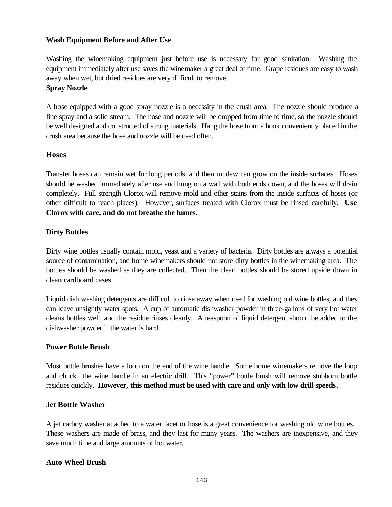# **Wash Equipment Before and After Use**

Washing the winemaking equipment just before use is necessary for good sanitation. Washing the equipment immediately after use saves the winemaker a great deal of time. Grape residues are easy to wash away when wet, but dried residues are very difficult to remove.

### **Spray Nozzle**

A hose equipped with a good spray nozzle is a necessity in the crush area. The nozzle should produce a fine spray and a solid stream. The hose and nozzle will be dropped from time to time, so the nozzle should be well designed and constructed of strong materials. Hang the hose from a hook conveniently placed in the crush area because the hose and nozzle will be used often.

# **Hoses**

Transfer hoses can remain wet for long periods, and then mildew can grow on the inside surfaces. Hoses should be washed immediately after use and hung on a wall with both ends down, and the hoses will drain completely. Full strength Clorox will remove mold and other stains from the inside surfaces of hoses (or other difficult to reach places). However, surfaces treated with Clorox must be rinsed carefully. **Use Clorox with care, and do not breathe the fumes.**

# **Dirty Bottles**

Dirty wine bottles usually contain mold, yeast and a variety of bacteria. Dirty bottles are always a potential source of contamination, and home winemakers should not store dirty bottles in the winemaking area. The bottles should be washed as they are collected. Then the clean bottles should be stored upside down in clean cardboard cases.

Liquid dish washing detergents are difficult to rinse away when used for washing old wine bottles, and they can leave unsightly water spots. A cup of automatic dishwasher powder in three-gallons of very hot water cleans bottles well, and the residue rinses cleanly. A teaspoon of liquid detergent should be added to the dishwasher powder if the water is hard.

#### **Power Bottle Brush**

Most bottle brushes have a loop on the end of the wine handle. Some home winemakers remove the loop and chuck the wine handle in an electric drill. This "power" bottle brush will remove stubborn bottle residues quickly. **However, this method must be used with care and only with low drill speeds**.

#### **Jet Bottle Washer**

A jet carboy washer attached to a water facet or hose is a great convenience for washing old wine bottles. These washers are made of brass, and they last for many years. The washers are inexpensive, and they save much time and large amounts of hot water.

#### **Auto Wheel Brush**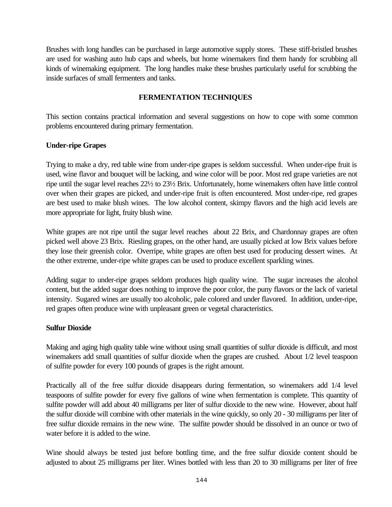Brushes with long handles can be purchased in large automotive supply stores. These stiff-bristled brushes are used for washing auto hub caps and wheels, but home winemakers find them handy for scrubbing all kinds of winemaking equipment. The long handles make these brushes particularly useful for scrubbing the inside surfaces of small fermenters and tanks.

# **FERMENTATION TECHNIQUES**

This section contains practical information and several suggestions on how to cope with some common problems encountered during primary fermentation.

# **Under-ripe Grapes**

Trying to make a dry, red table wine from under-ripe grapes is seldom successful. When under-ripe fruit is used, wine flavor and bouquet will be lacking, and wine color will be poor. Most red grape varieties are not ripe until the sugar level reaches 22½ to 23½ Brix. Unfortunately, home winemakers often have little control over when their grapes are picked, and under-ripe fruit is often encountered. Most under-ripe, red grapes are best used to make blush wines. The low alcohol content, skimpy flavors and the high acid levels are more appropriate for light, fruity blush wine.

White grapes are not ripe until the sugar level reaches about 22 Brix, and Chardonnay grapes are often picked well above 23 Brix. Riesling grapes, on the other hand, are usually picked at low Brix values before they lose their greenish color. Overripe, white grapes are often best used for producing dessert wines. At the other extreme, under-ripe white grapes can be used to produce excellent sparkling wines.

Adding sugar to under-ripe grapes seldom produces high quality wine. The sugar increases the alcohol content, but the added sugar does nothing to improve the poor color, the puny flavors or the lack of varietal intensity. Sugared wines are usually too alcoholic, pale colored and under flavored. In addition, under-ripe, red grapes often produce wine with unpleasant green or vegetal characteristics.

# **Sulfur Dioxide**

Making and aging high quality table wine without using small quantities of sulfur dioxide is difficult, and most winemakers add small quantities of sulfur dioxide when the grapes are crushed. About 1/2 level teaspoon of sulfite powder for every 100 pounds of grapes is the right amount.

Practically all of the free sulfur dioxide disappears during fermentation, so winemakers add 1/4 level teaspoons of sulfite powder for every five gallons of wine when fermentation is complete. This quantity of sulfite powder will add about 40 milligrams per liter of sulfur dioxide to the new wine. However, about half the sulfur dioxide will combine with other materials in the wine quickly, so only 20 - 30 milligrams per liter of free sulfur dioxide remains in the new wine. The sulfite powder should be dissolved in an ounce or two of water before it is added to the wine.

Wine should always be tested just before bottling time, and the free sulfur dioxide content should be adjusted to about 25 milligrams per liter. Wines bottled with less than 20 to 30 milligrams per liter of free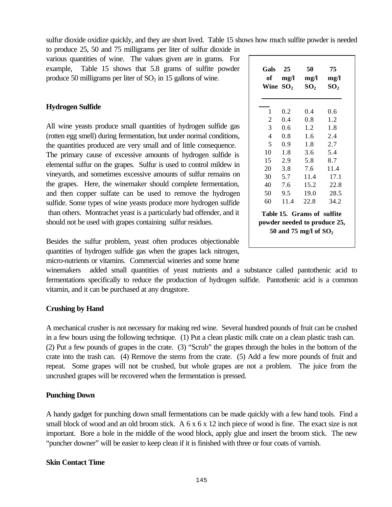sulfur dioxide oxidize quickly, and they are short lived. Table 15 shows how much sulfite powder is needed

to produce 25, 50 and 75 milligrams per liter of sulfur dioxide in various quantities of wine. The values given are in grams. For example, Table 15 shows that 5.8 grams of sulfite powder produce 50 milligrams per liter of  $SO<sub>2</sub>$  in 15 gallons of wine.

# **Hydrogen Sulfide**

All wine yeasts produce small quantities of hydrogen sulfide gas (rotten egg smell) during fermentation, but under normal conditions, the quantities produced are very small and of little consequence. The primary cause of excessive amounts of hydrogen sulfide is elemental sulfur on the grapes. Sulfur is used to control mildew in vineyards, and sometimes excessive amounts of sulfur remains on the grapes. Here, the winemaker should complete fermentation, and then copper sulfate can be used to remove the hydrogen sulfide. Some types of wine yeasts produce more hydrogen sulfide than others. Montrachet yeast is a particularly bad offender, and it should not be used with grapes containing sulfur residues.

Besides the sulfur problem, yeast often produces objectionable quantities of hydrogen sulfide gas when the grapes lack nitrogen, micro-nutrients or vitamins. Commercial wineries and some home

winemakers added small quantities of yeast nutrients and a substance called pantothenic acid to fermentations specifically to reduce the production of hydrogen sulfide. Pantothenic acid is a common vitamin, and it can be purchased at any drugstore.

#### **Crushing by Hand**

A mechanical crusher is not necessary for making red wine. Several hundred pounds of fruit can be crushed in a few hours using the following technique. (1) Put a clean plastic milk crate on a clean plastic trash can. (2) Put a few pounds of grapes in the crate. (3) "Scrub" the grapes through the holes in the bottom of the crate into the trash can. (4) Remove the stems from the crate. (5) Add a few more pounds of fruit and repeat. Some grapes will not be crushed, but whole grapes are not a problem. The juice from the uncrushed grapes will be recovered when the fermentation is pressed.

#### **Punching Down**

A handy gadget for punching down small fermentations can be made quickly with a few hand tools. Find a small block of wood and an old broom stick. A 6 x 6 x 12 inch piece of wood is fine. The exact size is not important. Bore a hole in the middle of the wood block, apply glue and insert the broom stick. The new "puncher downer" will be easier to keep clean if it is finished with three or four coats of varnish.

#### **Skin Contact Time**

| <b>Gals</b><br>of<br>Wine $SO2$                                                       | 25<br>mg/l | 50<br>mg/l<br>SO <sub>2</sub> | 75<br>mg/l<br>$\mathbf{SO}_{2}$ |  |  |
|---------------------------------------------------------------------------------------|------------|-------------------------------|---------------------------------|--|--|
| 1                                                                                     | 0.2        | 0.4                           | 0.6                             |  |  |
| 2                                                                                     | 0.4        | 0.8                           | 1.2                             |  |  |
| 3                                                                                     | 0.6        | 1.2                           | 1.8                             |  |  |
| 4                                                                                     | 0.8        | 1.6                           | 2.4                             |  |  |
| 5                                                                                     | 0.9        | 1.8                           | 2.7                             |  |  |
| 10                                                                                    | 1.8        | 3.6                           | 5.4                             |  |  |
| 15                                                                                    | 2.9        | 5.8                           | 8.7                             |  |  |
| 20                                                                                    | 3.8        | 7.6                           | 11.4                            |  |  |
| 30                                                                                    | 5.7        | 11.4                          | 17.1                            |  |  |
| 40                                                                                    | 7.6        | 15.2                          | 22.8                            |  |  |
| 50                                                                                    | 9.5        | 19.0                          | 28.5                            |  |  |
| 60                                                                                    | 11.4       | 22.8                          | 34.2                            |  |  |
| Table 15. Grams of sulfite<br>powder needed to produce 25,<br>50 and 75 mg/l of $SO2$ |            |                               |                                 |  |  |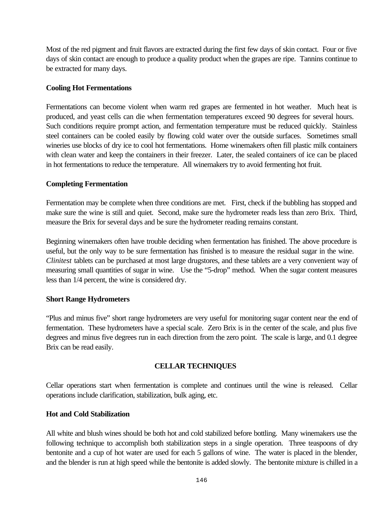Most of the red pigment and fruit flavors are extracted during the first few days of skin contact. Four or five days of skin contact are enough to produce a quality product when the grapes are ripe. Tannins continue to be extracted for many days.

# **Cooling Hot Fermentations**

Fermentations can become violent when warm red grapes are fermented in hot weather. Much heat is produced, and yeast cells can die when fermentation temperatures exceed 90 degrees for several hours. Such conditions require prompt action, and fermentation temperature must be reduced quickly. Stainless steel containers can be cooled easily by flowing cold water over the outside surfaces. Sometimes small wineries use blocks of dry ice to cool hot fermentations. Home winemakers often fill plastic milk containers with clean water and keep the containers in their freezer. Later, the sealed containers of ice can be placed in hot fermentations to reduce the temperature. All winemakers try to avoid fermenting hot fruit.

# **Completing Fermentation**

Fermentation may be complete when three conditions are met. First, check if the bubbling has stopped and make sure the wine is still and quiet. Second, make sure the hydrometer reads less than zero Brix. Third, measure the Brix for several days and be sure the hydrometer reading remains constant.

Beginning winemakers often have trouble deciding when fermentation has finished. The above procedure is useful, but the only way to be sure fermentation has finished is to measure the residual sugar in the wine. *Clinitest* tablets can be purchased at most large drugstores, and these tablets are a very convenient way of measuring small quantities of sugar in wine. Use the "5-drop" method. When the sugar content measures less than 1/4 percent, the wine is considered dry.

#### **Short Range Hydrometers**

"Plus and minus five" short range hydrometers are very useful for monitoring sugar content near the end of fermentation. These hydrometers have a special scale. Zero Brix is in the center of the scale, and plus five degrees and minus five degrees run in each direction from the zero point. The scale is large, and 0.1 degree Brix can be read easily.

# **CELLAR TECHNIQUES**

Cellar operations start when fermentation is complete and continues until the wine is released. Cellar operations include clarification, stabilization, bulk aging, etc.

#### **Hot and Cold Stabilization**

All white and blush wines should be both hot and cold stabilized before bottling. Many winemakers use the following technique to accomplish both stabilization steps in a single operation. Three teaspoons of dry bentonite and a cup of hot water are used for each 5 gallons of wine. The water is placed in the blender, and the blender is run at high speed while the bentonite is added slowly. The bentonite mixture is chilled in a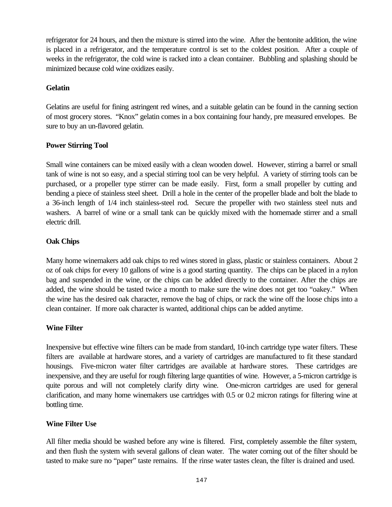refrigerator for 24 hours, and then the mixture is stirred into the wine. After the bentonite addition, the wine is placed in a refrigerator, and the temperature control is set to the coldest position. After a couple of weeks in the refrigerator, the cold wine is racked into a clean container. Bubbling and splashing should be minimized because cold wine oxidizes easily.

# **Gelatin**

Gelatins are useful for fining astringent red wines, and a suitable gelatin can be found in the canning section of most grocery stores. "Knox" gelatin comes in a box containing four handy, pre measured envelopes. Be sure to buy an un-flavored gelatin.

# **Power Stirring Tool**

Small wine containers can be mixed easily with a clean wooden dowel. However, stirring a barrel or small tank of wine is not so easy, and a special stirring tool can be very helpful. A variety of stirring tools can be purchased, or a propeller type stirrer can be made easily. First, form a small propeller by cutting and bending a piece of stainless steel sheet. Drill a hole in the center of the propeller blade and bolt the blade to a 36-inch length of 1/4 inch stainless-steel rod. Secure the propeller with two stainless steel nuts and washers. A barrel of wine or a small tank can be quickly mixed with the homemade stirrer and a small electric drill.

# **Oak Chips**

Many home winemakers add oak chips to red wines stored in glass, plastic or stainless containers. About 2 oz of oak chips for every 10 gallons of wine is a good starting quantity. The chips can be placed in a nylon bag and suspended in the wine, or the chips can be added directly to the container. After the chips are added, the wine should be tasted twice a month to make sure the wine does not get too "oakey." When the wine has the desired oak character, remove the bag of chips, or rack the wine off the loose chips into a clean container. If more oak character is wanted, additional chips can be added anytime.

#### **Wine Filter**

Inexpensive but effective wine filters can be made from standard, 10-inch cartridge type water filters. These filters are available at hardware stores, and a variety of cartridges are manufactured to fit these standard housings. Five-micron water filter cartridges are available at hardware stores. These cartridges are inexpensive, and they are useful for rough filtering large quantities of wine. However, a 5-micron cartridge is quite porous and will not completely clarify dirty wine. One-micron cartridges are used for general clarification, and many home winemakers use cartridges with 0.5 or 0.2 micron ratings for filtering wine at bottling time.

#### **Wine Filter Use**

All filter media should be washed before any wine is filtered. First, completely assemble the filter system, and then flush the system with several gallons of clean water. The water coming out of the filter should be tasted to make sure no "paper" taste remains. If the rinse water tastes clean, the filter is drained and used.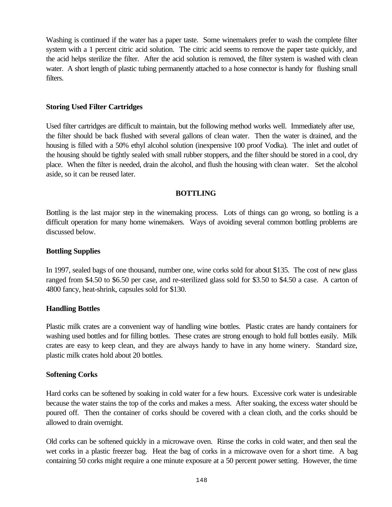Washing is continued if the water has a paper taste. Some winemakers prefer to wash the complete filter system with a 1 percent citric acid solution. The citric acid seems to remove the paper taste quickly, and the acid helps sterilize the filter. After the acid solution is removed, the filter system is washed with clean water. A short length of plastic tubing permanently attached to a hose connector is handy for flushing small filters.

#### **Storing Used Filter Cartridges**

Used filter cartridges are difficult to maintain, but the following method works well. Immediately after use, the filter should be back flushed with several gallons of clean water. Then the water is drained, and the housing is filled with a 50% ethyl alcohol solution (inexpensive 100 proof Vodka). The inlet and outlet of the housing should be tightly sealed with small rubber stoppers, and the filter should be stored in a cool, dry place. When the filter is needed, drain the alcohol, and flush the housing with clean water. Set the alcohol aside, so it can be reused later.

# **BOTTLING**

Bottling is the last major step in the winemaking process. Lots of things can go wrong, so bottling is a difficult operation for many home winemakers. Ways of avoiding several common bottling problems are discussed below.

# **Bottling Supplies**

In 1997, sealed bags of one thousand, number one, wine corks sold for about \$135. The cost of new glass ranged from \$4.50 to \$6.50 per case, and re-sterilized glass sold for \$3.50 to \$4.50 a case. A carton of 4800 fancy, heat-shrink, capsules sold for \$130.

#### **Handling Bottles**

Plastic milk crates are a convenient way of handling wine bottles. Plastic crates are handy containers for washing used bottles and for filling bottles. These crates are strong enough to hold full bottles easily. Milk crates are easy to keep clean, and they are always handy to have in any home winery. Standard size, plastic milk crates hold about 20 bottles.

#### **Softening Corks**

Hard corks can be softened by soaking in cold water for a few hours. Excessive cork water is undesirable because the water stains the top of the corks and makes a mess. After soaking, the excess water should be poured off. Then the container of corks should be covered with a clean cloth, and the corks should be allowed to drain overnight.

Old corks can be softened quickly in a microwave oven. Rinse the corks in cold water, and then seal the wet corks in a plastic freezer bag. Heat the bag of corks in a microwave oven for a short time. A bag containing 50 corks might require a one minute exposure at a 50 percent power setting. However, the time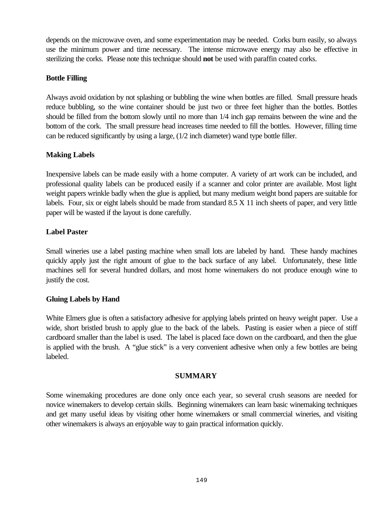depends on the microwave oven, and some experimentation may be needed. Corks burn easily, so always use the minimum power and time necessary. The intense microwave energy may also be effective in sterilizing the corks. Please note this technique should **not** be used with paraffin coated corks.

# **Bottle Filling**

Always avoid oxidation by not splashing or bubbling the wine when bottles are filled. Small pressure heads reduce bubbling, so the wine container should be just two or three feet higher than the bottles. Bottles should be filled from the bottom slowly until no more than 1/4 inch gap remains between the wine and the bottom of the cork. The small pressure head increases time needed to fill the bottles. However, filling time can be reduced significantly by using a large, (1/2 inch diameter) wand type bottle filler.

# **Making Labels**

Inexpensive labels can be made easily with a home computer. A variety of art work can be included, and professional quality labels can be produced easily if a scanner and color printer are available. Most light weight papers wrinkle badly when the glue is applied, but many medium weight bond papers are suitable for labels. Four, six or eight labels should be made from standard 8.5 X 11 inch sheets of paper, and very little paper will be wasted if the layout is done carefully.

# **Label Paster**

Small wineries use a label pasting machine when small lots are labeled by hand. These handy machines quickly apply just the right amount of glue to the back surface of any label. Unfortunately, these little machines sell for several hundred dollars, and most home winemakers do not produce enough wine to justify the cost.

#### **Gluing Labels by Hand**

White Elmers glue is often a satisfactory adhesive for applying labels printed on heavy weight paper. Use a wide, short bristled brush to apply glue to the back of the labels. Pasting is easier when a piece of stiff cardboard smaller than the label is used. The label is placed face down on the cardboard, and then the glue is applied with the brush. A "glue stick" is a very convenient adhesive when only a few bottles are being labeled.

#### **SUMMARY**

Some winemaking procedures are done only once each year, so several crush seasons are needed for novice winemakers to develop certain skills. Beginning winemakers can learn basic winemaking techniques and get many useful ideas by visiting other home winemakers or small commercial wineries, and visiting other winemakers is always an enjoyable way to gain practical information quickly.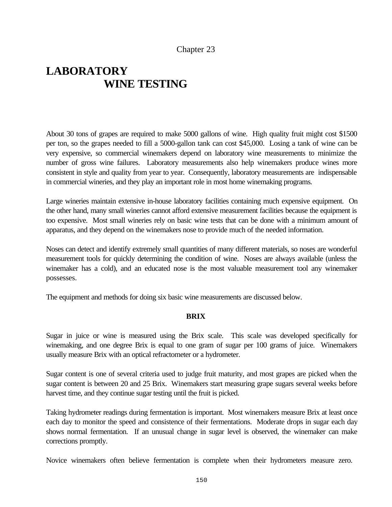# Chapter 23

# **LABORATORY WINE TESTING**

About 30 tons of grapes are required to make 5000 gallons of wine. High quality fruit might cost \$1500 per ton, so the grapes needed to fill a 5000-gallon tank can cost \$45,000. Losing a tank of wine can be very expensive, so commercial winemakers depend on laboratory wine measurements to minimize the number of gross wine failures. Laboratory measurements also help winemakers produce wines more consistent in style and quality from year to year. Consequently, laboratory measurements are indispensable in commercial wineries, and they play an important role in most home winemaking programs.

Large wineries maintain extensive in-house laboratory facilities containing much expensive equipment. On the other hand, many small wineries cannot afford extensive measurement facilities because the equipment is too expensive. Most small wineries rely on basic wine tests that can be done with a minimum amount of apparatus, and they depend on the winemakers nose to provide much of the needed information.

Noses can detect and identify extremely small quantities of many different materials, so noses are wonderful measurement tools for quickly determining the condition of wine. Noses are always available (unless the winemaker has a cold), and an educated nose is the most valuable measurement tool any winemaker possesses.

The equipment and methods for doing six basic wine measurements are discussed below.

#### **BRIX**

Sugar in juice or wine is measured using the Brix scale. This scale was developed specifically for winemaking, and one degree Brix is equal to one gram of sugar per 100 grams of juice. Winemakers usually measure Brix with an optical refractometer or a hydrometer.

Sugar content is one of several criteria used to judge fruit maturity, and most grapes are picked when the sugar content is between 20 and 25 Brix. Winemakers start measuring grape sugars several weeks before harvest time, and they continue sugar testing until the fruit is picked.

Taking hydrometer readings during fermentation is important. Most winemakers measure Brix at least once each day to monitor the speed and consistence of their fermentations. Moderate drops in sugar each day shows normal fermentation. If an unusual change in sugar level is observed, the winemaker can make corrections promptly.

Novice winemakers often believe fermentation is complete when their hydrometers measure zero.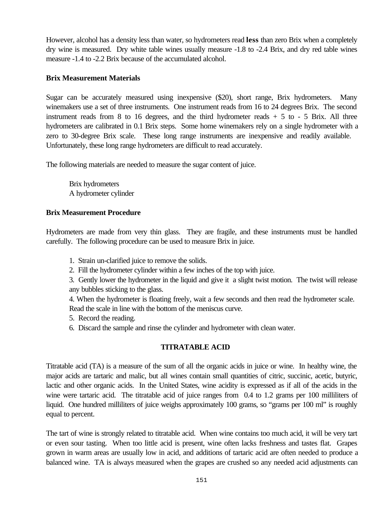However, alcohol has a density less than water, so hydrometers read **less** than zero Brix when a completely dry wine is measured. Dry white table wines usually measure -1.8 to -2.4 Brix, and dry red table wines measure -1.4 to -2.2 Brix because of the accumulated alcohol.

# **Brix Measurement Materials**

Sugar can be accurately measured using inexpensive (\$20), short range, Brix hydrometers. Many winemakers use a set of three instruments. One instrument reads from 16 to 24 degrees Brix. The second instrument reads from 8 to 16 degrees, and the third hydrometer reads  $+ 5$  to  $- 5$  Brix. All three hydrometers are calibrated in 0.1 Brix steps. Some home winemakers rely on a single hydrometer with a zero to 30-degree Brix scale. These long range instruments are inexpensive and readily available. Unfortunately, these long range hydrometers are difficult to read accurately.

The following materials are needed to measure the sugar content of juice.

Brix hydrometers A hydrometer cylinder

# **Brix Measurement Procedure**

Hydrometers are made from very thin glass. They are fragile, and these instruments must be handled carefully. The following procedure can be used to measure Brix in juice.

- 1. Strain un-clarified juice to remove the solids.
- 2. Fill the hydrometer cylinder within a few inches of the top with juice.

3. Gently lower the hydrometer in the liquid and give it a slight twist motion. The twist will release any bubbles sticking to the glass.

4. When the hydrometer is floating freely, wait a few seconds and then read the hydrometer scale. Read the scale in line with the bottom of the meniscus curve.

- 5. Record the reading.
- 6. Discard the sample and rinse the cylinder and hydrometer with clean water.

# **TITRATABLE ACID**

Titratable acid (TA) is a measure of the sum of all the organic acids in juice or wine. In healthy wine, the major acids are tartaric and malic, but all wines contain small quantities of citric, succinic, acetic, butyric, lactic and other organic acids. In the United States, wine acidity is expressed as if all of the acids in the wine were tartaric acid. The titratable acid of juice ranges from 0.4 to 1.2 grams per 100 milliliters of liquid. One hundred milliliters of juice weighs approximately 100 grams, so "grams per 100 ml" is roughly equal to percent.

The tart of wine is strongly related to titratable acid. When wine contains too much acid, it will be very tart or even sour tasting. When too little acid is present, wine often lacks freshness and tastes flat. Grapes grown in warm areas are usually low in acid, and additions of tartaric acid are often needed to produce a balanced wine. TA is always measured when the grapes are crushed so any needed acid adjustments can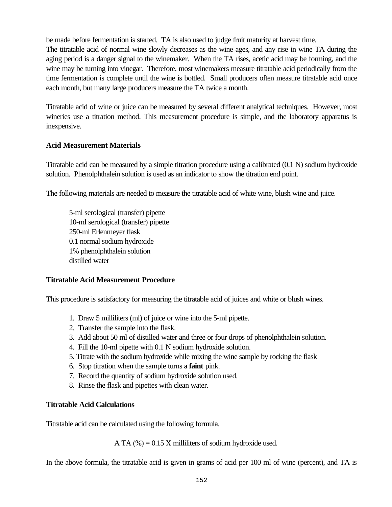be made before fermentation is started. TA is also used to judge fruit maturity at harvest time.

The titratable acid of normal wine slowly decreases as the wine ages, and any rise in wine TA during the aging period is a danger signal to the winemaker. When the TA rises, acetic acid may be forming, and the wine may be turning into vinegar. Therefore, most winemakers measure titratable acid periodically from the time fermentation is complete until the wine is bottled. Small producers often measure titratable acid once each month, but many large producers measure the TA twice a month.

Titratable acid of wine or juice can be measured by several different analytical techniques. However, most wineries use a titration method. This measurement procedure is simple, and the laboratory apparatus is inexpensive.

# **Acid Measurement Materials**

Titratable acid can be measured by a simple titration procedure using a calibrated (0.1 N) sodium hydroxide solution. Phenolphthalein solution is used as an indicator to show the titration end point.

The following materials are needed to measure the titratable acid of white wine, blush wine and juice.

5-ml serological (transfer) pipette 10-ml serological (transfer) pipette 250-ml Erlenmeyer flask 0.1 normal sodium hydroxide 1% phenolphthalein solution distilled water

#### **Titratable Acid Measurement Procedure**

This procedure is satisfactory for measuring the titratable acid of juices and white or blush wines.

- 1. Draw 5 milliliters (ml) of juice or wine into the 5-ml pipette.
- 2. Transfer the sample into the flask.
- 3. Add about 50 ml of distilled water and three or four drops of phenolphthalein solution.
- 4. Fill the 10-ml pipette with 0.1 N sodium hydroxide solution.
- 5. Titrate with the sodium hydroxide while mixing the wine sample by rocking the flask
- 6. Stop titration when the sample turns a **faint** pink.
- 7. Record the quantity of sodium hydroxide solution used.
- 8. Rinse the flask and pipettes with clean water.

#### **Titratable Acid Calculations**

Titratable acid can be calculated using the following formula.

A TA  $(\%) = 0.15$  X milliliters of sodium hydroxide used.

In the above formula, the titratable acid is given in grams of acid per 100 ml of wine (percent), and TA is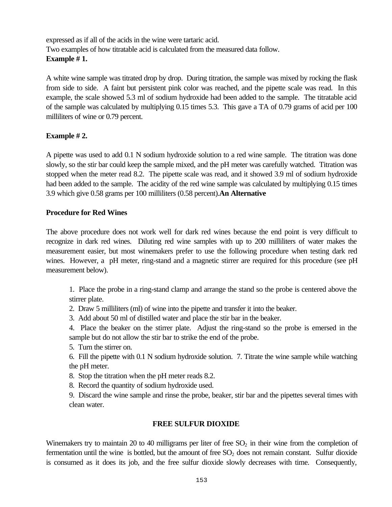expressed as if all of the acids in the wine were tartaric acid. Two examples of how titratable acid is calculated from the measured data follow. **Example # 1.**

A white wine sample was titrated drop by drop. During titration, the sample was mixed by rocking the flask from side to side. A faint but persistent pink color was reached, and the pipette scale was read. In this example, the scale showed 5.3 ml of sodium hydroxide had been added to the sample. The titratable acid of the sample was calculated by multiplying 0.15 times 5.3. This gave a TA of 0.79 grams of acid per 100 milliliters of wine or 0.79 percent.

# **Example # 2.**

A pipette was used to add 0.1 N sodium hydroxide solution to a red wine sample. The titration was done slowly, so the stir bar could keep the sample mixed, and the pH meter was carefully watched. Titration was stopped when the meter read 8.2. The pipette scale was read, and it showed 3.9 ml of sodium hydroxide had been added to the sample. The acidity of the red wine sample was calculated by multiplying 0.15 times 3.9 which give 0.58 grams per 100 milliliters (0.58 percent).**An Alternative**

# **Procedure for Red Wines**

The above procedure does not work well for dark red wines because the end point is very difficult to recognize in dark red wines. Diluting red wine samples with up to 200 milliliters of water makes the measurement easier, but most winemakers prefer to use the following procedure when testing dark red wines. However, a pH meter, ring-stand and a magnetic stirrer are required for this procedure (see pH measurement below).

1. Place the probe in a ring-stand clamp and arrange the stand so the probe is centered above the stirrer plate.

2. Draw 5 milliliters (ml) of wine into the pipette and transfer it into the beaker.

3. Add about 50 ml of distilled water and place the stir bar in the beaker.

4. Place the beaker on the stirrer plate. Adjust the ring-stand so the probe is emersed in the sample but do not allow the stir bar to strike the end of the probe.

5. Turn the stirrer on.

6. Fill the pipette with 0.1 N sodium hydroxide solution. 7. Titrate the wine sample while watching the pH meter.

8. Stop the titration when the pH meter reads 8.2.

8. Record the quantity of sodium hydroxide used.

9. Discard the wine sample and rinse the probe, beaker, stir bar and the pipettes several times with clean water.

#### **FREE SULFUR DIOXIDE**

Winemakers try to maintain 20 to 40 milligrams per liter of free  $SO<sub>2</sub>$  in their wine from the completion of fermentation until the wine is bottled, but the amount of free  $SO<sub>2</sub>$  does not remain constant. Sulfur dioxide is consumed as it does its job, and the free sulfur dioxide slowly decreases with time. Consequently,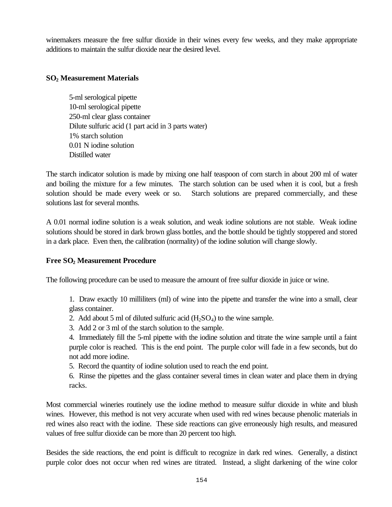winemakers measure the free sulfur dioxide in their wines every few weeks, and they make appropriate additions to maintain the sulfur dioxide near the desired level.

# **SO2 Measurement Materials**

5-ml serological pipette 10-ml serological pipette 250-ml clear glass container Dilute sulfuric acid (1 part acid in 3 parts water) 1% starch solution 0.01 N iodine solution Distilled water

The starch indicator solution is made by mixing one half teaspoon of corn starch in about 200 ml of water and boiling the mixture for a few minutes. The starch solution can be used when it is cool, but a fresh solution should be made every week or so. Starch solutions are prepared commercially, and these solutions last for several months.

A 0.01 normal iodine solution is a weak solution, and weak iodine solutions are not stable. Weak iodine solutions should be stored in dark brown glass bottles, and the bottle should be tightly stoppered and stored in a dark place. Even then, the calibration (normality) of the iodine solution will change slowly.

# **Free SO2 Measurement Procedure**

The following procedure can be used to measure the amount of free sulfur dioxide in juice or wine.

1. Draw exactly 10 milliliters (ml) of wine into the pipette and transfer the wine into a small, clear glass container.

- 2. Add about 5 ml of diluted sulfuric acid  $(H<sub>2</sub>SO<sub>4</sub>)$  to the wine sample.
- 3. Add 2 or 3 ml of the starch solution to the sample.

4. Immediately fill the 5-ml pipette with the iodine solution and titrate the wine sample until a faint purple color is reached. This is the end point. The purple color will fade in a few seconds, but do not add more iodine.

- 5. Record the quantity of iodine solution used to reach the end point.
- 6. Rinse the pipettes and the glass container several times in clean water and place them in drying racks.

Most commercial wineries routinely use the iodine method to measure sulfur dioxide in white and blush wines. However, this method is not very accurate when used with red wines because phenolic materials in red wines also react with the iodine. These side reactions can give erroneously high results, and measured values of free sulfur dioxide can be more than 20 percent too high.

Besides the side reactions, the end point is difficult to recognize in dark red wines. Generally, a distinct purple color does not occur when red wines are titrated. Instead, a slight darkening of the wine color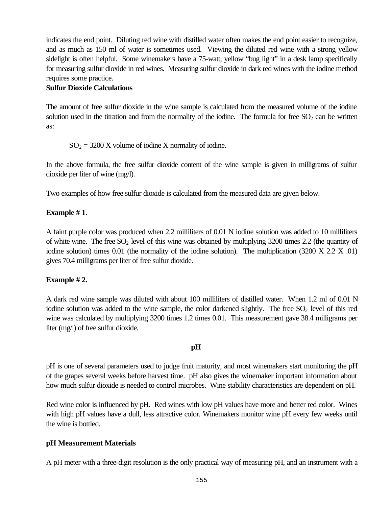indicates the end point. Diluting red wine with distilled water often makes the end point easier to recognize, and as much as 150 ml of water is sometimes used. Viewing the diluted red wine with a strong yellow sidelight is often helpful. Some winemakers have a 75-watt, yellow "bug light" in a desk lamp specifically for measuring sulfur dioxide in red wines. Measuring sulfur dioxide in dark red wines with the iodine method requires some practice.

# **Sulfur Dioxide Calculations**

The amount of free sulfur dioxide in the wine sample is calculated from the measured volume of the iodine solution used in the titration and from the normality of the iodine. The formula for free  $SO_2$  can be written as:

 $SO_2 = 3200$  X volume of iodine X normality of iodine.

In the above formula, the free sulfur dioxide content of the wine sample is given in milligrams of sulfur dioxide per liter of wine (mg/l).

Two examples of how free sulfur dioxide is calculated from the measured data are given below.

# **Example # 1**.

A faint purple color was produced when 2.2 milliliters of 0.01 N iodine solution was added to 10 milliliters of white wine. The free  $SO_2$  level of this wine was obtained by multiplying 3200 times 2.2 (the quantity of iodine solution) times 0.01 (the normality of the iodine solution). The multiplication (3200 X 2.2 X .01) gives 70.4 milligrams per liter of free sulfur dioxide.

#### **Example # 2.**

A dark red wine sample was diluted with about 100 milliliters of distilled water. When 1.2 ml of 0.01 N iodine solution was added to the wine sample, the color darkened slightly. The free  $SO<sub>2</sub>$  level of this red wine was calculated by multiplying 3200 times 1.2 times 0.01. This measurement gave 38.4 milligrams per liter (mg/l) of free sulfur dioxide.

#### **pH**

pH is one of several parameters used to judge fruit maturity, and most winemakers start monitoring the pH of the grapes several weeks before harvest time. pH also gives the winemaker important information about how much sulfur dioxide is needed to control microbes. Wine stability characteristics are dependent on pH.

Red wine color is influenced by pH. Red wines with low pH values have more and better red color. Wines with high pH values have a dull, less attractive color. Winemakers monitor wine pH every few weeks until the wine is bottled.

#### **pH Measurement Materials**

A pH meter with a three-digit resolution is the only practical way of measuring pH, and an instrument with a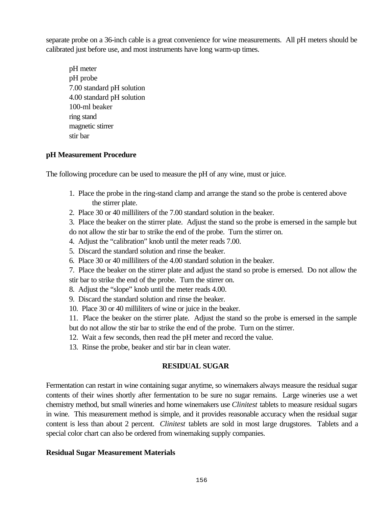separate probe on a 36-inch cable is a great convenience for wine measurements. All pH meters should be calibrated just before use, and most instruments have long warm-up times.

pH meter pH probe 7.00 standard pH solution 4.00 standard pH solution 100-ml beaker ring stand magnetic stirrer stir bar

#### **pH Measurement Procedure**

The following procedure can be used to measure the pH of any wine, must or juice.

- 1. Place the probe in the ring-stand clamp and arrange the stand so the probe is centered above the stirrer plate.
- 2. Place 30 or 40 milliliters of the 7.00 standard solution in the beaker.
- 3. Place the beaker on the stirrer plate. Adjust the stand so the probe is emersed in the sample but
- do not allow the stir bar to strike the end of the probe. Turn the stirrer on.
- 4. Adjust the "calibration" knob until the meter reads 7.00.
- 5. Discard the standard solution and rinse the beaker.
- 6. Place 30 or 40 milliliters of the 4.00 standard solution in the beaker.
- 7. Place the beaker on the stirrer plate and adjust the stand so probe is emersed. Do not allow the stir bar to strike the end of the probe. Turn the stirrer on.
- 8. Adjust the "slope" knob until the meter reads 4.00.
- 9. Discard the standard solution and rinse the beaker.
- 10. Place 30 or 40 milliliters of wine or juice in the beaker.
- 11. Place the beaker on the stirrer plate. Adjust the stand so the probe is emersed in the sample but do not allow the stir bar to strike the end of the probe. Turn on the stirrer.
- 12. Wait a few seconds, then read the pH meter and record the value.
- 13. Rinse the probe, beaker and stir bar in clean water.

#### **RESIDUAL SUGAR**

Fermentation can restart in wine containing sugar anytime, so winemakers always measure the residual sugar contents of their wines shortly after fermentation to be sure no sugar remains. Large wineries use a wet chemistry method, but small wineries and home winemakers use *Clinitest* tablets to measure residual sugars in wine. This measurement method is simple, and it provides reasonable accuracy when the residual sugar content is less than about 2 percent. *Clinitest* tablets are sold in most large drugstores. Tablets and a special color chart can also be ordered from winemaking supply companies.

#### **Residual Sugar Measurement Materials**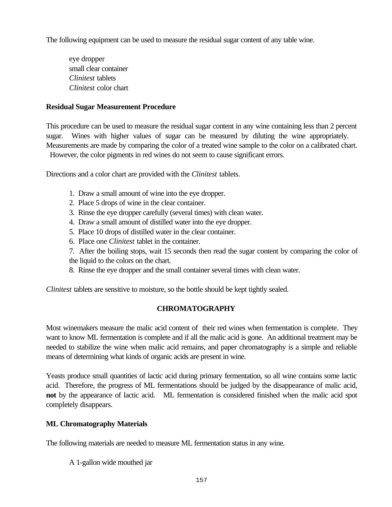The following equipment can be used to measure the residual sugar content of any table wine.

eye dropper small clear container *Clinitest* tablets *Clinitest* color chart

### **Residual Sugar Measurement Procedure**

This procedure can be used to measure the residual sugar content in any wine containing less than 2 percent sugar. Wines with higher values of sugar can be measured by diluting the wine appropriately. Measurements are made by comparing the color of a treated wine sample to the color on a calibrated chart. However, the color pigments in red wines do not seem to cause significant errors.

Directions and a color chart are provided with the *Clinitest* tablets.

- 1. Draw a small amount of wine into the eye dropper.
- 2. Place 5 drops of wine in the clear container.
- 3. Rinse the eye dropper carefully (several times) with clean water.
- 4. Draw a small amount of distilled water into the eye dropper.
- 5. Place 10 drops of distilled water in the clear container.
- 6. Place one *Clinitest* tablet in the container.

7. After the boiling stops, wait 15 seconds then read the sugar content by comparing the color of the liquid to the colors on the chart.

8. Rinse the eye dropper and the small container several times with clean water.

*Clinitest* tablets are sensitive to moisture, so the bottle should be kept tightly sealed.

# **CHROMATOGRAPHY**

Most winemakers measure the malic acid content of their red wines when fermentation is complete. They want to know ML fermentation is complete and if all the malic acid is gone. An additional treatment may be needed to stabilize the wine when malic acid remains, and paper chromatography is a simple and reliable means of determining what kinds of organic acids are present in wine.

Yeasts produce small quantities of lactic acid during primary fermentation, so all wine contains some lactic acid. Therefore, the progress of ML fermentations should be judged by the disappearance of malic acid, **not** by the appearance of lactic acid. ML fermentation is considered finished when the malic acid spot completely disappears.

#### **ML Chromatography Materials**

The following materials are needed to measure ML fermentation status in any wine.

A 1-gallon wide mouthed jar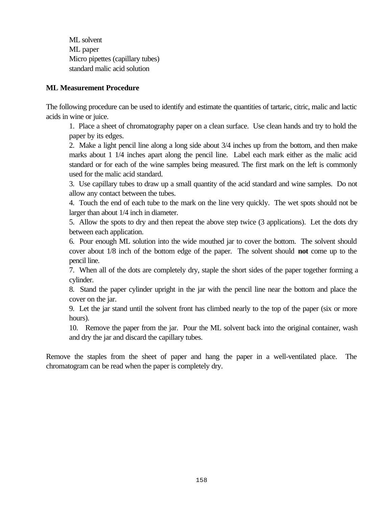ML solvent ML paper Micro pipettes (capillary tubes) standard malic acid solution

### **ML Measurement Procedure**

The following procedure can be used to identify and estimate the quantities of tartaric, citric, malic and lactic acids in wine or juice.

1. Place a sheet of chromatography paper on a clean surface. Use clean hands and try to hold the paper by its edges.

2. Make a light pencil line along a long side about 3/4 inches up from the bottom, and then make marks about 1 1/4 inches apart along the pencil line. Label each mark either as the malic acid standard or for each of the wine samples being measured. The first mark on the left is commonly used for the malic acid standard.

3. Use capillary tubes to draw up a small quantity of the acid standard and wine samples. Do not allow any contact between the tubes.

4. Touch the end of each tube to the mark on the line very quickly. The wet spots should not be larger than about 1/4 inch in diameter.

5. Allow the spots to dry and then repeat the above step twice (3 applications). Let the dots dry between each application.

6. Pour enough ML solution into the wide mouthed jar to cover the bottom. The solvent should cover about 1/8 inch of the bottom edge of the paper. The solvent should **not** come up to the pencil line.

7. When all of the dots are completely dry, staple the short sides of the paper together forming a cylinder.

8. Stand the paper cylinder upright in the jar with the pencil line near the bottom and place the cover on the jar.

9. Let the jar stand until the solvent front has climbed nearly to the top of the paper (six or more hours).

10. Remove the paper from the jar. Pour the ML solvent back into the original container, wash and dry the jar and discard the capillary tubes.

Remove the staples from the sheet of paper and hang the paper in a well-ventilated place. The chromatogram can be read when the paper is completely dry.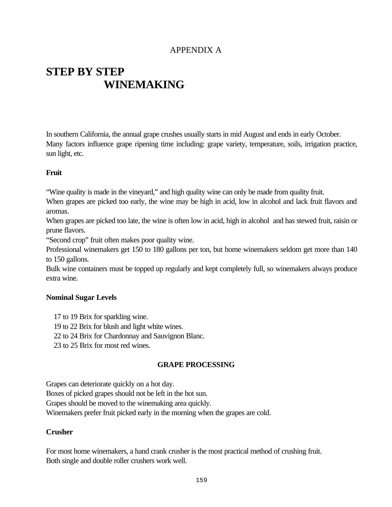# APPENDIX A

# **STEP BY STEP WINEMAKING**

In southern California, the annual grape crushes usually starts in mid August and ends in early October. Many factors influence grape ripening time including: grape variety, temperature, soils, irrigation practice, sun light, etc.

# **Fruit**

"Wine quality is made in the vineyard," and high quality wine can only be made from quality fruit.

When grapes are picked too early, the wine may be high in acid, low in alcohol and lack fruit flavors and aromas.

When grapes are picked too late, the wine is often low in acid, high in alcohol and has stewed fruit, raisin or prune flavors.

"Second crop" fruit often makes poor quality wine.

Professional winemakers get 150 to 180 gallons per ton, but home winemakers seldom get more than 140 to 150 gallons.

Bulk wine containers must be topped up regularly and kept completely full, so winemakers always produce extra wine.

#### **Nominal Sugar Levels**

- 17 to 19 Brix for sparkling wine.
- 19 to 22 Brix for blush and light white wines.
- 22 to 24 Brix for Chardonnay and Sauvignon Blanc.
- 23 to 25 Brix for most red wines.

# **GRAPE PROCESSING**

Grapes can deteriorate quickly on a hot day.

Boxes of picked grapes should not be left in the hot sun.

Grapes should be moved to the winemaking area quickly.

Winemakers prefer fruit picked early in the morning when the grapes are cold.

# **Crusher**

For most home winemakers, a hand crank crusher is the most practical method of crushing fruit. Both single and double roller crushers work well.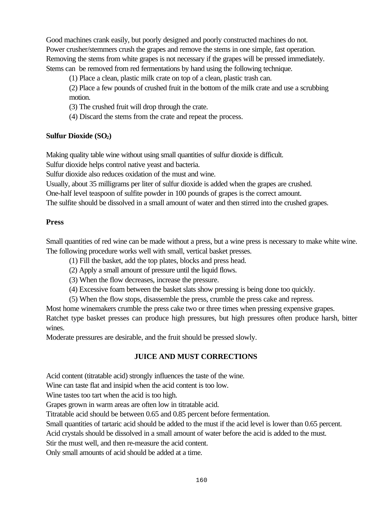Good machines crank easily, but poorly designed and poorly constructed machines do not. Power crusher/stemmers crush the grapes and remove the stems in one simple, fast operation. Removing the stems from white grapes is not necessary if the grapes will be pressed immediately. Stems can be removed from red fermentations by hand using the following technique.

(1) Place a clean, plastic milk crate on top of a clean, plastic trash can.

(2) Place a few pounds of crushed fruit in the bottom of the milk crate and use a scrubbing motion.

(3) The crushed fruit will drop through the crate.

(4) Discard the stems from the crate and repeat the process.

# **Sulfur Dioxide (SO2)**

Making quality table wine without using small quantities of sulfur dioxide is difficult.

Sulfur dioxide helps control native yeast and bacteria.

Sulfur dioxide also reduces oxidation of the must and wine.

Usually, about 35 milligrams per liter of sulfur dioxide is added when the grapes are crushed.

One-half level teaspoon of sulfite powder in 100 pounds of grapes is the correct amount.

The sulfite should be dissolved in a small amount of water and then stirred into the crushed grapes.

#### **Press**

Small quantities of red wine can be made without a press, but a wine press is necessary to make white wine. The following procedure works well with small, vertical basket presses.

(1) Fill the basket, add the top plates, blocks and press head.

(2) Apply a small amount of pressure until the liquid flows.

(3) When the flow decreases, increase the pressure.

(4) Excessive foam between the basket slats show pressing is being done too quickly.

(5) When the flow stops, disassemble the press, crumble the press cake and repress.

Most home winemakers crumble the press cake two or three times when pressing expensive grapes.

Ratchet type basket presses can produce high pressures, but high pressures often produce harsh, bitter wines.

Moderate pressures are desirable, and the fruit should be pressed slowly.

# **JUICE AND MUST CORRECTIONS**

Acid content (titratable acid) strongly influences the taste of the wine.

Wine can taste flat and insipid when the acid content is too low.

Wine tastes too tart when the acid is too high.

Grapes grown in warm areas are often low in titratable acid.

Titratable acid should be between 0.65 and 0.85 percent before fermentation.

Small quantities of tartaric acid should be added to the must if the acid level is lower than 0.65 percent.

Acid crystals should be dissolved in a small amount of water before the acid is added to the must.

Stir the must well, and then re-measure the acid content.

Only small amounts of acid should be added at a time.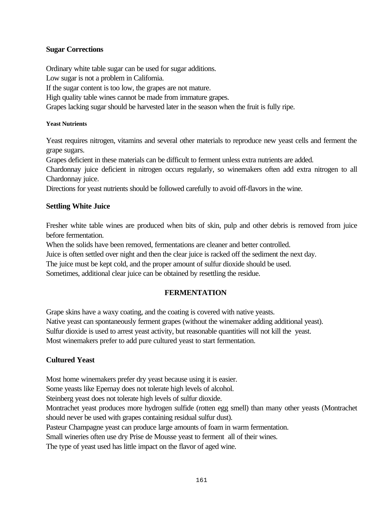# **Sugar Corrections**

Ordinary white table sugar can be used for sugar additions.

Low sugar is not a problem in California.

If the sugar content is too low, the grapes are not mature.

High quality table wines cannot be made from immature grapes.

Grapes lacking sugar should be harvested later in the season when the fruit is fully ripe.

#### **Yeast Nutrients**

Yeast requires nitrogen, vitamins and several other materials to reproduce new yeast cells and ferment the grape sugars.

Grapes deficient in these materials can be difficult to ferment unless extra nutrients are added.

Chardonnay juice deficient in nitrogen occurs regularly, so winemakers often add extra nitrogen to all Chardonnay juice.

Directions for yeast nutrients should be followed carefully to avoid off-flavors in the wine.

# **Settling White Juice**

Fresher white table wines are produced when bits of skin, pulp and other debris is removed from juice before fermentation.

When the solids have been removed, fermentations are cleaner and better controlled.

Juice is often settled over night and then the clear juice is racked off the sediment the next day.

The juice must be kept cold, and the proper amount of sulfur dioxide should be used.

Sometimes, additional clear juice can be obtained by resettling the residue.

# **FERMENTATION**

Grape skins have a waxy coating, and the coating is covered with native yeasts. Native yeast can spontaneously ferment grapes (without the winemaker adding additional yeast). Sulfur dioxide is used to arrest yeast activity, but reasonable quantities will not kill the yeast. Most winemakers prefer to add pure cultured yeast to start fermentation.

#### **Cultured Yeast**

Most home winemakers prefer dry yeast because using it is easier. Some yeasts like Epernay does not tolerate high levels of alcohol. Steinberg yeast does not tolerate high levels of sulfur dioxide. Montrachet yeast produces more hydrogen sulfide (rotten egg smell) than many other yeasts (Montrachet should never be used with grapes containing residual sulfur dust). Pasteur Champagne yeast can produce large amounts of foam in warm fermentation. Small wineries often use dry Prise de Mousse yeast to ferment all of their wines. The type of yeast used has little impact on the flavor of aged wine.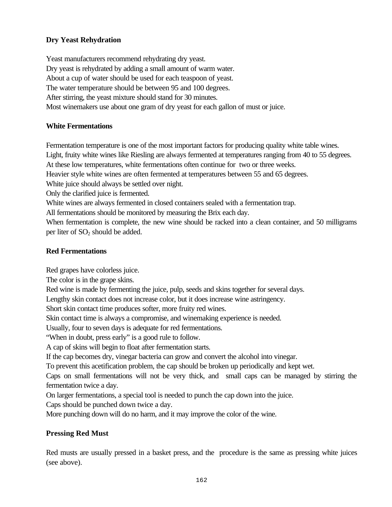# **Dry Yeast Rehydration**

Yeast manufacturers recommend rehydrating dry yeast. Dry yeast is rehydrated by adding a small amount of warm water. About a cup of water should be used for each teaspoon of yeast. The water temperature should be between 95 and 100 degrees. After stirring, the yeast mixture should stand for 30 minutes. Most winemakers use about one gram of dry yeast for each gallon of must or juice.

# **White Fermentations**

Fermentation temperature is one of the most important factors for producing quality white table wines.

Light, fruity white wines like Riesling are always fermented at temperatures ranging from 40 to 55 degrees.

At these low temperatures, white fermentations often continue for two or three weeks.

Heavier style white wines are often fermented at temperatures between 55 and 65 degrees.

White juice should always be settled over night.

Only the clarified juice is fermented.

White wines are always fermented in closed containers sealed with a fermentation trap.

All fermentations should be monitored by measuring the Brix each day.

When fermentation is complete, the new wine should be racked into a clean container, and 50 milligrams per liter of  $SO<sub>2</sub>$  should be added.

# **Red Fermentations**

Red grapes have colorless juice.

The color is in the grape skins.

Red wine is made by fermenting the juice, pulp, seeds and skins together for several days.

Lengthy skin contact does not increase color, but it does increase wine astringency.

Short skin contact time produces softer, more fruity red wines.

Skin contact time is always a compromise, and winemaking experience is needed.

Usually, four to seven days is adequate for red fermentations.

"When in doubt, press early" is a good rule to follow.

A cap of skins will begin to float after fermentation starts.

If the cap becomes dry, vinegar bacteria can grow and convert the alcohol into vinegar.

To prevent this acetification problem, the cap should be broken up periodically and kept wet.

Caps on small fermentations will not be very thick, and small caps can be managed by stirring the fermentation twice a day.

On larger fermentations, a special tool is needed to punch the cap down into the juice.

Caps should be punched down twice a day.

More punching down will do no harm, and it may improve the color of the wine.

# **Pressing Red Must**

Red musts are usually pressed in a basket press, and the procedure is the same as pressing white juices (see above).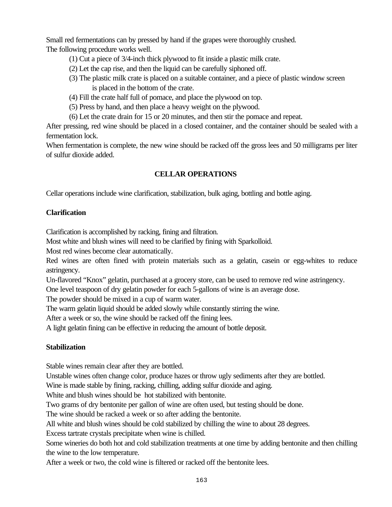Small red fermentations can by pressed by hand if the grapes were thoroughly crushed. The following procedure works well.

- (1) Cut a piece of 3/4-inch thick plywood to fit inside a plastic milk crate.
- (2) Let the cap rise, and then the liquid can be carefully siphoned off.
- (3) The plastic milk crate is placed on a suitable container, and a piece of plastic window screen is placed in the bottom of the crate.
- (4) Fill the crate half full of pomace, and place the plywood on top.
- (5) Press by hand, and then place a heavy weight on the plywood.
- (6) Let the crate drain for 15 or 20 minutes, and then stir the pomace and repeat.

After pressing, red wine should be placed in a closed container, and the container should be sealed with a fermentation lock.

When fermentation is complete, the new wine should be racked off the gross lees and 50 milligrams per liter of sulfur dioxide added.

# **CELLAR OPERATIONS**

Cellar operations include wine clarification, stabilization, bulk aging, bottling and bottle aging.

# **Clarification**

Clarification is accomplished by racking, fining and filtration.

Most white and blush wines will need to be clarified by fining with Sparkolloid.

Most red wines become clear automatically.

Red wines are often fined with protein materials such as a gelatin, casein or egg-whites to reduce astringency.

Un-flavored "Knox" gelatin, purchased at a grocery store, can be used to remove red wine astringency.

One level teaspoon of dry gelatin powder for each 5-gallons of wine is an average dose.

The powder should be mixed in a cup of warm water.

The warm gelatin liquid should be added slowly while constantly stirring the wine.

After a week or so, the wine should be racked off the fining lees.

A light gelatin fining can be effective in reducing the amount of bottle deposit.

# **Stabilization**

Stable wines remain clear after they are bottled.

Unstable wines often change color, produce hazes or throw ugly sediments after they are bottled.

Wine is made stable by fining, racking, chilling, adding sulfur dioxide and aging.

White and blush wines should be hot stabilized with bentonite.

Two grams of dry bentonite per gallon of wine are often used, but testing should be done.

The wine should be racked a week or so after adding the bentonite.

All white and blush wines should be cold stabilized by chilling the wine to about 28 degrees.

Excess tartrate crystals precipitate when wine is chilled.

Some wineries do both hot and cold stabilization treatments at one time by adding bentonite and then chilling the wine to the low temperature.

After a week or two, the cold wine is filtered or racked off the bentonite lees.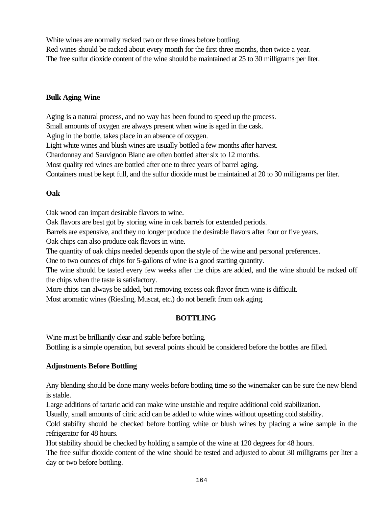White wines are normally racked two or three times before bottling.

Red wines should be racked about every month for the first three months, then twice a year. The free sulfur dioxide content of the wine should be maintained at 25 to 30 milligrams per liter.

# **Bulk Aging Wine**

Aging is a natural process, and no way has been found to speed up the process.

Small amounts of oxygen are always present when wine is aged in the cask.

Aging in the bottle, takes place in an absence of oxygen.

Light white wines and blush wines are usually bottled a few months after harvest.

Chardonnay and Sauvignon Blanc are often bottled after six to 12 months.

Most quality red wines are bottled after one to three years of barrel aging.

Containers must be kept full, and the sulfur dioxide must be maintained at 20 to 30 milligrams per liter.

# **Oak**

Oak wood can impart desirable flavors to wine.

Oak flavors are best got by storing wine in oak barrels for extended periods.

Barrels are expensive, and they no longer produce the desirable flavors after four or five years.

Oak chips can also produce oak flavors in wine.

The quantity of oak chips needed depends upon the style of the wine and personal preferences.

One to two ounces of chips for 5-gallons of wine is a good starting quantity.

The wine should be tasted every few weeks after the chips are added, and the wine should be racked off the chips when the taste is satisfactory.

More chips can always be added, but removing excess oak flavor from wine is difficult.

Most aromatic wines (Riesling, Muscat, etc.) do not benefit from oak aging.

# **BOTTLING**

Wine must be brilliantly clear and stable before bottling.

Bottling is a simple operation, but several points should be considered before the bottles are filled.

# **Adjustments Before Bottling**

Any blending should be done many weeks before bottling time so the winemaker can be sure the new blend is stable.

Large additions of tartaric acid can make wine unstable and require additional cold stabilization.

Usually, small amounts of citric acid can be added to white wines without upsetting cold stability.

Cold stability should be checked before bottling white or blush wines by placing a wine sample in the refrigerator for 48 hours.

Hot stability should be checked by holding a sample of the wine at 120 degrees for 48 hours.

The free sulfur dioxide content of the wine should be tested and adjusted to about 30 milligrams per liter a day or two before bottling.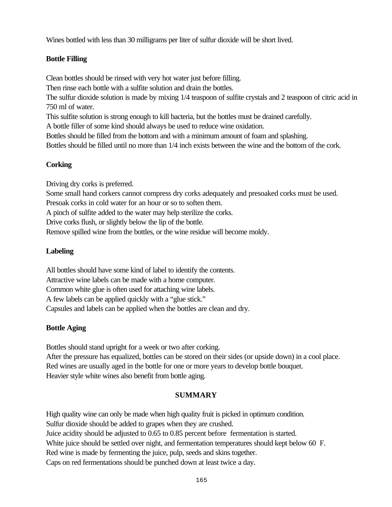Wines bottled with less than 30 milligrams per liter of sulfur dioxide will be short lived.

# **Bottle Filling**

Clean bottles should be rinsed with very hot water just before filling.

Then rinse each bottle with a sulfite solution and drain the bottles.

The sulfur dioxide solution is made by mixing 1/4 teaspoon of sulfite crystals and 2 teaspoon of citric acid in 750 ml of water.

This sulfite solution is strong enough to kill bacteria, but the bottles must be drained carefully.

A bottle filler of some kind should always be used to reduce wine oxidation.

Bottles should be filled from the bottom and with a minimum amount of foam and splashing.

Bottles should be filled until no more than 1/4 inch exists between the wine and the bottom of the cork.

# **Corking**

Driving dry corks is preferred.

Some small hand corkers cannot compress dry corks adequately and presoaked corks must be used.

Presoak corks in cold water for an hour or so to soften them.

A pinch of sulfite added to the water may help sterilize the corks.

Drive corks flush, or slightly below the lip of the bottle.

Remove spilled wine from the bottles, or the wine residue will become moldy.

# **Labeling**

All bottles should have some kind of label to identify the contents. Attractive wine labels can be made with a home computer. Common white glue is often used for attaching wine labels. A few labels can be applied quickly with a "glue stick." Capsules and labels can be applied when the bottles are clean and dry.

# **Bottle Aging**

Bottles should stand upright for a week or two after corking. After the pressure has equalized, bottles can be stored on their sides (or upside down) in a cool place. Red wines are usually aged in the bottle for one or more years to develop bottle bouquet.

Heavier style white wines also benefit from bottle aging.

# **SUMMARY**

High quality wine can only be made when high quality fruit is picked in optimum condition. Sulfur dioxide should be added to grapes when they are crushed. Juice acidity should be adjusted to 0.65 to 0.85 percent before fermentation is started. White juice should be settled over night, and fermentation temperatures should kept below 60 F. Red wine is made by fermenting the juice, pulp, seeds and skins together. Caps on red fermentations should be punched down at least twice a day.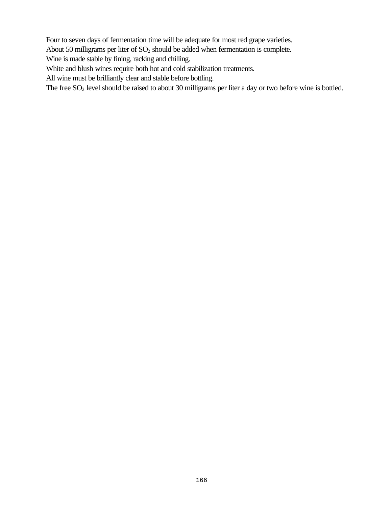Four to seven days of fermentation time will be adequate for most red grape varieties.

About 50 milligrams per liter of  $SO_2$  should be added when fermentation is complete.

Wine is made stable by fining, racking and chilling.

White and blush wines require both hot and cold stabilization treatments.

All wine must be brilliantly clear and stable before bottling.

The free SO<sub>2</sub> level should be raised to about 30 milligrams per liter a day or two before wine is bottled.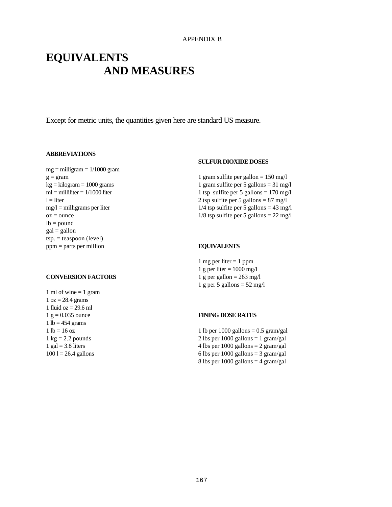# **EQUIVALENTS AND MEASURES**

Except for metric units, the quantities given here are standard US measure.

#### **ABBREVIATIONS**

 $mg =$  milligram =  $1/1000$  gram  $g = gram$  $kg = kilogram = 1000 grams$  $ml = milliliter = 1/1000$  liter  $l =$  liter  $mg/l =$  milligrams per liter  $oz = ounce$  $lb = pound$  $gal = gallon$  $tsp. = teaspoon (level)$ ppm = parts per million

#### **CONVERSION FACTORS**

1 ml of wine  $= 1$  gram  $1 oz = 28.4 grams$ 1 fluid oz  $= 29.6$  ml  $1 g = 0.035$  ounce  $1 lb = 454 grams$  $1 lb = 16 oz$  $1 \text{ kg} = 2.2 \text{ pounds}$ 1 gal  $=$  3.8 liters  $1001 = 26.4$  gallons

#### **SULFUR DIOXIDE DOSES**

1 gram sulfite per gallon  $= 150$  mg/l 1 gram sulfite per 5 gallons = 31 mg/l 1 tsp sulfite per 5 gallons  $= 170$  mg/l 2 tsp sulfite per 5 gallons  $= 87$  mg/l  $1/4$  tsp sulfite per 5 gallons = 43 mg/l  $1/8$  tsp sulfite per 5 gallons = 22 mg/l

#### **EQUIVALENTS**

1 mg per liter  $= 1$  ppm 1 g per liter  $= 1000$  mg/l 1 g per gallon  $= 263$  mg/l 1 g per 5 gallons  $= 52$  mg/l

#### **FINING DOSE RATES**

1 lb per 1000 gallons  $= 0.5$  gram/gal 2 lbs per  $1000$  gallons = 1 gram/gal 4 lbs per 1000 gallons  $= 2$  gram/gal 6 lbs per  $1000$  gallons = 3 gram/gal 8 lbs per  $1000$  gallons = 4 gram/gal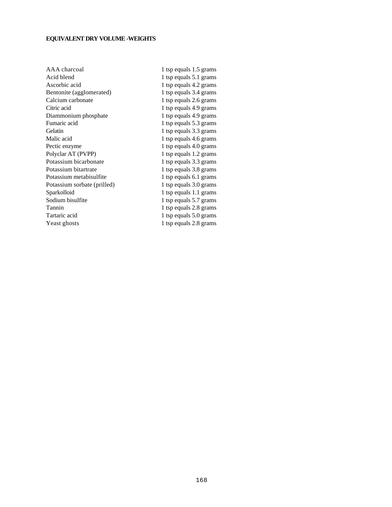# **EQUIVALENT DRY VOLUME -WEIGHTS**

| 1 tsp equals 1.5 grams |
|------------------------|
| 1 tsp equals 5.1 grams |
| 1 tsp equals 4.2 grams |
| 1 tsp equals 3.4 grams |
| 1 tsp equals 2.6 grams |
| 1 tsp equals 4.9 grams |
| 1 tsp equals 4.9 grams |
| 1 tsp equals 5.3 grams |
| 1 tsp equals 3.3 grams |
| 1 tsp equals 4.6 grams |
| 1 tsp equals 4.0 grams |
| 1 tsp equals 1.2 grams |
| 1 tsp equals 3.3 grams |
| 1 tsp equals 3.8 grams |
| 1 tsp equals 6.1 grams |
| 1 tsp equals 3.0 grams |
| 1 tsp equals 1.1 grams |
| 1 tsp equals 5.7 grams |
| 1 tsp equals 2.8 grams |
| 1 tsp equals 5.0 grams |
| 1 tsp equals 2.8 grams |
|                        |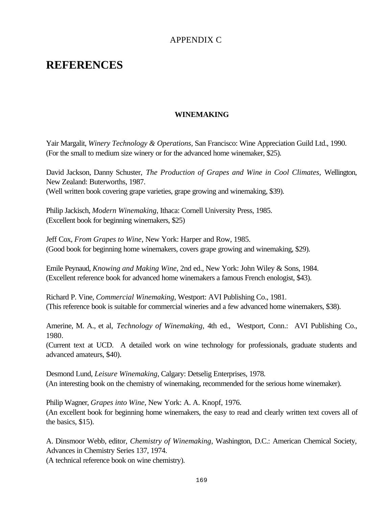# APPENDIX C

# **REFERENCES**

# **WINEMAKING**

Yair Margalit, *Winery Technology & Operations,* San Francisco: Wine Appreciation Guild Ltd., 1990. (For the small to medium size winery or for the advanced home winemaker, \$25).

David Jackson, Danny Schuster, *The Production of Grapes and Wine in Cool Climates,* Wellington, New Zealand: Buterworths, 1987. (Well written book covering grape varieties, grape growing and winemaking, \$39).

Philip Jackisch, *Modern Winemaking*, Ithaca: Cornell University Press, 1985. (Excellent book for beginning winemakers, \$25)

Jeff Cox, *From Grapes to Wine*, New York: Harper and Row, 1985. (Good book for beginning home winemakers, covers grape growing and winemaking, \$29).

Emile Peynaud, *Knowing and Making Wine*, 2nd ed., New York: John Wiley & Sons, 1984. (Excellent reference book for advanced home winemakers a famous French enologist, \$43).

Richard P. Vine, *Commercial Winemaking*, Westport: AVI Publishing Co., 1981. (This reference book is suitable for commercial wineries and a few advanced home winemakers, \$38).

Amerine, M. A., et al, *Technology of Winemaking*, 4th ed., Westport, Conn.: AVI Publishing Co., 1980.

(Current text at UCD. A detailed work on wine technology for professionals, graduate students and advanced amateurs, \$40).

Desmond Lund, *Leisure Winemaking*, Calgary: Detselig Enterprises, 1978. (An interesting book on the chemistry of winemaking, recommended for the serious home winemaker).

Philip Wagner, *Grapes into Wine*, New York: A. A. Knopf, 1976. (An excellent book for beginning home winemakers, the easy to read and clearly written text covers all of the basics, \$15).

A. Dinsmoor Webb, editor, *Chemistry of Winemaking*, Washington, D.C.: American Chemical Society, Advances in Chemistry Series 137, 1974.

(A technical reference book on wine chemistry).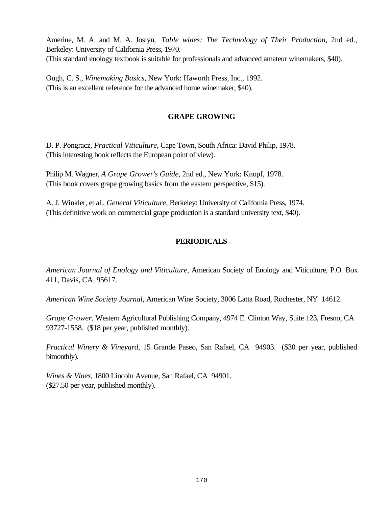Amerine, M. A. and M. A. Joslyn, *Table wines: The Technology of Their Production*, 2nd ed., Berkeley: University of California Press, 1970. (This standard enology textbook is suitable for professionals and advanced amateur winemakers, \$40).

Ough, C. S., *Winemaking Basics*, New York: Haworth Press, Inc., 1992. (This is an excellent reference for the advanced home winemaker, \$40).

# **GRAPE GROWING**

D. P. Pongracz, *Practical Viticulture*, Cape Town, South Africa: David Philip, 1978. (This interesting book reflects the European point of view).

Philip M. Wagner, *A Grape Grower's Guide*, 2nd ed., New York: Knopf, 1978. (This book covers grape growing basics from the eastern perspective, \$15).

A. J. Winkler, et al., *General Viticulture*, Berkeley: University of California Press, 1974. (This definitive work on commercial grape production is a standard university text, \$40).

# **PERIODICALS**

*American Journal of Enology and Viticulture*, American Society of Enology and Viticulture, P.O. Box 411, Davis, CA 95617.

*American Wine Society Journal*, American Wine Society, 3006 Latta Road, Rochester, NY 14612.

*Grape Grower*, Western Agricultural Publishing Company, 4974 E. Clinton Way, Suite 123, Fresno, CA 93727-1558. (\$18 per year, published monthly).

*Practical Winery & Vineyard*, 15 Grande Paseo, San Rafael, CA 94903. (\$30 per year, published bimonthly).

*Wines & Vines*, 1800 Lincoln Avenue, San Rafael, CA 94901. (\$27.50 per year, published monthly).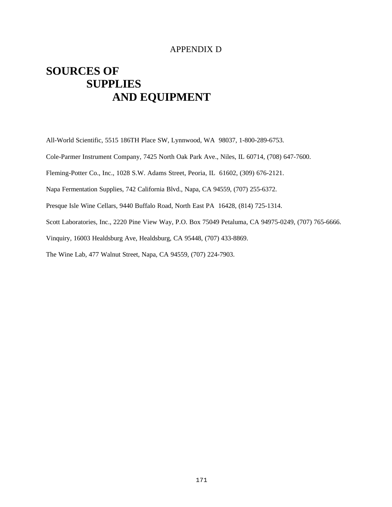# APPENDIX D

# **SOURCES OF SUPPLIES AND EQUIPMENT**

All-World Scientific, 5515 186TH Place SW, Lynnwood, WA 98037, 1-800-289-6753.

Cole-Parmer Instrument Company, 7425 North Oak Park Ave., Niles, IL 60714, (708) 647-7600.

Fleming-Potter Co., Inc., 1028 S.W. Adams Street, Peoria, IL 61602, (309) 676-2121.

Napa Fermentation Supplies, 742 California Blvd., Napa, CA 94559, (707) 255-6372.

Presque Isle Wine Cellars, 9440 Buffalo Road, North East PA 16428, (814) 725-1314.

Scott Laboratories, Inc., 2220 Pine View Way, P.O. Box 75049 Petaluma, CA 94975-0249, (707) 765-6666.

Vinquiry, 16003 Healdsburg Ave, Healdsburg, CA 95448, (707) 433-8869.

The Wine Lab, 477 Walnut Street, Napa, CA 94559, (707) 224-7903.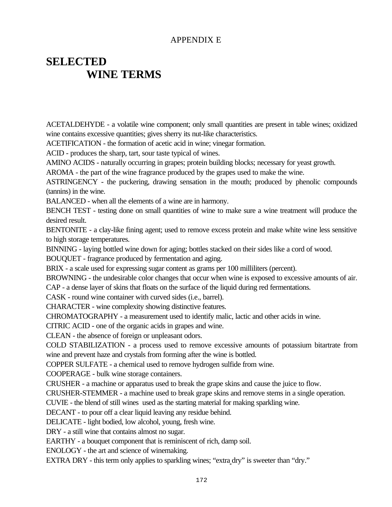# APPENDIX E

# **SELECTED WINE TERMS**

ACETALDEHYDE - a volatile wine component; only small quantities are present in table wines; oxidized wine contains excessive quantities; gives sherry its nut-like characteristics.

ACETIFICATION - the formation of acetic acid in wine; vinegar formation.

ACID - produces the sharp, tart, sour taste typical of wines.

AMINO ACIDS - naturally occurring in grapes; protein building blocks; necessary for yeast growth.

AROMA - the part of the wine fragrance produced by the grapes used to make the wine.

ASTRINGENCY - the puckering, drawing sensation in the mouth; produced by phenolic compounds (tannins) in the wine.

BALANCED - when all the elements of a wine are in harmony.

BENCH TEST - testing done on small quantities of wine to make sure a wine treatment will produce the desired result.

BENTONITE - a clay-like fining agent; used to remove excess protein and make white wine less sensitive to high storage temperatures.

BINNING - laying bottled wine down for aging; bottles stacked on their sides like a cord of wood.

BOUQUET - fragrance produced by fermentation and aging.

BRIX - a scale used for expressing sugar content as grams per 100 milliliters (percent).

BROWNING - the undesirable color changes that occur when wine is exposed to excessive amounts of air. CAP - a dense layer of skins that floats on the surface of the liquid during red fermentations.

CASK - round wine container with curved sides (i.e., barrel).

CHARACTER - wine complexity showing distinctive features.

CHROMATOGRAPHY - a measurement used to identify malic, lactic and other acids in wine.

CITRIC ACID - one of the organic acids in grapes and wine.

CLEAN - the absence of foreign or unpleasant odors.

COLD STABILIZATION - a process used to remove excessive amounts of potassium bitartrate from wine and prevent haze and crystals from forming after the wine is bottled.

COPPER SULFATE - a chemical used to remove hydrogen sulfide from wine.

COOPERAGE - bulk wine storage containers.

CRUSHER - a machine or apparatus used to break the grape skins and cause the juice to flow.

CRUSHER-STEMMER - a machine used to break grape skins and remove stems in a single operation.

CUVIE - the blend of still wines used as the starting material for making sparkling wine.

DECANT - to pour off a clear liquid leaving any residue behind.

DELICATE - light bodied, low alcohol, young, fresh wine.

DRY - a still wine that contains almost no sugar.

EARTHY - a bouquet component that is reminiscent of rich, damp soil.

ENOLOGY - the art and science of winemaking.

EXTRA DRY - this term only applies to sparkling wines; "extra dry" is sweeter than "dry."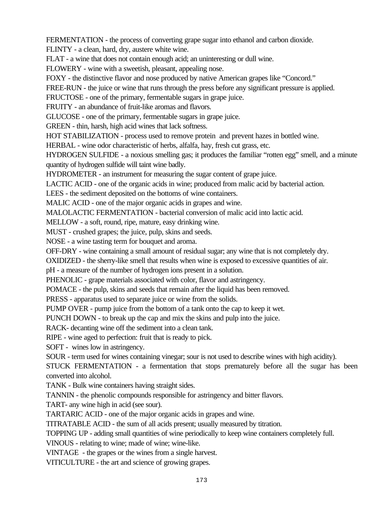FERMENTATION - the process of converting grape sugar into ethanol and carbon dioxide.

FLINTY - a clean, hard, dry, austere white wine.

FLAT - a wine that does not contain enough acid; an uninteresting or dull wine.

FLOWERY - wine with a sweetish, pleasant, appealing nose.

FOXY - the distinctive flavor and nose produced by native American grapes like "Concord."

FREE-RUN - the juice or wine that runs through the press before any significant pressure is applied.

FRUCTOSE - one of the primary, fermentable sugars in grape juice.

FRUITY - an abundance of fruit-like aromas and flavors.

GLUCOSE - one of the primary, fermentable sugars in grape juice.

GREEN - thin, harsh, high acid wines that lack softness.

HOT STABILIZATION - process used to remove protein and prevent hazes in bottled wine.

HERBAL - wine odor characteristic of herbs, alfalfa, hay, fresh cut grass, etc.

HYDROGEN SULFIDE - a noxious smelling gas; it produces the familiar "rotten egg" smell, and a minute quantity of hydrogen sulfide will taint wine badly.

HYDROMETER - an instrument for measuring the sugar content of grape juice.

LACTIC ACID - one of the organic acids in wine; produced from malic acid by bacterial action.

LEES - the sediment deposited on the bottoms of wine containers.

MALIC ACID - one of the major organic acids in grapes and wine.

MALOLACTIC FERMENTATION - bacterial conversion of malic acid into lactic acid.

MELLOW - a soft, round, ripe, mature, easy drinking wine.

MUST - crushed grapes; the juice, pulp, skins and seeds.

NOSE - a wine tasting term for bouquet and aroma.

OFF-DRY - wine containing a small amount of residual sugar; any wine that is not completely dry.

OXIDIZED - the sherry-like smell that results when wine is exposed to excessive quantities of air.

pH - a measure of the number of hydrogen ions present in a solution.

PHENOLIC - grape materials associated with color, flavor and astringency.

POMACE - the pulp, skins and seeds that remain after the liquid has been removed.

PRESS - apparatus used to separate juice or wine from the solids.

PUMP OVER - pump juice from the bottom of a tank onto the cap to keep it wet.

PUNCH DOWN - to break up the cap and mix the skins and pulp into the juice.

RACK- decanting wine off the sediment into a clean tank.

RIPE - wine aged to perfection: fruit that is ready to pick.

SOFT - wines low in astringency.

SOUR - term used for wines containing vinegar; sour is not used to describe wines with high acidity).

STUCK FERMENTATION - a fermentation that stops prematurely before all the sugar has been converted into alcohol.

TANK - Bulk wine containers having straight sides.

TANNIN - the phenolic compounds responsible for astringency and bitter flavors.

TART- any wine high in acid (see sour).

TARTARIC ACID - one of the major organic acids in grapes and wine.

TITRATABLE ACID - the sum of all acids present; usually measured by titration.

TOPPING UP - adding small quantities of wine periodically to keep wine containers completely full.

VINOUS - relating to wine; made of wine; wine-like.

VINTAGE - the grapes or the wines from a single harvest.

VITICULTURE - the art and science of growing grapes.